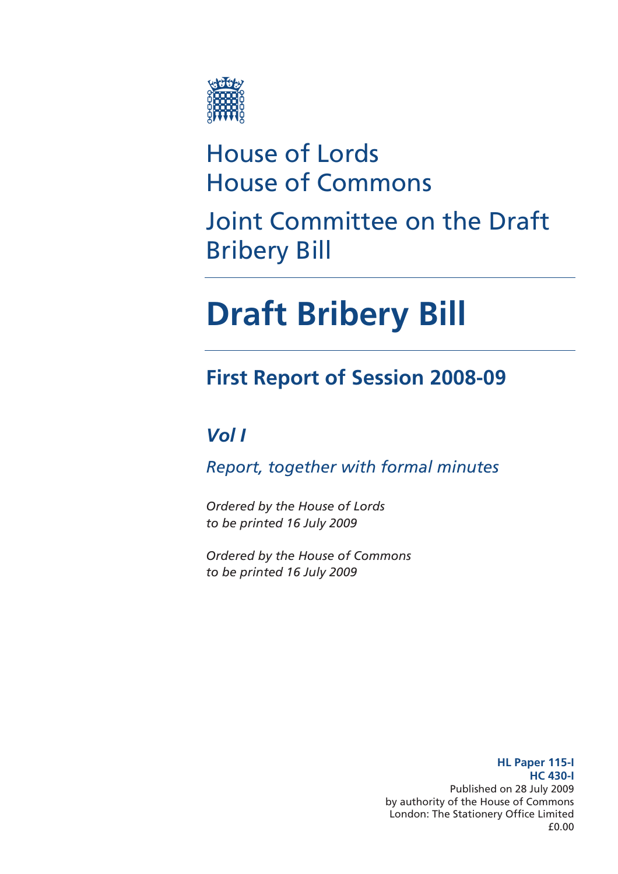

# House of Lords House of Commons

Joint Committee on the Draft Bribery Bill

# **Draft Bribery Bill**

### **First Report of Session 2008-09**

### *Vol I*

*Report, together with formal minutes* 

*Ordered by the House of Lords to be printed 16 July 2009* 

*Ordered by the House of Commons to be printed 16 July 2009* 

> **HL Paper 115-I HC 430-I**  Published on 28 July 2009 by authority of the House of Commons London: The Stationery Office Limited £0.00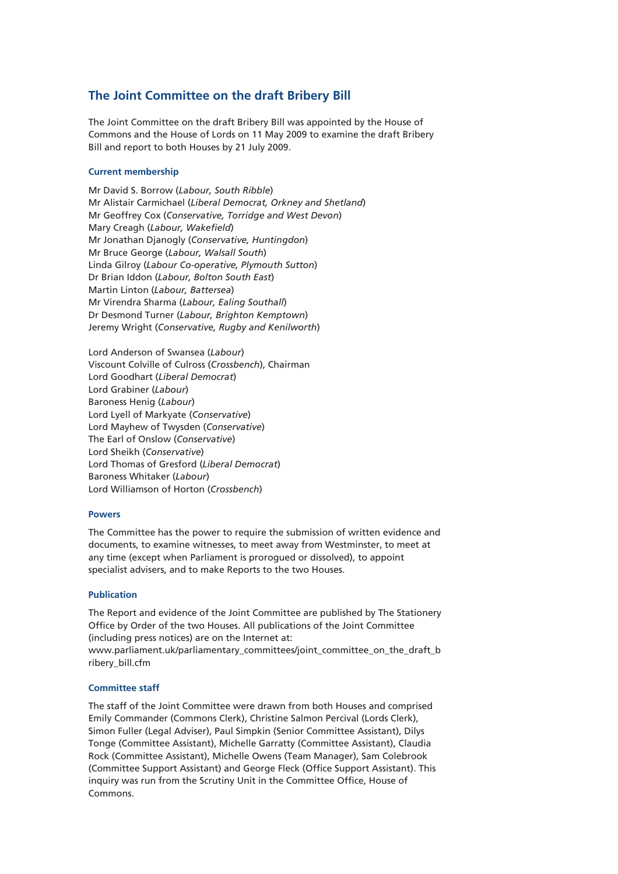#### **The Joint Committee on the draft Bribery Bill**

The Joint Committee on the draft Bribery Bill was appointed by the House of Commons and the House of Lords on 11 May 2009 to examine the draft Bribery Bill and report to both Houses by 21 July 2009.

#### **Current membership**

Mr David S. Borrow (*Labour, South Ribble*) Mr Alistair Carmichael (*Liberal Democrat, Orkney and Shetland*) Mr Geoffrey Cox (*Conservative, Torridge and West Devon*) Mary Creagh (*Labour, Wakefield*) Mr Jonathan Djanogly (*Conservative, Huntingdon*) Mr Bruce George (*Labour, Walsall South*) Linda Gilroy (*Labour Co-operative, Plymouth Sutton*) Dr Brian Iddon (*Labour, Bolton South East*) Martin Linton (*Labour, Battersea*) Mr Virendra Sharma (*Labour, Ealing Southall*) Dr Desmond Turner (*Labour, Brighton Kemptown*) Jeremy Wright (*Conservative, Rugby and Kenilworth*)

Lord Anderson of Swansea (*Labour*) Viscount Colville of Culross (*Crossbench*), Chairman Lord Goodhart (*Liberal Democrat*) Lord Grabiner (*Labour*) Baroness Henig (*Labour*) Lord Lyell of Markyate (*Conservative*) Lord Mayhew of Twysden (*Conservative*) The Earl of Onslow (*Conservative*) Lord Sheikh (*Conservative*) Lord Thomas of Gresford (*Liberal Democrat*) Baroness Whitaker (*Labour*) Lord Williamson of Horton (*Crossbench*)

#### **Powers**

The Committee has the power to require the submission of written evidence and documents, to examine witnesses, to meet away from Westminster, to meet at any time (except when Parliament is prorogued or dissolved), to appoint specialist advisers, and to make Reports to the two Houses.

#### **Publication**

The Report and evidence of the Joint Committee are published by The Stationery Office by Order of the two Houses. All publications of the Joint Committee (including press notices) are on the Internet at: www.parliament.uk/parliamentary\_committees/joint\_committee\_on\_the\_draft\_b ribery\_bill.cfm

#### **Committee staff**

The staff of the Joint Committee were drawn from both Houses and comprised Emily Commander (Commons Clerk), Christine Salmon Percival (Lords Clerk), Simon Fuller (Legal Adviser), Paul Simpkin (Senior Committee Assistant), Dilys Tonge (Committee Assistant), Michelle Garratty (Committee Assistant), Claudia Rock (Committee Assistant), Michelle Owens (Team Manager), Sam Colebrook (Committee Support Assistant) and George Fleck (Office Support Assistant). This inquiry was run from the Scrutiny Unit in the Committee Office, House of Commons.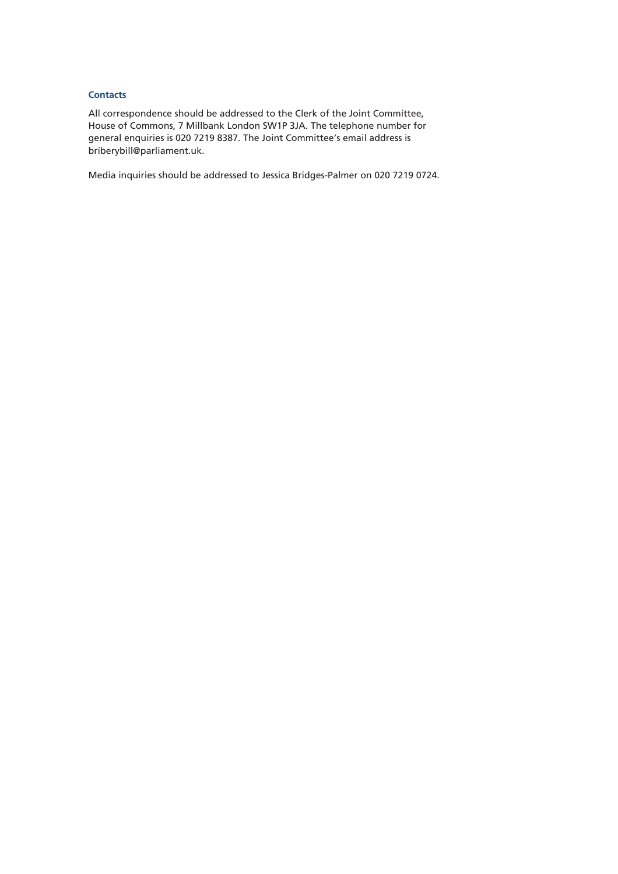#### **Contacts**

All correspondence should be addressed to the Clerk of the Joint Committee, House of Commons, 7 Millbank London SW1P 3JA. The telephone number for general enquiries is 020 7219 8387. The Joint Committee's email address is briberybill@parliament.uk.

Media inquiries should be addressed to Jessica Bridges-Palmer on 020 7219 0724.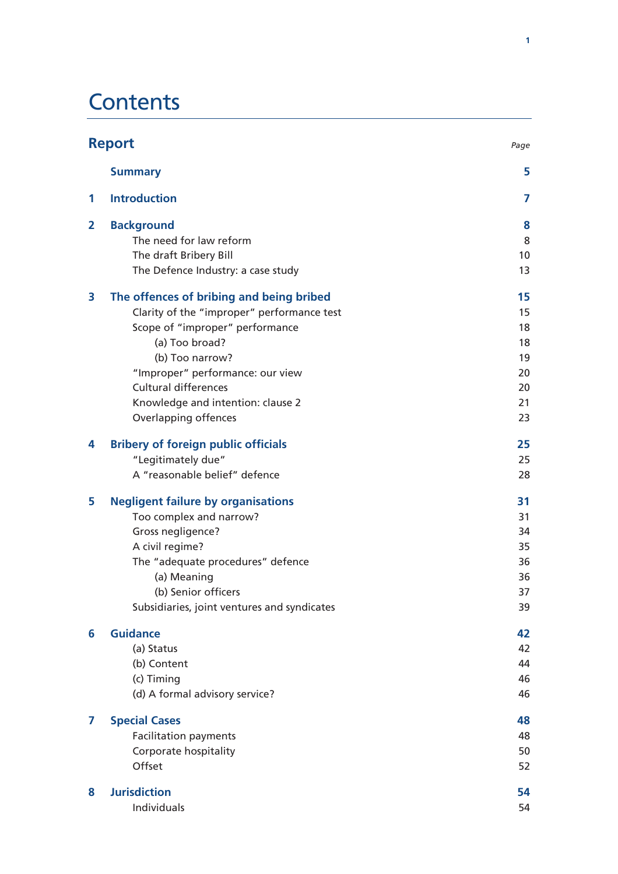### **Contents**

|   | <b>Report</b><br>Page                       |                |  |
|---|---------------------------------------------|----------------|--|
|   | <b>Summary</b>                              | 5.             |  |
| 1 | <b>Introduction</b>                         | $\overline{7}$ |  |
| 2 | <b>Background</b>                           | 8              |  |
|   | The need for law reform                     | 8              |  |
|   | The draft Bribery Bill                      | 10             |  |
|   | The Defence Industry: a case study          | 13             |  |
| 3 | The offences of bribing and being bribed    | 15             |  |
|   | Clarity of the "improper" performance test  | 15             |  |
|   | Scope of "improper" performance             | 18             |  |
|   | (a) Too broad?                              | 18             |  |
|   | (b) Too narrow?                             | 19             |  |
|   | "Improper" performance: our view            | 20             |  |
|   | <b>Cultural differences</b>                 | 20             |  |
|   | Knowledge and intention: clause 2           | 21             |  |
|   | Overlapping offences                        | 23             |  |
| 4 | <b>Bribery of foreign public officials</b>  | 25             |  |
|   | "Legitimately due"                          | 25             |  |
|   | A "reasonable belief" defence               | 28             |  |
| 5 | <b>Negligent failure by organisations</b>   | 31             |  |
|   | Too complex and narrow?                     | 31             |  |
|   | Gross negligence?                           | 34             |  |
|   | A civil regime?                             | 35             |  |
|   | The "adequate procedures" defence           | 36             |  |
|   | (a) Meaning                                 | 36             |  |
|   | (b) Senior officers                         | 37             |  |
|   | Subsidiaries, joint ventures and syndicates | 39             |  |
| 6 | <b>Guidance</b>                             | 42             |  |
|   | (a) Status                                  | 42             |  |
|   | (b) Content                                 | 44             |  |
|   | (c) Timing                                  | 46             |  |
|   | (d) A formal advisory service?              | 46             |  |
| 7 | <b>Special Cases</b>                        | 48             |  |
|   | <b>Facilitation payments</b>                | 48             |  |
|   | Corporate hospitality                       | 50             |  |
|   | Offset                                      | 52             |  |
| 8 | <b>Jurisdiction</b>                         | 54             |  |
|   | Individuals                                 | 54             |  |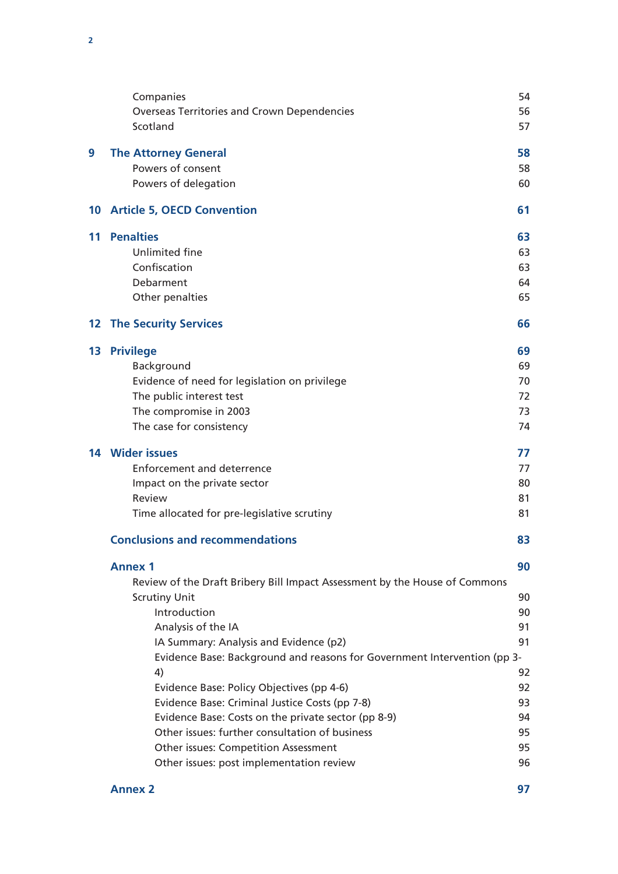|    | Companies                                                                                             | 54       |
|----|-------------------------------------------------------------------------------------------------------|----------|
|    | <b>Overseas Territories and Crown Dependencies</b>                                                    | 56       |
|    | Scotland                                                                                              | 57       |
| 9  | <b>The Attorney General</b>                                                                           | 58       |
|    | Powers of consent                                                                                     | 58       |
|    | Powers of delegation                                                                                  | 60       |
|    | 10 Article 5, OECD Convention                                                                         | 61       |
| 11 | <b>Penalties</b>                                                                                      | 63       |
|    | Unlimited fine                                                                                        | 63       |
|    | Confiscation                                                                                          | 63       |
|    | Debarment                                                                                             | 64       |
|    | Other penalties                                                                                       | 65       |
|    | <b>12 The Security Services</b>                                                                       | 66       |
|    | <b>13 Privilege</b>                                                                                   | 69       |
|    | Background                                                                                            | 69       |
|    | Evidence of need for legislation on privilege                                                         | 70       |
|    | The public interest test                                                                              | 72       |
|    | The compromise in 2003                                                                                | 73       |
|    | The case for consistency                                                                              | 74       |
|    | 14 Wider issues                                                                                       | 77       |
|    | <b>Enforcement and deterrence</b>                                                                     | 77       |
|    | Impact on the private sector                                                                          | 80       |
|    | Review                                                                                                | 81       |
|    | Time allocated for pre-legislative scrutiny                                                           | 81       |
|    | <b>Conclusions and recommendations</b>                                                                | 83       |
|    | <b>Annex 1</b>                                                                                        | 90       |
|    | Review of the Draft Bribery Bill Impact Assessment by the House of Commons                            |          |
|    | <b>Scrutiny Unit</b>                                                                                  | 90       |
|    | Introduction                                                                                          | 90       |
|    | Analysis of the IA                                                                                    | 91       |
|    | IA Summary: Analysis and Evidence (p2)                                                                | 91       |
|    | Evidence Base: Background and reasons for Government Intervention (pp 3-                              |          |
|    | 4)                                                                                                    | 92       |
|    | Evidence Base: Policy Objectives (pp 4-6)                                                             | 92       |
|    | Evidence Base: Criminal Justice Costs (pp 7-8)                                                        | 93       |
|    | Evidence Base: Costs on the private sector (pp 8-9)<br>Other issues: further consultation of business | 94       |
|    |                                                                                                       | 95<br>95 |
|    | Other issues: Competition Assessment<br>Other issues: post implementation review                      | 96       |
|    |                                                                                                       |          |

**2**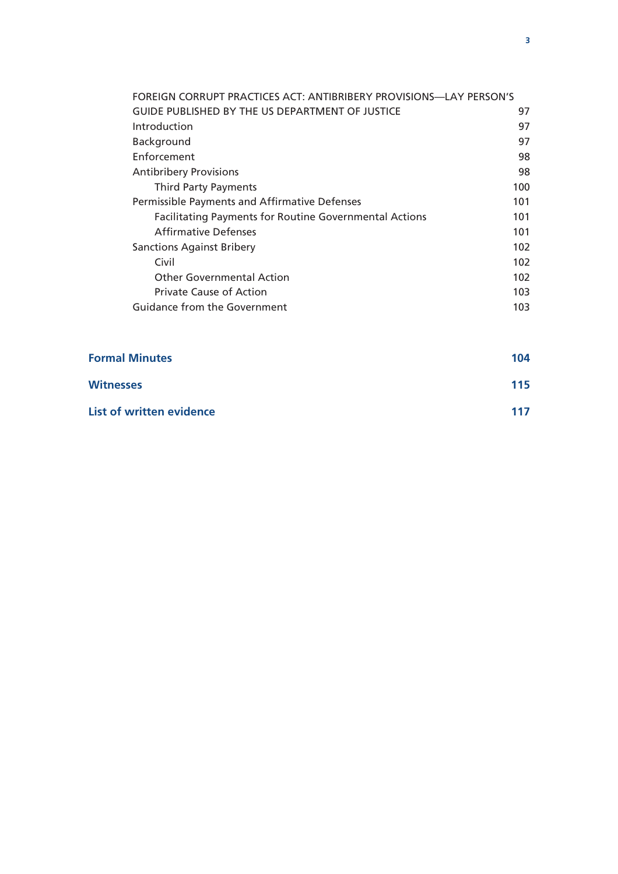| FOREIGN CORRUPT PRACTICES ACT: ANTIBRIBERY PROVISIONS-LAY PERSON'S |     |  |
|--------------------------------------------------------------------|-----|--|
| <b>GUIDE PUBLISHED BY THE US DEPARTMENT OF JUSTICE</b>             | 97  |  |
| Introduction                                                       |     |  |
| Background                                                         |     |  |
| Enforcement                                                        |     |  |
| <b>Antibribery Provisions</b>                                      |     |  |
| <b>Third Party Payments</b>                                        | 100 |  |
| Permissible Payments and Affirmative Defenses                      |     |  |
| <b>Facilitating Payments for Routine Governmental Actions</b>      | 101 |  |
| <b>Affirmative Defenses</b>                                        | 101 |  |
| <b>Sanctions Against Bribery</b>                                   |     |  |
| Civil                                                              | 102 |  |
| <b>Other Governmental Action</b>                                   | 102 |  |
| <b>Private Cause of Action</b>                                     | 103 |  |
| Guidance from the Government                                       |     |  |
|                                                                    |     |  |

| <b>Formal Minutes</b>    | 104 |
|--------------------------|-----|
| <b>Witnesses</b>         | 115 |
| List of written evidence | 117 |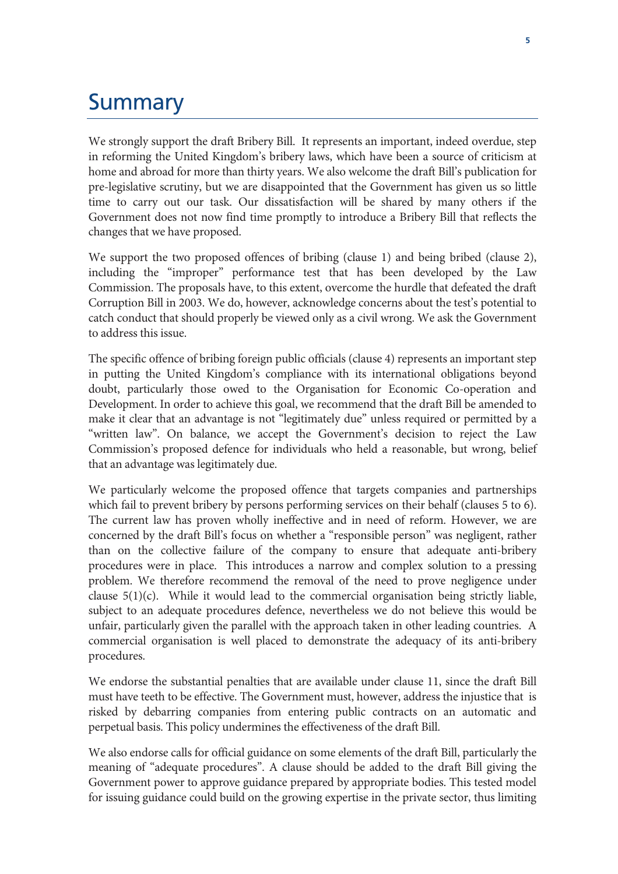## **Summary**

We strongly support the draft Bribery Bill. It represents an important, indeed overdue, step in reforming the United Kingdom's bribery laws, which have been a source of criticism at home and abroad for more than thirty years. We also welcome the draft Bill's publication for pre-legislative scrutiny, but we are disappointed that the Government has given us so little time to carry out our task. Our dissatisfaction will be shared by many others if the Government does not now find time promptly to introduce a Bribery Bill that reflects the changes that we have proposed.

We support the two proposed offences of bribing (clause 1) and being bribed (clause 2), including the "improper" performance test that has been developed by the Law Commission. The proposals have, to this extent, overcome the hurdle that defeated the draft Corruption Bill in 2003. We do, however, acknowledge concerns about the test's potential to catch conduct that should properly be viewed only as a civil wrong. We ask the Government to address this issue.

The specific offence of bribing foreign public officials (clause 4) represents an important step in putting the United Kingdom's compliance with its international obligations beyond doubt, particularly those owed to the Organisation for Economic Co-operation and Development. In order to achieve this goal, we recommend that the draft Bill be amended to make it clear that an advantage is not "legitimately due" unless required or permitted by a "written law". On balance, we accept the Government's decision to reject the Law Commission's proposed defence for individuals who held a reasonable, but wrong, belief that an advantage was legitimately due.

We particularly welcome the proposed offence that targets companies and partnerships which fail to prevent bribery by persons performing services on their behalf (clauses 5 to 6). The current law has proven wholly ineffective and in need of reform. However, we are concerned by the draft Bill's focus on whether a "responsible person" was negligent, rather than on the collective failure of the company to ensure that adequate anti-bribery procedures were in place. This introduces a narrow and complex solution to a pressing problem. We therefore recommend the removal of the need to prove negligence under clause 5(1)(c). While it would lead to the commercial organisation being strictly liable, subject to an adequate procedures defence, nevertheless we do not believe this would be unfair, particularly given the parallel with the approach taken in other leading countries. A commercial organisation is well placed to demonstrate the adequacy of its anti-bribery procedures.

We endorse the substantial penalties that are available under clause 11, since the draft Bill must have teeth to be effective. The Government must, however, address the injustice that is risked by debarring companies from entering public contracts on an automatic and perpetual basis. This policy undermines the effectiveness of the draft Bill.

We also endorse calls for official guidance on some elements of the draft Bill, particularly the meaning of "adequate procedures". A clause should be added to the draft Bill giving the Government power to approve guidance prepared by appropriate bodies. This tested model for issuing guidance could build on the growing expertise in the private sector, thus limiting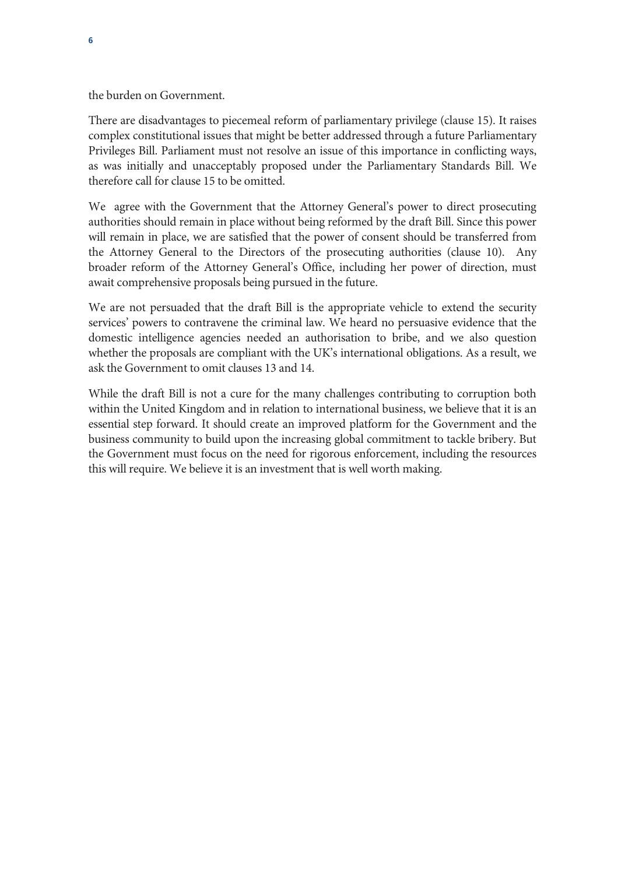the burden on Government.

There are disadvantages to piecemeal reform of parliamentary privilege (clause 15). It raises complex constitutional issues that might be better addressed through a future Parliamentary Privileges Bill. Parliament must not resolve an issue of this importance in conflicting ways, as was initially and unacceptably proposed under the Parliamentary Standards Bill. We therefore call for clause 15 to be omitted.

We agree with the Government that the Attorney General's power to direct prosecuting authorities should remain in place without being reformed by the draft Bill. Since this power will remain in place, we are satisfied that the power of consent should be transferred from the Attorney General to the Directors of the prosecuting authorities (clause 10). Any broader reform of the Attorney General's Office, including her power of direction, must await comprehensive proposals being pursued in the future.

We are not persuaded that the draft Bill is the appropriate vehicle to extend the security services' powers to contravene the criminal law. We heard no persuasive evidence that the domestic intelligence agencies needed an authorisation to bribe, and we also question whether the proposals are compliant with the UK's international obligations. As a result, we ask the Government to omit clauses 13 and 14.

While the draft Bill is not a cure for the many challenges contributing to corruption both within the United Kingdom and in relation to international business, we believe that it is an essential step forward. It should create an improved platform for the Government and the business community to build upon the increasing global commitment to tackle bribery. But the Government must focus on the need for rigorous enforcement, including the resources this will require. We believe it is an investment that is well worth making.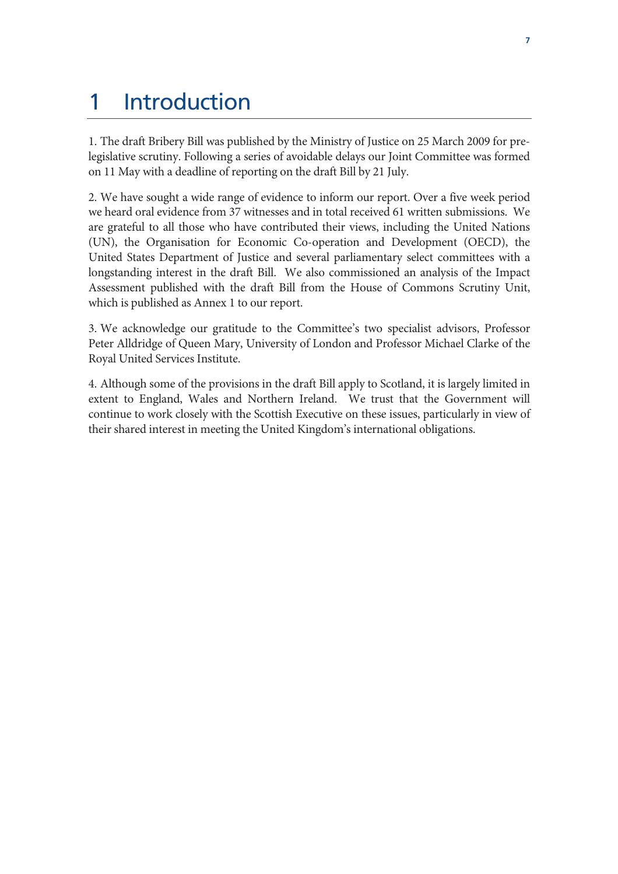## 1 Introduction

1. The draft Bribery Bill was published by the Ministry of Justice on 25 March 2009 for prelegislative scrutiny. Following a series of avoidable delays our Joint Committee was formed on 11 May with a deadline of reporting on the draft Bill by 21 July.

2. We have sought a wide range of evidence to inform our report. Over a five week period we heard oral evidence from 37 witnesses and in total received 61 written submissions. We are grateful to all those who have contributed their views, including the United Nations (UN), the Organisation for Economic Co-operation and Development (OECD), the United States Department of Justice and several parliamentary select committees with a longstanding interest in the draft Bill. We also commissioned an analysis of the Impact Assessment published with the draft Bill from the House of Commons Scrutiny Unit, which is published as Annex 1 to our report.

3. We acknowledge our gratitude to the Committee's two specialist advisors, Professor Peter Alldridge of Queen Mary, University of London and Professor Michael Clarke of the Royal United Services Institute.

4. Although some of the provisions in the draft Bill apply to Scotland, it is largely limited in extent to England, Wales and Northern Ireland. We trust that the Government will continue to work closely with the Scottish Executive on these issues, particularly in view of their shared interest in meeting the United Kingdom's international obligations.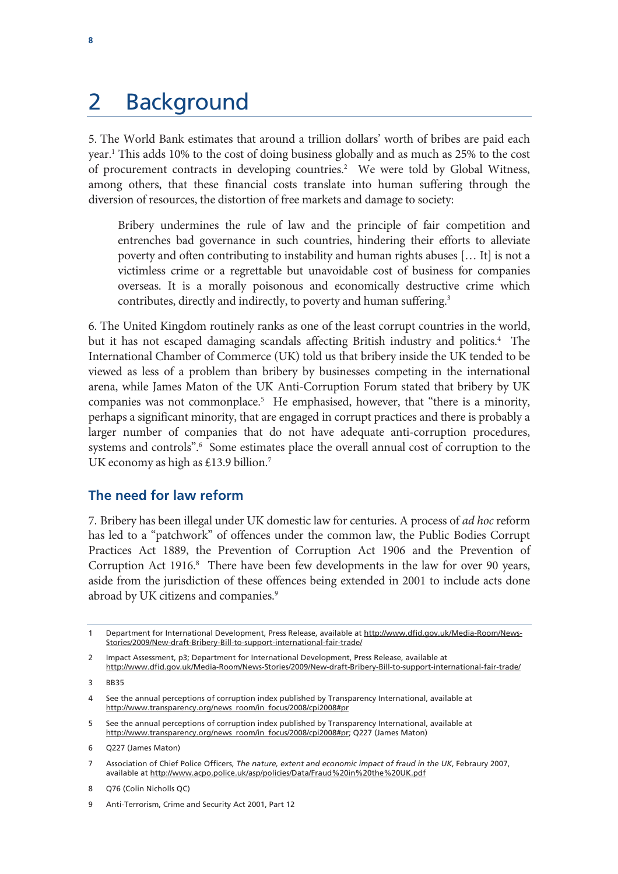### 2 Background

5. The World Bank estimates that around a trillion dollars' worth of bribes are paid each year.1 This adds 10% to the cost of doing business globally and as much as 25% to the cost of procurement contracts in developing countries.<sup>2</sup> We were told by Global Witness, among others, that these financial costs translate into human suffering through the diversion of resources, the distortion of free markets and damage to society:

Bribery undermines the rule of law and the principle of fair competition and entrenches bad governance in such countries, hindering their efforts to alleviate poverty and often contributing to instability and human rights abuses [… It] is not a victimless crime or a regrettable but unavoidable cost of business for companies overseas. It is a morally poisonous and economically destructive crime which contributes, directly and indirectly, to poverty and human suffering.<sup>3</sup>

6. The United Kingdom routinely ranks as one of the least corrupt countries in the world, but it has not escaped damaging scandals affecting British industry and politics.<sup>4</sup> The International Chamber of Commerce (UK) told us that bribery inside the UK tended to be viewed as less of a problem than bribery by businesses competing in the international arena, while James Maton of the UK Anti-Corruption Forum stated that bribery by UK companies was not commonplace.<sup>5</sup> He emphasised, however, that "there is a minority, perhaps a significant minority, that are engaged in corrupt practices and there is probably a larger number of companies that do not have adequate anti-corruption procedures, systems and controls".<sup>6</sup> Some estimates place the overall annual cost of corruption to the UK economy as high as £13.9 billion.<sup>7</sup>

### **The need for law reform**

7. Bribery has been illegal under UK domestic law for centuries. A process of *ad hoc* reform has led to a "patchwork" of offences under the common law, the Public Bodies Corrupt Practices Act 1889, the Prevention of Corruption Act 1906 and the Prevention of Corruption Act 1916.<sup>8</sup> There have been few developments in the law for over 90 years, aside from the jurisdiction of these offences being extended in 2001 to include acts done abroad by UK citizens and companies.<sup>9</sup>

6 Q227 (James Maton)

<sup>1</sup> Department for International Development, Press Release, available at http://www.dfid.gov.uk/Media-Room/News-Stories/2009/New-draft-Bribery-Bill-to-support-international-fair-trade/

<sup>2</sup> Impact Assessment, p3; Department for International Development, Press Release, available at http://www.dfid.gov.uk/Media-Room/News-Stories/2009/New-draft-Bribery-Bill-to-support-international-fair-trade/

<sup>3</sup> BB35

<sup>4</sup> See the annual perceptions of corruption index published by Transparency International, available at http://www.transparency.org/news\_room/in\_focus/2008/cpi2008#pr

<sup>5</sup> See the annual perceptions of corruption index published by Transparency International, available at http://www.transparency.org/news\_room/in\_focus/2008/cpi2008#pr; Q227 (James Maton)

<sup>7</sup> Association of Chief Police Officers, *The nature, extent and economic impact of fraud in the UK*, Febraury 2007, available at http://www.acpo.police.uk/asp/policies/Data/Fraud%20in%20the%20UK.pdf

<sup>8</sup> Q76 (Colin Nicholls QC)

<sup>9</sup> Anti-Terrorism, Crime and Security Act 2001, Part 12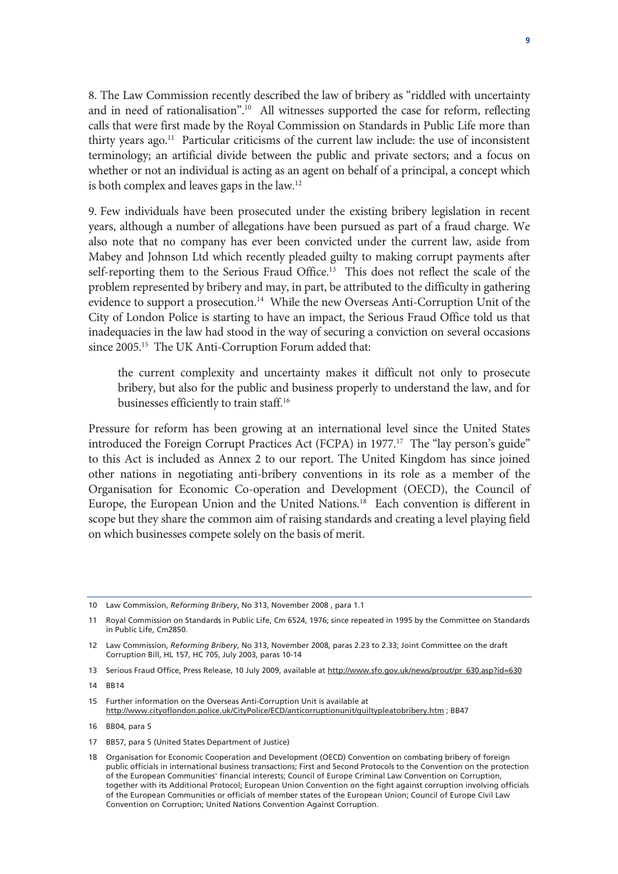8. The Law Commission recently described the law of bribery as "riddled with uncertainty and in need of rationalisation".<sup>10</sup> All witnesses supported the case for reform, reflecting calls that were first made by the Royal Commission on Standards in Public Life more than thirty years ago.<sup>11</sup> Particular criticisms of the current law include: the use of inconsistent terminology; an artificial divide between the public and private sectors; and a focus on whether or not an individual is acting as an agent on behalf of a principal, a concept which is both complex and leaves gaps in the law.12

9. Few individuals have been prosecuted under the existing bribery legislation in recent years, although a number of allegations have been pursued as part of a fraud charge. We also note that no company has ever been convicted under the current law, aside from Mabey and Johnson Ltd which recently pleaded guilty to making corrupt payments after self-reporting them to the Serious Fraud Office.<sup>13</sup> This does not reflect the scale of the problem represented by bribery and may, in part, be attributed to the difficulty in gathering evidence to support a prosecution.<sup>14</sup> While the new Overseas Anti-Corruption Unit of the City of London Police is starting to have an impact, the Serious Fraud Office told us that inadequacies in the law had stood in the way of securing a conviction on several occasions since 2005.<sup>15</sup> The UK Anti-Corruption Forum added that:

the current complexity and uncertainty makes it difficult not only to prosecute bribery, but also for the public and business properly to understand the law, and for businesses efficiently to train staff.16

Pressure for reform has been growing at an international level since the United States introduced the Foreign Corrupt Practices Act (FCPA) in 1977.<sup>17</sup> The "lay person's guide" to this Act is included as Annex 2 to our report. The United Kingdom has since joined other nations in negotiating anti-bribery conventions in its role as a member of the Organisation for Economic Co-operation and Development (OECD), the Council of Europe, the European Union and the United Nations.<sup>18</sup> Each convention is different in scope but they share the common aim of raising standards and creating a level playing field on which businesses compete solely on the basis of merit.

<sup>10</sup> Law Commission, *Reforming Bribery*, No 313, November 2008 , para 1.1

<sup>11</sup> Royal Commission on Standards in Public Life, Cm 6524, 1976; since repeated in 1995 by the Committee on Standards in Public Life, Cm2850.

<sup>12</sup> Law Commission, *Reforming Bribery*, No 313, November 2008, paras 2.23 to 2.33; Joint Committee on the draft Corruption Bill, HL 157, HC 705, July 2003, paras 10-14

<sup>13</sup> Serious Fraud Office, Press Release, 10 July 2009, available at http://www.sfo.gov.uk/news/prout/pr\_630.asp?id=630

<sup>14</sup> BB14

<sup>15</sup> Further information on the Overseas Anti-Corruption Unit is available at http://www.cityoflondon.police.uk/CityPolice/ECD/anticorruptionunit/guiltypleatobribery.htm ; BB47

<sup>16</sup> BB04, para 5

<sup>17</sup> BB57, para 5 (United States Department of Justice)

<sup>18</sup> Organisation for Economic Cooperation and Development (OECD) Convention on combating bribery of foreign public officials in international business transactions; First and Second Protocols to the Convention on the protection of the European Communities' financial interests; Council of Europe Criminal Law Convention on Corruption, together with its Additional Protocol; European Union Convention on the fight against corruption involving officials of the European Communities or officials of member states of the European Union; Council of Europe Civil Law Convention on Corruption; United Nations Convention Against Corruption.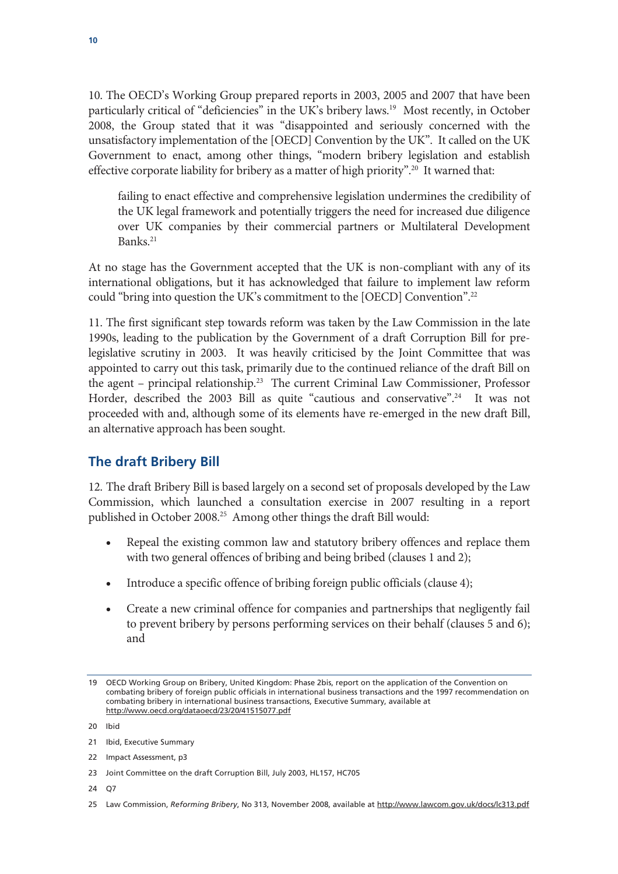10. The OECD's Working Group prepared reports in 2003, 2005 and 2007 that have been particularly critical of "deficiencies" in the UK's bribery laws.<sup>19</sup> Most recently, in October 2008, the Group stated that it was "disappointed and seriously concerned with the unsatisfactory implementation of the [OECD] Convention by the UK". It called on the UK Government to enact, among other things, "modern bribery legislation and establish effective corporate liability for bribery as a matter of high priority".<sup>20</sup> It warned that:

failing to enact effective and comprehensive legislation undermines the credibility of the UK legal framework and potentially triggers the need for increased due diligence over UK companies by their commercial partners or Multilateral Development Banks.21

At no stage has the Government accepted that the UK is non-compliant with any of its international obligations, but it has acknowledged that failure to implement law reform could "bring into question the UK's commitment to the [OECD] Convention".22

11. The first significant step towards reform was taken by the Law Commission in the late 1990s, leading to the publication by the Government of a draft Corruption Bill for prelegislative scrutiny in 2003. It was heavily criticised by the Joint Committee that was appointed to carry out this task, primarily due to the continued reliance of the draft Bill on the agent – principal relationship.<sup>23</sup> The current Criminal Law Commissioner, Professor Horder, described the 2003 Bill as quite "cautious and conservative".<sup>24</sup> It was not proceeded with and, although some of its elements have re-emerged in the new draft Bill, an alternative approach has been sought.

### **The draft Bribery Bill**

12. The draft Bribery Bill is based largely on a second set of proposals developed by the Law Commission, which launched a consultation exercise in 2007 resulting in a report published in October 2008.25 Among other things the draft Bill would:

- Repeal the existing common law and statutory bribery offences and replace them with two general offences of bribing and being bribed (clauses 1 and 2);
- Introduce a specific offence of bribing foreign public officials (clause 4);
- Create a new criminal offence for companies and partnerships that negligently fail to prevent bribery by persons performing services on their behalf (clauses 5 and 6); and

20 Ibid

22 Impact Assessment, p3

23 Joint Committee on the draft Corruption Bill, July 2003, HL157, HC705

24 Q7

<sup>19</sup> OECD Working Group on Bribery, United Kingdom: Phase 2bis, report on the application of the Convention on combating bribery of foreign public officials in international business transactions and the 1997 recommendation on combating bribery in international business transactions, Executive Summary, available at http://www.oecd.org/dataoecd/23/20/41515077.pdf

<sup>21</sup> Ibid, Executive Summary

<sup>25</sup> Law Commission, *Reforming Bribery*, No 313, November 2008, available at http://www.lawcom.gov.uk/docs/lc313.pdf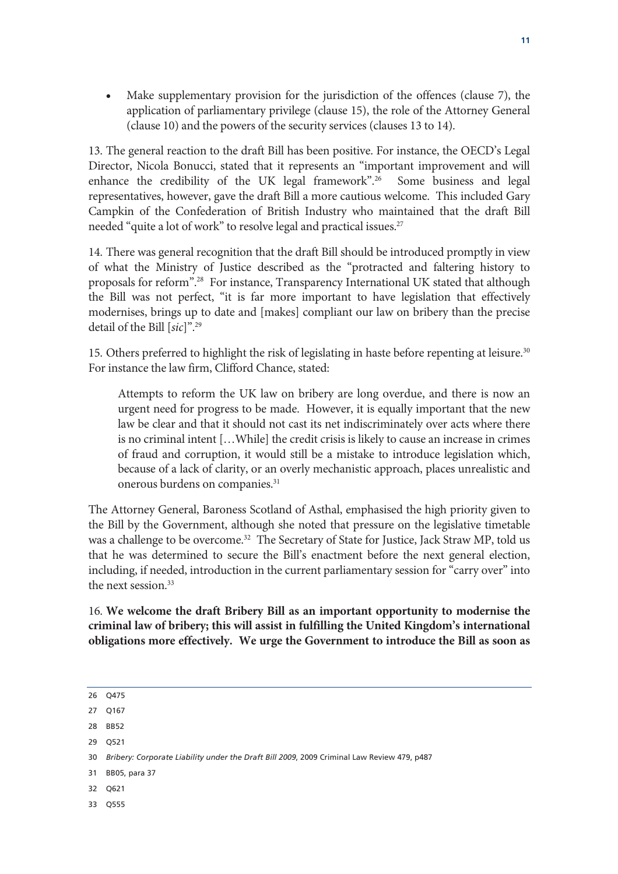Make supplementary provision for the jurisdiction of the offences (clause 7), the application of parliamentary privilege (clause 15), the role of the Attorney General (clause 10) and the powers of the security services (clauses 13 to 14).

13. The general reaction to the draft Bill has been positive. For instance, the OECD's Legal Director, Nicola Bonucci, stated that it represents an "important improvement and will enhance the credibility of the UK legal framework".<sup>26</sup> Some business and legal representatives, however, gave the draft Bill a more cautious welcome. This included Gary Campkin of the Confederation of British Industry who maintained that the draft Bill needed "quite a lot of work" to resolve legal and practical issues.<sup>27</sup>

14. There was general recognition that the draft Bill should be introduced promptly in view of what the Ministry of Justice described as the "protracted and faltering history to proposals for reform".28 For instance, Transparency International UK stated that although the Bill was not perfect, "it is far more important to have legislation that effectively modernises, brings up to date and [makes] compliant our law on bribery than the precise detail of the Bill [*sic*]".29

15. Others preferred to highlight the risk of legislating in haste before repenting at leisure.<sup>30</sup> For instance the law firm, Clifford Chance, stated:

Attempts to reform the UK law on bribery are long overdue, and there is now an urgent need for progress to be made. However, it is equally important that the new law be clear and that it should not cast its net indiscriminately over acts where there is no criminal intent […While] the credit crisis is likely to cause an increase in crimes of fraud and corruption, it would still be a mistake to introduce legislation which, because of a lack of clarity, or an overly mechanistic approach, places unrealistic and onerous burdens on companies.<sup>31</sup>

The Attorney General, Baroness Scotland of Asthal, emphasised the high priority given to the Bill by the Government, although she noted that pressure on the legislative timetable was a challenge to be overcome.<sup>32</sup> The Secretary of State for Justice, Jack Straw MP, told us that he was determined to secure the Bill's enactment before the next general election, including, if needed, introduction in the current parliamentary session for "carry over" into the next session.<sup>33</sup>

16. **We welcome the draft Bribery Bill as an important opportunity to modernise the criminal law of bribery; this will assist in fulfilling the United Kingdom's international obligations more effectively. We urge the Government to introduce the Bill as soon as** 

- 27 Q167
- 28 BB52
- 29 Q521

- 31 BB05, para 37
- 32 Q621
- 33 Q555

<sup>26</sup> Q475

<sup>30</sup> *Bribery: Corporate Liability under the Draft Bill 2009*, 2009 Criminal Law Review 479, p487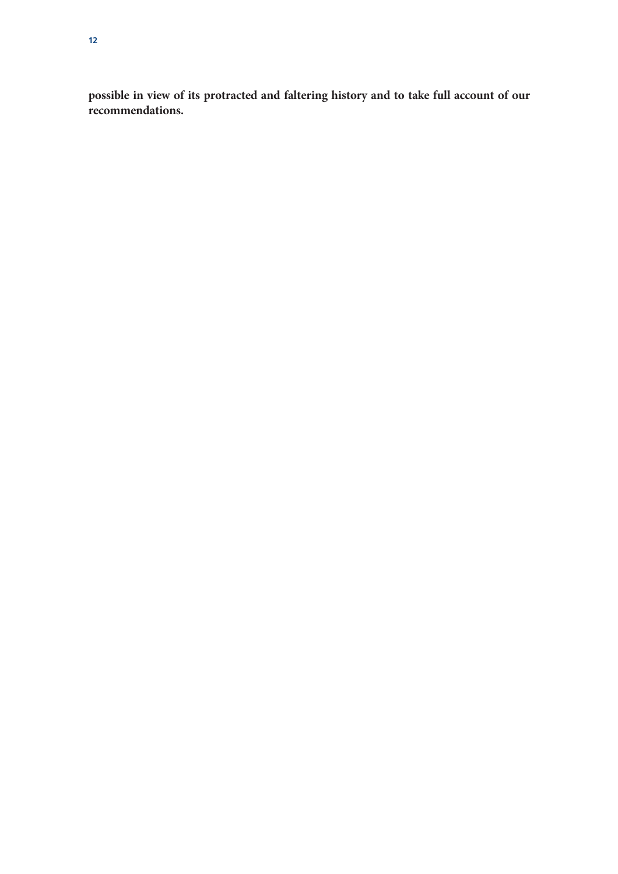**possible in view of its protracted and faltering history and to take full account of our recommendations.**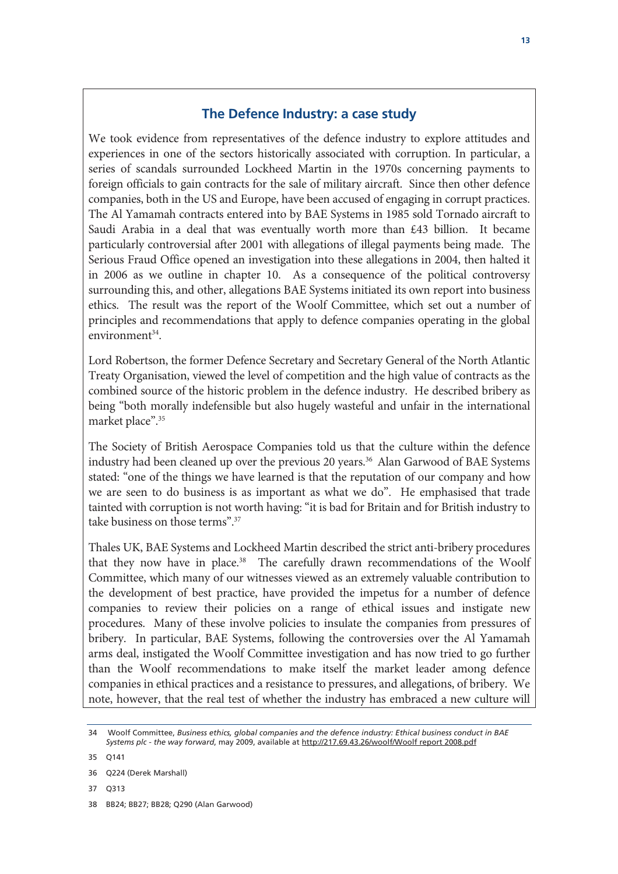### **The Defence Industry: a case study**

We took evidence from representatives of the defence industry to explore attitudes and experiences in one of the sectors historically associated with corruption. In particular, a series of scandals surrounded Lockheed Martin in the 1970s concerning payments to foreign officials to gain contracts for the sale of military aircraft. Since then other defence companies, both in the US and Europe, have been accused of engaging in corrupt practices. The Al Yamamah contracts entered into by BAE Systems in 1985 sold Tornado aircraft to Saudi Arabia in a deal that was eventually worth more than £43 billion. It became particularly controversial after 2001 with allegations of illegal payments being made. The Serious Fraud Office opened an investigation into these allegations in 2004, then halted it in 2006 as we outline in chapter 10. As a consequence of the political controversy surrounding this, and other, allegations BAE Systems initiated its own report into business ethics. The result was the report of the Woolf Committee, which set out a number of principles and recommendations that apply to defence companies operating in the global environment<sup>34</sup>.

Lord Robertson, the former Defence Secretary and Secretary General of the North Atlantic Treaty Organisation, viewed the level of competition and the high value of contracts as the combined source of the historic problem in the defence industry. He described bribery as being "both morally indefensible but also hugely wasteful and unfair in the international market place".35

The Society of British Aerospace Companies told us that the culture within the defence industry had been cleaned up over the previous 20 years.<sup>36</sup> Alan Garwood of BAE Systems stated: "one of the things we have learned is that the reputation of our company and how we are seen to do business is as important as what we do". He emphasised that trade tainted with corruption is not worth having: "it is bad for Britain and for British industry to take business on those terms".37

Thales UK, BAE Systems and Lockheed Martin described the strict anti-bribery procedures that they now have in place.<sup>38</sup> The carefully drawn recommendations of the Woolf Committee, which many of our witnesses viewed as an extremely valuable contribution to the development of best practice, have provided the impetus for a number of defence companies to review their policies on a range of ethical issues and instigate new procedures. Many of these involve policies to insulate the companies from pressures of bribery. In particular, BAE Systems, following the controversies over the Al Yamamah arms deal, instigated the Woolf Committee investigation and has now tried to go further than the Woolf recommendations to make itself the market leader among defence companies in ethical practices and a resistance to pressures, and allegations, of bribery. We note, however, that the real test of whether the industry has embraced a new culture will

37 Q313

<sup>34</sup> Woolf Committee, *Business ethics, global companies and the defence industry: Ethical business conduct in BAE Systems plc - the way forward*, may 2009, available at http://217.69.43.26/woolf/Woolf report 2008.pdf

<sup>35</sup> Q141

<sup>36</sup> Q224 (Derek Marshall)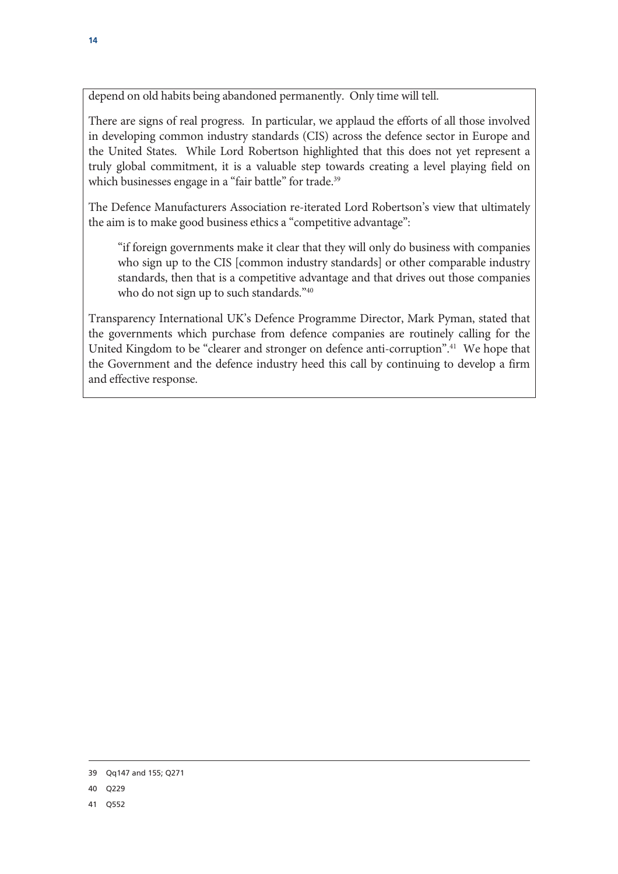depend on old habits being abandoned permanently. Only time will tell.

There are signs of real progress. In particular, we applaud the efforts of all those involved in developing common industry standards (CIS) across the defence sector in Europe and the United States. While Lord Robertson highlighted that this does not yet represent a truly global commitment, it is a valuable step towards creating a level playing field on which businesses engage in a "fair battle" for trade.<sup>39</sup>

The Defence Manufacturers Association re-iterated Lord Robertson's view that ultimately the aim is to make good business ethics a "competitive advantage":

"if foreign governments make it clear that they will only do business with companies who sign up to the CIS [common industry standards] or other comparable industry standards, then that is a competitive advantage and that drives out those companies who do not sign up to such standards."40

Transparency International UK's Defence Programme Director, Mark Pyman, stated that the governments which purchase from defence companies are routinely calling for the United Kingdom to be "clearer and stronger on defence anti-corruption".<sup>41</sup> We hope that the Government and the defence industry heed this call by continuing to develop a firm and effective response.

-

<sup>40</sup> Q229

<sup>41</sup> Q552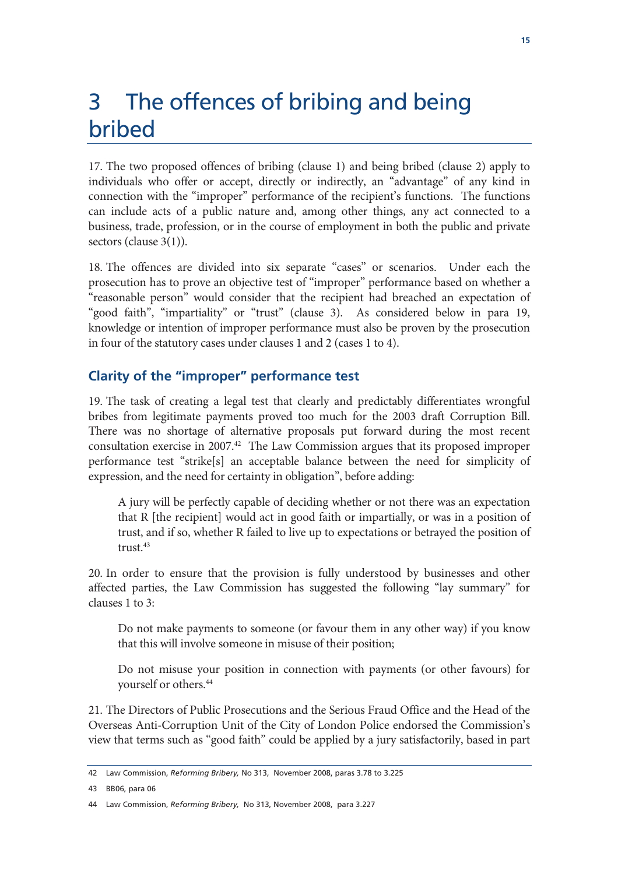# 3 The offences of bribing and being bribed

17. The two proposed offences of bribing (clause 1) and being bribed (clause 2) apply to individuals who offer or accept, directly or indirectly, an "advantage" of any kind in connection with the "improper" performance of the recipient's functions. The functions can include acts of a public nature and, among other things, any act connected to a business, trade, profession, or in the course of employment in both the public and private sectors (clause 3(1)).

18. The offences are divided into six separate "cases" or scenarios. Under each the prosecution has to prove an objective test of "improper" performance based on whether a "reasonable person" would consider that the recipient had breached an expectation of "good faith", "impartiality" or "trust" (clause 3). As considered below in para 19, knowledge or intention of improper performance must also be proven by the prosecution in four of the statutory cases under clauses 1 and 2 (cases 1 to 4).

### **Clarity of the "improper" performance test**

19. The task of creating a legal test that clearly and predictably differentiates wrongful bribes from legitimate payments proved too much for the 2003 draft Corruption Bill. There was no shortage of alternative proposals put forward during the most recent consultation exercise in 2007.42 The Law Commission argues that its proposed improper performance test "strike[s] an acceptable balance between the need for simplicity of expression, and the need for certainty in obligation", before adding:

A jury will be perfectly capable of deciding whether or not there was an expectation that R [the recipient] would act in good faith or impartially, or was in a position of trust, and if so, whether R failed to live up to expectations or betrayed the position of trust.<sup>43</sup>

20. In order to ensure that the provision is fully understood by businesses and other affected parties, the Law Commission has suggested the following "lay summary" for clauses 1 to 3:

Do not make payments to someone (or favour them in any other way) if you know that this will involve someone in misuse of their position;

Do not misuse your position in connection with payments (or other favours) for yourself or others.44

21. The Directors of Public Prosecutions and the Serious Fraud Office and the Head of the Overseas Anti-Corruption Unit of the City of London Police endorsed the Commission's view that terms such as "good faith" could be applied by a jury satisfactorily, based in part

<sup>42</sup> Law Commission, *Reforming Bribery,* No 313, November 2008, paras 3.78 to 3.225

<sup>43</sup> BB06, para 06

<sup>44</sup> Law Commission, *Reforming Bribery,* No 313, November 2008, para 3.227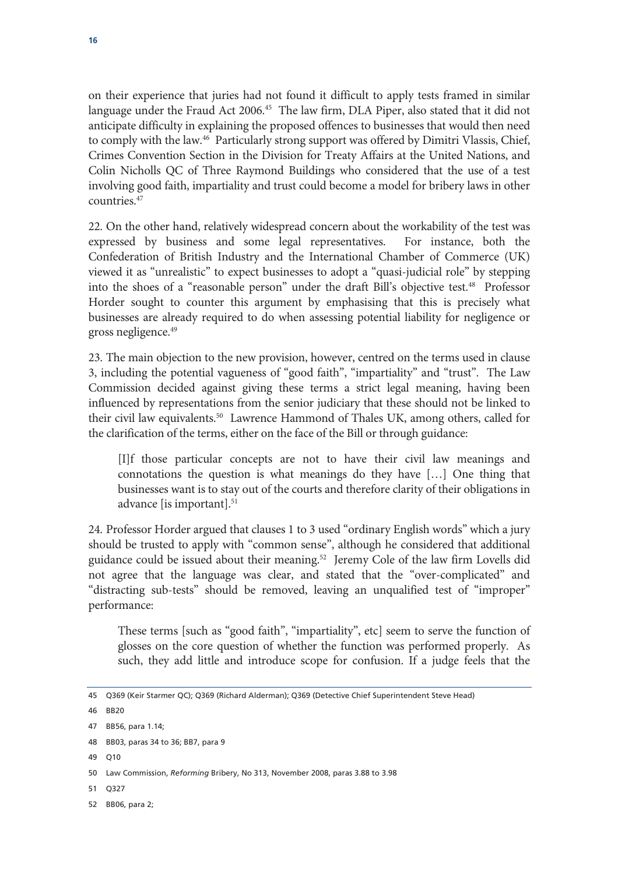on their experience that juries had not found it difficult to apply tests framed in similar language under the Fraud Act 2006.<sup>45</sup> The law firm, DLA Piper, also stated that it did not anticipate difficulty in explaining the proposed offences to businesses that would then need to comply with the law.<sup>46</sup> Particularly strong support was offered by Dimitri Vlassis, Chief, Crimes Convention Section in the Division for Treaty Affairs at the United Nations, and Colin Nicholls QC of Three Raymond Buildings who considered that the use of a test involving good faith, impartiality and trust could become a model for bribery laws in other countries.47

22. On the other hand, relatively widespread concern about the workability of the test was expressed by business and some legal representatives. For instance, both the Confederation of British Industry and the International Chamber of Commerce (UK) viewed it as "unrealistic" to expect businesses to adopt a "quasi-judicial role" by stepping into the shoes of a "reasonable person" under the draft Bill's objective test.<sup>48</sup> Professor Horder sought to counter this argument by emphasising that this is precisely what businesses are already required to do when assessing potential liability for negligence or gross negligence.<sup>49</sup>

23. The main objection to the new provision, however, centred on the terms used in clause 3, including the potential vagueness of "good faith", "impartiality" and "trust". The Law Commission decided against giving these terms a strict legal meaning, having been influenced by representations from the senior judiciary that these should not be linked to their civil law equivalents.50 Lawrence Hammond of Thales UK, among others, called for the clarification of the terms, either on the face of the Bill or through guidance:

[I]f those particular concepts are not to have their civil law meanings and connotations the question is what meanings do they have […] One thing that businesses want is to stay out of the courts and therefore clarity of their obligations in advance [is important].<sup>51</sup>

24. Professor Horder argued that clauses 1 to 3 used "ordinary English words" which a jury should be trusted to apply with "common sense", although he considered that additional guidance could be issued about their meaning.52 Jeremy Cole of the law firm Lovells did not agree that the language was clear, and stated that the "over-complicated" and "distracting sub-tests" should be removed, leaving an unqualified test of "improper" performance:

These terms [such as "good faith", "impartiality", etc] seem to serve the function of glosses on the core question of whether the function was performed properly. As such, they add little and introduce scope for confusion. If a judge feels that the

46 BB20

51 Q327

<sup>45</sup> Q369 (Keir Starmer QC); Q369 (Richard Alderman); Q369 (Detective Chief Superintendent Steve Head)

<sup>47</sup> BB56, para 1.14;

<sup>48</sup> BB03, paras 34 to 36; BB7, para 9

<sup>49</sup> Q10

<sup>50</sup> Law Commission, *Reforming* Bribery, No 313, November 2008, paras 3.88 to 3.98

<sup>52</sup> BB06, para 2;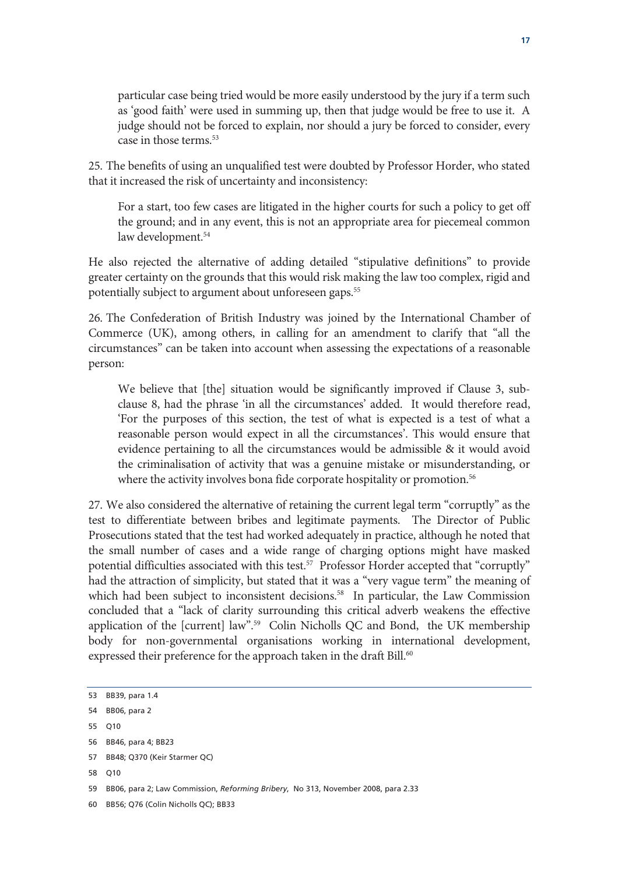particular case being tried would be more easily understood by the jury if a term such as 'good faith' were used in summing up, then that judge would be free to use it. A judge should not be forced to explain, nor should a jury be forced to consider, every case in those terms.53

25. The benefits of using an unqualified test were doubted by Professor Horder, who stated that it increased the risk of uncertainty and inconsistency:

For a start, too few cases are litigated in the higher courts for such a policy to get off the ground; and in any event, this is not an appropriate area for piecemeal common law development.<sup>54</sup>

He also rejected the alternative of adding detailed "stipulative definitions" to provide greater certainty on the grounds that this would risk making the law too complex, rigid and potentially subject to argument about unforeseen gaps.<sup>55</sup>

26. The Confederation of British Industry was joined by the International Chamber of Commerce (UK), among others, in calling for an amendment to clarify that "all the circumstances" can be taken into account when assessing the expectations of a reasonable person:

We believe that [the] situation would be significantly improved if Clause 3, subclause 8, had the phrase 'in all the circumstances' added. It would therefore read, 'For the purposes of this section, the test of what is expected is a test of what a reasonable person would expect in all the circumstances'. This would ensure that evidence pertaining to all the circumstances would be admissible & it would avoid the criminalisation of activity that was a genuine mistake or misunderstanding, or where the activity involves bona fide corporate hospitality or promotion.<sup>56</sup>

27. We also considered the alternative of retaining the current legal term "corruptly" as the test to differentiate between bribes and legitimate payments. The Director of Public Prosecutions stated that the test had worked adequately in practice, although he noted that the small number of cases and a wide range of charging options might have masked potential difficulties associated with this test.<sup>57</sup> Professor Horder accepted that "corruptly" had the attraction of simplicity, but stated that it was a "very vague term" the meaning of which had been subject to inconsistent decisions.<sup>58</sup> In particular, the Law Commission concluded that a "lack of clarity surrounding this critical adverb weakens the effective application of the [current] law".<sup>59</sup> Colin Nicholls QC and Bond, the UK membership body for non-governmental organisations working in international development, expressed their preference for the approach taken in the draft Bill.<sup>60</sup>

58  $010$ 

<sup>53</sup> BB39, para 1.4

<sup>54</sup> BB06, para 2

<sup>55</sup> Q10

<sup>56</sup> BB46, para 4; BB23

<sup>57</sup> BB48; Q370 (Keir Starmer QC)

<sup>59</sup> BB06, para 2; Law Commission, *Reforming Bribery*, No 313, November 2008, para 2.33

<sup>60</sup> BB56; Q76 (Colin Nicholls QC); BB33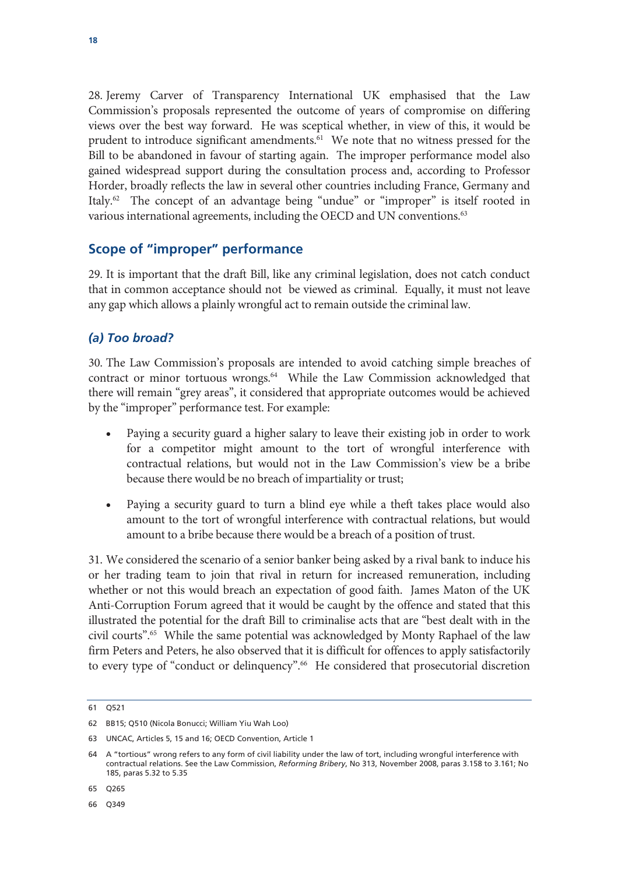28. Jeremy Carver of Transparency International UK emphasised that the Law Commission's proposals represented the outcome of years of compromise on differing views over the best way forward. He was sceptical whether, in view of this, it would be prudent to introduce significant amendments.<sup>61</sup> We note that no witness pressed for the Bill to be abandoned in favour of starting again. The improper performance model also gained widespread support during the consultation process and, according to Professor Horder, broadly reflects the law in several other countries including France, Germany and Italy.<sup>62</sup> The concept of an advantage being "undue" or "improper" is itself rooted in various international agreements, including the OECD and UN conventions.<sup>63</sup>

### **Scope of "improper" performance**

29. It is important that the draft Bill, like any criminal legislation, does not catch conduct that in common acceptance should not be viewed as criminal. Equally, it must not leave any gap which allows a plainly wrongful act to remain outside the criminal law.

### *(a) Too broad?*

30. The Law Commission's proposals are intended to avoid catching simple breaches of contract or minor tortuous wrongs.<sup>64</sup> While the Law Commission acknowledged that there will remain "grey areas", it considered that appropriate outcomes would be achieved by the "improper" performance test. For example:

- Paying a security guard a higher salary to leave their existing job in order to work for a competitor might amount to the tort of wrongful interference with contractual relations, but would not in the Law Commission's view be a bribe because there would be no breach of impartiality or trust;
- Paying a security guard to turn a blind eye while a theft takes place would also amount to the tort of wrongful interference with contractual relations, but would amount to a bribe because there would be a breach of a position of trust.

31. We considered the scenario of a senior banker being asked by a rival bank to induce his or her trading team to join that rival in return for increased remuneration, including whether or not this would breach an expectation of good faith. James Maton of the UK Anti-Corruption Forum agreed that it would be caught by the offence and stated that this illustrated the potential for the draft Bill to criminalise acts that are "best dealt with in the civil courts".65 While the same potential was acknowledged by Monty Raphael of the law firm Peters and Peters, he also observed that it is difficult for offences to apply satisfactorily to every type of "conduct or delinquency".<sup>66</sup> He considered that prosecutorial discretion

<sup>61</sup> Q521

<sup>62</sup> BB15; Q510 (Nicola Bonucci; William Yiu Wah Loo)

<sup>63</sup> UNCAC, Articles 5, 15 and 16; OECD Convention, Article 1

<sup>64</sup> A "tortious" wrong refers to any form of civil liability under the law of tort, including wrongful interference with contractual relations. See the Law Commission, *Reforming Bribery*, No 313, November 2008, paras 3.158 to 3.161; No 185, paras 5.32 to 5.35

<sup>65</sup> Q265

<sup>66</sup> Q349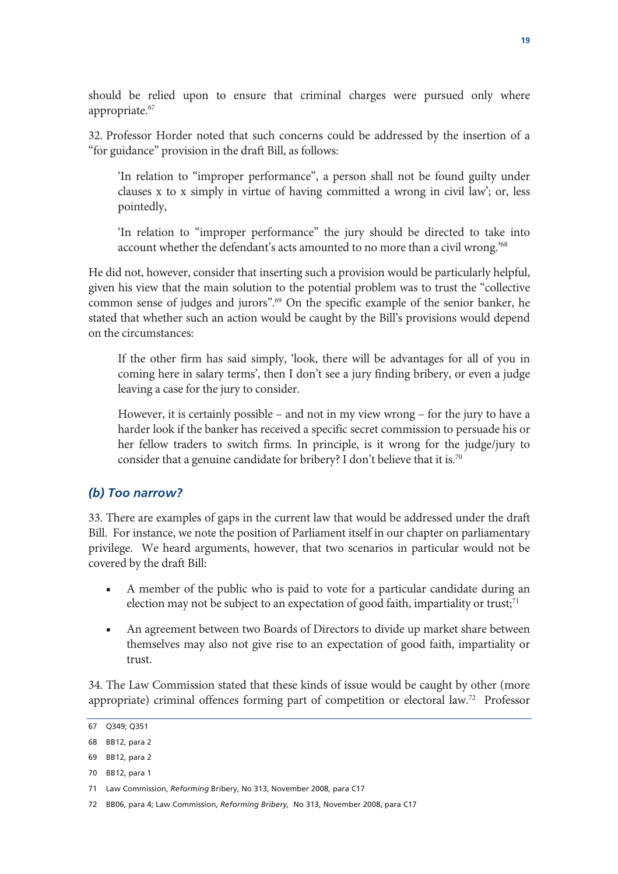should be relied upon to ensure that criminal charges were pursued only where appropriate.<sup>67</sup>

32. Professor Horder noted that such concerns could be addressed by the insertion of a "for guidance" provision in the draft Bill, as follows:

'In relation to "improper performance", a person shall not be found guilty under clauses x to x simply in virtue of having committed a wrong in civil law'; or, less pointedly,

'In relation to "improper performance" the jury should be directed to take into account whether the defendant's acts amounted to no more than a civil wrong.'68

He did not, however, consider that inserting such a provision would be particularly helpful, given his view that the main solution to the potential problem was to trust the "collective common sense of judges and jurors".<sup>69</sup> On the specific example of the senior banker, he stated that whether such an action would be caught by the Bill's provisions would depend on the circumstances:

If the other firm has said simply, 'look, there will be advantages for all of you in coming here in salary terms', then I don't see a jury finding bribery, or even a judge leaving a case for the jury to consider.

However, it is certainly possible – and not in my view wrong – for the jury to have a harder look if the banker has received a specific secret commission to persuade his or her fellow traders to switch firms. In principle, is it wrong for the judge/jury to consider that a genuine candidate for bribery? I don't believe that it is.70

#### *(b) Too narrow?*

33. There are examples of gaps in the current law that would be addressed under the draft Bill. For instance, we note the position of Parliament itself in our chapter on parliamentary privilege. We heard arguments, however, that two scenarios in particular would not be covered by the draft Bill:

- A member of the public who is paid to vote for a particular candidate during an election may not be subject to an expectation of good faith, impartiality or trust;<sup>71</sup>
- An agreement between two Boards of Directors to divide up market share between themselves may also not give rise to an expectation of good faith, impartiality or trust.

34. The Law Commission stated that these kinds of issue would be caught by other (more appropriate) criminal offences forming part of competition or electoral law.72 Professor

<sup>67</sup> Q349; Q351

<sup>68</sup> BB12, para 2

<sup>69</sup> BB12, para 2

<sup>70</sup> BB12, para 1

<sup>71</sup> Law Commission, *Reforming* Bribery, No 313, November 2008, para C17

<sup>72</sup> BB06, para 4; Law Commission, *Reforming Bribery,* No 313, November 2008, para C17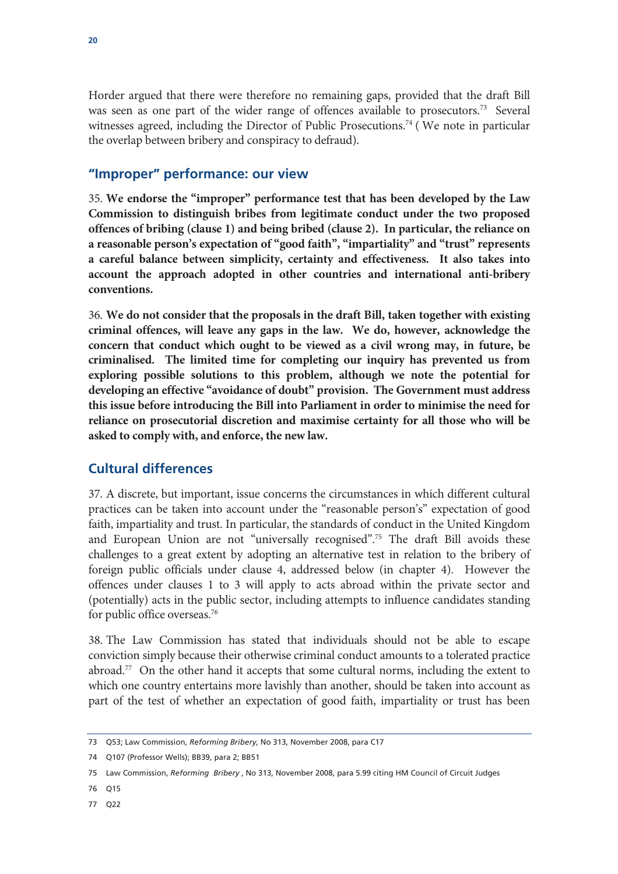Horder argued that there were therefore no remaining gaps, provided that the draft Bill was seen as one part of the wider range of offences available to prosecutors.<sup>73</sup> Several witnesses agreed, including the Director of Public Prosecutions.<sup>74</sup> (We note in particular the overlap between bribery and conspiracy to defraud).

### **"Improper" performance: our view**

35. **We endorse the "improper" performance test that has been developed by the Law Commission to distinguish bribes from legitimate conduct under the two proposed offences of bribing (clause 1) and being bribed (clause 2). In particular, the reliance on a reasonable person's expectation of "good faith", "impartiality" and "trust" represents a careful balance between simplicity, certainty and effectiveness. It also takes into account the approach adopted in other countries and international anti-bribery conventions.** 

36. **We do not consider that the proposals in the draft Bill, taken together with existing criminal offences, will leave any gaps in the law. We do, however, acknowledge the concern that conduct which ought to be viewed as a civil wrong may, in future, be criminalised. The limited time for completing our inquiry has prevented us from exploring possible solutions to this problem, although we note the potential for developing an effective "avoidance of doubt" provision. The Government must address this issue before introducing the Bill into Parliament in order to minimise the need for reliance on prosecutorial discretion and maximise certainty for all those who will be asked to comply with, and enforce, the new law.** 

### **Cultural differences**

37. A discrete, but important, issue concerns the circumstances in which different cultural practices can be taken into account under the "reasonable person's" expectation of good faith, impartiality and trust. In particular, the standards of conduct in the United Kingdom and European Union are not "universally recognised".75 The draft Bill avoids these challenges to a great extent by adopting an alternative test in relation to the bribery of foreign public officials under clause 4, addressed below (in chapter 4). However the offences under clauses 1 to 3 will apply to acts abroad within the private sector and (potentially) acts in the public sector, including attempts to influence candidates standing for public office overseas.<sup>76</sup>

38. The Law Commission has stated that individuals should not be able to escape conviction simply because their otherwise criminal conduct amounts to a tolerated practice abroad.<sup>77</sup> On the other hand it accepts that some cultural norms, including the extent to which one country entertains more lavishly than another, should be taken into account as part of the test of whether an expectation of good faith, impartiality or trust has been

- 76 Q15
- 77 Q22

<sup>73</sup> Q53; Law Commission, *Reforming Bribery*, No 313, November 2008, para C17

<sup>74</sup> Q107 (Professor Wells); BB39, para 2; BB51

<sup>75</sup> Law Commission, *Reforming Bribery* , No 313, November 2008, para 5.99 citing HM Council of Circuit Judges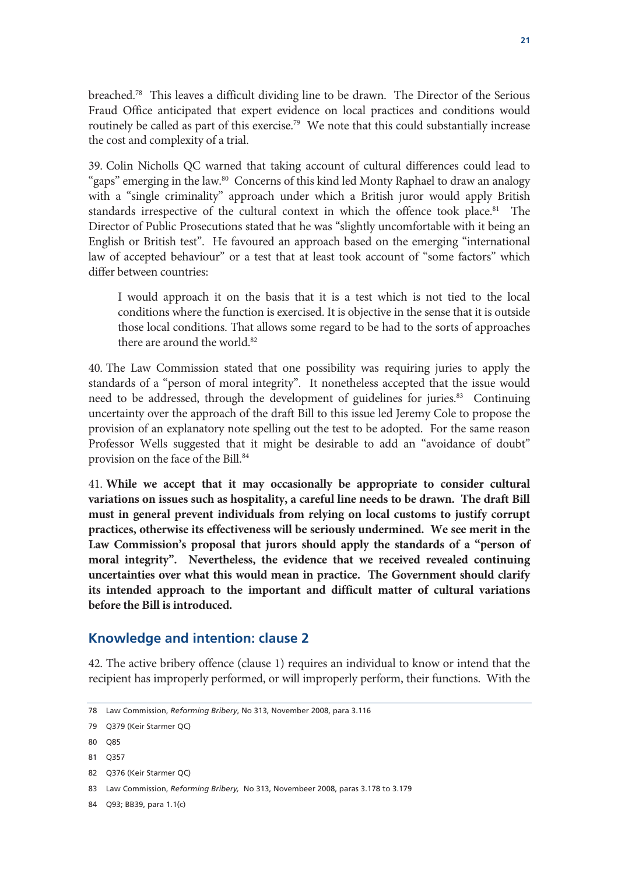breached.78 This leaves a difficult dividing line to be drawn. The Director of the Serious Fraud Office anticipated that expert evidence on local practices and conditions would routinely be called as part of this exercise.<sup>79</sup> We note that this could substantially increase the cost and complexity of a trial.

39. Colin Nicholls QC warned that taking account of cultural differences could lead to "gaps" emerging in the law.<sup>80</sup> Concerns of this kind led Monty Raphael to draw an analogy with a "single criminality" approach under which a British juror would apply British standards irrespective of the cultural context in which the offence took place. $81$  The Director of Public Prosecutions stated that he was "slightly uncomfortable with it being an English or British test". He favoured an approach based on the emerging "international law of accepted behaviour" or a test that at least took account of "some factors" which differ between countries:

I would approach it on the basis that it is a test which is not tied to the local conditions where the function is exercised. It is objective in the sense that it is outside those local conditions. That allows some regard to be had to the sorts of approaches there are around the world.82

40. The Law Commission stated that one possibility was requiring juries to apply the standards of a "person of moral integrity". It nonetheless accepted that the issue would need to be addressed, through the development of guidelines for juries.<sup>83</sup> Continuing uncertainty over the approach of the draft Bill to this issue led Jeremy Cole to propose the provision of an explanatory note spelling out the test to be adopted. For the same reason Professor Wells suggested that it might be desirable to add an "avoidance of doubt" provision on the face of the Bill.<sup>84</sup>

41. **While we accept that it may occasionally be appropriate to consider cultural variations on issues such as hospitality, a careful line needs to be drawn. The draft Bill must in general prevent individuals from relying on local customs to justify corrupt practices, otherwise its effectiveness will be seriously undermined. We see merit in the Law Commission's proposal that jurors should apply the standards of a "person of moral integrity". Nevertheless, the evidence that we received revealed continuing uncertainties over what this would mean in practice. The Government should clarify its intended approach to the important and difficult matter of cultural variations before the Bill is introduced.** 

#### **Knowledge and intention: clause 2**

42. The active bribery offence (clause 1) requires an individual to know or intend that the recipient has improperly performed, or will improperly perform, their functions. With the

<sup>78</sup> Law Commission, *Reforming Bribery*, No 313, November 2008, para 3.116

<sup>79</sup> Q379 (Keir Starmer QC)

<sup>80</sup> Q85

<sup>81</sup> Q357

<sup>82</sup> Q376 (Keir Starmer QC)

<sup>83</sup> Law Commission, *Reforming Bribery,* No 313, Novembeer 2008, paras 3.178 to 3.179

<sup>84</sup> Q93; BB39, para 1.1(c)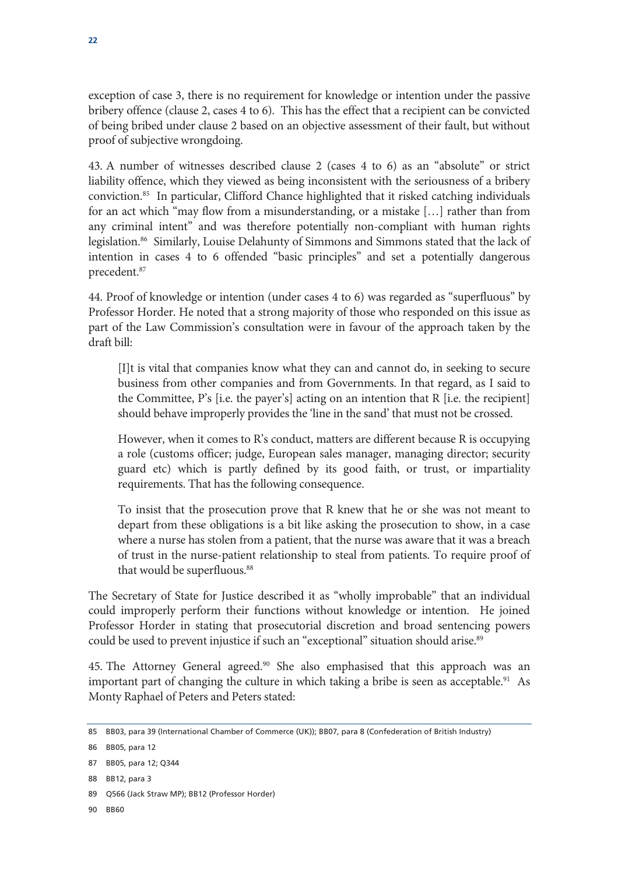exception of case 3, there is no requirement for knowledge or intention under the passive bribery offence (clause 2, cases 4 to 6). This has the effect that a recipient can be convicted of being bribed under clause 2 based on an objective assessment of their fault, but without proof of subjective wrongdoing.

43. A number of witnesses described clause 2 (cases 4 to 6) as an "absolute" or strict liability offence, which they viewed as being inconsistent with the seriousness of a bribery conviction.85 In particular, Clifford Chance highlighted that it risked catching individuals for an act which "may flow from a misunderstanding, or a mistake […] rather than from any criminal intent" and was therefore potentially non-compliant with human rights legislation.<sup>86</sup> Similarly, Louise Delahunty of Simmons and Simmons stated that the lack of intention in cases 4 to 6 offended "basic principles" and set a potentially dangerous precedent.87

44. Proof of knowledge or intention (under cases 4 to 6) was regarded as "superfluous" by Professor Horder. He noted that a strong majority of those who responded on this issue as part of the Law Commission's consultation were in favour of the approach taken by the draft bill:

[I]t is vital that companies know what they can and cannot do, in seeking to secure business from other companies and from Governments. In that regard, as I said to the Committee, P's [i.e. the payer's] acting on an intention that R [i.e. the recipient] should behave improperly provides the 'line in the sand' that must not be crossed.

However, when it comes to R's conduct, matters are different because R is occupying a role (customs officer; judge, European sales manager, managing director; security guard etc) which is partly defined by its good faith, or trust, or impartiality requirements. That has the following consequence.

To insist that the prosecution prove that R knew that he or she was not meant to depart from these obligations is a bit like asking the prosecution to show, in a case where a nurse has stolen from a patient, that the nurse was aware that it was a breach of trust in the nurse-patient relationship to steal from patients. To require proof of that would be superfluous.<sup>88</sup>

The Secretary of State for Justice described it as "wholly improbable" that an individual could improperly perform their functions without knowledge or intention. He joined Professor Horder in stating that prosecutorial discretion and broad sentencing powers could be used to prevent injustice if such an "exceptional" situation should arise.<sup>89</sup>

45. The Attorney General agreed.<sup>90</sup> She also emphasised that this approach was an important part of changing the culture in which taking a bribe is seen as acceptable.<sup>91</sup> As Monty Raphael of Peters and Peters stated:

90 BB60

<sup>85</sup> BB03, para 39 (International Chamber of Commerce (UK)); BB07, para 8 (Confederation of British Industry)

<sup>86</sup> BB05, para 12

<sup>87</sup> BB05, para 12; Q344

<sup>88</sup> BB12, para 3

<sup>89</sup> Q566 (Jack Straw MP); BB12 (Professor Horder)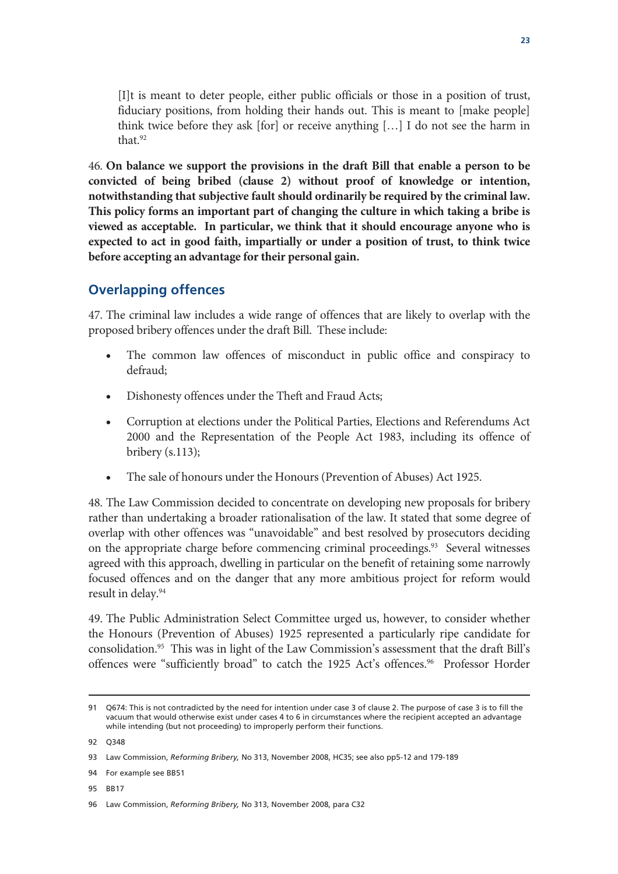[I]t is meant to deter people, either public officials or those in a position of trust, fiduciary positions, from holding their hands out. This is meant to [make people] think twice before they ask [for] or receive anything […] I do not see the harm in that.92

46. **On balance we support the provisions in the draft Bill that enable a person to be convicted of being bribed (clause 2) without proof of knowledge or intention, notwithstanding that subjective fault should ordinarily be required by the criminal law. This policy forms an important part of changing the culture in which taking a bribe is viewed as acceptable. In particular, we think that it should encourage anyone who is expected to act in good faith, impartially or under a position of trust, to think twice before accepting an advantage for their personal gain.** 

### **Overlapping offences**

47. The criminal law includes a wide range of offences that are likely to overlap with the proposed bribery offences under the draft Bill. These include:

- The common law offences of misconduct in public office and conspiracy to defraud;
- Dishonesty offences under the Theft and Fraud Acts;
- Corruption at elections under the Political Parties, Elections and Referendums Act 2000 and the Representation of the People Act 1983, including its offence of bribery  $(s.113)$ ;
- The sale of honours under the Honours (Prevention of Abuses) Act 1925.

48. The Law Commission decided to concentrate on developing new proposals for bribery rather than undertaking a broader rationalisation of the law. It stated that some degree of overlap with other offences was "unavoidable" and best resolved by prosecutors deciding on the appropriate charge before commencing criminal proceedings.<sup>93</sup> Several witnesses agreed with this approach, dwelling in particular on the benefit of retaining some narrowly focused offences and on the danger that any more ambitious project for reform would result in delay.<sup>94</sup>

49. The Public Administration Select Committee urged us, however, to consider whether the Honours (Prevention of Abuses) 1925 represented a particularly ripe candidate for consolidation.95 This was in light of the Law Commission's assessment that the draft Bill's offences were "sufficiently broad" to catch the 1925 Act's offences.<sup>96</sup> Professor Horder

-

95 BB17

<sup>91</sup> Q674: This is not contradicted by the need for intention under case 3 of clause 2. The purpose of case 3 is to fill the vacuum that would otherwise exist under cases 4 to 6 in circumstances where the recipient accepted an advantage while intending (but not proceeding) to improperly perform their functions.

<sup>92</sup> Q348

<sup>93</sup> Law Commission, *Reforming Bribery,* No 313, November 2008, HC35; see also pp5-12 and 179-189

<sup>94</sup> For example see BB51

<sup>96</sup> Law Commission, *Reforming Bribery,* No 313, November 2008, para C32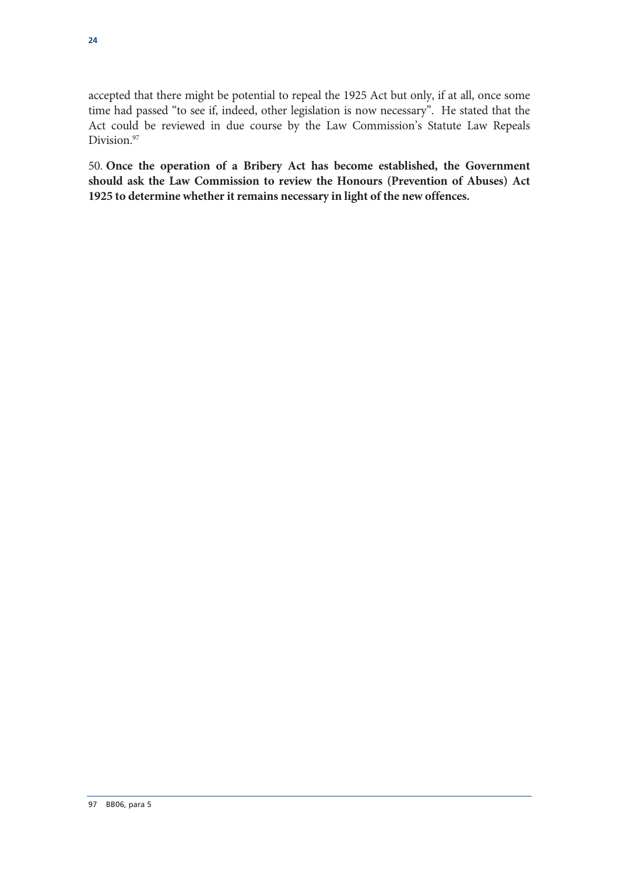accepted that there might be potential to repeal the 1925 Act but only, if at all, once some time had passed "to see if, indeed, other legislation is now necessary". He stated that the Act could be reviewed in due course by the Law Commission's Statute Law Repeals Division.<sup>97</sup>

50. **Once the operation of a Bribery Act has become established, the Government should ask the Law Commission to review the Honours (Prevention of Abuses) Act 1925 to determine whether it remains necessary in light of the new offences.**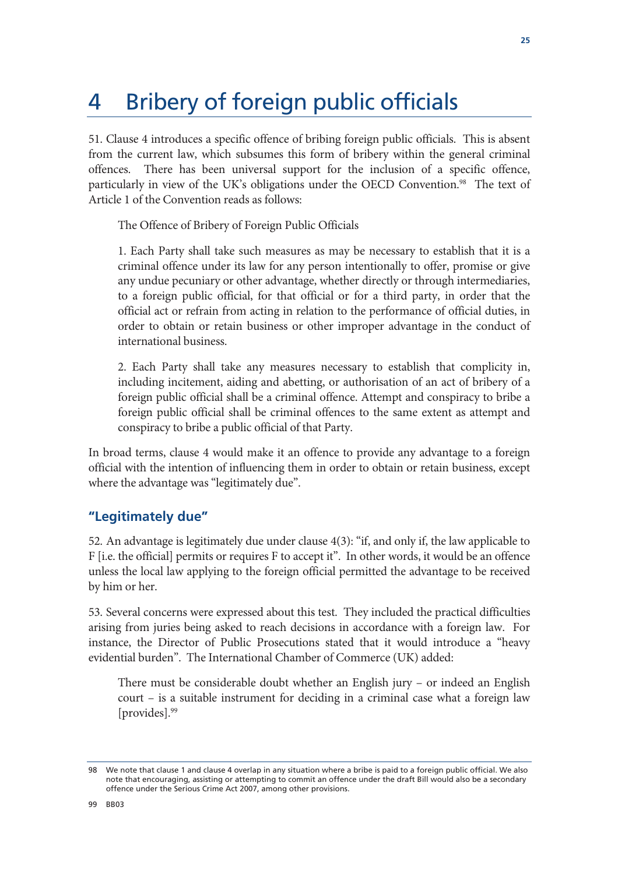# 4 Bribery of foreign public officials

51. Clause 4 introduces a specific offence of bribing foreign public officials. This is absent from the current law, which subsumes this form of bribery within the general criminal offences. There has been universal support for the inclusion of a specific offence, particularly in view of the UK's obligations under the OECD Convention.<sup>98</sup> The text of Article 1 of the Convention reads as follows:

The Offence of Bribery of Foreign Public Officials

1. Each Party shall take such measures as may be necessary to establish that it is a criminal offence under its law for any person intentionally to offer, promise or give any undue pecuniary or other advantage, whether directly or through intermediaries, to a foreign public official, for that official or for a third party, in order that the official act or refrain from acting in relation to the performance of official duties, in order to obtain or retain business or other improper advantage in the conduct of international business.

2. Each Party shall take any measures necessary to establish that complicity in, including incitement, aiding and abetting, or authorisation of an act of bribery of a foreign public official shall be a criminal offence. Attempt and conspiracy to bribe a foreign public official shall be criminal offences to the same extent as attempt and conspiracy to bribe a public official of that Party.

In broad terms, clause 4 would make it an offence to provide any advantage to a foreign official with the intention of influencing them in order to obtain or retain business, except where the advantage was "legitimately due".

### **"Legitimately due"**

52. An advantage is legitimately due under clause 4(3): "if, and only if, the law applicable to F [i.e. the official] permits or requires F to accept it". In other words, it would be an offence unless the local law applying to the foreign official permitted the advantage to be received by him or her.

53. Several concerns were expressed about this test. They included the practical difficulties arising from juries being asked to reach decisions in accordance with a foreign law. For instance, the Director of Public Prosecutions stated that it would introduce a "heavy evidential burden". The International Chamber of Commerce (UK) added:

There must be considerable doubt whether an English jury – or indeed an English court – is a suitable instrument for deciding in a criminal case what a foreign law [provides].<sup>99</sup>

<sup>98</sup> We note that clause 1 and clause 4 overlap in any situation where a bribe is paid to a foreign public official. We also note that encouraging, assisting or attempting to commit an offence under the draft Bill would also be a secondary offence under the Serious Crime Act 2007, among other provisions.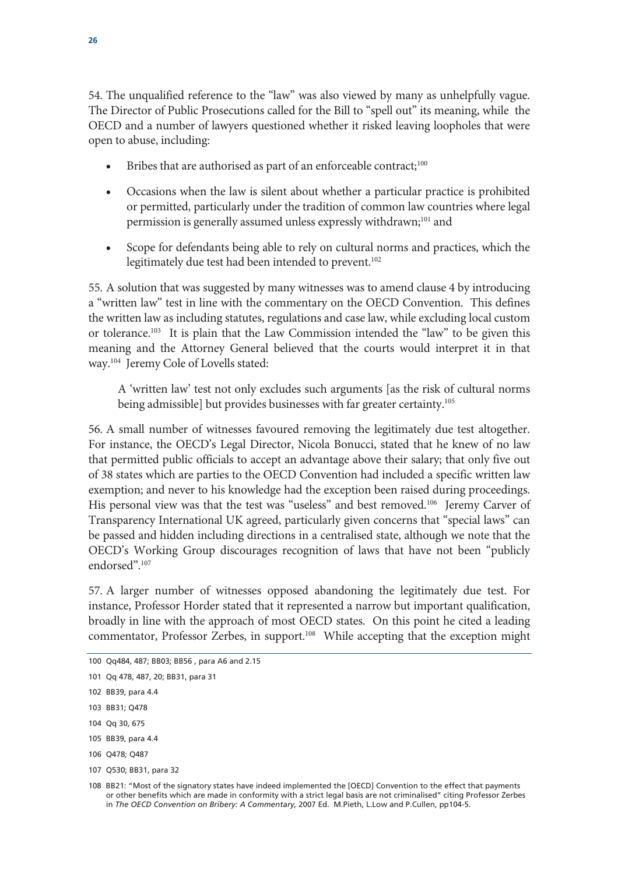**26**

54. The unqualified reference to the "law" was also viewed by many as unhelpfully vague. The Director of Public Prosecutions called for the Bill to "spell out" its meaning, while the OECD and a number of lawyers questioned whether it risked leaving loopholes that were open to abuse, including:

- Bribes that are authorised as part of an enforceable contract;<sup>100</sup>
- Occasions when the law is silent about whether a particular practice is prohibited or permitted, particularly under the tradition of common law countries where legal permission is generally assumed unless expressly withdrawn;<sup>101</sup> and
- Scope for defendants being able to rely on cultural norms and practices, which the legitimately due test had been intended to prevent.<sup>102</sup>

55. A solution that was suggested by many witnesses was to amend clause 4 by introducing a "written law" test in line with the commentary on the OECD Convention. This defines the written law as including statutes, regulations and case law, while excluding local custom or tolerance.<sup>103</sup> It is plain that the Law Commission intended the "law" to be given this meaning and the Attorney General believed that the courts would interpret it in that way.104 Jeremy Cole of Lovells stated:

A 'written law' test not only excludes such arguments [as the risk of cultural norms being admissible] but provides businesses with far greater certainty.<sup>105</sup>

56. A small number of witnesses favoured removing the legitimately due test altogether. For instance, the OECD's Legal Director, Nicola Bonucci, stated that he knew of no law that permitted public officials to accept an advantage above their salary; that only five out of 38 states which are parties to the OECD Convention had included a specific written law exemption; and never to his knowledge had the exception been raised during proceedings. His personal view was that the test was "useless" and best removed.<sup>106</sup> Jeremy Carver of Transparency International UK agreed, particularly given concerns that "special laws" can be passed and hidden including directions in a centralised state, although we note that the OECD's Working Group discourages recognition of laws that have not been "publicly endorsed".107

57. A larger number of witnesses opposed abandoning the legitimately due test. For instance, Professor Horder stated that it represented a narrow but important qualification, broadly in line with the approach of most OECD states. On this point he cited a leading commentator, Professor Zerbes, in support.108 While accepting that the exception might

- 105 BB39, para 4.4
- 106 Q478; Q487
- 107 Q530; BB31, para 32

<sup>100</sup> Qq484, 487; BB03; BB56 , para A6 and 2.15

<sup>101</sup> Qq 478, 487, 20; BB31, para 31

<sup>102</sup> BB39, para 4.4

<sup>103</sup> BB31; Q478

<sup>104</sup> Qq 30, 675

<sup>108</sup> BB21: "Most of the signatory states have indeed implemented the [OECD] Convention to the effect that payments or other benefits which are made in conformity with a strict legal basis are not criminalised" citing Professor Zerbes in *The OECD Convention on Bribery: A Commentary,* 2007 Ed. M.Pieth, L.Low and P.Cullen, pp104-5.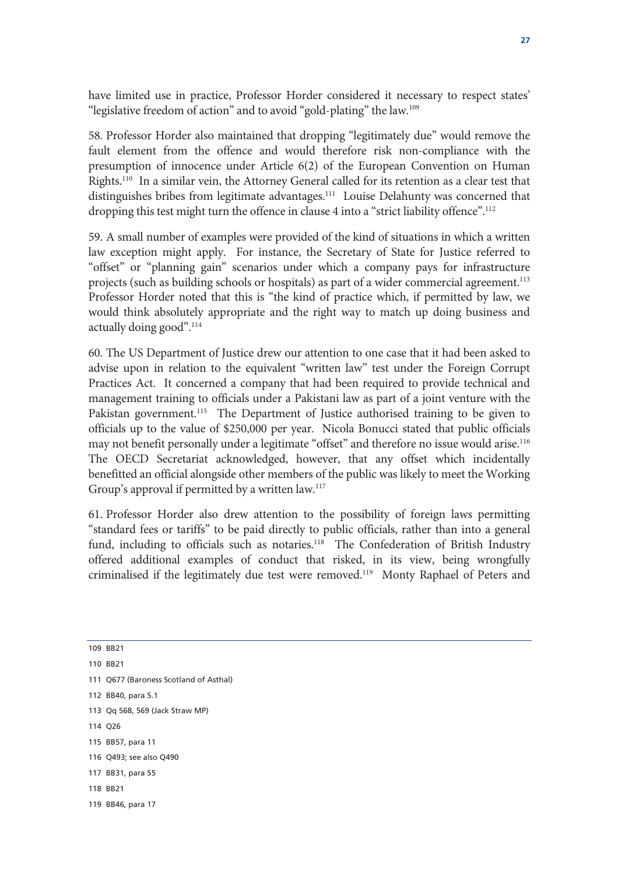have limited use in practice, Professor Horder considered it necessary to respect states' "legislative freedom of action" and to avoid "gold-plating" the law.109

58. Professor Horder also maintained that dropping "legitimately due" would remove the fault element from the offence and would therefore risk non-compliance with the presumption of innocence under Article 6(2) of the European Convention on Human Rights.110 In a similar vein, the Attorney General called for its retention as a clear test that distinguishes bribes from legitimate advantages.<sup>111</sup> Louise Delahunty was concerned that dropping this test might turn the offence in clause 4 into a "strict liability offence".112

59. A small number of examples were provided of the kind of situations in which a written law exception might apply. For instance, the Secretary of State for Justice referred to "offset" or "planning gain" scenarios under which a company pays for infrastructure projects (such as building schools or hospitals) as part of a wider commercial agreement.<sup>113</sup> Professor Horder noted that this is "the kind of practice which, if permitted by law, we would think absolutely appropriate and the right way to match up doing business and actually doing good".<sup>114</sup>

60. The US Department of Justice drew our attention to one case that it had been asked to advise upon in relation to the equivalent "written law" test under the Foreign Corrupt Practices Act. It concerned a company that had been required to provide technical and management training to officials under a Pakistani law as part of a joint venture with the Pakistan government.<sup>115</sup> The Department of Justice authorised training to be given to officials up to the value of \$250,000 per year. Nicola Bonucci stated that public officials may not benefit personally under a legitimate "offset" and therefore no issue would arise.116 The OECD Secretariat acknowledged, however, that any offset which incidentally benefitted an official alongside other members of the public was likely to meet the Working Group's approval if permitted by a written law.<sup>117</sup>

61. Professor Horder also drew attention to the possibility of foreign laws permitting "standard fees or tariffs" to be paid directly to public officials, rather than into a general fund, including to officials such as notaries.<sup>118</sup> The Confederation of British Industry offered additional examples of conduct that risked, in its view, being wrongfully criminalised if the legitimately due test were removed.119 Monty Raphael of Peters and

<sup>109</sup> BB21

<sup>110</sup> BB21

<sup>111</sup> Q677 (Baroness Scotland of Asthal)

<sup>112</sup> BB40, para 5.1

<sup>113</sup> Qq 568, 569 (Jack Straw MP)

<sup>114</sup> Q26

<sup>115</sup> BB57, para 11

<sup>116</sup> Q493; see also Q490

<sup>117</sup> BB31, para 55

<sup>118</sup> BB21

<sup>119</sup> BB46, para 17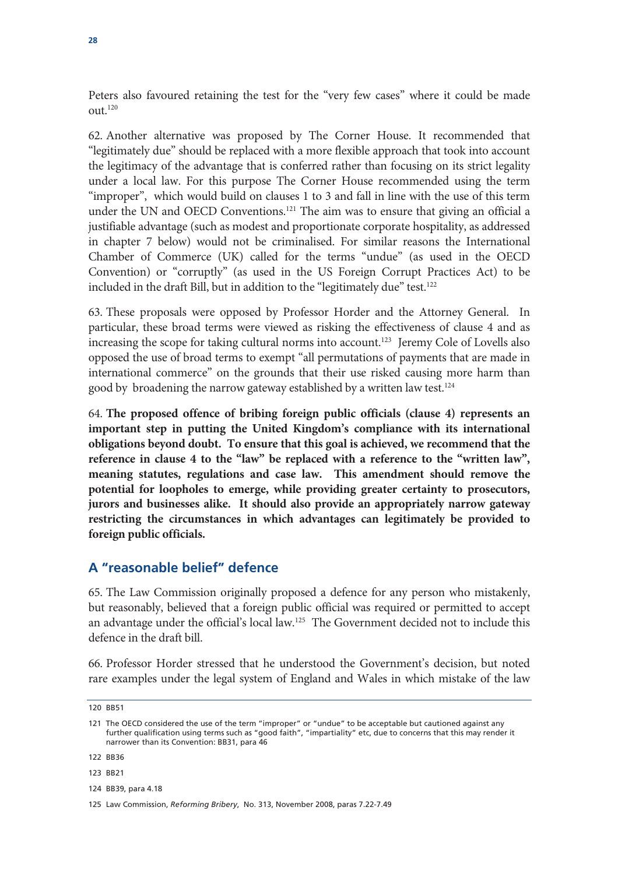Peters also favoured retaining the test for the "very few cases" where it could be made out.120

62. Another alternative was proposed by The Corner House. It recommended that "legitimately due" should be replaced with a more flexible approach that took into account the legitimacy of the advantage that is conferred rather than focusing on its strict legality under a local law. For this purpose The Corner House recommended using the term "improper", which would build on clauses 1 to 3 and fall in line with the use of this term under the UN and OECD Conventions.121 The aim was to ensure that giving an official a justifiable advantage (such as modest and proportionate corporate hospitality, as addressed in chapter 7 below) would not be criminalised. For similar reasons the International Chamber of Commerce (UK) called for the terms "undue" (as used in the OECD Convention) or "corruptly" (as used in the US Foreign Corrupt Practices Act) to be included in the draft Bill, but in addition to the "legitimately due" test.<sup>122</sup>

63. These proposals were opposed by Professor Horder and the Attorney General. In particular, these broad terms were viewed as risking the effectiveness of clause 4 and as increasing the scope for taking cultural norms into account.<sup>123</sup> Jeremy Cole of Lovells also opposed the use of broad terms to exempt "all permutations of payments that are made in international commerce" on the grounds that their use risked causing more harm than good by broadening the narrow gateway established by a written law test.<sup>124</sup>

64. **The proposed offence of bribing foreign public officials (clause 4) represents an important step in putting the United Kingdom's compliance with its international obligations beyond doubt. To ensure that this goal is achieved, we recommend that the reference in clause 4 to the "law" be replaced with a reference to the "written law", meaning statutes, regulations and case law. This amendment should remove the potential for loopholes to emerge, while providing greater certainty to prosecutors, jurors and businesses alike. It should also provide an appropriately narrow gateway restricting the circumstances in which advantages can legitimately be provided to foreign public officials.** 

### **A "reasonable belief" defence**

65. The Law Commission originally proposed a defence for any person who mistakenly, but reasonably, believed that a foreign public official was required or permitted to accept an advantage under the official's local law.125 The Government decided not to include this defence in the draft bill.

66. Professor Horder stressed that he understood the Government's decision, but noted rare examples under the legal system of England and Wales in which mistake of the law

<sup>120</sup> BB51

<sup>121</sup> The OECD considered the use of the term "improper" or "undue" to be acceptable but cautioned against any further qualification using terms such as "good faith", "impartiality" etc, due to concerns that this may render it narrower than its Convention: BB31, para 46

<sup>122</sup> BB36

<sup>123</sup> BB21

<sup>124</sup> BB39, para 4.18

<sup>125</sup> Law Commission, *Reforming Bribery*, No. 313, November 2008, paras 7.22-7.49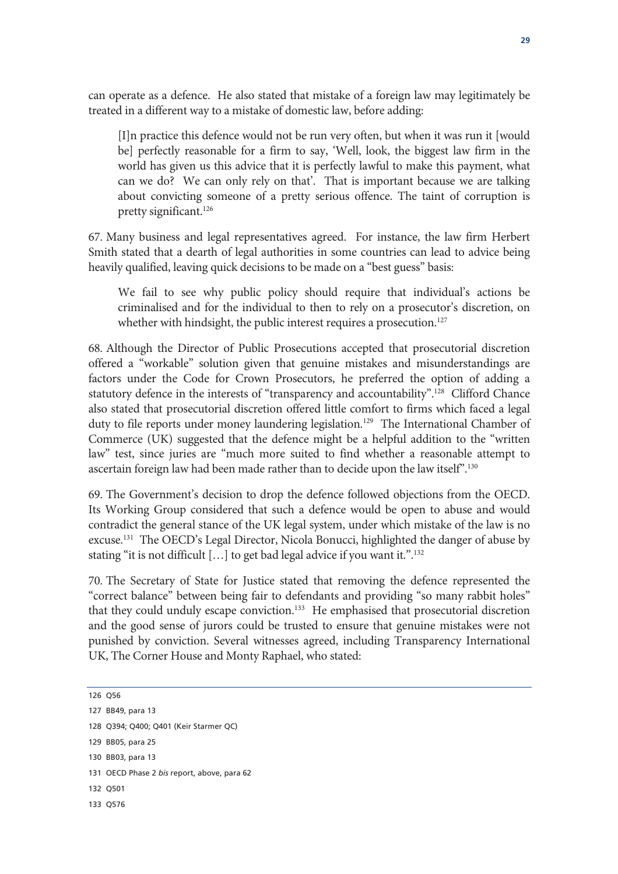can operate as a defence. He also stated that mistake of a foreign law may legitimately be treated in a different way to a mistake of domestic law, before adding:

[I]n practice this defence would not be run very often, but when it was run it [would be] perfectly reasonable for a firm to say, 'Well, look, the biggest law firm in the world has given us this advice that it is perfectly lawful to make this payment, what can we do? We can only rely on that'. That is important because we are talking about convicting someone of a pretty serious offence. The taint of corruption is pretty significant.<sup>126</sup>

67. Many business and legal representatives agreed. For instance, the law firm Herbert Smith stated that a dearth of legal authorities in some countries can lead to advice being heavily qualified, leaving quick decisions to be made on a "best guess" basis:

We fail to see why public policy should require that individual's actions be criminalised and for the individual to then to rely on a prosecutor's discretion, on whether with hindsight, the public interest requires a prosecution.<sup>127</sup>

68. Although the Director of Public Prosecutions accepted that prosecutorial discretion offered a "workable" solution given that genuine mistakes and misunderstandings are factors under the Code for Crown Prosecutors, he preferred the option of adding a statutory defence in the interests of "transparency and accountability".<sup>128</sup> Clifford Chance also stated that prosecutorial discretion offered little comfort to firms which faced a legal duty to file reports under money laundering legislation.<sup>129</sup> The International Chamber of Commerce (UK) suggested that the defence might be a helpful addition to the "written law" test, since juries are "much more suited to find whether a reasonable attempt to ascertain foreign law had been made rather than to decide upon the law itself".130

69. The Government's decision to drop the defence followed objections from the OECD. Its Working Group considered that such a defence would be open to abuse and would contradict the general stance of the UK legal system, under which mistake of the law is no excuse.<sup>131</sup> The OECD's Legal Director, Nicola Bonucci, highlighted the danger of abuse by stating "it is not difficult […] to get bad legal advice if you want it.".132

70. The Secretary of State for Justice stated that removing the defence represented the "correct balance" between being fair to defendants and providing "so many rabbit holes" that they could unduly escape conviction.<sup>133</sup> He emphasised that prosecutorial discretion and the good sense of jurors could be trusted to ensure that genuine mistakes were not punished by conviction. Several witnesses agreed, including Transparency International UK, The Corner House and Monty Raphael, who stated:

- 132 Q501
- 133 Q576

<sup>126</sup> Q56

<sup>127</sup> BB49, para 13

<sup>128</sup> Q394; Q400; Q401 (Keir Starmer QC)

<sup>129</sup> BB05, para 25

<sup>130</sup> BB03, para 13

<sup>131</sup> OECD Phase 2 *bis* report, above, para 62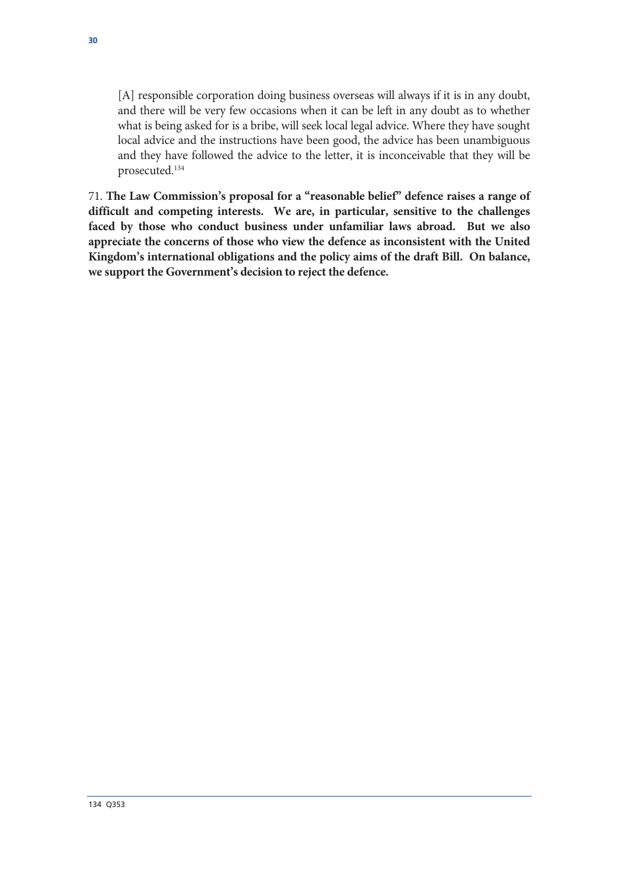[A] responsible corporation doing business overseas will always if it is in any doubt, and there will be very few occasions when it can be left in any doubt as to whether what is being asked for is a bribe, will seek local legal advice. Where they have sought local advice and the instructions have been good, the advice has been unambiguous and they have followed the advice to the letter, it is inconceivable that they will be prosecuted.134

71. **The Law Commission's proposal for a "reasonable belief" defence raises a range of difficult and competing interests. We are, in particular, sensitive to the challenges faced by those who conduct business under unfamiliar laws abroad. But we also appreciate the concerns of those who view the defence as inconsistent with the United Kingdom's international obligations and the policy aims of the draft Bill. On balance, we support the Government's decision to reject the defence.**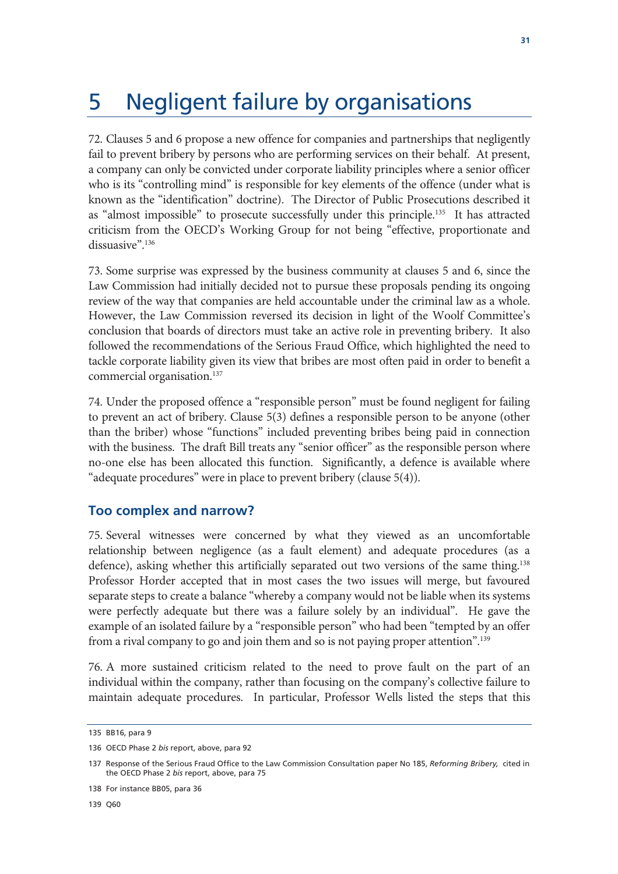# 5 Negligent failure by organisations

72. Clauses 5 and 6 propose a new offence for companies and partnerships that negligently fail to prevent bribery by persons who are performing services on their behalf. At present, a company can only be convicted under corporate liability principles where a senior officer who is its "controlling mind" is responsible for key elements of the offence (under what is known as the "identification" doctrine). The Director of Public Prosecutions described it as "almost impossible" to prosecute successfully under this principle.135 It has attracted criticism from the OECD's Working Group for not being "effective, proportionate and dissuasive".<sup>136</sup>

73. Some surprise was expressed by the business community at clauses 5 and 6, since the Law Commission had initially decided not to pursue these proposals pending its ongoing review of the way that companies are held accountable under the criminal law as a whole. However, the Law Commission reversed its decision in light of the Woolf Committee's conclusion that boards of directors must take an active role in preventing bribery. It also followed the recommendations of the Serious Fraud Office, which highlighted the need to tackle corporate liability given its view that bribes are most often paid in order to benefit a commercial organisation.137

74. Under the proposed offence a "responsible person" must be found negligent for failing to prevent an act of bribery. Clause 5(3) defines a responsible person to be anyone (other than the briber) whose "functions" included preventing bribes being paid in connection with the business. The draft Bill treats any "senior officer" as the responsible person where no-one else has been allocated this function. Significantly, a defence is available where "adequate procedures" were in place to prevent bribery (clause 5(4)).

#### **Too complex and narrow?**

75. Several witnesses were concerned by what they viewed as an uncomfortable relationship between negligence (as a fault element) and adequate procedures (as a defence), asking whether this artificially separated out two versions of the same thing.<sup>138</sup> Professor Horder accepted that in most cases the two issues will merge, but favoured separate steps to create a balance "whereby a company would not be liable when its systems were perfectly adequate but there was a failure solely by an individual". He gave the example of an isolated failure by a "responsible person" who had been "tempted by an offer from a rival company to go and join them and so is not paying proper attention".139

76. A more sustained criticism related to the need to prove fault on the part of an individual within the company, rather than focusing on the company's collective failure to maintain adequate procedures. In particular, Professor Wells listed the steps that this

<sup>135</sup> BB16, para 9

<sup>136</sup> OECD Phase 2 *bis* report, above, para 92

<sup>137</sup> Response of the Serious Fraud Office to the Law Commission Consultation paper No 185, *Reforming Bribery,* cited in the OECD Phase 2 *bis* report, above, para 75

<sup>138</sup> For instance BB05, para 36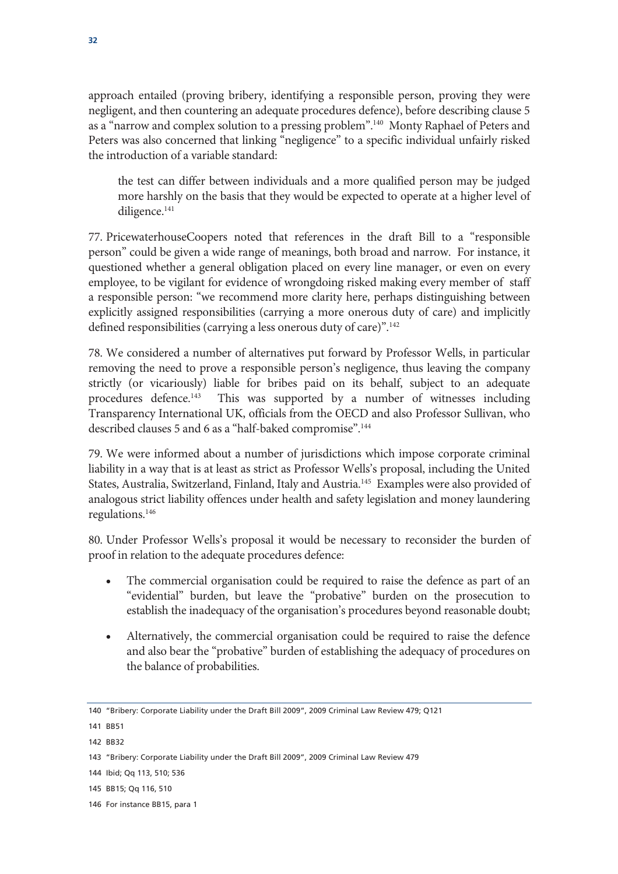approach entailed (proving bribery, identifying a responsible person, proving they were negligent, and then countering an adequate procedures defence), before describing clause 5 as a "narrow and complex solution to a pressing problem".140 Monty Raphael of Peters and Peters was also concerned that linking "negligence" to a specific individual unfairly risked the introduction of a variable standard:

the test can differ between individuals and a more qualified person may be judged more harshly on the basis that they would be expected to operate at a higher level of diligence.<sup>141</sup>

77. PricewaterhouseCoopers noted that references in the draft Bill to a "responsible person" could be given a wide range of meanings, both broad and narrow. For instance, it questioned whether a general obligation placed on every line manager, or even on every employee, to be vigilant for evidence of wrongdoing risked making every member of staff a responsible person: "we recommend more clarity here, perhaps distinguishing between explicitly assigned responsibilities (carrying a more onerous duty of care) and implicitly defined responsibilities (carrying a less onerous duty of care)".<sup>142</sup>

78. We considered a number of alternatives put forward by Professor Wells, in particular removing the need to prove a responsible person's negligence, thus leaving the company strictly (or vicariously) liable for bribes paid on its behalf, subject to an adequate procedures defence.143 This was supported by a number of witnesses including Transparency International UK, officials from the OECD and also Professor Sullivan, who described clauses 5 and 6 as a "half-baked compromise".<sup>144</sup>

79. We were informed about a number of jurisdictions which impose corporate criminal liability in a way that is at least as strict as Professor Wells's proposal, including the United States, Australia, Switzerland, Finland, Italy and Austria.145 Examples were also provided of analogous strict liability offences under health and safety legislation and money laundering regulations.146

80. Under Professor Wells's proposal it would be necessary to reconsider the burden of proof in relation to the adequate procedures defence:

- The commercial organisation could be required to raise the defence as part of an "evidential" burden, but leave the "probative" burden on the prosecution to establish the inadequacy of the organisation's procedures beyond reasonable doubt;
- Alternatively, the commercial organisation could be required to raise the defence and also bear the "probative" burden of establishing the adequacy of procedures on the balance of probabilities.

<sup>140 &</sup>quot;Bribery: Corporate Liability under the Draft Bill 2009", 2009 Criminal Law Review 479; Q121

<sup>141</sup> BB51

<sup>142</sup> BB32

<sup>143 &</sup>quot;Bribery: Corporate Liability under the Draft Bill 2009", 2009 Criminal Law Review 479

<sup>144</sup> Ibid; Qq 113, 510; 536

<sup>145</sup> BB15; Qq 116, 510

<sup>146</sup> For instance BB15, para 1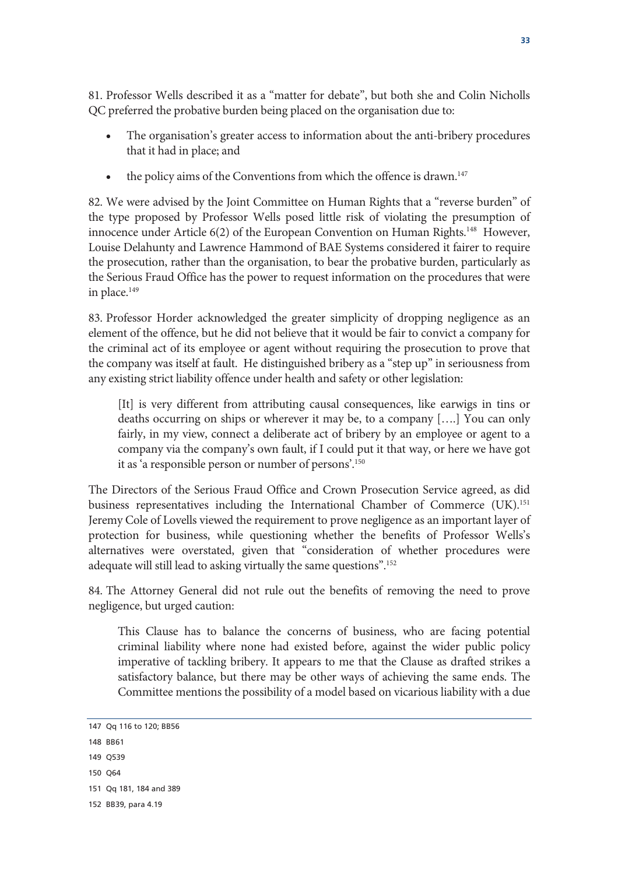81. Professor Wells described it as a "matter for debate", but both she and Colin Nicholls QC preferred the probative burden being placed on the organisation due to:

- The organisation's greater access to information about the anti-bribery procedures that it had in place; and
- the policy aims of the Conventions from which the offence is drawn.<sup>147</sup>

82. We were advised by the Joint Committee on Human Rights that a "reverse burden" of the type proposed by Professor Wells posed little risk of violating the presumption of innocence under Article 6(2) of the European Convention on Human Rights.<sup>148</sup> However, Louise Delahunty and Lawrence Hammond of BAE Systems considered it fairer to require the prosecution, rather than the organisation, to bear the probative burden, particularly as the Serious Fraud Office has the power to request information on the procedures that were in place.<sup>149</sup>

83. Professor Horder acknowledged the greater simplicity of dropping negligence as an element of the offence, but he did not believe that it would be fair to convict a company for the criminal act of its employee or agent without requiring the prosecution to prove that the company was itself at fault. He distinguished bribery as a "step up" in seriousness from any existing strict liability offence under health and safety or other legislation:

[It] is very different from attributing causal consequences, like earwigs in tins or deaths occurring on ships or wherever it may be, to a company [….] You can only fairly, in my view, connect a deliberate act of bribery by an employee or agent to a company via the company's own fault, if I could put it that way, or here we have got it as 'a responsible person or number of persons'.150

The Directors of the Serious Fraud Office and Crown Prosecution Service agreed, as did business representatives including the International Chamber of Commerce (UK).<sup>151</sup> Jeremy Cole of Lovells viewed the requirement to prove negligence as an important layer of protection for business, while questioning whether the benefits of Professor Wells's alternatives were overstated, given that "consideration of whether procedures were adequate will still lead to asking virtually the same questions".152

84. The Attorney General did not rule out the benefits of removing the need to prove negligence, but urged caution:

This Clause has to balance the concerns of business, who are facing potential criminal liability where none had existed before, against the wider public policy imperative of tackling bribery. It appears to me that the Clause as drafted strikes a satisfactory balance, but there may be other ways of achieving the same ends. The Committee mentions the possibility of a model based on vicarious liability with a due

- 148 BB61
- 149 Q539
- 150 Q64
- 151 Qq 181, 184 and 389
- 152 BB39, para 4.19

<sup>147</sup> Qq 116 to 120; BB56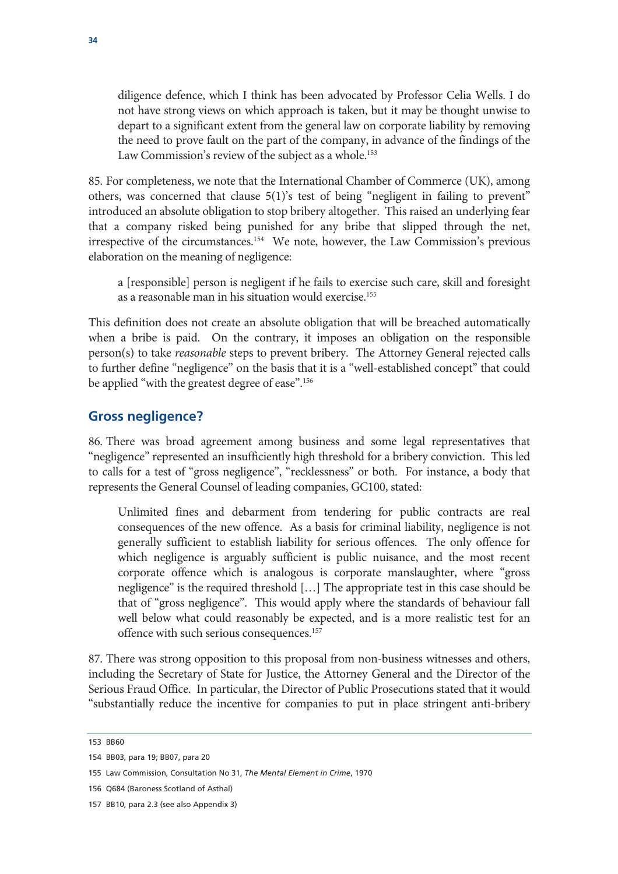diligence defence, which I think has been advocated by Professor Celia Wells. I do not have strong views on which approach is taken, but it may be thought unwise to depart to a significant extent from the general law on corporate liability by removing the need to prove fault on the part of the company, in advance of the findings of the Law Commission's review of the subject as a whole.<sup>153</sup>

85. For completeness, we note that the International Chamber of Commerce (UK), among others, was concerned that clause 5(1)'s test of being "negligent in failing to prevent" introduced an absolute obligation to stop bribery altogether. This raised an underlying fear that a company risked being punished for any bribe that slipped through the net, irrespective of the circumstances.<sup>154</sup> We note, however, the Law Commission's previous elaboration on the meaning of negligence:

a [responsible] person is negligent if he fails to exercise such care, skill and foresight as a reasonable man in his situation would exercise.155

This definition does not create an absolute obligation that will be breached automatically when a bribe is paid. On the contrary, it imposes an obligation on the responsible person(s) to take *reasonable* steps to prevent bribery. The Attorney General rejected calls to further define "negligence" on the basis that it is a "well-established concept" that could be applied "with the greatest degree of ease".<sup>156</sup>

#### **Gross negligence?**

86. There was broad agreement among business and some legal representatives that "negligence" represented an insufficiently high threshold for a bribery conviction. This led to calls for a test of "gross negligence", "recklessness" or both. For instance, a body that represents the General Counsel of leading companies, GC100, stated:

Unlimited fines and debarment from tendering for public contracts are real consequences of the new offence. As a basis for criminal liability, negligence is not generally sufficient to establish liability for serious offences. The only offence for which negligence is arguably sufficient is public nuisance, and the most recent corporate offence which is analogous is corporate manslaughter, where "gross negligence" is the required threshold […] The appropriate test in this case should be that of "gross negligence". This would apply where the standards of behaviour fall well below what could reasonably be expected, and is a more realistic test for an offence with such serious consequences.<sup>157</sup>

87. There was strong opposition to this proposal from non-business witnesses and others, including the Secretary of State for Justice, the Attorney General and the Director of the Serious Fraud Office. In particular, the Director of Public Prosecutions stated that it would "substantially reduce the incentive for companies to put in place stringent anti-bribery

<sup>153</sup> BB60

<sup>154</sup> BB03, para 19; BB07, para 20

<sup>155</sup> Law Commission, Consultation No 31, *The Mental Element in Crime*, 1970

<sup>156</sup> Q684 (Baroness Scotland of Asthal)

<sup>157</sup> BB10, para 2.3 (see also Appendix 3)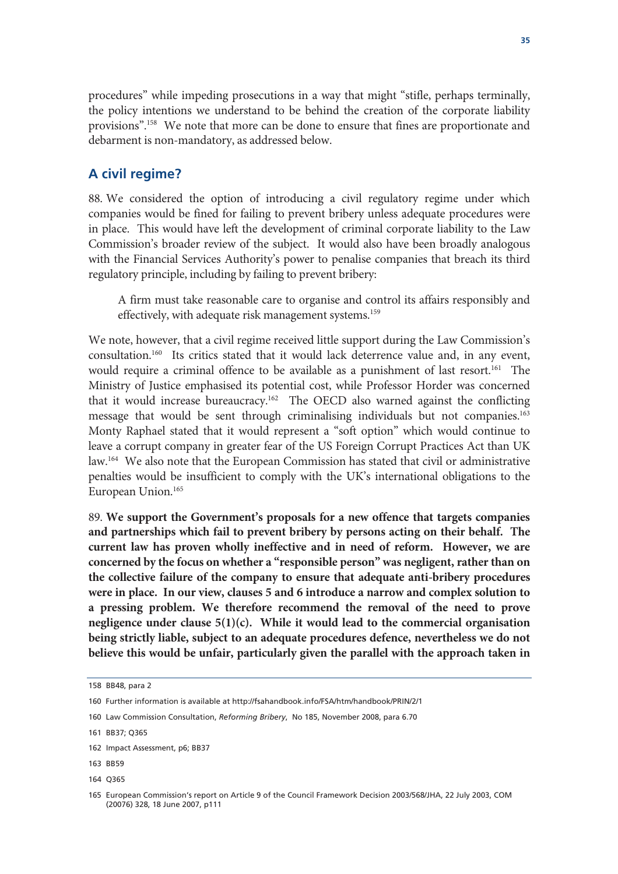procedures" while impeding prosecutions in a way that might "stifle, perhaps terminally, the policy intentions we understand to be behind the creation of the corporate liability provisions".158 We note that more can be done to ensure that fines are proportionate and debarment is non-mandatory, as addressed below.

#### **A civil regime?**

88. We considered the option of introducing a civil regulatory regime under which companies would be fined for failing to prevent bribery unless adequate procedures were in place. This would have left the development of criminal corporate liability to the Law Commission's broader review of the subject. It would also have been broadly analogous with the Financial Services Authority's power to penalise companies that breach its third regulatory principle, including by failing to prevent bribery:

A firm must take reasonable care to organise and control its affairs responsibly and effectively, with adequate risk management systems.<sup>159</sup>

We note, however, that a civil regime received little support during the Law Commission's consultation.160 Its critics stated that it would lack deterrence value and, in any event, would require a criminal offence to be available as a punishment of last resort.<sup>161</sup> The Ministry of Justice emphasised its potential cost, while Professor Horder was concerned that it would increase bureaucracy.<sup>162</sup> The OECD also warned against the conflicting message that would be sent through criminalising individuals but not companies.163 Monty Raphael stated that it would represent a "soft option" which would continue to leave a corrupt company in greater fear of the US Foreign Corrupt Practices Act than UK law.164 We also note that the European Commission has stated that civil or administrative penalties would be insufficient to comply with the UK's international obligations to the European Union.165

89. **We support the Government's proposals for a new offence that targets companies and partnerships which fail to prevent bribery by persons acting on their behalf. The current law has proven wholly ineffective and in need of reform. However, we are concerned by the focus on whether a "responsible person" was negligent, rather than on the collective failure of the company to ensure that adequate anti-bribery procedures were in place. In our view, clauses 5 and 6 introduce a narrow and complex solution to a pressing problem. We therefore recommend the removal of the need to prove negligence under clause 5(1)(c). While it would lead to the commercial organisation being strictly liable, subject to an adequate procedures defence, nevertheless we do not believe this would be unfair, particularly given the parallel with the approach taken in** 

<sup>158</sup> BB48, para 2

<sup>160</sup> Further information is available at http://fsahandbook.info/FSA/htm/handbook/PRIN/2/1

<sup>160</sup> Law Commission Consultation, *Reforming Bribery*, No 185, November 2008, para 6.70

<sup>161</sup> BB37; Q365

<sup>162</sup> Impact Assessment, p6; BB37

<sup>163</sup> BB59

<sup>164</sup> Q365

<sup>165</sup> European Commission's report on Article 9 of the Council Framework Decision 2003/568/JHA, 22 July 2003, COM (20076) 328, 18 June 2007, p111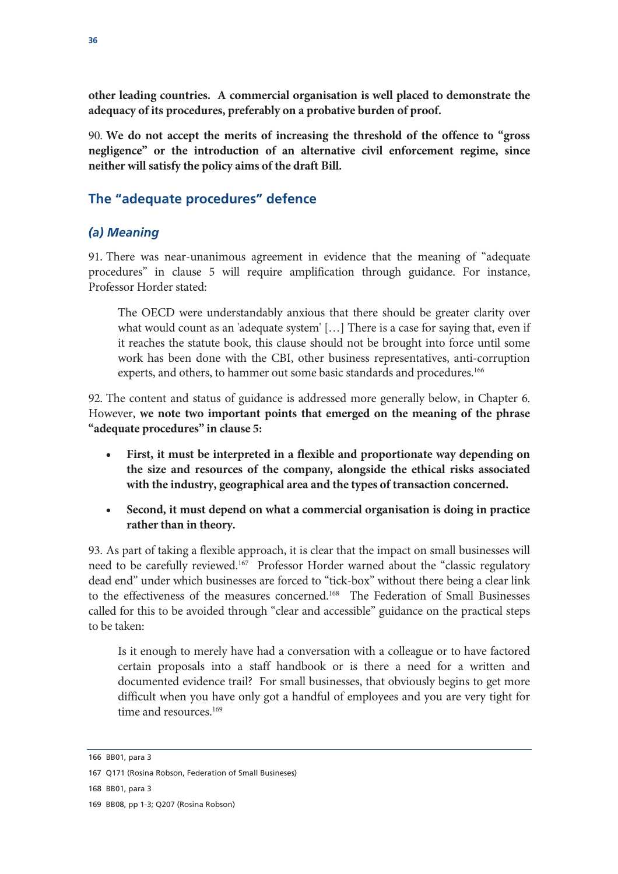**other leading countries. A commercial organisation is well placed to demonstrate the adequacy of its procedures, preferably on a probative burden of proof.**

90. **We do not accept the merits of increasing the threshold of the offence to "gross negligence" or the introduction of an alternative civil enforcement regime, since neither will satisfy the policy aims of the draft Bill.**

### **The "adequate procedures" defence**

### *(a) Meaning*

91. There was near-unanimous agreement in evidence that the meaning of "adequate procedures" in clause 5 will require amplification through guidance. For instance, Professor Horder stated:

The OECD were understandably anxious that there should be greater clarity over what would count as an 'adequate system' […] There is a case for saying that, even if it reaches the statute book, this clause should not be brought into force until some work has been done with the CBI, other business representatives, anti-corruption experts, and others, to hammer out some basic standards and procedures.<sup>166</sup>

92. The content and status of guidance is addressed more generally below, in Chapter 6. However, **we note two important points that emerged on the meaning of the phrase "adequate procedures" in clause 5:** 

- **First, it must be interpreted in a flexible and proportionate way depending on the size and resources of the company, alongside the ethical risks associated with the industry, geographical area and the types of transaction concerned.**
- **Second, it must depend on what a commercial organisation is doing in practice rather than in theory.**

93. As part of taking a flexible approach, it is clear that the impact on small businesses will need to be carefully reviewed.<sup>167</sup> Professor Horder warned about the "classic regulatory dead end" under which businesses are forced to "tick-box" without there being a clear link to the effectiveness of the measures concerned.<sup>168</sup> The Federation of Small Businesses called for this to be avoided through "clear and accessible" guidance on the practical steps to be taken:

Is it enough to merely have had a conversation with a colleague or to have factored certain proposals into a staff handbook or is there a need for a written and documented evidence trail? For small businesses, that obviously begins to get more difficult when you have only got a handful of employees and you are very tight for time and resources.<sup>169</sup>

<sup>166</sup> BB01, para 3

<sup>167</sup> Q171 (Rosina Robson, Federation of Small Busineses)

<sup>168</sup> BB01, para 3

<sup>169</sup> BB08, pp 1-3; Q207 (Rosina Robson)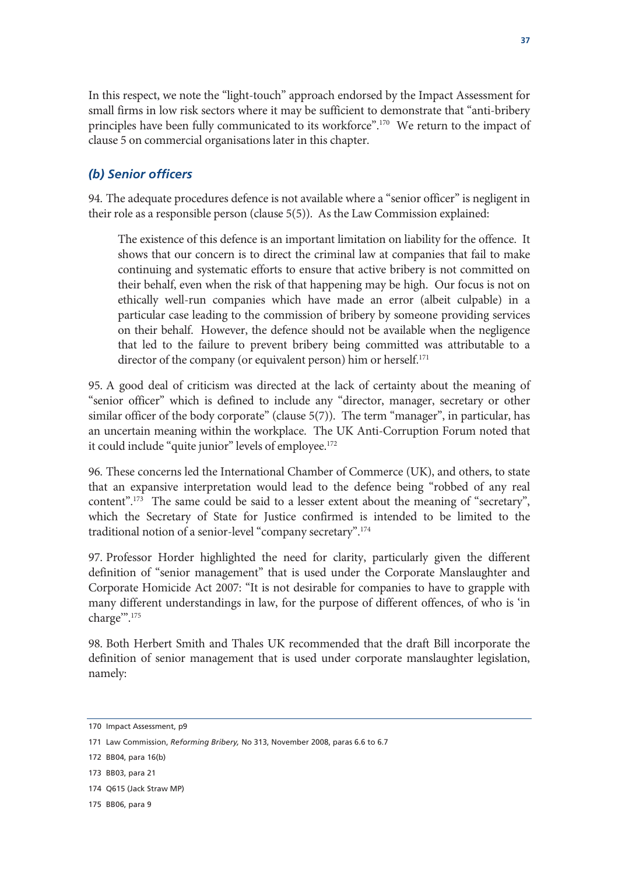In this respect, we note the "light-touch" approach endorsed by the Impact Assessment for small firms in low risk sectors where it may be sufficient to demonstrate that "anti-bribery principles have been fully communicated to its workforce".170 We return to the impact of clause 5 on commercial organisations later in this chapter.

#### *(b) Senior officers*

94. The adequate procedures defence is not available where a "senior officer" is negligent in their role as a responsible person (clause 5(5)). As the Law Commission explained:

The existence of this defence is an important limitation on liability for the offence. It shows that our concern is to direct the criminal law at companies that fail to make continuing and systematic efforts to ensure that active bribery is not committed on their behalf, even when the risk of that happening may be high. Our focus is not on ethically well-run companies which have made an error (albeit culpable) in a particular case leading to the commission of bribery by someone providing services on their behalf. However, the defence should not be available when the negligence that led to the failure to prevent bribery being committed was attributable to a director of the company (or equivalent person) him or herself.<sup>171</sup>

95. A good deal of criticism was directed at the lack of certainty about the meaning of "senior officer" which is defined to include any "director, manager, secretary or other similar officer of the body corporate" (clause 5(7)). The term "manager", in particular, has an uncertain meaning within the workplace. The UK Anti-Corruption Forum noted that it could include "quite junior" levels of employee.<sup>172</sup>

96. These concerns led the International Chamber of Commerce (UK), and others, to state that an expansive interpretation would lead to the defence being "robbed of any real content".<sup>173</sup> The same could be said to a lesser extent about the meaning of "secretary", which the Secretary of State for Justice confirmed is intended to be limited to the traditional notion of a senior-level "company secretary".174

97. Professor Horder highlighted the need for clarity, particularly given the different definition of "senior management" that is used under the Corporate Manslaughter and Corporate Homicide Act 2007: "It is not desirable for companies to have to grapple with many different understandings in law, for the purpose of different offences, of who is 'in charge'".175

98. Both Herbert Smith and Thales UK recommended that the draft Bill incorporate the definition of senior management that is used under corporate manslaughter legislation, namely:

<sup>170</sup> Impact Assessment, p9

<sup>171</sup> Law Commission, *Reforming Bribery,* No 313, November 2008, paras 6.6 to 6.7

<sup>172</sup> BB04, para 16(b)

<sup>173</sup> BB03, para 21

<sup>174</sup> Q615 (Jack Straw MP)

<sup>175</sup> BB06, para 9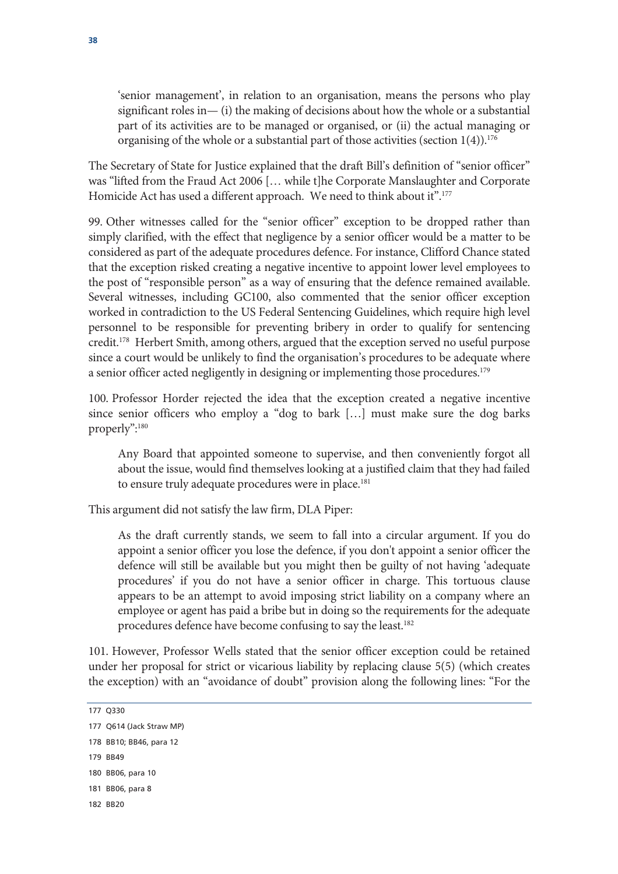'senior management', in relation to an organisation, means the persons who play significant roles in— (i) the making of decisions about how the whole or a substantial part of its activities are to be managed or organised, or (ii) the actual managing or organising of the whole or a substantial part of those activities (section  $1(4)$ ).<sup>176</sup>

The Secretary of State for Justice explained that the draft Bill's definition of "senior officer" was "lifted from the Fraud Act 2006 [… while t]he Corporate Manslaughter and Corporate Homicide Act has used a different approach. We need to think about it".<sup>177</sup>

99. Other witnesses called for the "senior officer" exception to be dropped rather than simply clarified, with the effect that negligence by a senior officer would be a matter to be considered as part of the adequate procedures defence. For instance, Clifford Chance stated that the exception risked creating a negative incentive to appoint lower level employees to the post of "responsible person" as a way of ensuring that the defence remained available. Several witnesses, including GC100, also commented that the senior officer exception worked in contradiction to the US Federal Sentencing Guidelines, which require high level personnel to be responsible for preventing bribery in order to qualify for sentencing credit.178 Herbert Smith, among others, argued that the exception served no useful purpose since a court would be unlikely to find the organisation's procedures to be adequate where a senior officer acted negligently in designing or implementing those procedures.<sup>179</sup>

100. Professor Horder rejected the idea that the exception created a negative incentive since senior officers who employ a "dog to bark […] must make sure the dog barks properly":180

Any Board that appointed someone to supervise, and then conveniently forgot all about the issue, would find themselves looking at a justified claim that they had failed to ensure truly adequate procedures were in place.<sup>181</sup>

This argument did not satisfy the law firm, DLA Piper:

As the draft currently stands, we seem to fall into a circular argument. If you do appoint a senior officer you lose the defence, if you don't appoint a senior officer the defence will still be available but you might then be guilty of not having 'adequate procedures' if you do not have a senior officer in charge. This tortuous clause appears to be an attempt to avoid imposing strict liability on a company where an employee or agent has paid a bribe but in doing so the requirements for the adequate procedures defence have become confusing to say the least.<sup>182</sup>

101. However, Professor Wells stated that the senior officer exception could be retained under her proposal for strict or vicarious liability by replacing clause 5(5) (which creates the exception) with an "avoidance of doubt" provision along the following lines: "For the

- 179 BB49
- 180 BB06, para 10
- 181 BB06, para 8
- 182 BB20

<sup>177</sup> Q330

<sup>177</sup> Q614 (Jack Straw MP)

<sup>178</sup> BB10; BB46, para 12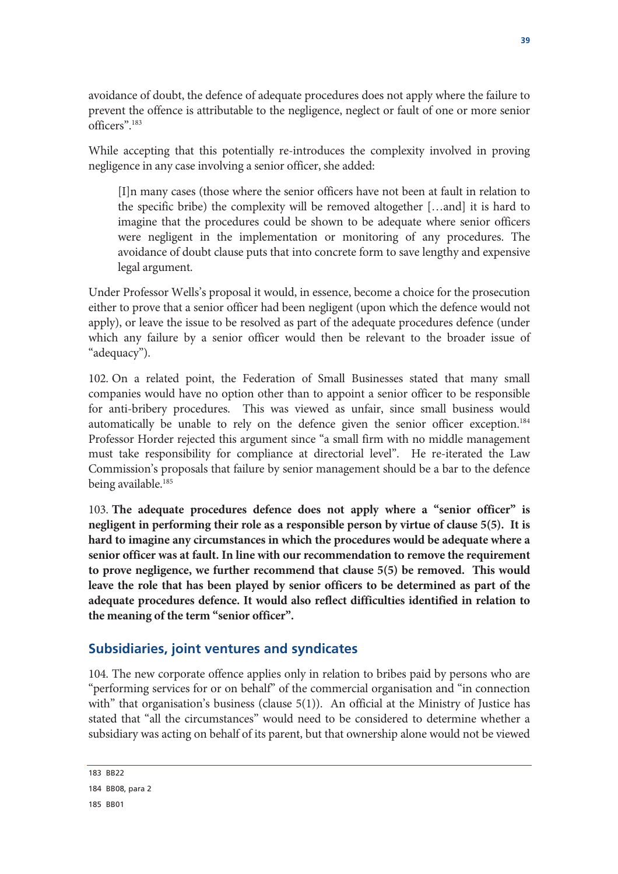avoidance of doubt, the defence of adequate procedures does not apply where the failure to prevent the offence is attributable to the negligence, neglect or fault of one or more senior officers".183

While accepting that this potentially re-introduces the complexity involved in proving negligence in any case involving a senior officer, she added:

[I]n many cases (those where the senior officers have not been at fault in relation to the specific bribe) the complexity will be removed altogether […and] it is hard to imagine that the procedures could be shown to be adequate where senior officers were negligent in the implementation or monitoring of any procedures. The avoidance of doubt clause puts that into concrete form to save lengthy and expensive legal argument.

Under Professor Wells's proposal it would, in essence, become a choice for the prosecution either to prove that a senior officer had been negligent (upon which the defence would not apply), or leave the issue to be resolved as part of the adequate procedures defence (under which any failure by a senior officer would then be relevant to the broader issue of "adequacy").

102. On a related point, the Federation of Small Businesses stated that many small companies would have no option other than to appoint a senior officer to be responsible for anti-bribery procedures. This was viewed as unfair, since small business would automatically be unable to rely on the defence given the senior officer exception.184 Professor Horder rejected this argument since "a small firm with no middle management must take responsibility for compliance at directorial level". He re-iterated the Law Commission's proposals that failure by senior management should be a bar to the defence being available.<sup>185</sup>

103. **The adequate procedures defence does not apply where a "senior officer" is negligent in performing their role as a responsible person by virtue of clause 5(5). It is hard to imagine any circumstances in which the procedures would be adequate where a senior officer was at fault. In line with our recommendation to remove the requirement to prove negligence, we further recommend that clause 5(5) be removed. This would leave the role that has been played by senior officers to be determined as part of the adequate procedures defence. It would also reflect difficulties identified in relation to the meaning of the term "senior officer".** 

#### **Subsidiaries, joint ventures and syndicates**

104. The new corporate offence applies only in relation to bribes paid by persons who are "performing services for or on behalf" of the commercial organisation and "in connection with" that organisation's business (clause  $5(1)$ ). An official at the Ministry of Justice has stated that "all the circumstances" would need to be considered to determine whether a subsidiary was acting on behalf of its parent, but that ownership alone would not be viewed

<sup>183</sup> BB22 184 BB08, para 2 185 BB01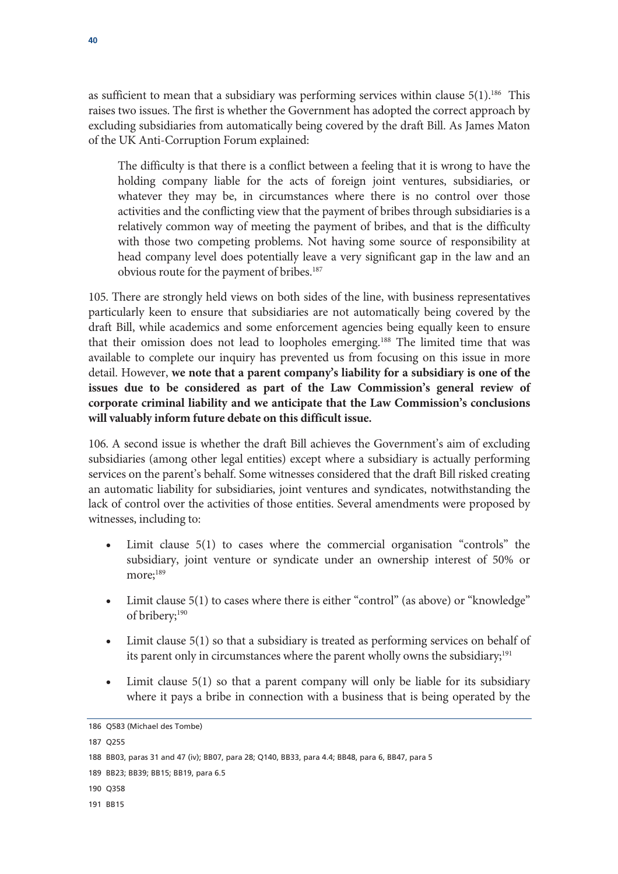as sufficient to mean that a subsidiary was performing services within clause  $5(1).^{186}$  This raises two issues. The first is whether the Government has adopted the correct approach by excluding subsidiaries from automatically being covered by the draft Bill. As James Maton of the UK Anti-Corruption Forum explained:

The difficulty is that there is a conflict between a feeling that it is wrong to have the holding company liable for the acts of foreign joint ventures, subsidiaries, or whatever they may be, in circumstances where there is no control over those activities and the conflicting view that the payment of bribes through subsidiaries is a relatively common way of meeting the payment of bribes, and that is the difficulty with those two competing problems. Not having some source of responsibility at head company level does potentially leave a very significant gap in the law and an obvious route for the payment of bribes.<sup>187</sup>

105. There are strongly held views on both sides of the line, with business representatives particularly keen to ensure that subsidiaries are not automatically being covered by the draft Bill, while academics and some enforcement agencies being equally keen to ensure that their omission does not lead to loopholes emerging.<sup>188</sup> The limited time that was available to complete our inquiry has prevented us from focusing on this issue in more detail. However, **we note that a parent company's liability for a subsidiary is one of the issues due to be considered as part of the Law Commission's general review of corporate criminal liability and we anticipate that the Law Commission's conclusions will valuably inform future debate on this difficult issue.** 

106. A second issue is whether the draft Bill achieves the Government's aim of excluding subsidiaries (among other legal entities) except where a subsidiary is actually performing services on the parent's behalf. Some witnesses considered that the draft Bill risked creating an automatic liability for subsidiaries, joint ventures and syndicates, notwithstanding the lack of control over the activities of those entities. Several amendments were proposed by witnesses, including to:

- Limit clause  $5(1)$  to cases where the commercial organisation "controls" the subsidiary, joint venture or syndicate under an ownership interest of 50% or more;<sup>189</sup>
- Limit clause 5(1) to cases where there is either "control" (as above) or "knowledge" of bribery;190
- Limit clause 5(1) so that a subsidiary is treated as performing services on behalf of its parent only in circumstances where the parent wholly owns the subsidiary; $191$
- Limit clause 5(1) so that a parent company will only be liable for its subsidiary where it pays a bribe in connection with a business that is being operated by the

<sup>186</sup> Q583 (Michael des Tombe)

<sup>187</sup> Q255

<sup>188</sup> BB03, paras 31 and 47 (iv); BB07, para 28; Q140, BB33, para 4.4; BB48, para 6, BB47, para 5

<sup>189</sup> BB23; BB39; BB15; BB19, para 6.5

<sup>190</sup> Q358

<sup>191</sup> BB15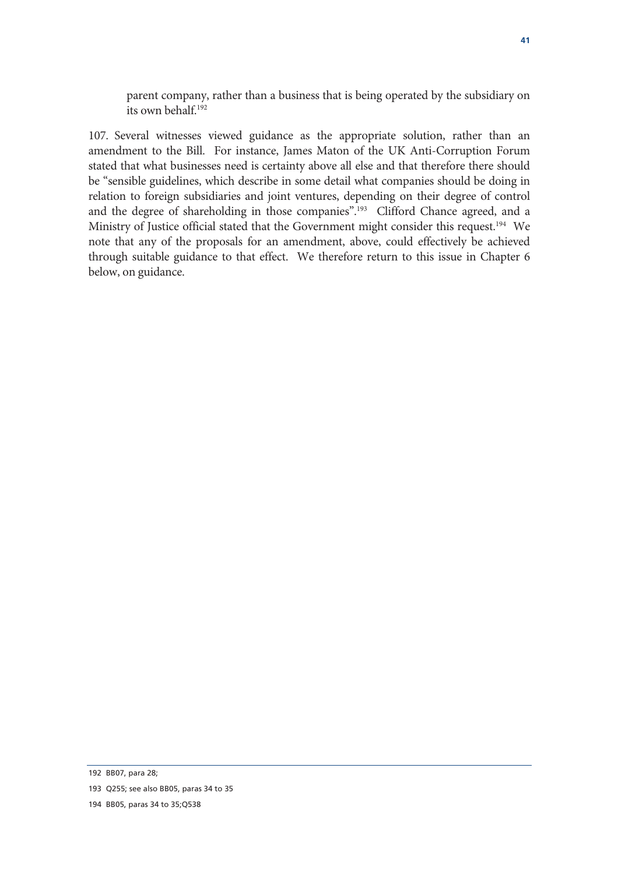parent company, rather than a business that is being operated by the subsidiary on its own behalf.<sup>192</sup>

107. Several witnesses viewed guidance as the appropriate solution, rather than an amendment to the Bill. For instance, James Maton of the UK Anti-Corruption Forum stated that what businesses need is certainty above all else and that therefore there should be "sensible guidelines, which describe in some detail what companies should be doing in relation to foreign subsidiaries and joint ventures, depending on their degree of control and the degree of shareholding in those companies".193 Clifford Chance agreed, and a Ministry of Justice official stated that the Government might consider this request.<sup>194</sup> We note that any of the proposals for an amendment, above, could effectively be achieved through suitable guidance to that effect. We therefore return to this issue in Chapter 6 below, on guidance.

<sup>192</sup> BB07, para 28;

<sup>193</sup> Q255; see also BB05, paras 34 to 35

<sup>194</sup> BB05, paras 34 to 35;Q538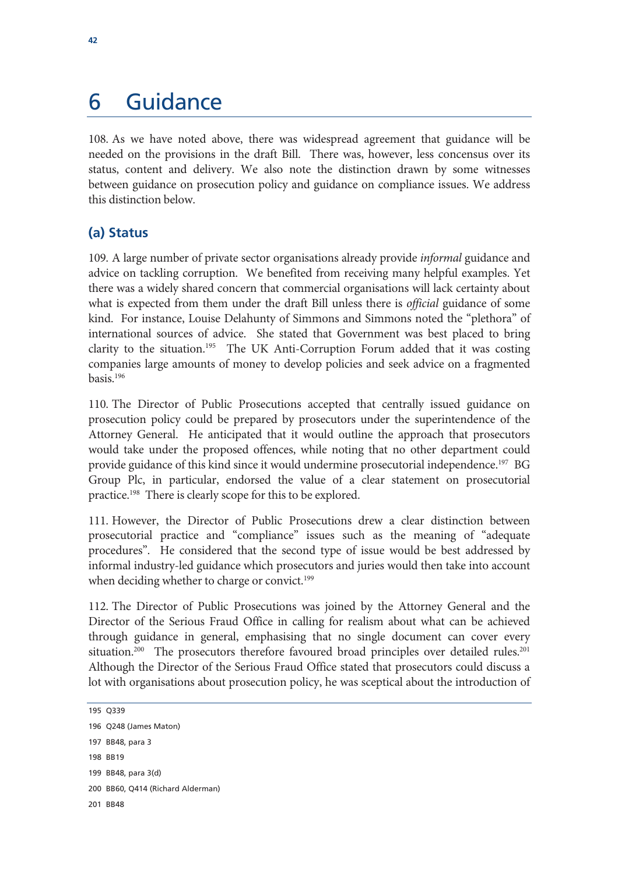## 6 Guidance

108. As we have noted above, there was widespread agreement that guidance will be needed on the provisions in the draft Bill. There was, however, less concensus over its status, content and delivery. We also note the distinction drawn by some witnesses between guidance on prosecution policy and guidance on compliance issues. We address this distinction below.

## **(a) Status**

109. A large number of private sector organisations already provide *informal* guidance and advice on tackling corruption. We benefited from receiving many helpful examples. Yet there was a widely shared concern that commercial organisations will lack certainty about what is expected from them under the draft Bill unless there is *official* guidance of some kind. For instance, Louise Delahunty of Simmons and Simmons noted the "plethora" of international sources of advice. She stated that Government was best placed to bring clarity to the situation.<sup>195</sup> The UK Anti-Corruption Forum added that it was costing companies large amounts of money to develop policies and seek advice on a fragmented basis.196

110. The Director of Public Prosecutions accepted that centrally issued guidance on prosecution policy could be prepared by prosecutors under the superintendence of the Attorney General. He anticipated that it would outline the approach that prosecutors would take under the proposed offences, while noting that no other department could provide guidance of this kind since it would undermine prosecutorial independence.197 BG Group Plc, in particular, endorsed the value of a clear statement on prosecutorial practice.198 There is clearly scope for this to be explored.

111. However, the Director of Public Prosecutions drew a clear distinction between prosecutorial practice and "compliance" issues such as the meaning of "adequate procedures". He considered that the second type of issue would be best addressed by informal industry-led guidance which prosecutors and juries would then take into account when deciding whether to charge or convict.<sup>199</sup>

112. The Director of Public Prosecutions was joined by the Attorney General and the Director of the Serious Fraud Office in calling for realism about what can be achieved through guidance in general, emphasising that no single document can cover every situation.<sup>200</sup> The prosecutors therefore favoured broad principles over detailed rules.<sup>201</sup> Although the Director of the Serious Fraud Office stated that prosecutors could discuss a lot with organisations about prosecution policy, he was sceptical about the introduction of

- 197 BB48, para 3
- 198 BB19
- 199 BB48, para 3(d)
- 200 BB60, Q414 (Richard Alderman)
- 201 BB48

<sup>195</sup> Q339

<sup>196</sup> Q248 (James Maton)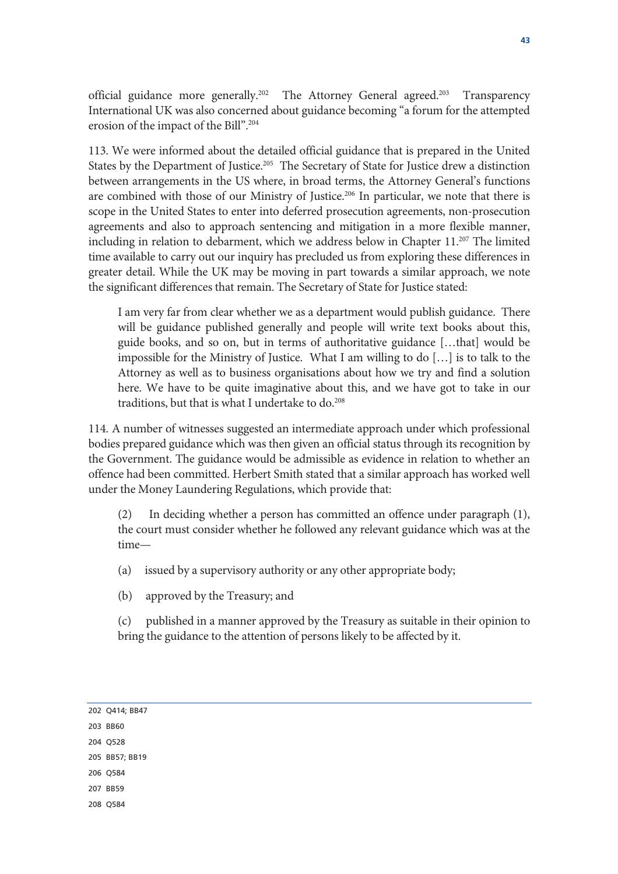official guidance more generally.<sup>202</sup> The Attorney General agreed.<sup>203</sup> Transparency International UK was also concerned about guidance becoming "a forum for the attempted erosion of the impact of the Bill".204

113. We were informed about the detailed official guidance that is prepared in the United States by the Department of Justice.<sup>205</sup> The Secretary of State for Justice drew a distinction between arrangements in the US where, in broad terms, the Attorney General's functions are combined with those of our Ministry of Justice.<sup>206</sup> In particular, we note that there is scope in the United States to enter into deferred prosecution agreements, non-prosecution agreements and also to approach sentencing and mitigation in a more flexible manner, including in relation to debarment, which we address below in Chapter  $11.^{207}$  The limited time available to carry out our inquiry has precluded us from exploring these differences in greater detail. While the UK may be moving in part towards a similar approach, we note the significant differences that remain. The Secretary of State for Justice stated:

I am very far from clear whether we as a department would publish guidance. There will be guidance published generally and people will write text books about this, guide books, and so on, but in terms of authoritative guidance […that] would be impossible for the Ministry of Justice. What I am willing to do […] is to talk to the Attorney as well as to business organisations about how we try and find a solution here. We have to be quite imaginative about this, and we have got to take in our traditions, but that is what I undertake to do.<sup>208</sup>

114. A number of witnesses suggested an intermediate approach under which professional bodies prepared guidance which was then given an official status through its recognition by the Government. The guidance would be admissible as evidence in relation to whether an offence had been committed. Herbert Smith stated that a similar approach has worked well under the Money Laundering Regulations, which provide that:

(2) In deciding whether a person has committed an offence under paragraph (1), the court must consider whether he followed any relevant guidance which was at the time—

- (a) issued by a supervisory authority or any other appropriate body;
- (b) approved by the Treasury; and

(c) published in a manner approved by the Treasury as suitable in their opinion to bring the guidance to the attention of persons likely to be affected by it.

| 202 Q414; BB47 |
|----------------|
| 203 BB60       |
| 204 Q528       |
| 205 BB57: BB19 |
| 206 0584       |
| 207 BB59       |
| 208 Q584       |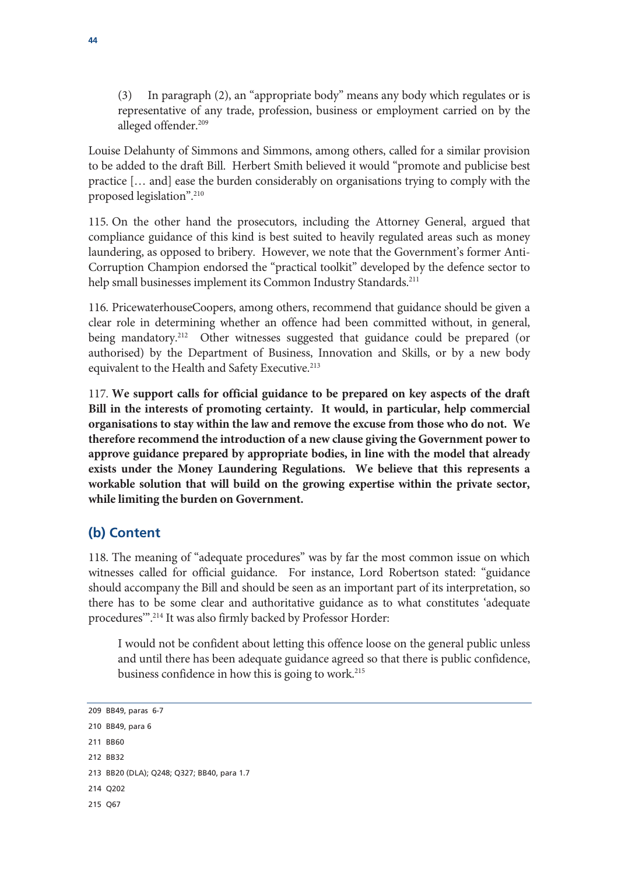(3) In paragraph (2), an "appropriate body" means any body which regulates or is representative of any trade, profession, business or employment carried on by the alleged offender.<sup>209</sup>

Louise Delahunty of Simmons and Simmons, among others, called for a similar provision to be added to the draft Bill. Herbert Smith believed it would "promote and publicise best practice [… and] ease the burden considerably on organisations trying to comply with the proposed legislation".210

115. On the other hand the prosecutors, including the Attorney General, argued that compliance guidance of this kind is best suited to heavily regulated areas such as money laundering, as opposed to bribery. However, we note that the Government's former Anti-Corruption Champion endorsed the "practical toolkit" developed by the defence sector to help small businesses implement its Common Industry Standards.<sup>211</sup>

116. PricewaterhouseCoopers, among others, recommend that guidance should be given a clear role in determining whether an offence had been committed without, in general, being mandatory.<sup>212</sup> Other witnesses suggested that guidance could be prepared (or authorised) by the Department of Business, Innovation and Skills, or by a new body equivalent to the Health and Safety Executive.<sup>213</sup>

117. **We support calls for official guidance to be prepared on key aspects of the draft Bill in the interests of promoting certainty. It would, in particular, help commercial organisations to stay within the law and remove the excuse from those who do not. We therefore recommend the introduction of a new clause giving the Government power to approve guidance prepared by appropriate bodies, in line with the model that already exists under the Money Laundering Regulations. We believe that this represents a workable solution that will build on the growing expertise within the private sector, while limiting the burden on Government.** 

### **(b) Content**

118. The meaning of "adequate procedures" was by far the most common issue on which witnesses called for official guidance. For instance, Lord Robertson stated: "guidance should accompany the Bill and should be seen as an important part of its interpretation, so there has to be some clear and authoritative guidance as to what constitutes 'adequate procedures'".214 It was also firmly backed by Professor Horder:

I would not be confident about letting this offence loose on the general public unless and until there has been adequate guidance agreed so that there is public confidence, business confidence in how this is going to work.215

```
209 BB49, paras 6-7 
210 BB49, para 6 
211 BB60 
212 BB32 
213 BB20 (DLA); Q248; Q327; BB40, para 1.7 
214 Q202 
215 Q67
```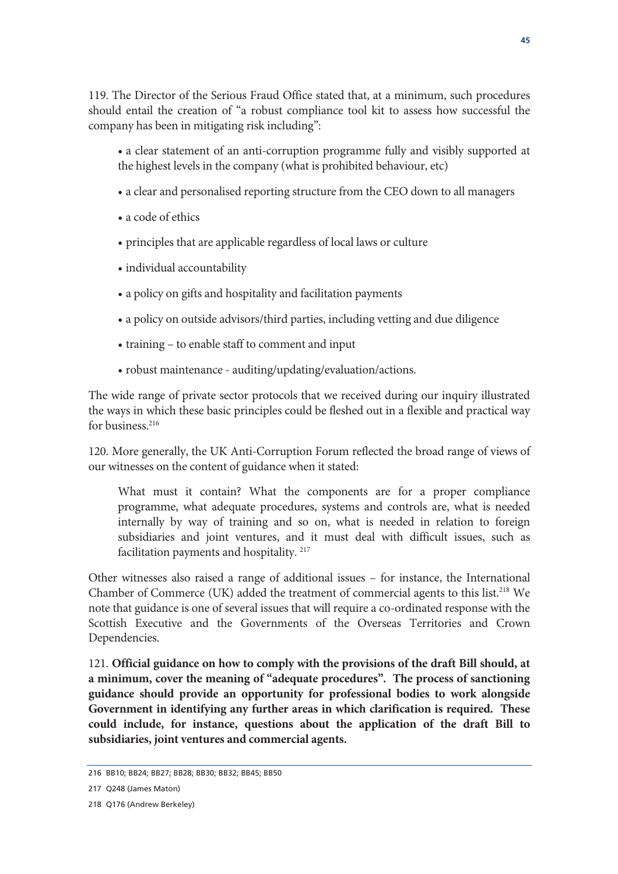119. The Director of the Serious Fraud Office stated that, at a minimum, such procedures should entail the creation of "a robust compliance tool kit to assess how successful the company has been in mitigating risk including":

• a clear statement of an anti-corruption programme fully and visibly supported at the highest levels in the company (what is prohibited behaviour, etc)

- a clear and personalised reporting structure from the CEO down to all managers
- a code of ethics
- principles that are applicable regardless of local laws or culture
- individual accountability
- a policy on gifts and hospitality and facilitation payments
- a policy on outside advisors/third parties, including vetting and due diligence
- training to enable staff to comment and input
- robust maintenance auditing/updating/evaluation/actions.

The wide range of private sector protocols that we received during our inquiry illustrated the ways in which these basic principles could be fleshed out in a flexible and practical way for business.<sup>216</sup>

120. More generally, the UK Anti-Corruption Forum reflected the broad range of views of our witnesses on the content of guidance when it stated:

What must it contain? What the components are for a proper compliance programme, what adequate procedures, systems and controls are, what is needed internally by way of training and so on, what is needed in relation to foreign subsidiaries and joint ventures, and it must deal with difficult issues, such as facilitation payments and hospitality.<sup>217</sup>

Other witnesses also raised a range of additional issues – for instance, the International Chamber of Commerce (UK) added the treatment of commercial agents to this list.218 We note that guidance is one of several issues that will require a co-ordinated response with the Scottish Executive and the Governments of the Overseas Territories and Crown Dependencies.

121. **Official guidance on how to comply with the provisions of the draft Bill should, at a minimum, cover the meaning of "adequate procedures". The process of sanctioning guidance should provide an opportunity for professional bodies to work alongside Government in identifying any further areas in which clarification is required. These could include, for instance, questions about the application of the draft Bill to subsidiaries, joint ventures and commercial agents.** 

<sup>216</sup> BB10; BB24; BB27; BB28; BB30; BB32; BB45; BB50

<sup>217</sup> Q248 (James Maton)

<sup>218</sup> Q176 (Andrew Berkeley)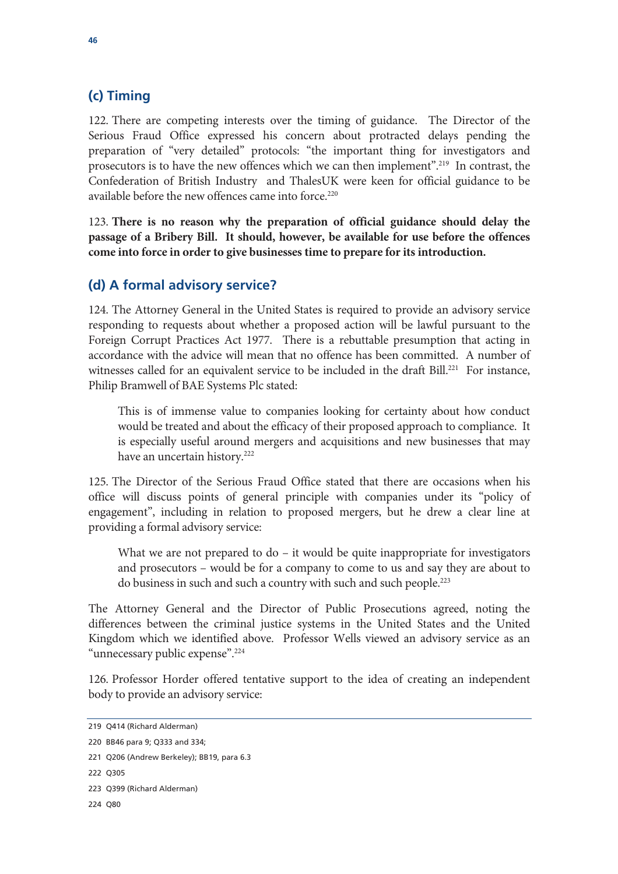### **(c) Timing**

122. There are competing interests over the timing of guidance. The Director of the Serious Fraud Office expressed his concern about protracted delays pending the preparation of "very detailed" protocols: "the important thing for investigators and prosecutors is to have the new offences which we can then implement".219 In contrast, the Confederation of British Industry and ThalesUK were keen for official guidance to be available before the new offences came into force.<sup>220</sup>

123. **There is no reason why the preparation of official guidance should delay the passage of a Bribery Bill. It should, however, be available for use before the offences come into force in order to give businesses time to prepare for its introduction.** 

## **(d) A formal advisory service?**

124. The Attorney General in the United States is required to provide an advisory service responding to requests about whether a proposed action will be lawful pursuant to the Foreign Corrupt Practices Act 1977. There is a rebuttable presumption that acting in accordance with the advice will mean that no offence has been committed. A number of witnesses called for an equivalent service to be included in the draft Bill.<sup>221</sup> For instance, Philip Bramwell of BAE Systems Plc stated:

This is of immense value to companies looking for certainty about how conduct would be treated and about the efficacy of their proposed approach to compliance. It is especially useful around mergers and acquisitions and new businesses that may have an uncertain history.<sup>222</sup>

125. The Director of the Serious Fraud Office stated that there are occasions when his office will discuss points of general principle with companies under its "policy of engagement", including in relation to proposed mergers, but he drew a clear line at providing a formal advisory service:

What we are not prepared to do – it would be quite inappropriate for investigators and prosecutors – would be for a company to come to us and say they are about to do business in such and such a country with such and such people.223

The Attorney General and the Director of Public Prosecutions agreed, noting the differences between the criminal justice systems in the United States and the United Kingdom which we identified above. Professor Wells viewed an advisory service as an "unnecessary public expense".<sup>224</sup>

126. Professor Horder offered tentative support to the idea of creating an independent body to provide an advisory service:

224 Q80

<sup>219</sup> Q414 (Richard Alderman)

<sup>220</sup> BB46 para 9; Q333 and 334;

<sup>221</sup> Q206 (Andrew Berkeley); BB19, para 6.3

<sup>222</sup> Q305

<sup>223</sup> Q399 (Richard Alderman)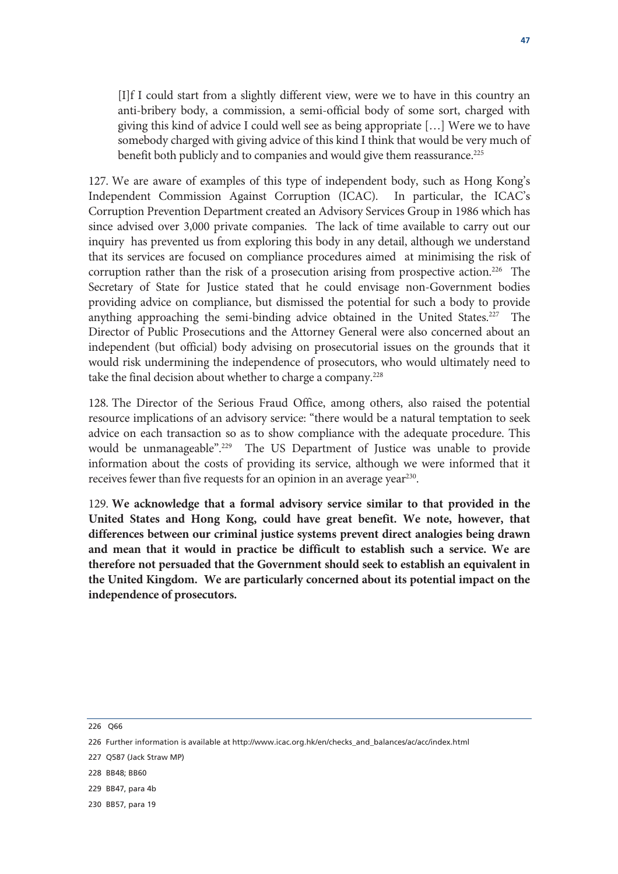[I]f I could start from a slightly different view, were we to have in this country an anti-bribery body, a commission, a semi-official body of some sort, charged with giving this kind of advice I could well see as being appropriate […] Were we to have somebody charged with giving advice of this kind I think that would be very much of benefit both publicly and to companies and would give them reassurance.<sup>225</sup>

127. We are aware of examples of this type of independent body, such as Hong Kong's Independent Commission Against Corruption (ICAC). In particular, the ICAC's Corruption Prevention Department created an Advisory Services Group in 1986 which has since advised over 3,000 private companies. The lack of time available to carry out our inquiry has prevented us from exploring this body in any detail, although we understand that its services are focused on compliance procedures aimed at minimising the risk of corruption rather than the risk of a prosecution arising from prospective action.<sup>226</sup> The Secretary of State for Justice stated that he could envisage non-Government bodies providing advice on compliance, but dismissed the potential for such a body to provide anything approaching the semi-binding advice obtained in the United States.<sup>227</sup> The Director of Public Prosecutions and the Attorney General were also concerned about an independent (but official) body advising on prosecutorial issues on the grounds that it would risk undermining the independence of prosecutors, who would ultimately need to take the final decision about whether to charge a company.228

128. The Director of the Serious Fraud Office, among others, also raised the potential resource implications of an advisory service: "there would be a natural temptation to seek advice on each transaction so as to show compliance with the adequate procedure. This would be unmanageable".229 The US Department of Justice was unable to provide information about the costs of providing its service, although we were informed that it receives fewer than five requests for an opinion in an average year<sup>230</sup>.

129. **We acknowledge that a formal advisory service similar to that provided in the United States and Hong Kong, could have great benefit. We note, however, that differences between our criminal justice systems prevent direct analogies being drawn and mean that it would in practice be difficult to establish such a service. We are therefore not persuaded that the Government should seek to establish an equivalent in the United Kingdom. We are particularly concerned about its potential impact on the independence of prosecutors.**

226 066

- 227 Q587 (Jack Straw MP)
- 228 BB48; BB60
- 229 BB47, para 4b
- 230 BB57, para 19

<sup>226</sup> Further information is available at http://www.icac.org.hk/en/checks\_and\_balances/ac/acc/index.html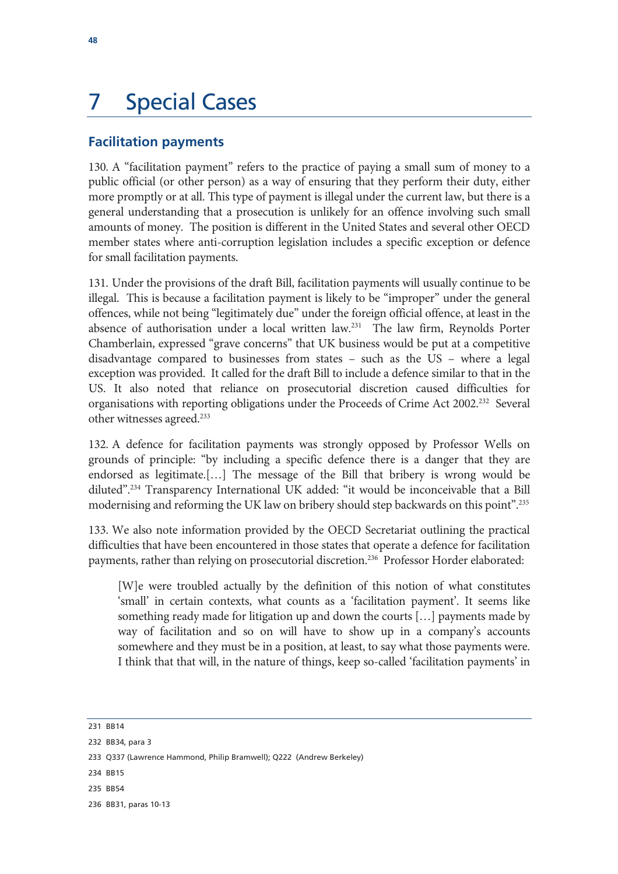## 7 Special Cases

#### **Facilitation payments**

130. A "facilitation payment" refers to the practice of paying a small sum of money to a public official (or other person) as a way of ensuring that they perform their duty, either more promptly or at all. This type of payment is illegal under the current law, but there is a general understanding that a prosecution is unlikely for an offence involving such small amounts of money. The position is different in the United States and several other OECD member states where anti-corruption legislation includes a specific exception or defence for small facilitation payments.

131. Under the provisions of the draft Bill, facilitation payments will usually continue to be illegal. This is because a facilitation payment is likely to be "improper" under the general offences, while not being "legitimately due" under the foreign official offence, at least in the absence of authorisation under a local written law.231 The law firm, Reynolds Porter Chamberlain, expressed "grave concerns" that UK business would be put at a competitive disadvantage compared to businesses from states – such as the US – where a legal exception was provided. It called for the draft Bill to include a defence similar to that in the US. It also noted that reliance on prosecutorial discretion caused difficulties for organisations with reporting obligations under the Proceeds of Crime Act 2002.<sup>232</sup> Several other witnesses agreed.<sup>233</sup>

132. A defence for facilitation payments was strongly opposed by Professor Wells on grounds of principle: "by including a specific defence there is a danger that they are endorsed as legitimate.[…] The message of the Bill that bribery is wrong would be diluted".234 Transparency International UK added: "it would be inconceivable that a Bill modernising and reforming the UK law on bribery should step backwards on this point".235

133. We also note information provided by the OECD Secretariat outlining the practical difficulties that have been encountered in those states that operate a defence for facilitation payments, rather than relying on prosecutorial discretion.<sup>236</sup> Professor Horder elaborated:

[W]e were troubled actually by the definition of this notion of what constitutes 'small' in certain contexts, what counts as a 'facilitation payment'. It seems like something ready made for litigation up and down the courts […] payments made by way of facilitation and so on will have to show up in a company's accounts somewhere and they must be in a position, at least, to say what those payments were. I think that that will, in the nature of things, keep so-called 'facilitation payments' in

- 234 BB15
- 235 BB54

<sup>231</sup> BB14

<sup>232</sup> BB34, para 3

<sup>233</sup> Q337 (Lawrence Hammond, Philip Bramwell); Q222 (Andrew Berkeley)

<sup>236</sup> BB31, paras 10-13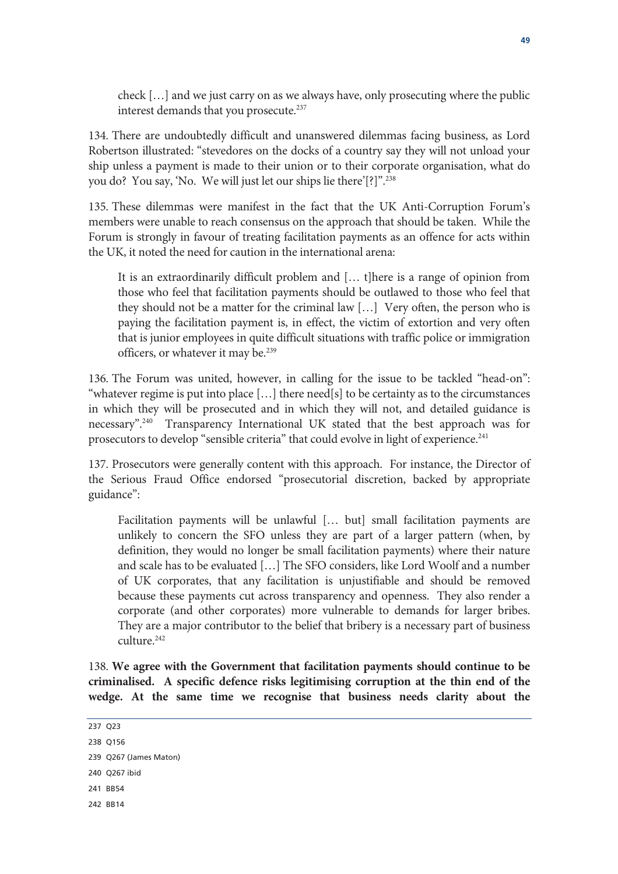check […] and we just carry on as we always have, only prosecuting where the public interest demands that you prosecute.<sup>237</sup>

134. There are undoubtedly difficult and unanswered dilemmas facing business, as Lord Robertson illustrated: "stevedores on the docks of a country say they will not unload your ship unless a payment is made to their union or to their corporate organisation, what do you do? You say, 'No. We will just let our ships lie there'[?]".238

135. These dilemmas were manifest in the fact that the UK Anti-Corruption Forum's members were unable to reach consensus on the approach that should be taken. While the Forum is strongly in favour of treating facilitation payments as an offence for acts within the UK, it noted the need for caution in the international arena:

It is an extraordinarily difficult problem and [… t]here is a range of opinion from those who feel that facilitation payments should be outlawed to those who feel that they should not be a matter for the criminal law […] Very often, the person who is paying the facilitation payment is, in effect, the victim of extortion and very often that is junior employees in quite difficult situations with traffic police or immigration officers, or whatever it may be.<sup>239</sup>

136. The Forum was united, however, in calling for the issue to be tackled "head-on": "whatever regime is put into place  $[\ldots]$  there need[s] to be certainty as to the circumstances in which they will be prosecuted and in which they will not, and detailed guidance is necessary".240 Transparency International UK stated that the best approach was for prosecutors to develop "sensible criteria" that could evolve in light of experience.241

137. Prosecutors were generally content with this approach. For instance, the Director of the Serious Fraud Office endorsed "prosecutorial discretion, backed by appropriate guidance":

Facilitation payments will be unlawful [… but] small facilitation payments are unlikely to concern the SFO unless they are part of a larger pattern (when, by definition, they would no longer be small facilitation payments) where their nature and scale has to be evaluated […] The SFO considers, like Lord Woolf and a number of UK corporates, that any facilitation is unjustifiable and should be removed because these payments cut across transparency and openness. They also render a corporate (and other corporates) more vulnerable to demands for larger bribes. They are a major contributor to the belief that bribery is a necessary part of business culture.<sup>242</sup>

138. **We agree with the Government that facilitation payments should continue to be criminalised. A specific defence risks legitimising corruption at the thin end of the wedge. At the same time we recognise that business needs clarity about the** 

<sup>237</sup> Q23 238 Q156 239 Q267 (James Maton) 240 Q267 ibid 241 BB54 242 BB14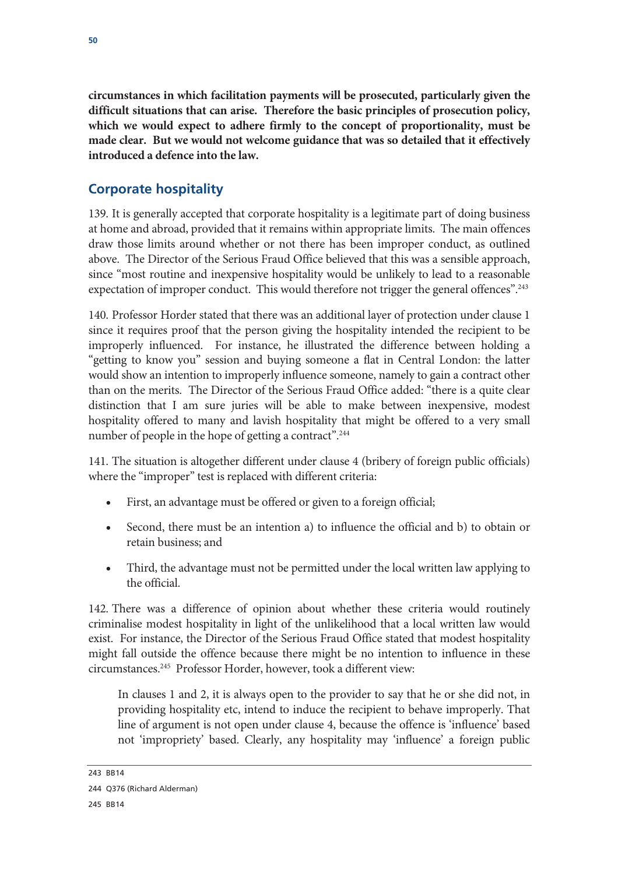**circumstances in which facilitation payments will be prosecuted, particularly given the difficult situations that can arise. Therefore the basic principles of prosecution policy, which we would expect to adhere firmly to the concept of proportionality, must be made clear. But we would not welcome guidance that was so detailed that it effectively introduced a defence into the law.** 

### **Corporate hospitality**

139. It is generally accepted that corporate hospitality is a legitimate part of doing business at home and abroad, provided that it remains within appropriate limits. The main offences draw those limits around whether or not there has been improper conduct, as outlined above. The Director of the Serious Fraud Office believed that this was a sensible approach, since "most routine and inexpensive hospitality would be unlikely to lead to a reasonable expectation of improper conduct. This would therefore not trigger the general offences".<sup>243</sup>

140. Professor Horder stated that there was an additional layer of protection under clause 1 since it requires proof that the person giving the hospitality intended the recipient to be improperly influenced. For instance, he illustrated the difference between holding a "getting to know you" session and buying someone a flat in Central London: the latter would show an intention to improperly influence someone, namely to gain a contract other than on the merits. The Director of the Serious Fraud Office added: "there is a quite clear distinction that I am sure juries will be able to make between inexpensive, modest hospitality offered to many and lavish hospitality that might be offered to a very small number of people in the hope of getting a contract".<sup>244</sup>

141. The situation is altogether different under clause 4 (bribery of foreign public officials) where the "improper" test is replaced with different criteria:

- First, an advantage must be offered or given to a foreign official;
- Second, there must be an intention a) to influence the official and b) to obtain or retain business; and
- Third, the advantage must not be permitted under the local written law applying to the official.

142. There was a difference of opinion about whether these criteria would routinely criminalise modest hospitality in light of the unlikelihood that a local written law would exist. For instance, the Director of the Serious Fraud Office stated that modest hospitality might fall outside the offence because there might be no intention to influence in these circumstances.245 Professor Horder, however, took a different view:

In clauses 1 and 2, it is always open to the provider to say that he or she did not, in providing hospitality etc, intend to induce the recipient to behave improperly. That line of argument is not open under clause 4, because the offence is 'influence' based not 'impropriety' based. Clearly, any hospitality may 'influence' a foreign public

<sup>245</sup> BB14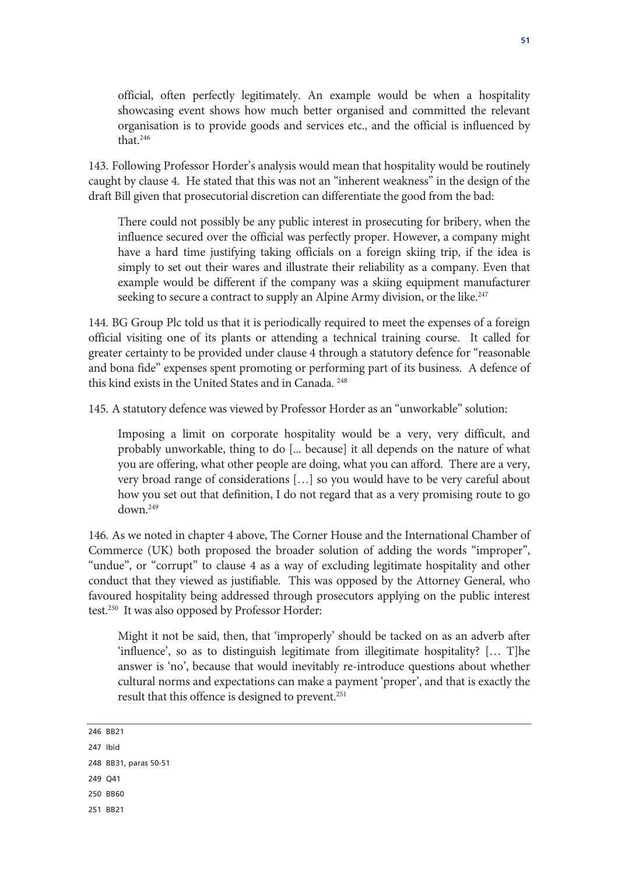official, often perfectly legitimately. An example would be when a hospitality showcasing event shows how much better organised and committed the relevant organisation is to provide goods and services etc., and the official is influenced by that.246

143. Following Professor Horder's analysis would mean that hospitality would be routinely caught by clause 4. He stated that this was not an "inherent weakness" in the design of the draft Bill given that prosecutorial discretion can differentiate the good from the bad:

There could not possibly be any public interest in prosecuting for bribery, when the influence secured over the official was perfectly proper. However, a company might have a hard time justifying taking officials on a foreign skiing trip, if the idea is simply to set out their wares and illustrate their reliability as a company. Even that example would be different if the company was a skiing equipment manufacturer seeking to secure a contract to supply an Alpine Army division, or the like.<sup>247</sup>

144. BG Group Plc told us that it is periodically required to meet the expenses of a foreign official visiting one of its plants or attending a technical training course. It called for greater certainty to be provided under clause 4 through a statutory defence for "reasonable and bona fide" expenses spent promoting or performing part of its business. A defence of this kind exists in the United States and in Canada.<sup>248</sup>

145. A statutory defence was viewed by Professor Horder as an "unworkable" solution:

Imposing a limit on corporate hospitality would be a very, very difficult, and probably unworkable, thing to do [... because] it all depends on the nature of what you are offering, what other people are doing, what you can afford. There are a very, very broad range of considerations […] so you would have to be very careful about how you set out that definition, I do not regard that as a very promising route to go down.249

146. As we noted in chapter 4 above, The Corner House and the International Chamber of Commerce (UK) both proposed the broader solution of adding the words "improper", "undue", or "corrupt" to clause 4 as a way of excluding legitimate hospitality and other conduct that they viewed as justifiable. This was opposed by the Attorney General, who favoured hospitality being addressed through prosecutors applying on the public interest test.250 It was also opposed by Professor Horder:

Might it not be said, then, that 'improperly' should be tacked on as an adverb after 'influence', so as to distinguish legitimate from illegitimate hospitality? [… T]he answer is 'no', because that would inevitably re-introduce questions about whether cultural norms and expectations can make a payment 'proper', and that is exactly the result that this offence is designed to prevent.<sup>251</sup>

251 BB21

<sup>246</sup> BB21

<sup>247</sup> Ibid

<sup>248</sup> BB31, paras 50-51

<sup>249</sup> Q41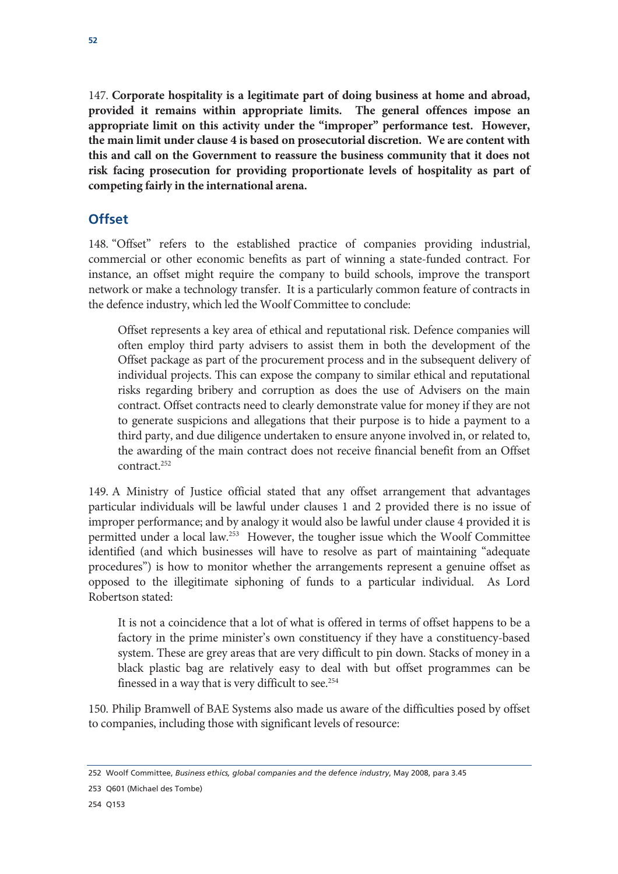147. **Corporate hospitality is a legitimate part of doing business at home and abroad, provided it remains within appropriate limits. The general offences impose an appropriate limit on this activity under the "improper" performance test. However, the main limit under clause 4 is based on prosecutorial discretion. We are content with this and call on the Government to reassure the business community that it does not risk facing prosecution for providing proportionate levels of hospitality as part of competing fairly in the international arena.** 

### **Offset**

148. "Offset" refers to the established practice of companies providing industrial, commercial or other economic benefits as part of winning a state-funded contract. For instance, an offset might require the company to build schools, improve the transport network or make a technology transfer. It is a particularly common feature of contracts in the defence industry, which led the Woolf Committee to conclude:

Offset represents a key area of ethical and reputational risk. Defence companies will often employ third party advisers to assist them in both the development of the Offset package as part of the procurement process and in the subsequent delivery of individual projects. This can expose the company to similar ethical and reputational risks regarding bribery and corruption as does the use of Advisers on the main contract. Offset contracts need to clearly demonstrate value for money if they are not to generate suspicions and allegations that their purpose is to hide a payment to a third party, and due diligence undertaken to ensure anyone involved in, or related to, the awarding of the main contract does not receive financial benefit from an Offset contract.252

149. A Ministry of Justice official stated that any offset arrangement that advantages particular individuals will be lawful under clauses 1 and 2 provided there is no issue of improper performance; and by analogy it would also be lawful under clause 4 provided it is permitted under a local law.253 However, the tougher issue which the Woolf Committee identified (and which businesses will have to resolve as part of maintaining "adequate procedures") is how to monitor whether the arrangements represent a genuine offset as opposed to the illegitimate siphoning of funds to a particular individual. As Lord Robertson stated:

It is not a coincidence that a lot of what is offered in terms of offset happens to be a factory in the prime minister's own constituency if they have a constituency-based system. These are grey areas that are very difficult to pin down. Stacks of money in a black plastic bag are relatively easy to deal with but offset programmes can be finessed in a way that is very difficult to see.<sup>254</sup>

150. Philip Bramwell of BAE Systems also made us aware of the difficulties posed by offset to companies, including those with significant levels of resource:

<sup>252</sup> Woolf Committee, *Business ethics, global companies and the defence industry*, May 2008, para 3.45

<sup>253</sup> Q601 (Michael des Tombe)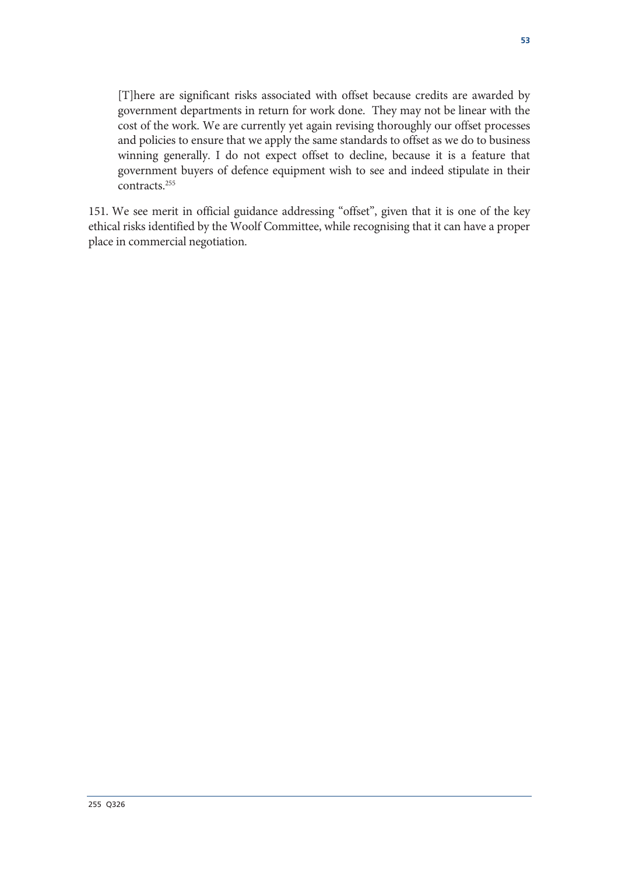[T]here are significant risks associated with offset because credits are awarded by government departments in return for work done. They may not be linear with the cost of the work. We are currently yet again revising thoroughly our offset processes and policies to ensure that we apply the same standards to offset as we do to business winning generally. I do not expect offset to decline, because it is a feature that government buyers of defence equipment wish to see and indeed stipulate in their contracts.255

151. We see merit in official guidance addressing "offset", given that it is one of the key ethical risks identified by the Woolf Committee, while recognising that it can have a proper place in commercial negotiation.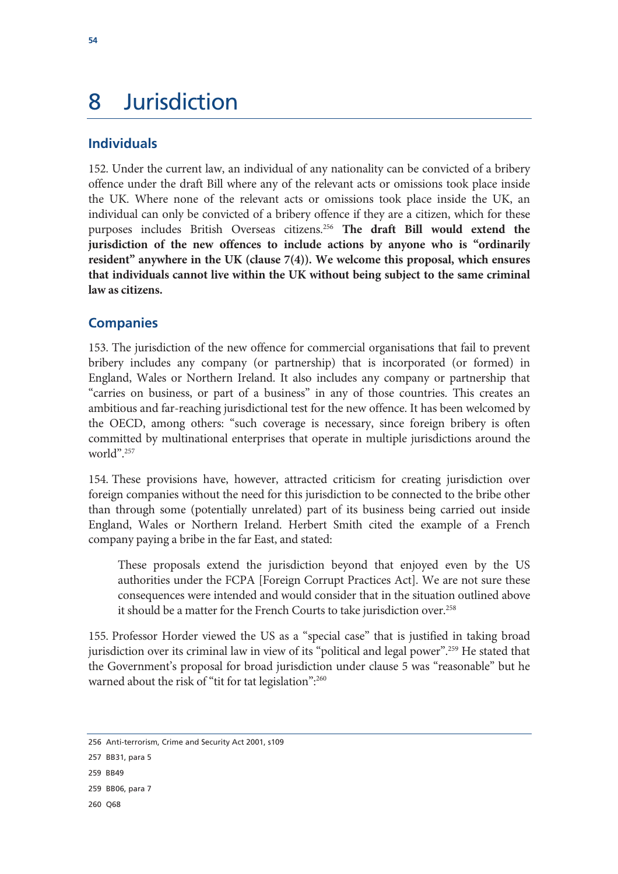## 8 Jurisdiction

#### **Individuals**

152. Under the current law, an individual of any nationality can be convicted of a bribery offence under the draft Bill where any of the relevant acts or omissions took place inside the UK. Where none of the relevant acts or omissions took place inside the UK, an individual can only be convicted of a bribery offence if they are a citizen, which for these purposes includes British Overseas citizens.256 **The draft Bill would extend the jurisdiction of the new offences to include actions by anyone who is "ordinarily resident" anywhere in the UK (clause 7(4)). We welcome this proposal, which ensures that individuals cannot live within the UK without being subject to the same criminal law as citizens.**

#### **Companies**

153. The jurisdiction of the new offence for commercial organisations that fail to prevent bribery includes any company (or partnership) that is incorporated (or formed) in England, Wales or Northern Ireland. It also includes any company or partnership that "carries on business, or part of a business" in any of those countries. This creates an ambitious and far-reaching jurisdictional test for the new offence. It has been welcomed by the OECD, among others: "such coverage is necessary, since foreign bribery is often committed by multinational enterprises that operate in multiple jurisdictions around the world".257

154. These provisions have, however, attracted criticism for creating jurisdiction over foreign companies without the need for this jurisdiction to be connected to the bribe other than through some (potentially unrelated) part of its business being carried out inside England, Wales or Northern Ireland. Herbert Smith cited the example of a French company paying a bribe in the far East, and stated:

These proposals extend the jurisdiction beyond that enjoyed even by the US authorities under the FCPA [Foreign Corrupt Practices Act]. We are not sure these consequences were intended and would consider that in the situation outlined above it should be a matter for the French Courts to take jurisdiction over.<sup>258</sup>

155. Professor Horder viewed the US as a "special case" that is justified in taking broad jurisdiction over its criminal law in view of its "political and legal power".259 He stated that the Government's proposal for broad jurisdiction under clause 5 was "reasonable" but he warned about the risk of "tit for tat legislation":<sup>260</sup>

<sup>256</sup> Anti-terrorism, Crime and Security Act 2001, s109

<sup>257</sup> BB31, para 5

<sup>259</sup> BB49

<sup>259</sup> BB06, para 7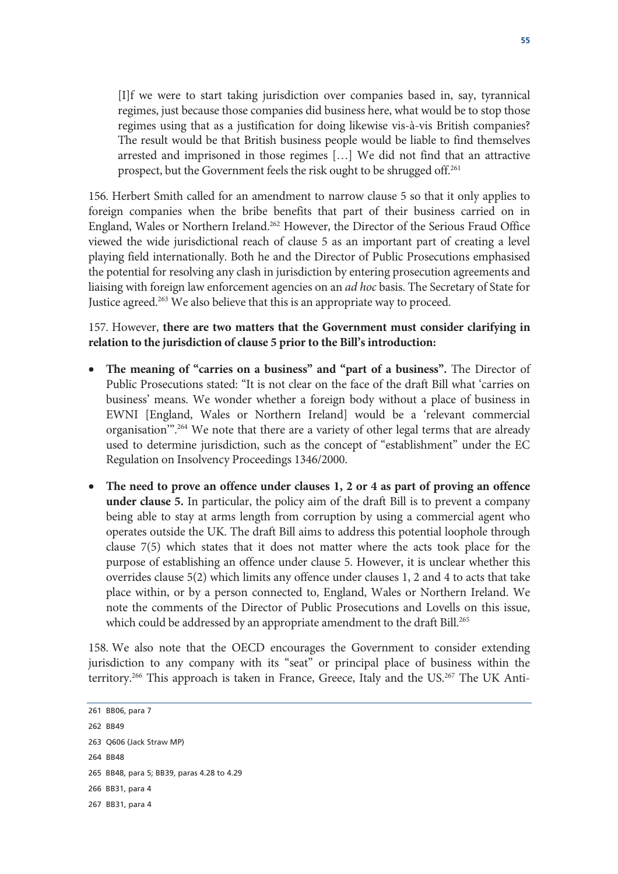[I]f we were to start taking jurisdiction over companies based in, say, tyrannical regimes, just because those companies did business here, what would be to stop those regimes using that as a justification for doing likewise vis-à-vis British companies? The result would be that British business people would be liable to find themselves arrested and imprisoned in those regimes […] We did not find that an attractive prospect, but the Government feels the risk ought to be shrugged off.261

156. Herbert Smith called for an amendment to narrow clause 5 so that it only applies to foreign companies when the bribe benefits that part of their business carried on in England, Wales or Northern Ireland.<sup>262</sup> However, the Director of the Serious Fraud Office viewed the wide jurisdictional reach of clause 5 as an important part of creating a level playing field internationally. Both he and the Director of Public Prosecutions emphasised the potential for resolving any clash in jurisdiction by entering prosecution agreements and liaising with foreign law enforcement agencies on an *ad hoc* basis. The Secretary of State for Justice agreed.<sup>263</sup> We also believe that this is an appropriate way to proceed.

157. However, **there are two matters that the Government must consider clarifying in relation to the jurisdiction of clause 5 prior to the Bill's introduction:** 

- **The meaning of "carries on a business" and "part of a business".** The Director of Public Prosecutions stated: "It is not clear on the face of the draft Bill what 'carries on business' means. We wonder whether a foreign body without a place of business in EWNI [England, Wales or Northern Ireland] would be a 'relevant commercial organisation'".264 We note that there are a variety of other legal terms that are already used to determine jurisdiction, such as the concept of "establishment" under the EC Regulation on Insolvency Proceedings 1346/2000.
- **The need to prove an offence under clauses 1, 2 or 4 as part of proving an offence under clause 5.** In particular, the policy aim of the draft Bill is to prevent a company being able to stay at arms length from corruption by using a commercial agent who operates outside the UK. The draft Bill aims to address this potential loophole through clause 7(5) which states that it does not matter where the acts took place for the purpose of establishing an offence under clause 5. However, it is unclear whether this overrides clause 5(2) which limits any offence under clauses 1, 2 and 4 to acts that take place within, or by a person connected to, England, Wales or Northern Ireland. We note the comments of the Director of Public Prosecutions and Lovells on this issue, which could be addressed by an appropriate amendment to the draft Bill.<sup>265</sup>

158. We also note that the OECD encourages the Government to consider extending jurisdiction to any company with its "seat" or principal place of business within the territory.266 This approach is taken in France, Greece, Italy and the US.267 The UK Anti-

261 BB06, para 7 262 BB49 263 Q606 (Jack Straw MP) 264 BB48 265 BB48, para 5; BB39, paras 4.28 to 4.29 266 BB31, para 4 267 BB31, para 4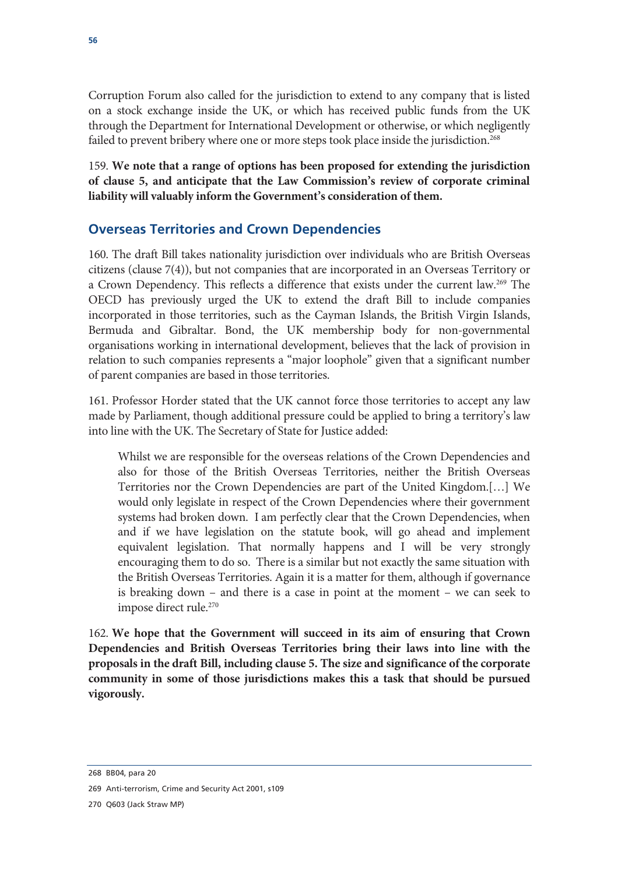Corruption Forum also called for the jurisdiction to extend to any company that is listed on a stock exchange inside the UK, or which has received public funds from the UK through the Department for International Development or otherwise, or which negligently failed to prevent bribery where one or more steps took place inside the jurisdiction.<sup>268</sup>

159. **We note that a range of options has been proposed for extending the jurisdiction of clause 5, and anticipate that the Law Commission's review of corporate criminal liability will valuably inform the Government's consideration of them.**

### **Overseas Territories and Crown Dependencies**

160. The draft Bill takes nationality jurisdiction over individuals who are British Overseas citizens (clause 7(4)), but not companies that are incorporated in an Overseas Territory or a Crown Dependency. This reflects a difference that exists under the current law.<sup>269</sup> The OECD has previously urged the UK to extend the draft Bill to include companies incorporated in those territories, such as the Cayman Islands, the British Virgin Islands, Bermuda and Gibraltar. Bond, the UK membership body for non-governmental organisations working in international development, believes that the lack of provision in relation to such companies represents a "major loophole" given that a significant number of parent companies are based in those territories.

161. Professor Horder stated that the UK cannot force those territories to accept any law made by Parliament, though additional pressure could be applied to bring a territory's law into line with the UK. The Secretary of State for Justice added:

Whilst we are responsible for the overseas relations of the Crown Dependencies and also for those of the British Overseas Territories, neither the British Overseas Territories nor the Crown Dependencies are part of the United Kingdom.[…] We would only legislate in respect of the Crown Dependencies where their government systems had broken down. I am perfectly clear that the Crown Dependencies, when and if we have legislation on the statute book, will go ahead and implement equivalent legislation. That normally happens and I will be very strongly encouraging them to do so. There is a similar but not exactly the same situation with the British Overseas Territories. Again it is a matter for them, although if governance is breaking down – and there is a case in point at the moment – we can seek to impose direct rule.<sup>270</sup>

162. **We hope that the Government will succeed in its aim of ensuring that Crown Dependencies and British Overseas Territories bring their laws into line with the proposals in the draft Bill, including clause 5. The size and significance of the corporate community in some of those jurisdictions makes this a task that should be pursued vigorously.** 

<sup>268</sup> BB04, para 20

<sup>269</sup> Anti-terrorism, Crime and Security Act 2001, s109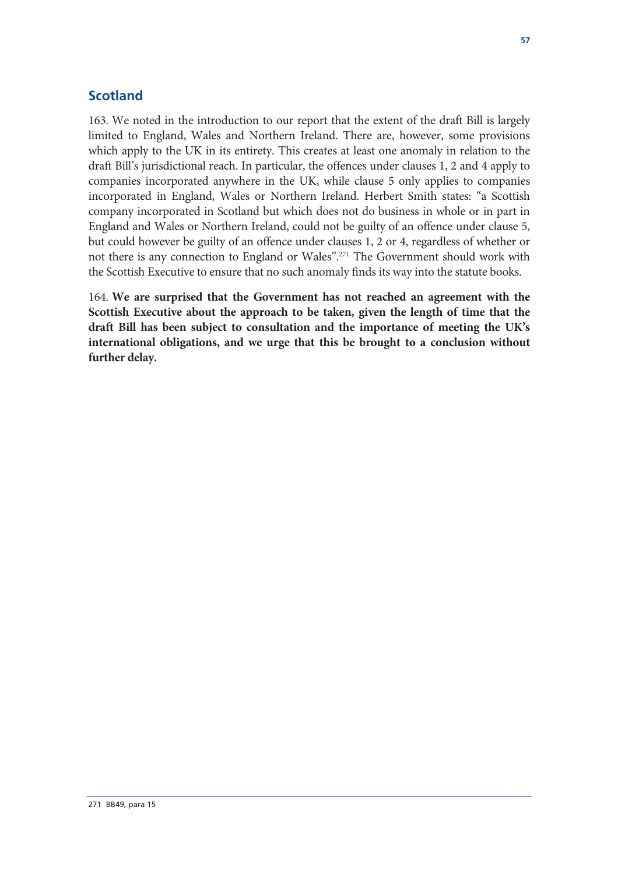### **Scotland**

163. We noted in the introduction to our report that the extent of the draft Bill is largely limited to England, Wales and Northern Ireland. There are, however, some provisions which apply to the UK in its entirety. This creates at least one anomaly in relation to the draft Bill's jurisdictional reach. In particular, the offences under clauses 1, 2 and 4 apply to companies incorporated anywhere in the UK, while clause 5 only applies to companies incorporated in England, Wales or Northern Ireland. Herbert Smith states: "a Scottish company incorporated in Scotland but which does not do business in whole or in part in England and Wales or Northern Ireland, could not be guilty of an offence under clause 5, but could however be guilty of an offence under clauses 1, 2 or 4, regardless of whether or not there is any connection to England or Wales".271 The Government should work with the Scottish Executive to ensure that no such anomaly finds its way into the statute books.

164. **We are surprised that the Government has not reached an agreement with the Scottish Executive about the approach to be taken, given the length of time that the draft Bill has been subject to consultation and the importance of meeting the UK's international obligations, and we urge that this be brought to a conclusion without further delay.**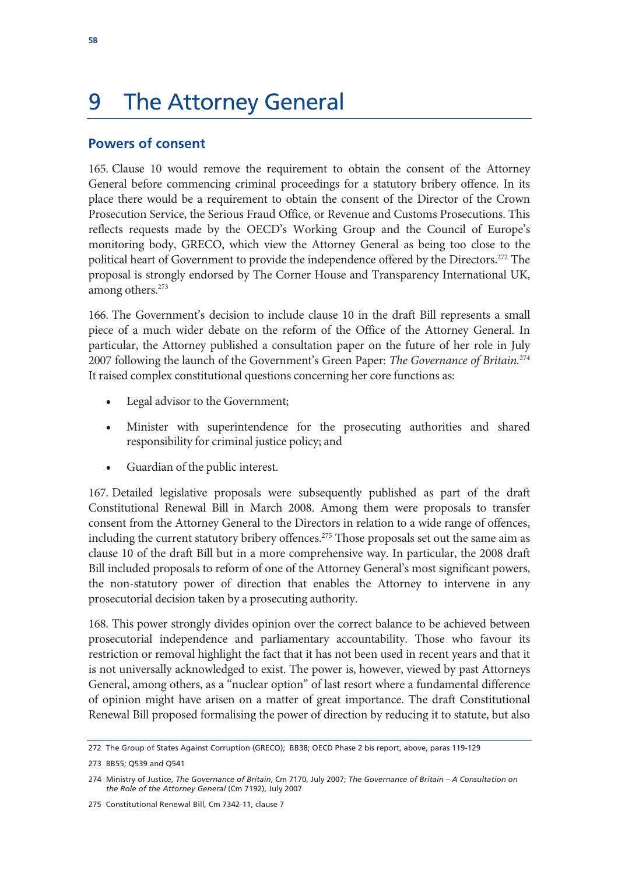## 9 The Attorney General

#### **Powers of consent**

165. Clause 10 would remove the requirement to obtain the consent of the Attorney General before commencing criminal proceedings for a statutory bribery offence. In its place there would be a requirement to obtain the consent of the Director of the Crown Prosecution Service, the Serious Fraud Office, or Revenue and Customs Prosecutions. This reflects requests made by the OECD's Working Group and the Council of Europe's monitoring body, GRECO, which view the Attorney General as being too close to the political heart of Government to provide the independence offered by the Directors.<sup>272</sup> The proposal is strongly endorsed by The Corner House and Transparency International UK, among others.<sup>273</sup>

166. The Government's decision to include clause 10 in the draft Bill represents a small piece of a much wider debate on the reform of the Office of the Attorney General. In particular, the Attorney published a consultation paper on the future of her role in July 2007 following the launch of the Government's Green Paper: *The Governance of Britain.*<sup>274</sup> It raised complex constitutional questions concerning her core functions as:

- Legal advisor to the Government;
- Minister with superintendence for the prosecuting authorities and shared responsibility for criminal justice policy; and
- Guardian of the public interest.

167. Detailed legislative proposals were subsequently published as part of the draft Constitutional Renewal Bill in March 2008. Among them were proposals to transfer consent from the Attorney General to the Directors in relation to a wide range of offences, including the current statutory bribery offences.<sup>275</sup> Those proposals set out the same aim as clause 10 of the draft Bill but in a more comprehensive way. In particular, the 2008 draft Bill included proposals to reform of one of the Attorney General's most significant powers, the non-statutory power of direction that enables the Attorney to intervene in any prosecutorial decision taken by a prosecuting authority.

168. This power strongly divides opinion over the correct balance to be achieved between prosecutorial independence and parliamentary accountability. Those who favour its restriction or removal highlight the fact that it has not been used in recent years and that it is not universally acknowledged to exist. The power is, however, viewed by past Attorneys General, among others, as a "nuclear option" of last resort where a fundamental difference of opinion might have arisen on a matter of great importance. The draft Constitutional Renewal Bill proposed formalising the power of direction by reducing it to statute, but also

<sup>272</sup> The Group of States Against Corruption (GRECO); BB38; OECD Phase 2 bis report, above, paras 119-129

<sup>273</sup> BB55; Q539 and Q541

<sup>274</sup> Ministry of Justice, *The Governance of Britain*, Cm 7170, July 2007; *The Governance of Britain – A Consultation on the Role of the Attorney General* (Cm 7192), July 2007

<sup>275</sup> Constitutional Renewal Bill, Cm 7342-11, clause 7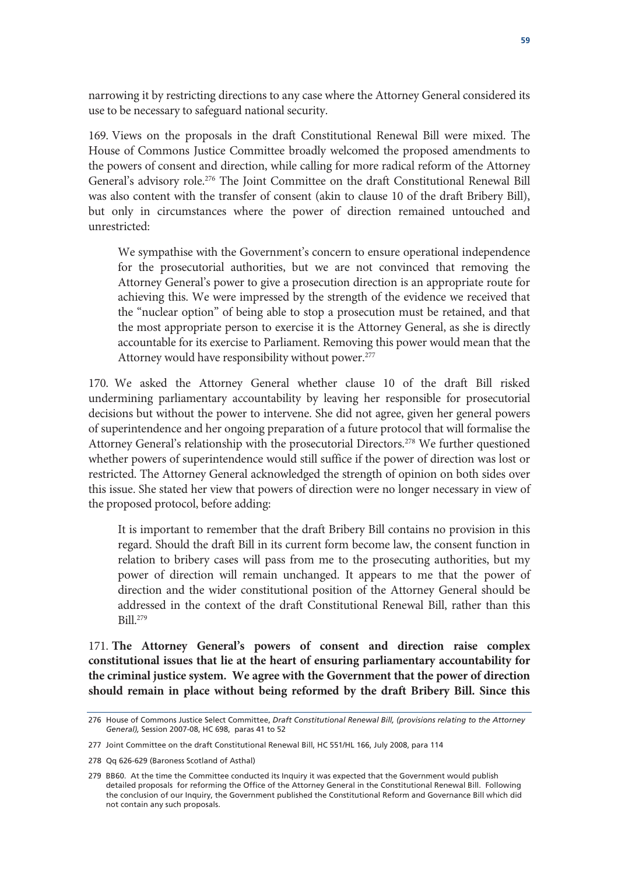narrowing it by restricting directions to any case where the Attorney General considered its use to be necessary to safeguard national security.

169. Views on the proposals in the draft Constitutional Renewal Bill were mixed. The House of Commons Justice Committee broadly welcomed the proposed amendments to the powers of consent and direction, while calling for more radical reform of the Attorney General's advisory role.276 The Joint Committee on the draft Constitutional Renewal Bill was also content with the transfer of consent (akin to clause 10 of the draft Bribery Bill), but only in circumstances where the power of direction remained untouched and unrestricted:

We sympathise with the Government's concern to ensure operational independence for the prosecutorial authorities, but we are not convinced that removing the Attorney General's power to give a prosecution direction is an appropriate route for achieving this. We were impressed by the strength of the evidence we received that the "nuclear option" of being able to stop a prosecution must be retained, and that the most appropriate person to exercise it is the Attorney General, as she is directly accountable for its exercise to Parliament. Removing this power would mean that the Attorney would have responsibility without power.<sup>277</sup>

170. We asked the Attorney General whether clause 10 of the draft Bill risked undermining parliamentary accountability by leaving her responsible for prosecutorial decisions but without the power to intervene. She did not agree, given her general powers of superintendence and her ongoing preparation of a future protocol that will formalise the Attorney General's relationship with the prosecutorial Directors.<sup>278</sup> We further questioned whether powers of superintendence would still suffice if the power of direction was lost or restricted. The Attorney General acknowledged the strength of opinion on both sides over this issue. She stated her view that powers of direction were no longer necessary in view of the proposed protocol, before adding:

It is important to remember that the draft Bribery Bill contains no provision in this regard. Should the draft Bill in its current form become law, the consent function in relation to bribery cases will pass from me to the prosecuting authorities, but my power of direction will remain unchanged. It appears to me that the power of direction and the wider constitutional position of the Attorney General should be addressed in the context of the draft Constitutional Renewal Bill, rather than this Bill.279

171. **The Attorney General's powers of consent and direction raise complex constitutional issues that lie at the heart of ensuring parliamentary accountability for the criminal justice system. We agree with the Government that the power of direction should remain in place without being reformed by the draft Bribery Bill. Since this** 

<sup>276</sup> House of Commons Justice Select Committee, *Draft Constitutional Renewal Bill, (provisions relating to the Attorney General),* Session 2007-08, HC 698, paras 41 to 52

<sup>277</sup> Joint Committee on the draft Constitutional Renewal Bill, HC 551/HL 166, July 2008, para 114

<sup>278</sup> Qq 626-629 (Baroness Scotland of Asthal)

<sup>279</sup> BB60. At the time the Committee conducted its Inquiry it was expected that the Government would publish detailed proposals for reforming the Office of the Attorney General in the Constitutional Renewal Bill. Following the conclusion of our Inquiry, the Government published the Constitutional Reform and Governance Bill which did not contain any such proposals.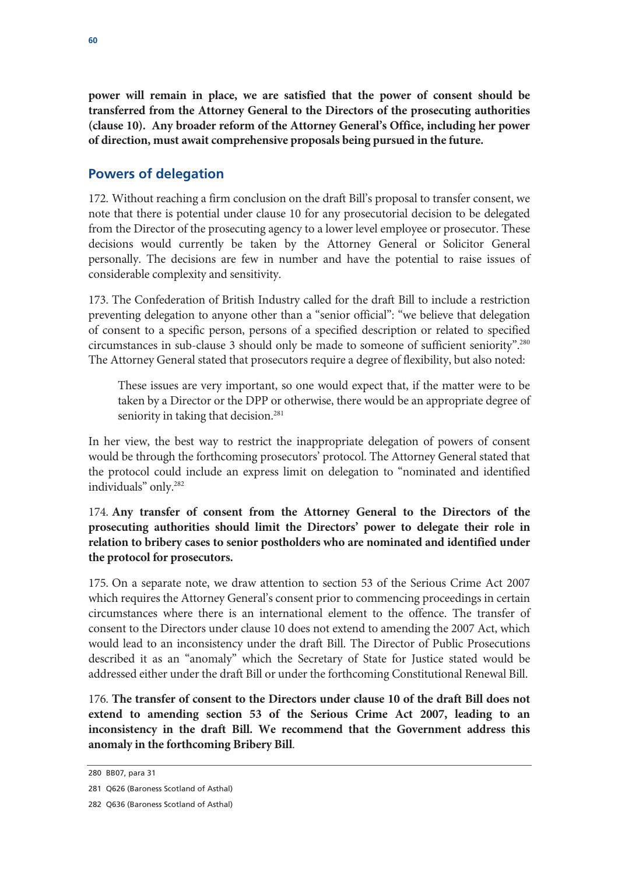**power will remain in place, we are satisfied that the power of consent should be transferred from the Attorney General to the Directors of the prosecuting authorities (clause 10). Any broader reform of the Attorney General's Office, including her power of direction, must await comprehensive proposals being pursued in the future.** 

### **Powers of delegation**

172. Without reaching a firm conclusion on the draft Bill's proposal to transfer consent, we note that there is potential under clause 10 for any prosecutorial decision to be delegated from the Director of the prosecuting agency to a lower level employee or prosecutor. These decisions would currently be taken by the Attorney General or Solicitor General personally. The decisions are few in number and have the potential to raise issues of considerable complexity and sensitivity.

173. The Confederation of British Industry called for the draft Bill to include a restriction preventing delegation to anyone other than a "senior official": "we believe that delegation of consent to a specific person, persons of a specified description or related to specified circumstances in sub-clause 3 should only be made to someone of sufficient seniority".280 The Attorney General stated that prosecutors require a degree of flexibility, but also noted:

These issues are very important, so one would expect that, if the matter were to be taken by a Director or the DPP or otherwise, there would be an appropriate degree of seniority in taking that decision.<sup>281</sup>

In her view, the best way to restrict the inappropriate delegation of powers of consent would be through the forthcoming prosecutors' protocol. The Attorney General stated that the protocol could include an express limit on delegation to "nominated and identified individuals" only.282

174. **Any transfer of consent from the Attorney General to the Directors of the prosecuting authorities should limit the Directors' power to delegate their role in relation to bribery cases to senior postholders who are nominated and identified under the protocol for prosecutors.** 

175. On a separate note, we draw attention to section 53 of the Serious Crime Act 2007 which requires the Attorney General's consent prior to commencing proceedings in certain circumstances where there is an international element to the offence. The transfer of consent to the Directors under clause 10 does not extend to amending the 2007 Act, which would lead to an inconsistency under the draft Bill. The Director of Public Prosecutions described it as an "anomaly" which the Secretary of State for Justice stated would be addressed either under the draft Bill or under the forthcoming Constitutional Renewal Bill.

176. **The transfer of consent to the Directors under clause 10 of the draft Bill does not extend to amending section 53 of the Serious Crime Act 2007, leading to an inconsistency in the draft Bill. We recommend that the Government address this anomaly in the forthcoming Bribery Bill**.

<sup>280</sup> BB07, para 31

<sup>281</sup> Q626 (Baroness Scotland of Asthal)

<sup>282</sup> Q636 (Baroness Scotland of Asthal)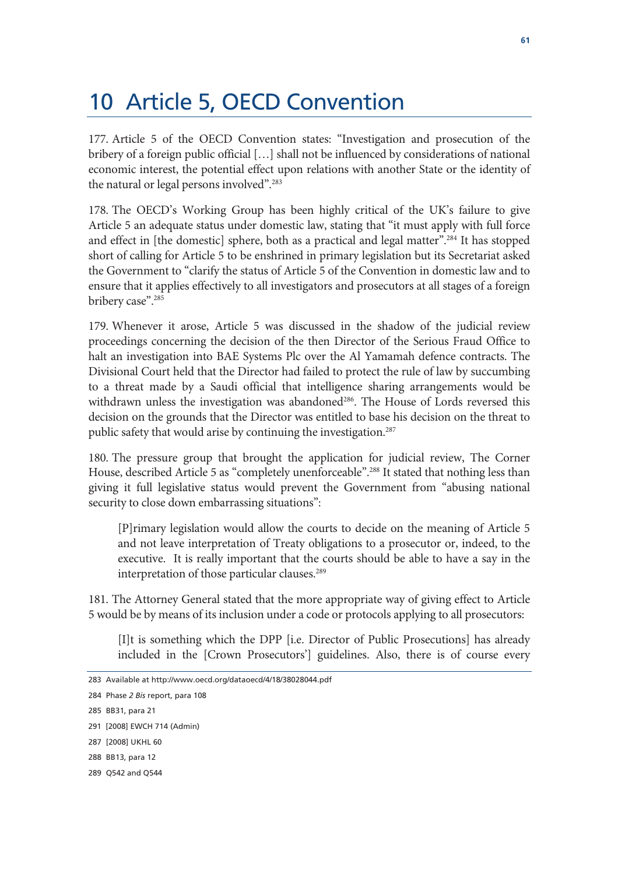# 10 Article 5, OECD Convention

177. Article 5 of the OECD Convention states: "Investigation and prosecution of the bribery of a foreign public official […] shall not be influenced by considerations of national economic interest, the potential effect upon relations with another State or the identity of the natural or legal persons involved".<sup>283</sup>

178. The OECD's Working Group has been highly critical of the UK's failure to give Article 5 an adequate status under domestic law, stating that "it must apply with full force and effect in [the domestic] sphere, both as a practical and legal matter".<sup>284</sup> It has stopped short of calling for Article 5 to be enshrined in primary legislation but its Secretariat asked the Government to "clarify the status of Article 5 of the Convention in domestic law and to ensure that it applies effectively to all investigators and prosecutors at all stages of a foreign bribery case".<sup>285</sup>

179. Whenever it arose, Article 5 was discussed in the shadow of the judicial review proceedings concerning the decision of the then Director of the Serious Fraud Office to halt an investigation into BAE Systems Plc over the Al Yamamah defence contracts. The Divisional Court held that the Director had failed to protect the rule of law by succumbing to a threat made by a Saudi official that intelligence sharing arrangements would be withdrawn unless the investigation was abandoned<sup>286</sup>. The House of Lords reversed this decision on the grounds that the Director was entitled to base his decision on the threat to public safety that would arise by continuing the investigation.<sup>287</sup>

180. The pressure group that brought the application for judicial review, The Corner House, described Article 5 as "completely unenforceable".<sup>288</sup> It stated that nothing less than giving it full legislative status would prevent the Government from "abusing national security to close down embarrassing situations":

[P]rimary legislation would allow the courts to decide on the meaning of Article 5 and not leave interpretation of Treaty obligations to a prosecutor or, indeed, to the executive. It is really important that the courts should be able to have a say in the interpretation of those particular clauses.<sup>289</sup>

181. The Attorney General stated that the more appropriate way of giving effect to Article 5 would be by means of its inclusion under a code or protocols applying to all prosecutors:

[I]t is something which the DPP [i.e. Director of Public Prosecutions] has already included in the [Crown Prosecutors'] guidelines. Also, there is of course every

<sup>283</sup> Available at http://www.oecd.org/dataoecd/4/18/38028044.pdf

<sup>284</sup> Phase *2 Bis* report, para 108

<sup>285</sup> BB31, para 21

<sup>291 [2008]</sup> EWCH 714 (Admin)

<sup>287 [2008]</sup> UKHL 60

<sup>288</sup> BB13, para 12

<sup>289</sup> Q542 and Q544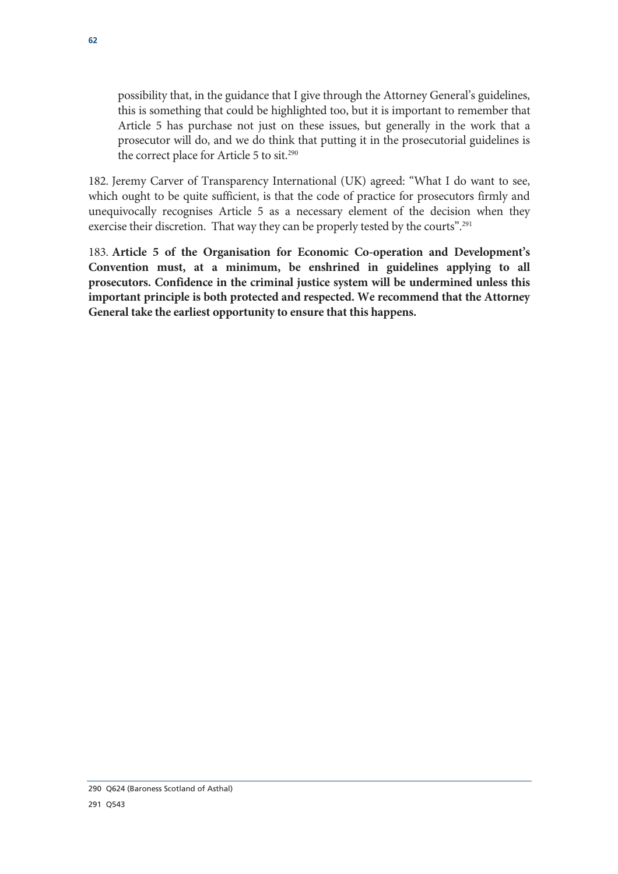possibility that, in the guidance that I give through the Attorney General's guidelines, this is something that could be highlighted too, but it is important to remember that Article 5 has purchase not just on these issues, but generally in the work that a prosecutor will do, and we do think that putting it in the prosecutorial guidelines is the correct place for Article 5 to sit.<sup>290</sup>

182. Jeremy Carver of Transparency International (UK) agreed: "What I do want to see, which ought to be quite sufficient, is that the code of practice for prosecutors firmly and unequivocally recognises Article 5 as a necessary element of the decision when they exercise their discretion. That way they can be properly tested by the courts".291

183. **Article 5 of the Organisation for Economic Co-operation and Development's Convention must, at a minimum, be enshrined in guidelines applying to all prosecutors. Confidence in the criminal justice system will be undermined unless this important principle is both protected and respected. We recommend that the Attorney General take the earliest opportunity to ensure that this happens.**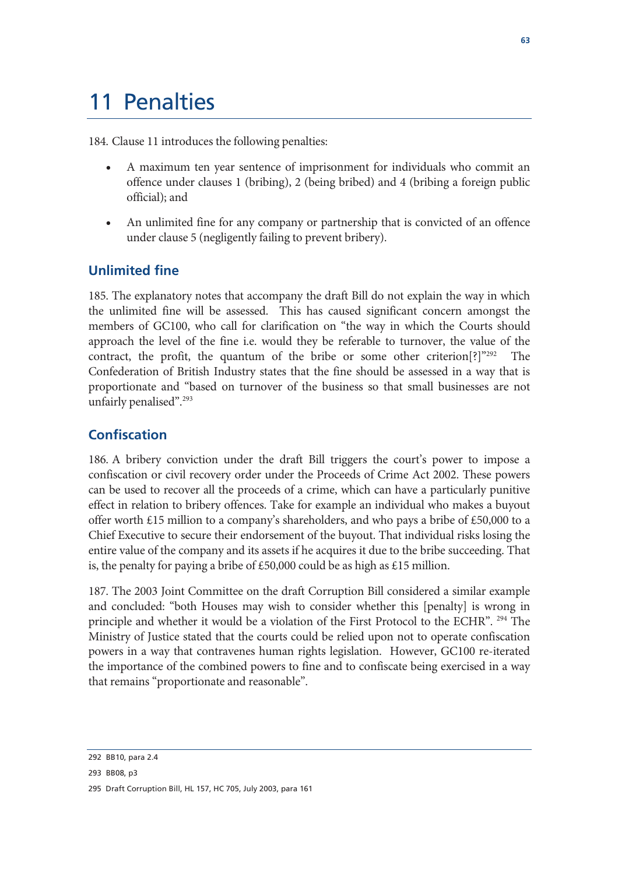## 11 Penalties

184. Clause 11 introduces the following penalties:

- A maximum ten year sentence of imprisonment for individuals who commit an offence under clauses 1 (bribing), 2 (being bribed) and 4 (bribing a foreign public official); and
- An unlimited fine for any company or partnership that is convicted of an offence under clause 5 (negligently failing to prevent bribery).

### **Unlimited fine**

185. The explanatory notes that accompany the draft Bill do not explain the way in which the unlimited fine will be assessed. This has caused significant concern amongst the members of GC100, who call for clarification on "the way in which the Courts should approach the level of the fine i.e. would they be referable to turnover, the value of the contract, the profit, the quantum of the bribe or some other criterion<sup>[?]"292</sup> The Confederation of British Industry states that the fine should be assessed in a way that is proportionate and "based on turnover of the business so that small businesses are not unfairly penalised".293

#### **Confiscation**

186. A bribery conviction under the draft Bill triggers the court's power to impose a confiscation or civil recovery order under the Proceeds of Crime Act 2002. These powers can be used to recover all the proceeds of a crime, which can have a particularly punitive effect in relation to bribery offences. Take for example an individual who makes a buyout offer worth £15 million to a company's shareholders, and who pays a bribe of £50,000 to a Chief Executive to secure their endorsement of the buyout. That individual risks losing the entire value of the company and its assets if he acquires it due to the bribe succeeding. That is, the penalty for paying a bribe of £50,000 could be as high as £15 million.

187. The 2003 Joint Committee on the draft Corruption Bill considered a similar example and concluded: "both Houses may wish to consider whether this [penalty] is wrong in principle and whether it would be a violation of the First Protocol to the ECHR". 294 The Ministry of Justice stated that the courts could be relied upon not to operate confiscation powers in a way that contravenes human rights legislation. However, GC100 re-iterated the importance of the combined powers to fine and to confiscate being exercised in a way that remains "proportionate and reasonable".

<sup>292</sup> BB10, para 2.4

<sup>293</sup> BB08, p3

<sup>295</sup> Draft Corruption Bill, HL 157, HC 705, July 2003, para 161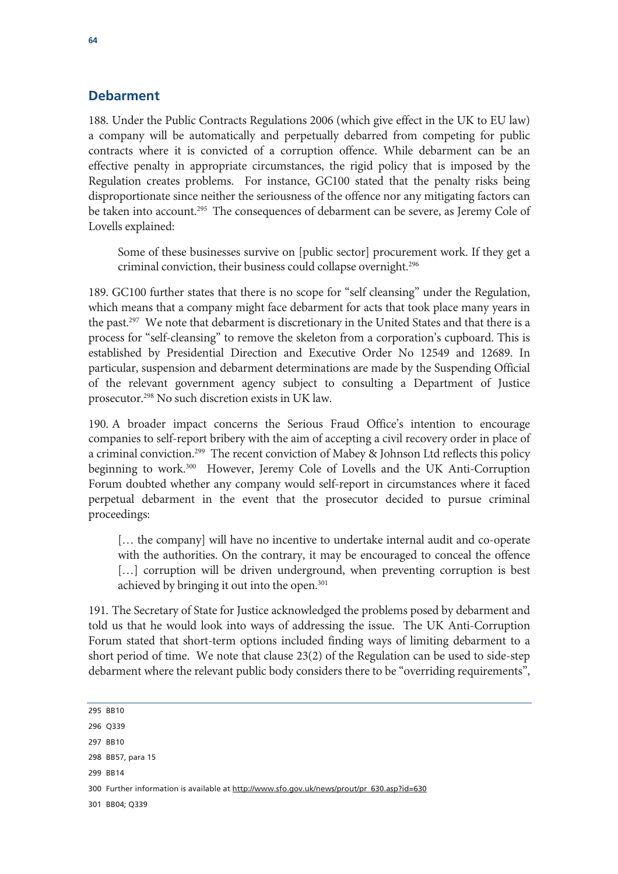#### **Debarment**

188. Under the Public Contracts Regulations 2006 (which give effect in the UK to EU law) a company will be automatically and perpetually debarred from competing for public contracts where it is convicted of a corruption offence. While debarment can be an effective penalty in appropriate circumstances, the rigid policy that is imposed by the Regulation creates problems. For instance, GC100 stated that the penalty risks being disproportionate since neither the seriousness of the offence nor any mitigating factors can be taken into account.<sup>295</sup> The consequences of debarment can be severe, as Jeremy Cole of Lovells explained:

Some of these businesses survive on [public sector] procurement work. If they get a criminal conviction, their business could collapse overnight.296

189. GC100 further states that there is no scope for "self cleansing" under the Regulation, which means that a company might face debarment for acts that took place many years in the past.<sup>297</sup> We note that debarment is discretionary in the United States and that there is a process for "self-cleansing" to remove the skeleton from a corporation's cupboard. This is established by Presidential Direction and Executive Order No 12549 and 12689. In particular, suspension and debarment determinations are made by the Suspending Official of the relevant government agency subject to consulting a Department of Justice prosecutor.298 No such discretion exists in UK law.

190. A broader impact concerns the Serious Fraud Office's intention to encourage companies to self-report bribery with the aim of accepting a civil recovery order in place of a criminal conviction.<sup>299</sup> The recent conviction of Mabey & Johnson Ltd reflects this policy beginning to work.<sup>300</sup> However, Jeremy Cole of Lovells and the UK Anti-Corruption Forum doubted whether any company would self-report in circumstances where it faced perpetual debarment in the event that the prosecutor decided to pursue criminal proceedings:

[… the company] will have no incentive to undertake internal audit and co-operate with the authorities. On the contrary, it may be encouraged to conceal the offence […] corruption will be driven underground, when preventing corruption is best achieved by bringing it out into the open.<sup>301</sup>

191. The Secretary of State for Justice acknowledged the problems posed by debarment and told us that he would look into ways of addressing the issue. The UK Anti-Corruption Forum stated that short-term options included finding ways of limiting debarment to a short period of time. We note that clause 23(2) of the Regulation can be used to side-step debarment where the relevant public body considers there to be "overriding requirements",

299 BB14

301 BB04; Q339

<sup>295</sup> BB10

<sup>296</sup> Q339

<sup>297</sup> BB10

<sup>298</sup> BB57, para 15

<sup>300</sup> Further information is available at http://www.sfo.gov.uk/news/prout/pr\_630.asp?id=630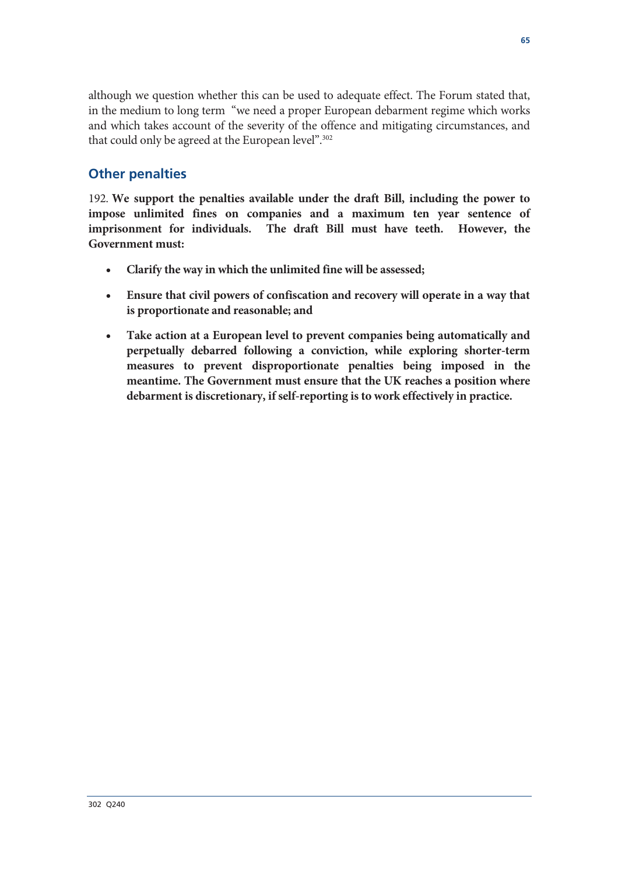although we question whether this can be used to adequate effect. The Forum stated that, in the medium to long term "we need a proper European debarment regime which works and which takes account of the severity of the offence and mitigating circumstances, and that could only be agreed at the European level".<sup>302</sup>

## **Other penalties**

192. **We support the penalties available under the draft Bill, including the power to impose unlimited fines on companies and a maximum ten year sentence of imprisonment for individuals. The draft Bill must have teeth. However, the Government must:** 

- **Clarify the way in which the unlimited fine will be assessed;**
- **Ensure that civil powers of confiscation and recovery will operate in a way that is proportionate and reasonable; and**
- **Take action at a European level to prevent companies being automatically and perpetually debarred following a conviction, while exploring shorter-term measures to prevent disproportionate penalties being imposed in the meantime. The Government must ensure that the UK reaches a position where debarment is discretionary, if self-reporting is to work effectively in practice.**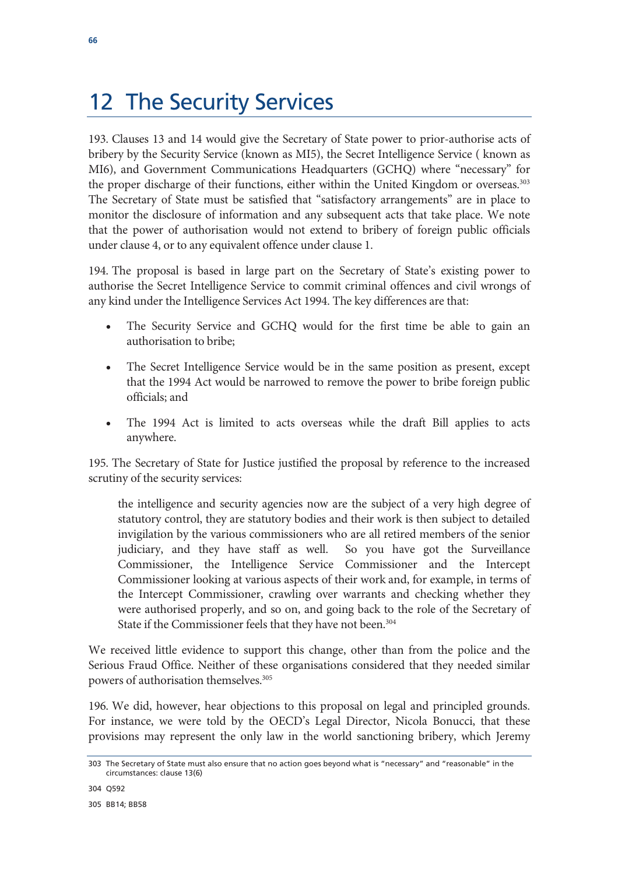## 12 The Security Services

193. Clauses 13 and 14 would give the Secretary of State power to prior-authorise acts of bribery by the Security Service (known as MI5), the Secret Intelligence Service ( known as MI6), and Government Communications Headquarters (GCHQ) where "necessary" for the proper discharge of their functions, either within the United Kingdom or overseas.<sup>303</sup> The Secretary of State must be satisfied that "satisfactory arrangements" are in place to monitor the disclosure of information and any subsequent acts that take place. We note that the power of authorisation would not extend to bribery of foreign public officials under clause 4, or to any equivalent offence under clause 1.

194. The proposal is based in large part on the Secretary of State's existing power to authorise the Secret Intelligence Service to commit criminal offences and civil wrongs of any kind under the Intelligence Services Act 1994. The key differences are that:

- The Security Service and GCHQ would for the first time be able to gain an authorisation to bribe;
- The Secret Intelligence Service would be in the same position as present, except that the 1994 Act would be narrowed to remove the power to bribe foreign public officials; and
- The 1994 Act is limited to acts overseas while the draft Bill applies to acts anywhere.

195. The Secretary of State for Justice justified the proposal by reference to the increased scrutiny of the security services:

the intelligence and security agencies now are the subject of a very high degree of statutory control, they are statutory bodies and their work is then subject to detailed invigilation by the various commissioners who are all retired members of the senior judiciary, and they have staff as well. So you have got the Surveillance Commissioner, the Intelligence Service Commissioner and the Intercept Commissioner looking at various aspects of their work and, for example, in terms of the Intercept Commissioner, crawling over warrants and checking whether they were authorised properly, and so on, and going back to the role of the Secretary of State if the Commissioner feels that they have not been.<sup>304</sup>

We received little evidence to support this change, other than from the police and the Serious Fraud Office. Neither of these organisations considered that they needed similar powers of authorisation themselves.305

196. We did, however, hear objections to this proposal on legal and principled grounds. For instance, we were told by the OECD's Legal Director, Nicola Bonucci, that these provisions may represent the only law in the world sanctioning bribery, which Jeremy

304 Q592 305 BB14; BB58

<sup>303</sup> The Secretary of State must also ensure that no action goes beyond what is "necessary" and "reasonable" in the circumstances: clause 13(6)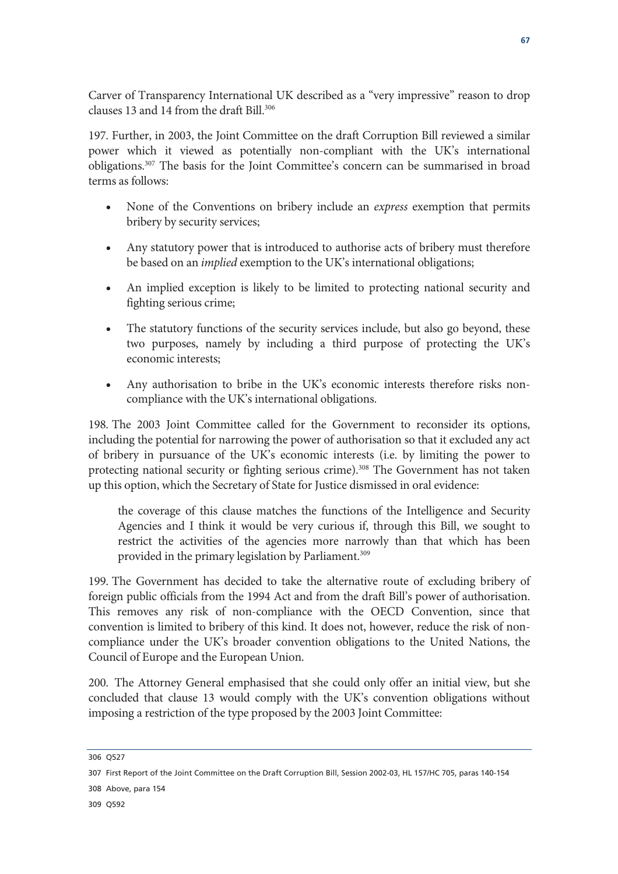Carver of Transparency International UK described as a "very impressive" reason to drop clauses 13 and 14 from the draft Bill.306

197. Further, in 2003, the Joint Committee on the draft Corruption Bill reviewed a similar power which it viewed as potentially non-compliant with the UK's international obligations.307 The basis for the Joint Committee's concern can be summarised in broad terms as follows:

- None of the Conventions on bribery include an *express* exemption that permits bribery by security services;
- Any statutory power that is introduced to authorise acts of bribery must therefore be based on an *implied* exemption to the UK's international obligations;
- An implied exception is likely to be limited to protecting national security and fighting serious crime;
- The statutory functions of the security services include, but also go beyond, these two purposes, namely by including a third purpose of protecting the UK's economic interests;
- Any authorisation to bribe in the UK's economic interests therefore risks noncompliance with the UK's international obligations.

198. The 2003 Joint Committee called for the Government to reconsider its options, including the potential for narrowing the power of authorisation so that it excluded any act of bribery in pursuance of the UK's economic interests (i.e. by limiting the power to protecting national security or fighting serious crime).<sup>308</sup> The Government has not taken up this option, which the Secretary of State for Justice dismissed in oral evidence:

the coverage of this clause matches the functions of the Intelligence and Security Agencies and I think it would be very curious if, through this Bill, we sought to restrict the activities of the agencies more narrowly than that which has been provided in the primary legislation by Parliament.<sup>309</sup>

199. The Government has decided to take the alternative route of excluding bribery of foreign public officials from the 1994 Act and from the draft Bill's power of authorisation. This removes any risk of non-compliance with the OECD Convention, since that convention is limited to bribery of this kind. It does not, however, reduce the risk of noncompliance under the UK's broader convention obligations to the United Nations, the Council of Europe and the European Union.

200. The Attorney General emphasised that she could only offer an initial view, but she concluded that clause 13 would comply with the UK's convention obligations without imposing a restriction of the type proposed by the 2003 Joint Committee:

<sup>306</sup> Q527

<sup>307</sup> First Report of the Joint Committee on the Draft Corruption Bill, Session 2002-03, HL 157/HC 705, paras 140-154

<sup>308</sup> Above, para 154

<sup>309</sup> Q592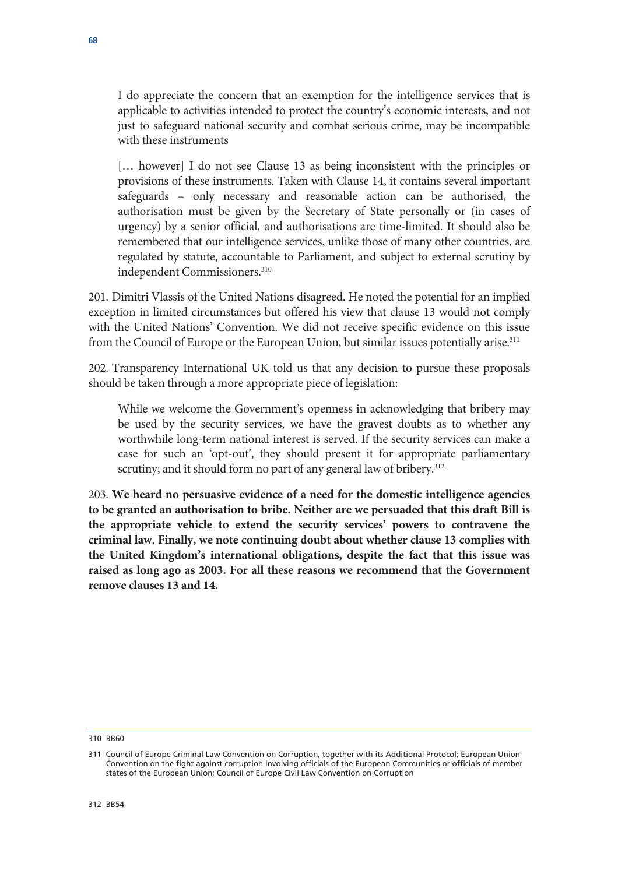I do appreciate the concern that an exemption for the intelligence services that is applicable to activities intended to protect the country's economic interests, and not just to safeguard national security and combat serious crime, may be incompatible with these instruments

[... however] I do not see Clause 13 as being inconsistent with the principles or provisions of these instruments. Taken with Clause 14, it contains several important safeguards – only necessary and reasonable action can be authorised, the authorisation must be given by the Secretary of State personally or (in cases of urgency) by a senior official, and authorisations are time-limited. It should also be remembered that our intelligence services, unlike those of many other countries, are regulated by statute, accountable to Parliament, and subject to external scrutiny by independent Commissioners.<sup>310</sup>

201. Dimitri Vlassis of the United Nations disagreed. He noted the potential for an implied exception in limited circumstances but offered his view that clause 13 would not comply with the United Nations' Convention. We did not receive specific evidence on this issue from the Council of Europe or the European Union, but similar issues potentially arise.<sup>311</sup>

202. Transparency International UK told us that any decision to pursue these proposals should be taken through a more appropriate piece of legislation:

While we welcome the Government's openness in acknowledging that bribery may be used by the security services, we have the gravest doubts as to whether any worthwhile long-term national interest is served. If the security services can make a case for such an 'opt-out', they should present it for appropriate parliamentary scrutiny; and it should form no part of any general law of bribery.<sup>312</sup>

203. **We heard no persuasive evidence of a need for the domestic intelligence agencies to be granted an authorisation to bribe. Neither are we persuaded that this draft Bill is the appropriate vehicle to extend the security services' powers to contravene the criminal law. Finally, we note continuing doubt about whether clause 13 complies with the United Kingdom's international obligations, despite the fact that this issue was raised as long ago as 2003. For all these reasons we recommend that the Government remove clauses 13 and 14.**

<sup>310</sup> BB60

<sup>311</sup> Council of Europe Criminal Law Convention on Corruption, together with its Additional Protocol; European Union Convention on the fight against corruption involving officials of the European Communities or officials of member states of the European Union; Council of Europe Civil Law Convention on Corruption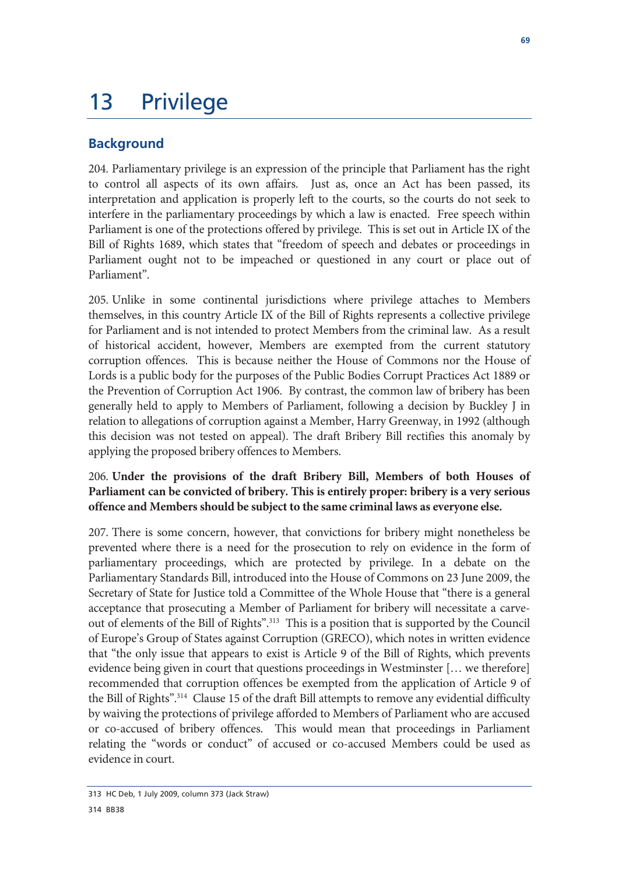# 13 Privilege

## **Background**

204. Parliamentary privilege is an expression of the principle that Parliament has the right to control all aspects of its own affairs. Just as, once an Act has been passed, its interpretation and application is properly left to the courts, so the courts do not seek to interfere in the parliamentary proceedings by which a law is enacted. Free speech within Parliament is one of the protections offered by privilege. This is set out in Article IX of the Bill of Rights 1689, which states that "freedom of speech and debates or proceedings in Parliament ought not to be impeached or questioned in any court or place out of Parliament".

205. Unlike in some continental jurisdictions where privilege attaches to Members themselves, in this country Article IX of the Bill of Rights represents a collective privilege for Parliament and is not intended to protect Members from the criminal law. As a result of historical accident, however, Members are exempted from the current statutory corruption offences. This is because neither the House of Commons nor the House of Lords is a public body for the purposes of the Public Bodies Corrupt Practices Act 1889 or the Prevention of Corruption Act 1906. By contrast, the common law of bribery has been generally held to apply to Members of Parliament, following a decision by Buckley J in relation to allegations of corruption against a Member, Harry Greenway, in 1992 (although this decision was not tested on appeal). The draft Bribery Bill rectifies this anomaly by applying the proposed bribery offences to Members.

### 206. **Under the provisions of the draft Bribery Bill, Members of both Houses of Parliament can be convicted of bribery. This is entirely proper: bribery is a very serious offence and Members should be subject to the same criminal laws as everyone else.**

207. There is some concern, however, that convictions for bribery might nonetheless be prevented where there is a need for the prosecution to rely on evidence in the form of parliamentary proceedings, which are protected by privilege. In a debate on the Parliamentary Standards Bill, introduced into the House of Commons on 23 June 2009, the Secretary of State for Justice told a Committee of the Whole House that "there is a general acceptance that prosecuting a Member of Parliament for bribery will necessitate a carveout of elements of the Bill of Rights".<sup>313</sup> This is a position that is supported by the Council of Europe's Group of States against Corruption (GRECO), which notes in written evidence that "the only issue that appears to exist is Article 9 of the Bill of Rights, which prevents evidence being given in court that questions proceedings in Westminster [… we therefore] recommended that corruption offences be exempted from the application of Article 9 of the Bill of Rights".<sup>314</sup> Clause 15 of the draft Bill attempts to remove any evidential difficulty by waiving the protections of privilege afforded to Members of Parliament who are accused or co-accused of bribery offences. This would mean that proceedings in Parliament relating the "words or conduct" of accused or co-accused Members could be used as evidence in court.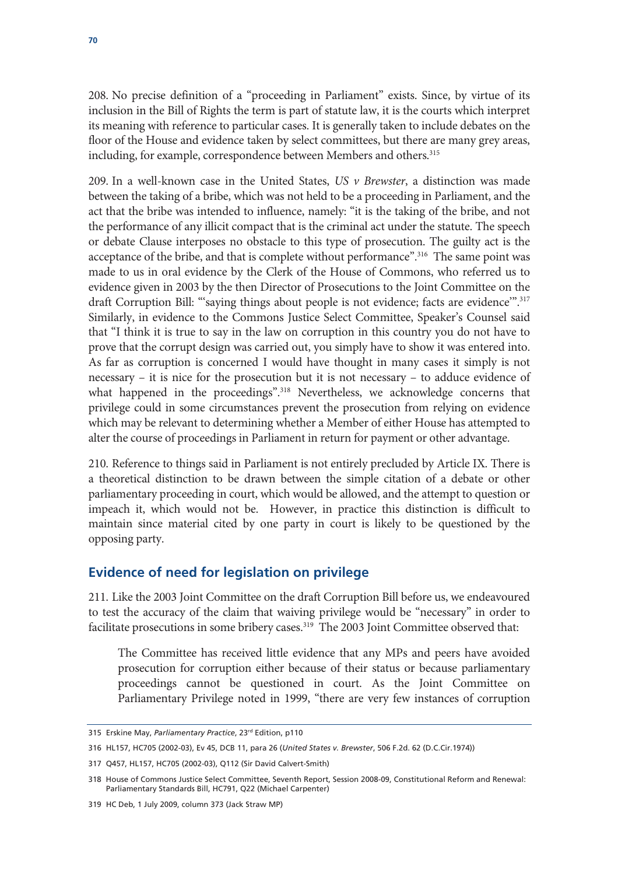208. No precise definition of a "proceeding in Parliament" exists. Since, by virtue of its inclusion in the Bill of Rights the term is part of statute law, it is the courts which interpret its meaning with reference to particular cases. It is generally taken to include debates on the floor of the House and evidence taken by select committees, but there are many grey areas, including, for example, correspondence between Members and others.<sup>315</sup>

209. In a well-known case in the United States, *US v Brewster*, a distinction was made between the taking of a bribe, which was not held to be a proceeding in Parliament, and the act that the bribe was intended to influence, namely: "it is the taking of the bribe, and not the performance of any illicit compact that is the criminal act under the statute. The speech or debate Clause interposes no obstacle to this type of prosecution. The guilty act is the acceptance of the bribe, and that is complete without performance".<sup>316</sup> The same point was made to us in oral evidence by the Clerk of the House of Commons, who referred us to evidence given in 2003 by the then Director of Prosecutions to the Joint Committee on the draft Corruption Bill: "'saying things about people is not evidence; facts are evidence".<sup>317</sup> Similarly, in evidence to the Commons Justice Select Committee, Speaker's Counsel said that "I think it is true to say in the law on corruption in this country you do not have to prove that the corrupt design was carried out, you simply have to show it was entered into. As far as corruption is concerned I would have thought in many cases it simply is not necessary – it is nice for the prosecution but it is not necessary – to adduce evidence of what happened in the proceedings".<sup>318</sup> Nevertheless, we acknowledge concerns that privilege could in some circumstances prevent the prosecution from relying on evidence which may be relevant to determining whether a Member of either House has attempted to alter the course of proceedings in Parliament in return for payment or other advantage.

210. Reference to things said in Parliament is not entirely precluded by Article IX. There is a theoretical distinction to be drawn between the simple citation of a debate or other parliamentary proceeding in court, which would be allowed, and the attempt to question or impeach it, which would not be. However, in practice this distinction is difficult to maintain since material cited by one party in court is likely to be questioned by the opposing party.

## **Evidence of need for legislation on privilege**

211. Like the 2003 Joint Committee on the draft Corruption Bill before us, we endeavoured to test the accuracy of the claim that waiving privilege would be "necessary" in order to facilitate prosecutions in some bribery cases.<sup>319</sup> The 2003 Joint Committee observed that:

The Committee has received little evidence that any MPs and peers have avoided prosecution for corruption either because of their status or because parliamentary proceedings cannot be questioned in court. As the Joint Committee on Parliamentary Privilege noted in 1999, "there are very few instances of corruption

<sup>315</sup> Erskine May, *Parliamentary Practice*, 23rd Edition, p110

<sup>316</sup> HL157, HC705 (2002-03), Ev 45, DCB 11, para 26 (*United States v. Brewster*, 506 F.2d. 62 (D.C.Cir.1974))

<sup>317</sup> Q457, HL157, HC705 (2002-03), Q112 (Sir David Calvert-Smith)

<sup>318</sup> House of Commons Justice Select Committee, Seventh Report, Session 2008-09, Constitutional Reform and Renewal: Parliamentary Standards Bill, HC791, Q22 (Michael Carpenter)

<sup>319</sup> HC Deb, 1 July 2009, column 373 (Jack Straw MP)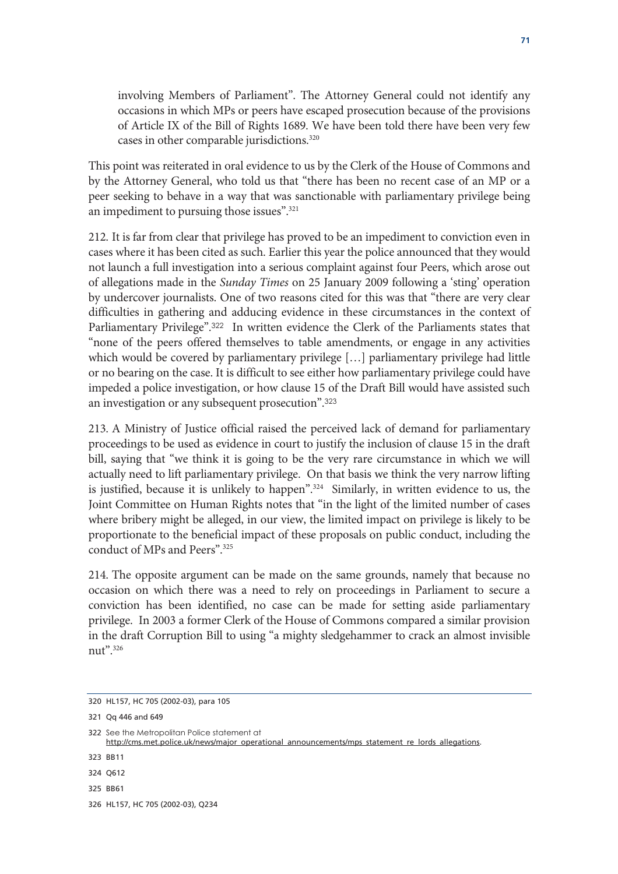involving Members of Parliament". The Attorney General could not identify any occasions in which MPs or peers have escaped prosecution because of the provisions of Article IX of the Bill of Rights 1689. We have been told there have been very few cases in other comparable jurisdictions.320

This point was reiterated in oral evidence to us by the Clerk of the House of Commons and by the Attorney General, who told us that "there has been no recent case of an MP or a peer seeking to behave in a way that was sanctionable with parliamentary privilege being an impediment to pursuing those issues".<sup>321</sup>

212. It is far from clear that privilege has proved to be an impediment to conviction even in cases where it has been cited as such. Earlier this year the police announced that they would not launch a full investigation into a serious complaint against four Peers, which arose out of allegations made in the *Sunday Times* on 25 January 2009 following a 'sting' operation by undercover journalists. One of two reasons cited for this was that "there are very clear difficulties in gathering and adducing evidence in these circumstances in the context of Parliamentary Privilege".322 In written evidence the Clerk of the Parliaments states that "none of the peers offered themselves to table amendments, or engage in any activities which would be covered by parliamentary privilege [...] parliamentary privilege had little or no bearing on the case. It is difficult to see either how parliamentary privilege could have impeded a police investigation, or how clause 15 of the Draft Bill would have assisted such an investigation or any subsequent prosecution".<sup>323</sup>

213. A Ministry of Justice official raised the perceived lack of demand for parliamentary proceedings to be used as evidence in court to justify the inclusion of clause 15 in the draft bill, saying that "we think it is going to be the very rare circumstance in which we will actually need to lift parliamentary privilege. On that basis we think the very narrow lifting is justified, because it is unlikely to happen".<sup>324</sup> Similarly, in written evidence to us, the Joint Committee on Human Rights notes that "in the light of the limited number of cases where bribery might be alleged, in our view, the limited impact on privilege is likely to be proportionate to the beneficial impact of these proposals on public conduct, including the conduct of MPs and Peers".325

214. The opposite argument can be made on the same grounds, namely that because no occasion on which there was a need to rely on proceedings in Parliament to secure a conviction has been identified, no case can be made for setting aside parliamentary privilege. In 2003 a former Clerk of the House of Commons compared a similar provision in the draft Corruption Bill to using "a mighty sledgehammer to crack an almost invisible nut".326

322 See the Metropolitan Police statement at

323 BB11

325 BB61

<sup>320</sup> HL157, HC 705 (2002-03), para 105

<sup>321</sup> Qq 446 and 649

http://cms.met.police.uk/news/major\_operational\_announcements/mps\_statement\_re\_lords\_allegations.

<sup>324</sup> Q612

<sup>326</sup> HL157, HC 705 (2002-03), Q234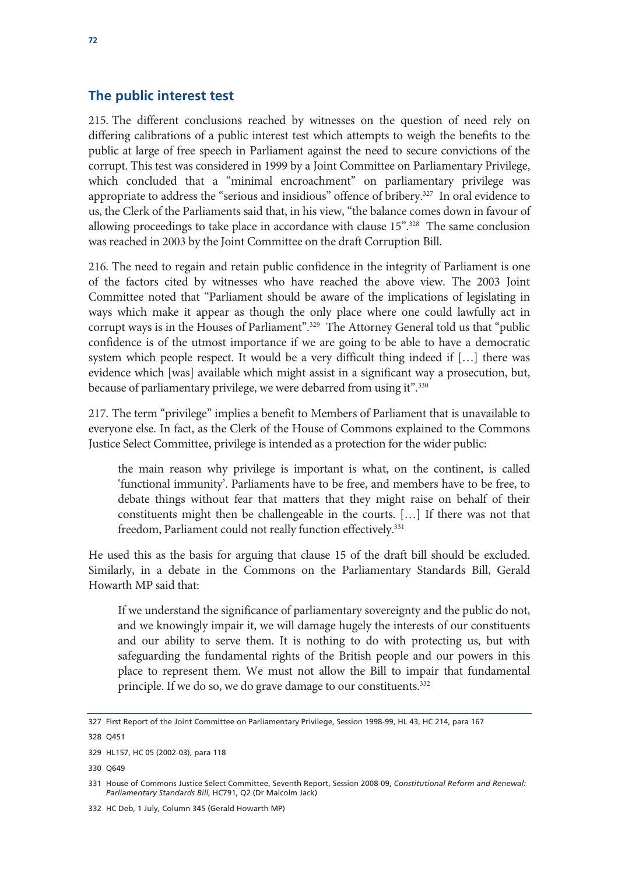#### **The public interest test**

215. The different conclusions reached by witnesses on the question of need rely on differing calibrations of a public interest test which attempts to weigh the benefits to the public at large of free speech in Parliament against the need to secure convictions of the corrupt. This test was considered in 1999 by a Joint Committee on Parliamentary Privilege, which concluded that a "minimal encroachment" on parliamentary privilege was appropriate to address the "serious and insidious" offence of bribery.<sup>327</sup> In oral evidence to us, the Clerk of the Parliaments said that, in his view, "the balance comes down in favour of allowing proceedings to take place in accordance with clause  $15$ ".<sup>328</sup> The same conclusion was reached in 2003 by the Joint Committee on the draft Corruption Bill.

216. The need to regain and retain public confidence in the integrity of Parliament is one of the factors cited by witnesses who have reached the above view. The 2003 Joint Committee noted that "Parliament should be aware of the implications of legislating in ways which make it appear as though the only place where one could lawfully act in corrupt ways is in the Houses of Parliament".<sup>329</sup> The Attorney General told us that "public confidence is of the utmost importance if we are going to be able to have a democratic system which people respect. It would be a very difficult thing indeed if […] there was evidence which [was] available which might assist in a significant way a prosecution, but, because of parliamentary privilege, we were debarred from using it".330

217. The term "privilege" implies a benefit to Members of Parliament that is unavailable to everyone else. In fact, as the Clerk of the House of Commons explained to the Commons Justice Select Committee, privilege is intended as a protection for the wider public:

the main reason why privilege is important is what, on the continent, is called 'functional immunity'. Parliaments have to be free, and members have to be free, to debate things without fear that matters that they might raise on behalf of their constituents might then be challengeable in the courts. […] If there was not that freedom, Parliament could not really function effectively.<sup>331</sup>

He used this as the basis for arguing that clause 15 of the draft bill should be excluded. Similarly, in a debate in the Commons on the Parliamentary Standards Bill, Gerald Howarth MP said that:

If we understand the significance of parliamentary sovereignty and the public do not, and we knowingly impair it, we will damage hugely the interests of our constituents and our ability to serve them. It is nothing to do with protecting us, but with safeguarding the fundamental rights of the British people and our powers in this place to represent them. We must not allow the Bill to impair that fundamental principle. If we do so, we do grave damage to our constituents.<sup>332</sup>

<sup>327</sup> First Report of the Joint Committee on Parliamentary Privilege, Session 1998-99, HL 43, HC 214, para 167

<sup>328</sup> Q451

<sup>329</sup> HL157, HC 05 (2002-03), para 118

<sup>330</sup> Q649

<sup>331</sup> House of Commons Justice Select Committee, Seventh Report, Session 2008-09, *Constitutional Reform and Renewal: Parliamentary Standards Bill*, HC791, Q2 (Dr Malcolm Jack)

<sup>332</sup> HC Deb, 1 July, Column 345 (Gerald Howarth MP)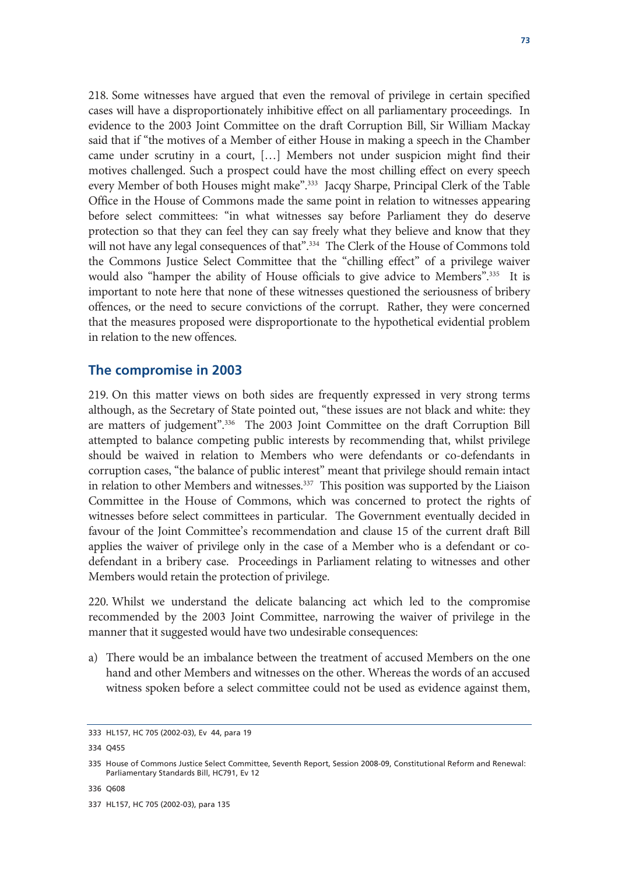218. Some witnesses have argued that even the removal of privilege in certain specified cases will have a disproportionately inhibitive effect on all parliamentary proceedings. In evidence to the 2003 Joint Committee on the draft Corruption Bill, Sir William Mackay said that if "the motives of a Member of either House in making a speech in the Chamber came under scrutiny in a court, […] Members not under suspicion might find their motives challenged. Such a prospect could have the most chilling effect on every speech every Member of both Houses might make".<sup>333</sup> Jacqy Sharpe, Principal Clerk of the Table Office in the House of Commons made the same point in relation to witnesses appearing before select committees: "in what witnesses say before Parliament they do deserve protection so that they can feel they can say freely what they believe and know that they will not have any legal consequences of that".<sup>334</sup> The Clerk of the House of Commons told the Commons Justice Select Committee that the "chilling effect" of a privilege waiver would also "hamper the ability of House officials to give advice to Members".<sup>335</sup> It is important to note here that none of these witnesses questioned the seriousness of bribery offences, or the need to secure convictions of the corrupt. Rather, they were concerned that the measures proposed were disproportionate to the hypothetical evidential problem in relation to the new offences.

#### **The compromise in 2003**

219. On this matter views on both sides are frequently expressed in very strong terms although, as the Secretary of State pointed out, "these issues are not black and white: they are matters of judgement".<sup>336</sup> The 2003 Joint Committee on the draft Corruption Bill attempted to balance competing public interests by recommending that, whilst privilege should be waived in relation to Members who were defendants or co-defendants in corruption cases, "the balance of public interest" meant that privilege should remain intact in relation to other Members and witnesses.<sup>337</sup> This position was supported by the Liaison Committee in the House of Commons, which was concerned to protect the rights of witnesses before select committees in particular. The Government eventually decided in favour of the Joint Committee's recommendation and clause 15 of the current draft Bill applies the waiver of privilege only in the case of a Member who is a defendant or codefendant in a bribery case. Proceedings in Parliament relating to witnesses and other Members would retain the protection of privilege.

220. Whilst we understand the delicate balancing act which led to the compromise recommended by the 2003 Joint Committee, narrowing the waiver of privilege in the manner that it suggested would have two undesirable consequences:

a) There would be an imbalance between the treatment of accused Members on the one hand and other Members and witnesses on the other. Whereas the words of an accused witness spoken before a select committee could not be used as evidence against them,

336 Q608

<sup>333</sup> HL157, HC 705 (2002-03), Ev 44, para 19

<sup>334</sup> Q455

<sup>335</sup> House of Commons Justice Select Committee, Seventh Report, Session 2008-09, Constitutional Reform and Renewal: Parliamentary Standards Bill, HC791, Ev 12

<sup>337</sup> HL157, HC 705 (2002-03), para 135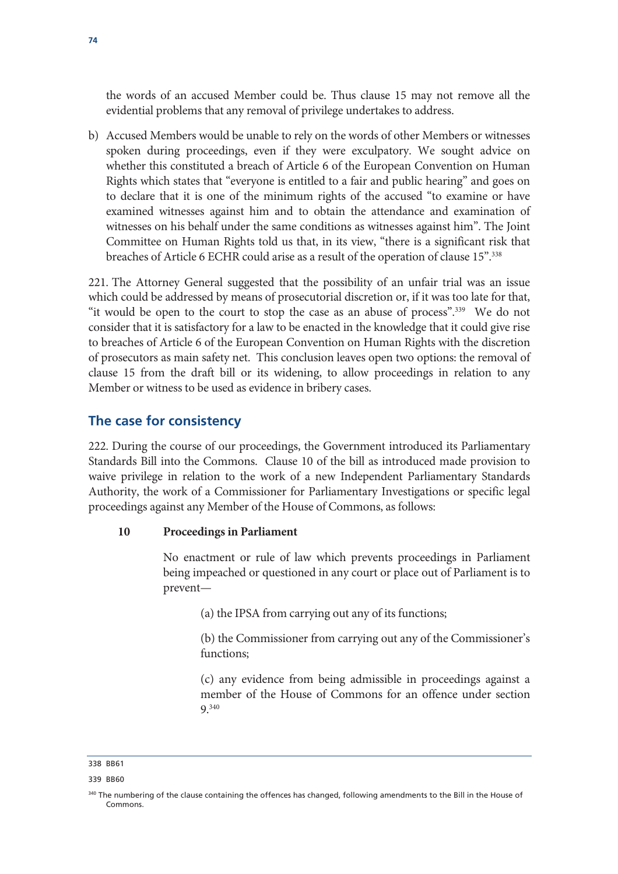the words of an accused Member could be. Thus clause 15 may not remove all the evidential problems that any removal of privilege undertakes to address.

b) Accused Members would be unable to rely on the words of other Members or witnesses spoken during proceedings, even if they were exculpatory. We sought advice on whether this constituted a breach of Article 6 of the European Convention on Human Rights which states that "everyone is entitled to a fair and public hearing" and goes on to declare that it is one of the minimum rights of the accused "to examine or have examined witnesses against him and to obtain the attendance and examination of witnesses on his behalf under the same conditions as witnesses against him". The Joint Committee on Human Rights told us that, in its view, "there is a significant risk that breaches of Article 6 ECHR could arise as a result of the operation of clause 15".338

221. The Attorney General suggested that the possibility of an unfair trial was an issue which could be addressed by means of prosecutorial discretion or, if it was too late for that, "it would be open to the court to stop the case as an abuse of process".339 We do not consider that it is satisfactory for a law to be enacted in the knowledge that it could give rise to breaches of Article 6 of the European Convention on Human Rights with the discretion of prosecutors as main safety net. This conclusion leaves open two options: the removal of clause 15 from the draft bill or its widening, to allow proceedings in relation to any Member or witness to be used as evidence in bribery cases.

## **The case for consistency**

222. During the course of our proceedings, the Government introduced its Parliamentary Standards Bill into the Commons. Clause 10 of the bill as introduced made provision to waive privilege in relation to the work of a new Independent Parliamentary Standards Authority, the work of a Commissioner for Parliamentary Investigations or specific legal proceedings against any Member of the House of Commons, as follows:

#### **10 Proceedings in Parliament**

No enactment or rule of law which prevents proceedings in Parliament being impeached or questioned in any court or place out of Parliament is to prevent—

(a) the IPSA from carrying out any of its functions;

(b) the Commissioner from carrying out any of the Commissioner's functions;

(c) any evidence from being admissible in proceedings against a member of the House of Commons for an offence under section 9.340

<sup>338</sup> BB61

<sup>339</sup> BB60

<sup>340</sup> The numbering of the clause containing the offences has changed, following amendments to the Bill in the House of Commons.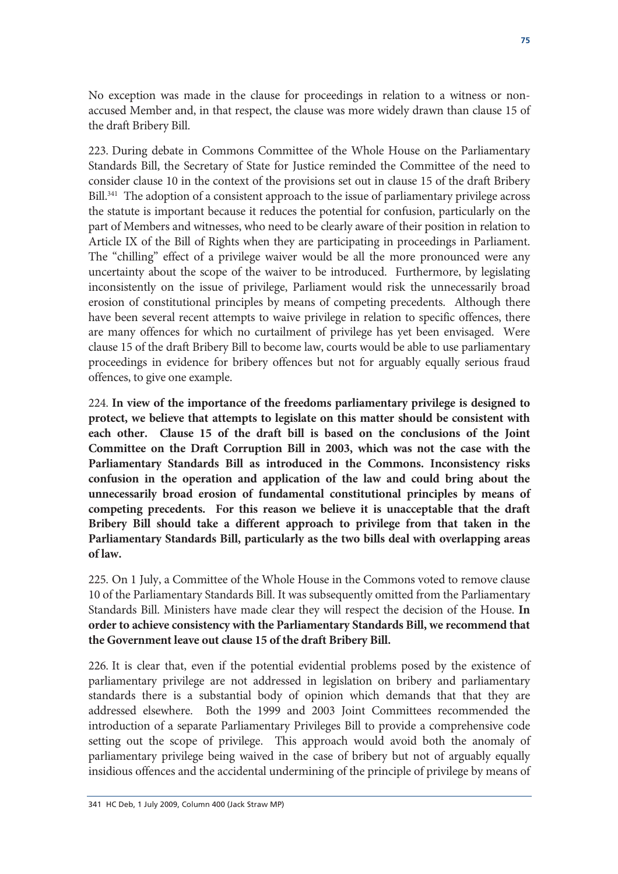No exception was made in the clause for proceedings in relation to a witness or nonaccused Member and, in that respect, the clause was more widely drawn than clause 15 of the draft Bribery Bill.

223. During debate in Commons Committee of the Whole House on the Parliamentary Standards Bill, the Secretary of State for Justice reminded the Committee of the need to consider clause 10 in the context of the provisions set out in clause 15 of the draft Bribery Bill.<sup>341</sup> The adoption of a consistent approach to the issue of parliamentary privilege across the statute is important because it reduces the potential for confusion, particularly on the part of Members and witnesses, who need to be clearly aware of their position in relation to Article IX of the Bill of Rights when they are participating in proceedings in Parliament. The "chilling" effect of a privilege waiver would be all the more pronounced were any uncertainty about the scope of the waiver to be introduced. Furthermore, by legislating inconsistently on the issue of privilege, Parliament would risk the unnecessarily broad erosion of constitutional principles by means of competing precedents. Although there have been several recent attempts to waive privilege in relation to specific offences, there are many offences for which no curtailment of privilege has yet been envisaged. Were clause 15 of the draft Bribery Bill to become law, courts would be able to use parliamentary proceedings in evidence for bribery offences but not for arguably equally serious fraud offences, to give one example.

224. **In view of the importance of the freedoms parliamentary privilege is designed to protect, we believe that attempts to legislate on this matter should be consistent with each other. Clause 15 of the draft bill is based on the conclusions of the Joint Committee on the Draft Corruption Bill in 2003, which was not the case with the Parliamentary Standards Bill as introduced in the Commons. Inconsistency risks confusion in the operation and application of the law and could bring about the unnecessarily broad erosion of fundamental constitutional principles by means of competing precedents. For this reason we believe it is unacceptable that the draft Bribery Bill should take a different approach to privilege from that taken in the Parliamentary Standards Bill, particularly as the two bills deal with overlapping areas of law.** 

225. On 1 July, a Committee of the Whole House in the Commons voted to remove clause 10 of the Parliamentary Standards Bill. It was subsequently omitted from the Parliamentary Standards Bill. Ministers have made clear they will respect the decision of the House. **In order to achieve consistency with the Parliamentary Standards Bill, we recommend that the Government leave out clause 15 of the draft Bribery Bill.**

226. It is clear that, even if the potential evidential problems posed by the existence of parliamentary privilege are not addressed in legislation on bribery and parliamentary standards there is a substantial body of opinion which demands that that they are addressed elsewhere. Both the 1999 and 2003 Joint Committees recommended the introduction of a separate Parliamentary Privileges Bill to provide a comprehensive code setting out the scope of privilege. This approach would avoid both the anomaly of parliamentary privilege being waived in the case of bribery but not of arguably equally insidious offences and the accidental undermining of the principle of privilege by means of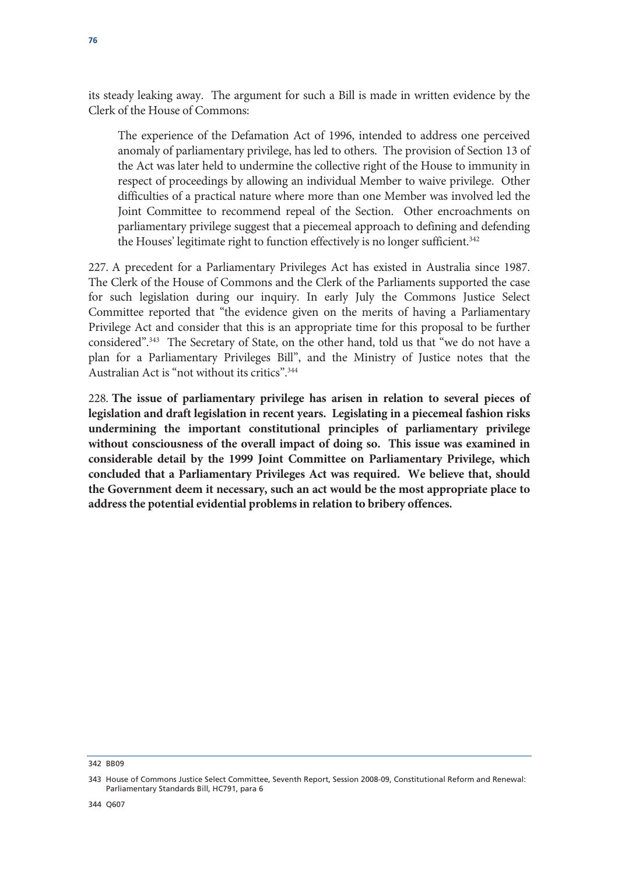its steady leaking away. The argument for such a Bill is made in written evidence by the Clerk of the House of Commons:

The experience of the Defamation Act of 1996, intended to address one perceived anomaly of parliamentary privilege, has led to others. The provision of Section 13 of the Act was later held to undermine the collective right of the House to immunity in respect of proceedings by allowing an individual Member to waive privilege. Other difficulties of a practical nature where more than one Member was involved led the Joint Committee to recommend repeal of the Section. Other encroachments on parliamentary privilege suggest that a piecemeal approach to defining and defending the Houses' legitimate right to function effectively is no longer sufficient.<sup>342</sup>

227. A precedent for a Parliamentary Privileges Act has existed in Australia since 1987. The Clerk of the House of Commons and the Clerk of the Parliaments supported the case for such legislation during our inquiry. In early July the Commons Justice Select Committee reported that "the evidence given on the merits of having a Parliamentary Privilege Act and consider that this is an appropriate time for this proposal to be further considered".343 The Secretary of State, on the other hand, told us that "we do not have a plan for a Parliamentary Privileges Bill", and the Ministry of Justice notes that the Australian Act is "not without its critics".344

228. **The issue of parliamentary privilege has arisen in relation to several pieces of legislation and draft legislation in recent years. Legislating in a piecemeal fashion risks undermining the important constitutional principles of parliamentary privilege without consciousness of the overall impact of doing so. This issue was examined in considerable detail by the 1999 Joint Committee on Parliamentary Privilege, which concluded that a Parliamentary Privileges Act was required. We believe that, should the Government deem it necessary, such an act would be the most appropriate place to address the potential evidential problems in relation to bribery offences.**

<sup>342</sup> BB09

<sup>343</sup> House of Commons Justice Select Committee, Seventh Report, Session 2008-09, Constitutional Reform and Renewal: Parliamentary Standards Bill, HC791, para 6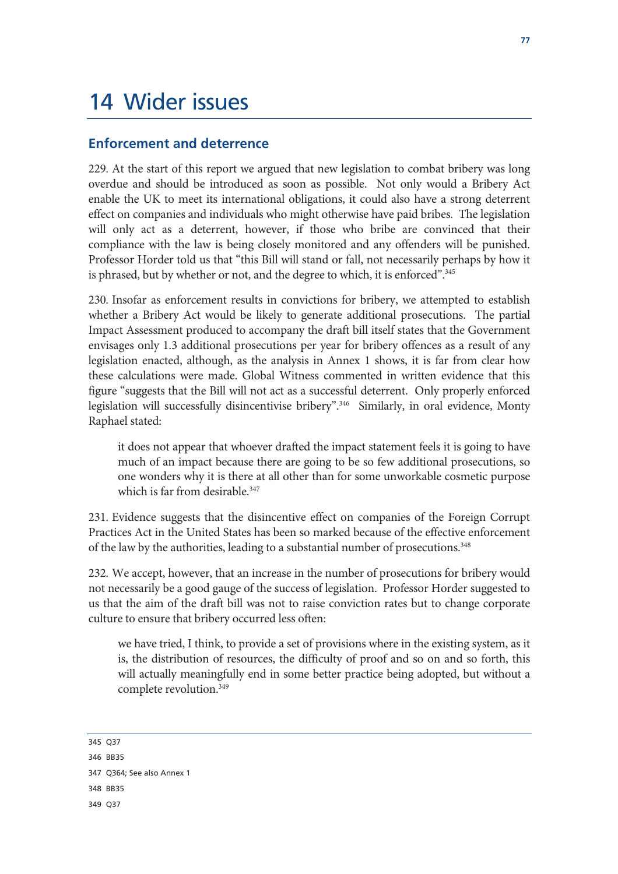## 14 Wider issues

#### **Enforcement and deterrence**

229. At the start of this report we argued that new legislation to combat bribery was long overdue and should be introduced as soon as possible. Not only would a Bribery Act enable the UK to meet its international obligations, it could also have a strong deterrent effect on companies and individuals who might otherwise have paid bribes. The legislation will only act as a deterrent, however, if those who bribe are convinced that their compliance with the law is being closely monitored and any offenders will be punished. Professor Horder told us that "this Bill will stand or fall, not necessarily perhaps by how it is phrased, but by whether or not, and the degree to which, it is enforced".345

230. Insofar as enforcement results in convictions for bribery, we attempted to establish whether a Bribery Act would be likely to generate additional prosecutions. The partial Impact Assessment produced to accompany the draft bill itself states that the Government envisages only 1.3 additional prosecutions per year for bribery offences as a result of any legislation enacted, although, as the analysis in Annex 1 shows, it is far from clear how these calculations were made. Global Witness commented in written evidence that this figure "suggests that the Bill will not act as a successful deterrent. Only properly enforced legislation will successfully disincentivise bribery".<sup>346</sup> Similarly, in oral evidence, Monty Raphael stated:

it does not appear that whoever drafted the impact statement feels it is going to have much of an impact because there are going to be so few additional prosecutions, so one wonders why it is there at all other than for some unworkable cosmetic purpose which is far from desirable.<sup>347</sup>

231. Evidence suggests that the disincentive effect on companies of the Foreign Corrupt Practices Act in the United States has been so marked because of the effective enforcement of the law by the authorities, leading to a substantial number of prosecutions.<sup>348</sup>

232. We accept, however, that an increase in the number of prosecutions for bribery would not necessarily be a good gauge of the success of legislation. Professor Horder suggested to us that the aim of the draft bill was not to raise conviction rates but to change corporate culture to ensure that bribery occurred less often:

we have tried, I think, to provide a set of provisions where in the existing system, as it is, the distribution of resources, the difficulty of proof and so on and so forth, this will actually meaningfully end in some better practice being adopted, but without a complete revolution.<sup>349</sup>

348 BB35

<sup>345</sup> Q37

<sup>346</sup> BB35

<sup>347</sup> Q364; See also Annex 1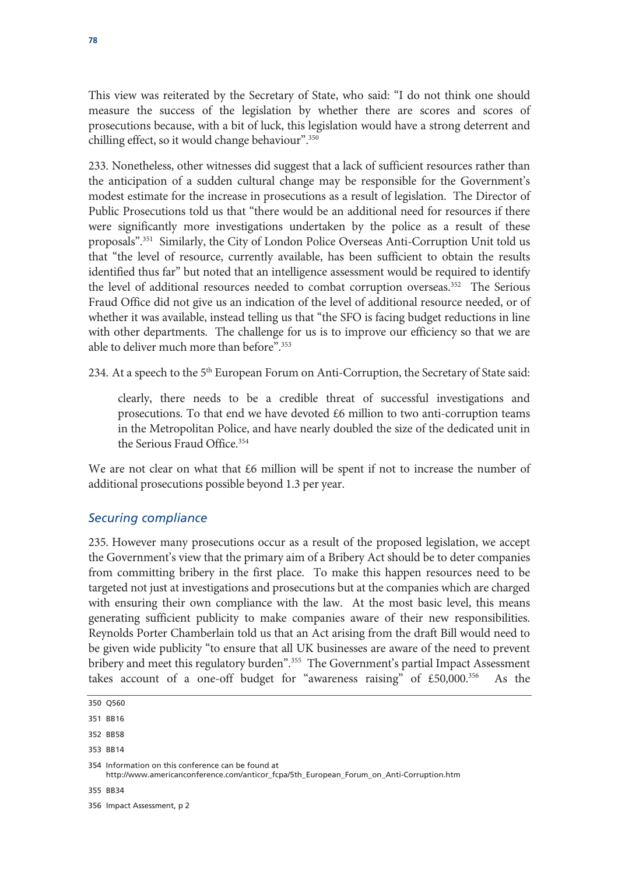This view was reiterated by the Secretary of State, who said: "I do not think one should measure the success of the legislation by whether there are scores and scores of prosecutions because, with a bit of luck, this legislation would have a strong deterrent and chilling effect, so it would change behaviour".<sup>350</sup>

233. Nonetheless, other witnesses did suggest that a lack of sufficient resources rather than the anticipation of a sudden cultural change may be responsible for the Government's modest estimate for the increase in prosecutions as a result of legislation. The Director of Public Prosecutions told us that "there would be an additional need for resources if there were significantly more investigations undertaken by the police as a result of these proposals".351 Similarly, the City of London Police Overseas Anti-Corruption Unit told us that "the level of resource, currently available, has been sufficient to obtain the results identified thus far" but noted that an intelligence assessment would be required to identify the level of additional resources needed to combat corruption overseas.<sup>352</sup> The Serious Fraud Office did not give us an indication of the level of additional resource needed, or of whether it was available, instead telling us that "the SFO is facing budget reductions in line with other departments. The challenge for us is to improve our efficiency so that we are able to deliver much more than before".<sup>353</sup>

234. At a speech to the 5<sup>th</sup> European Forum on Anti-Corruption, the Secretary of State said:

clearly, there needs to be a credible threat of successful investigations and prosecutions. To that end we have devoted £6 million to two anti-corruption teams in the Metropolitan Police, and have nearly doubled the size of the dedicated unit in the Serious Fraud Office.<sup>354</sup>

We are not clear on what that  $£6$  million will be spent if not to increase the number of additional prosecutions possible beyond 1.3 per year.

#### *Securing compliance*

235. However many prosecutions occur as a result of the proposed legislation, we accept the Government's view that the primary aim of a Bribery Act should be to deter companies from committing bribery in the first place. To make this happen resources need to be targeted not just at investigations and prosecutions but at the companies which are charged with ensuring their own compliance with the law. At the most basic level, this means generating sufficient publicity to make companies aware of their new responsibilities. Reynolds Porter Chamberlain told us that an Act arising from the draft Bill would need to be given wide publicity "to ensure that all UK businesses are aware of the need to prevent bribery and meet this regulatory burden".<sup>355</sup> The Government's partial Impact Assessment takes account of a one-off budget for "awareness raising" of  $£50,000.^{356}$  As the

350 Q560 351 BB16 352 BB58 353 BB14 354 Information on this conference can be found at http://www.americanconference.com/anticor\_fcpa/5th\_European\_Forum\_on\_Anti-Corruption.htm 355 BB34 356 Impact Assessment, p 2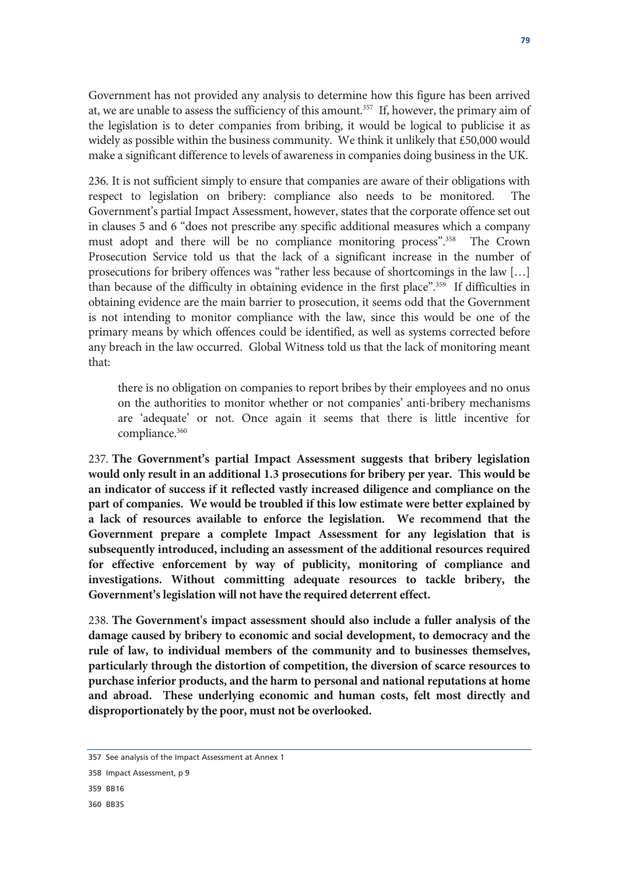Government has not provided any analysis to determine how this figure has been arrived at, we are unable to assess the sufficiency of this amount.<sup>357</sup> If, however, the primary aim of the legislation is to deter companies from bribing, it would be logical to publicise it as widely as possible within the business community. We think it unlikely that  $\text{\pounds}50,000$  would make a significant difference to levels of awareness in companies doing business in the UK.

236. It is not sufficient simply to ensure that companies are aware of their obligations with respect to legislation on bribery: compliance also needs to be monitored. The Government's partial Impact Assessment, however, states that the corporate offence set out in clauses 5 and 6 "does not prescribe any specific additional measures which a company must adopt and there will be no compliance monitoring process".<sup>358</sup> The Crown Prosecution Service told us that the lack of a significant increase in the number of prosecutions for bribery offences was "rather less because of shortcomings in the law […] than because of the difficulty in obtaining evidence in the first place".359 If difficulties in obtaining evidence are the main barrier to prosecution, it seems odd that the Government is not intending to monitor compliance with the law, since this would be one of the primary means by which offences could be identified, as well as systems corrected before any breach in the law occurred. Global Witness told us that the lack of monitoring meant that:

there is no obligation on companies to report bribes by their employees and no onus on the authorities to monitor whether or not companies' anti-bribery mechanisms are 'adequate' or not. Once again it seems that there is little incentive for compliance.<sup>360</sup>

237. **The Government's partial Impact Assessment suggests that bribery legislation would only result in an additional 1.3 prosecutions for bribery per year. This would be an indicator of success if it reflected vastly increased diligence and compliance on the part of companies. We would be troubled if this low estimate were better explained by a lack of resources available to enforce the legislation. We recommend that the Government prepare a complete Impact Assessment for any legislation that is subsequently introduced, including an assessment of the additional resources required for effective enforcement by way of publicity, monitoring of compliance and investigations. Without committing adequate resources to tackle bribery, the Government's legislation will not have the required deterrent effect.** 

238. **The Government's impact assessment should also include a fuller analysis of the damage caused by bribery to economic and social development, to democracy and the rule of law, to individual members of the community and to businesses themselves, particularly through the distortion of competition, the diversion of scarce resources to purchase inferior products, and the harm to personal and national reputations at home and abroad. These underlying economic and human costs, felt most directly and disproportionately by the poor, must not be overlooked.**

360 BB35

<sup>357</sup> See analysis of the Impact Assessment at Annex 1

<sup>358</sup> Impact Assessment, p 9

<sup>359</sup> BB16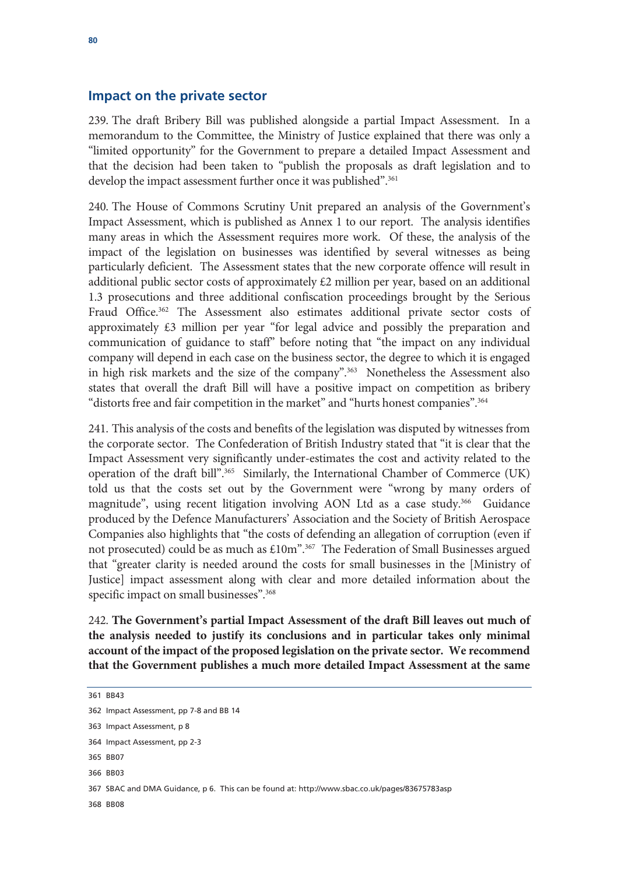#### **Impact on the private sector**

239. The draft Bribery Bill was published alongside a partial Impact Assessment. In a memorandum to the Committee, the Ministry of Justice explained that there was only a "limited opportunity" for the Government to prepare a detailed Impact Assessment and that the decision had been taken to "publish the proposals as draft legislation and to develop the impact assessment further once it was published".<sup>361</sup>

240. The House of Commons Scrutiny Unit prepared an analysis of the Government's Impact Assessment, which is published as Annex 1 to our report. The analysis identifies many areas in which the Assessment requires more work. Of these, the analysis of the impact of the legislation on businesses was identified by several witnesses as being particularly deficient. The Assessment states that the new corporate offence will result in additional public sector costs of approximately  $\pounds 2$  million per year, based on an additional 1.3 prosecutions and three additional confiscation proceedings brought by the Serious Fraud Office.<sup>362</sup> The Assessment also estimates additional private sector costs of approximately £3 million per year "for legal advice and possibly the preparation and communication of guidance to staff" before noting that "the impact on any individual company will depend in each case on the business sector, the degree to which it is engaged in high risk markets and the size of the company".<sup>363</sup> Nonetheless the Assessment also states that overall the draft Bill will have a positive impact on competition as bribery "distorts free and fair competition in the market" and "hurts honest companies".364

241. This analysis of the costs and benefits of the legislation was disputed by witnesses from the corporate sector. The Confederation of British Industry stated that "it is clear that the Impact Assessment very significantly under-estimates the cost and activity related to the operation of the draft bill".<sup>365</sup> Similarly, the International Chamber of Commerce (UK) told us that the costs set out by the Government were "wrong by many orders of magnitude", using recent litigation involving AON Ltd as a case study.<sup>366</sup> Guidance produced by the Defence Manufacturers' Association and the Society of British Aerospace Companies also highlights that "the costs of defending an allegation of corruption (even if not prosecuted) could be as much as  $£10m$ ".<sup>367</sup> The Federation of Small Businesses argued that "greater clarity is needed around the costs for small businesses in the [Ministry of Justice] impact assessment along with clear and more detailed information about the specific impact on small businesses".<sup>368</sup>

242. **The Government's partial Impact Assessment of the draft Bill leaves out much of the analysis needed to justify its conclusions and in particular takes only minimal account of the impact of the proposed legislation on the private sector. We recommend that the Government publishes a much more detailed Impact Assessment at the same** 

366 BB03

<sup>361</sup> BB43

<sup>362</sup> Impact Assessment, pp 7-8 and BB 14

<sup>363</sup> Impact Assessment, p 8

<sup>364</sup> Impact Assessment, pp 2-3

<sup>365</sup> BB07

<sup>367</sup> SBAC and DMA Guidance, p 6. This can be found at: http://www.sbac.co.uk/pages/83675783asp

<sup>368</sup> BB08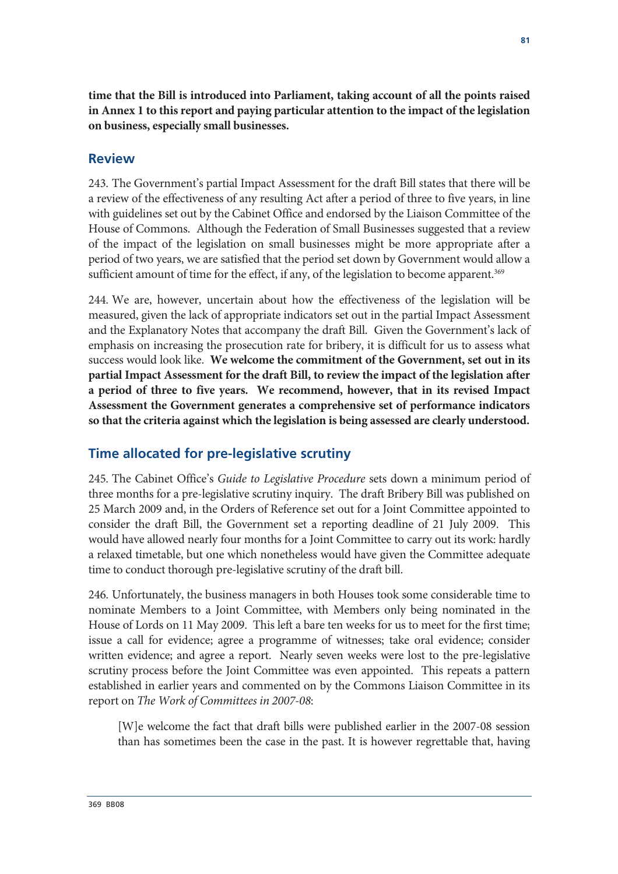**time that the Bill is introduced into Parliament, taking account of all the points raised in Annex 1 to this report and paying particular attention to the impact of the legislation on business, especially small businesses.**

## **Review**

243. The Government's partial Impact Assessment for the draft Bill states that there will be a review of the effectiveness of any resulting Act after a period of three to five years, in line with guidelines set out by the Cabinet Office and endorsed by the Liaison Committee of the House of Commons. Although the Federation of Small Businesses suggested that a review of the impact of the legislation on small businesses might be more appropriate after a period of two years, we are satisfied that the period set down by Government would allow a sufficient amount of time for the effect, if any, of the legislation to become apparent.<sup>369</sup>

244. We are, however, uncertain about how the effectiveness of the legislation will be measured, given the lack of appropriate indicators set out in the partial Impact Assessment and the Explanatory Notes that accompany the draft Bill. Given the Government's lack of emphasis on increasing the prosecution rate for bribery, it is difficult for us to assess what success would look like. **We welcome the commitment of the Government, set out in its partial Impact Assessment for the draft Bill, to review the impact of the legislation after a period of three to five years. We recommend, however, that in its revised Impact Assessment the Government generates a comprehensive set of performance indicators so that the criteria against which the legislation is being assessed are clearly understood.**

## **Time allocated for pre-legislative scrutiny**

245. The Cabinet Office's *Guide to Legislative Procedure* sets down a minimum period of three months for a pre-legislative scrutiny inquiry. The draft Bribery Bill was published on 25 March 2009 and, in the Orders of Reference set out for a Joint Committee appointed to consider the draft Bill, the Government set a reporting deadline of 21 July 2009. This would have allowed nearly four months for a Joint Committee to carry out its work: hardly a relaxed timetable, but one which nonetheless would have given the Committee adequate time to conduct thorough pre-legislative scrutiny of the draft bill.

246. Unfortunately, the business managers in both Houses took some considerable time to nominate Members to a Joint Committee, with Members only being nominated in the House of Lords on 11 May 2009. This left a bare ten weeks for us to meet for the first time; issue a call for evidence; agree a programme of witnesses; take oral evidence; consider written evidence; and agree a report. Nearly seven weeks were lost to the pre-legislative scrutiny process before the Joint Committee was even appointed. This repeats a pattern established in earlier years and commented on by the Commons Liaison Committee in its report on *The Work of Committees in 2007-08*:

[W]e welcome the fact that draft bills were published earlier in the 2007-08 session than has sometimes been the case in the past. It is however regrettable that, having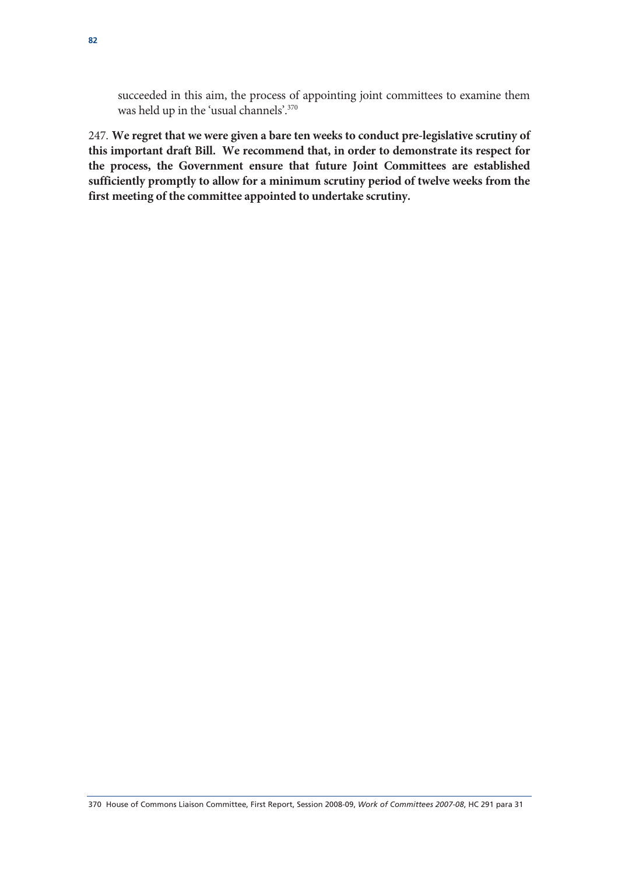succeeded in this aim, the process of appointing joint committees to examine them was held up in the 'usual channels'.<sup>370</sup>

247. **We regret that we were given a bare ten weeks to conduct pre-legislative scrutiny of this important draft Bill. We recommend that, in order to demonstrate its respect for the process, the Government ensure that future Joint Committees are established sufficiently promptly to allow for a minimum scrutiny period of twelve weeks from the first meeting of the committee appointed to undertake scrutiny.**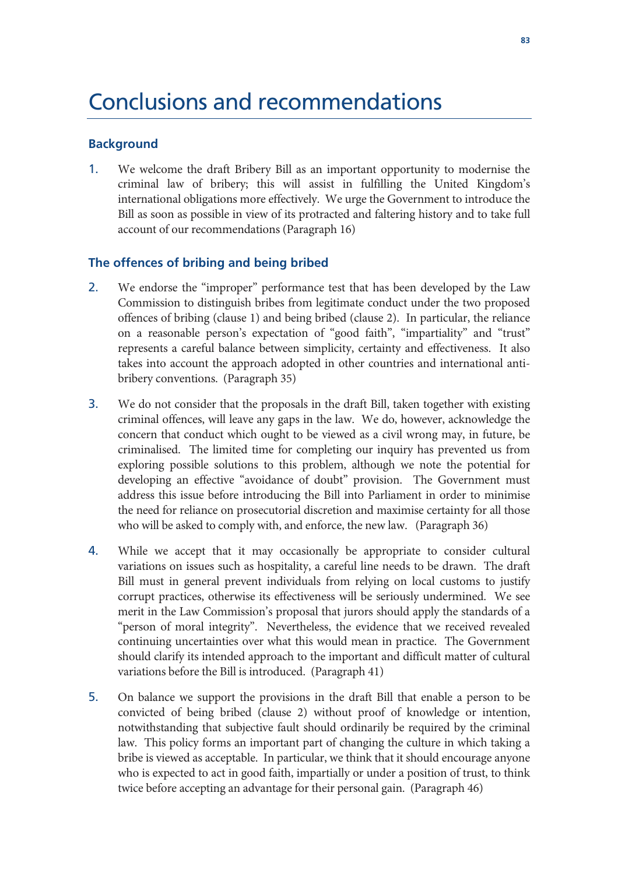## Conclusions and recommendations

#### **Background**

1. We welcome the draft Bribery Bill as an important opportunity to modernise the criminal law of bribery; this will assist in fulfilling the United Kingdom's international obligations more effectively. We urge the Government to introduce the Bill as soon as possible in view of its protracted and faltering history and to take full account of our recommendations (Paragraph 16)

#### **The offences of bribing and being bribed**

- 2. We endorse the "improper" performance test that has been developed by the Law Commission to distinguish bribes from legitimate conduct under the two proposed offences of bribing (clause 1) and being bribed (clause 2). In particular, the reliance on a reasonable person's expectation of "good faith", "impartiality" and "trust" represents a careful balance between simplicity, certainty and effectiveness. It also takes into account the approach adopted in other countries and international antibribery conventions. (Paragraph 35)
- 3. We do not consider that the proposals in the draft Bill, taken together with existing criminal offences, will leave any gaps in the law. We do, however, acknowledge the concern that conduct which ought to be viewed as a civil wrong may, in future, be criminalised. The limited time for completing our inquiry has prevented us from exploring possible solutions to this problem, although we note the potential for developing an effective "avoidance of doubt" provision. The Government must address this issue before introducing the Bill into Parliament in order to minimise the need for reliance on prosecutorial discretion and maximise certainty for all those who will be asked to comply with, and enforce, the new law. (Paragraph 36)
- 4. While we accept that it may occasionally be appropriate to consider cultural variations on issues such as hospitality, a careful line needs to be drawn. The draft Bill must in general prevent individuals from relying on local customs to justify corrupt practices, otherwise its effectiveness will be seriously undermined. We see merit in the Law Commission's proposal that jurors should apply the standards of a "person of moral integrity". Nevertheless, the evidence that we received revealed continuing uncertainties over what this would mean in practice. The Government should clarify its intended approach to the important and difficult matter of cultural variations before the Bill is introduced. (Paragraph 41)
- 5. On balance we support the provisions in the draft Bill that enable a person to be convicted of being bribed (clause 2) without proof of knowledge or intention, notwithstanding that subjective fault should ordinarily be required by the criminal law. This policy forms an important part of changing the culture in which taking a bribe is viewed as acceptable. In particular, we think that it should encourage anyone who is expected to act in good faith, impartially or under a position of trust, to think twice before accepting an advantage for their personal gain. (Paragraph 46)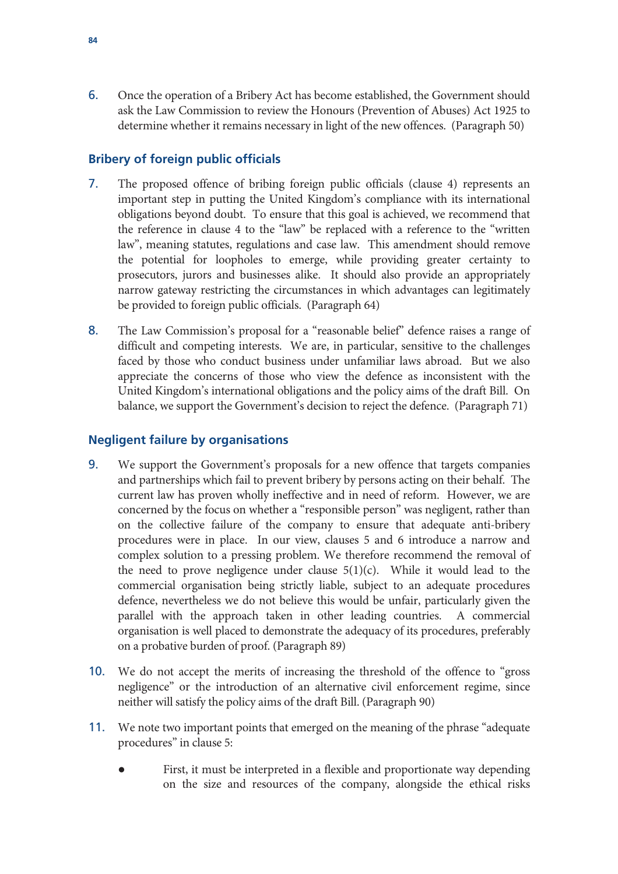6. Once the operation of a Bribery Act has become established, the Government should ask the Law Commission to review the Honours (Prevention of Abuses) Act 1925 to determine whether it remains necessary in light of the new offences. (Paragraph 50)

### **Bribery of foreign public officials**

- 7. The proposed offence of bribing foreign public officials (clause 4) represents an important step in putting the United Kingdom's compliance with its international obligations beyond doubt. To ensure that this goal is achieved, we recommend that the reference in clause 4 to the "law" be replaced with a reference to the "written law", meaning statutes, regulations and case law. This amendment should remove the potential for loopholes to emerge, while providing greater certainty to prosecutors, jurors and businesses alike. It should also provide an appropriately narrow gateway restricting the circumstances in which advantages can legitimately be provided to foreign public officials. (Paragraph 64)
- 8. The Law Commission's proposal for a "reasonable belief" defence raises a range of difficult and competing interests. We are, in particular, sensitive to the challenges faced by those who conduct business under unfamiliar laws abroad. But we also appreciate the concerns of those who view the defence as inconsistent with the United Kingdom's international obligations and the policy aims of the draft Bill. On balance, we support the Government's decision to reject the defence. (Paragraph 71)

#### **Negligent failure by organisations**

- 9. We support the Government's proposals for a new offence that targets companies and partnerships which fail to prevent bribery by persons acting on their behalf. The current law has proven wholly ineffective and in need of reform. However, we are concerned by the focus on whether a "responsible person" was negligent, rather than on the collective failure of the company to ensure that adequate anti-bribery procedures were in place. In our view, clauses 5 and 6 introduce a narrow and complex solution to a pressing problem. We therefore recommend the removal of the need to prove negligence under clause  $5(1)(c)$ . While it would lead to the commercial organisation being strictly liable, subject to an adequate procedures defence, nevertheless we do not believe this would be unfair, particularly given the parallel with the approach taken in other leading countries. A commercial organisation is well placed to demonstrate the adequacy of its procedures, preferably on a probative burden of proof. (Paragraph 89)
- 10. We do not accept the merits of increasing the threshold of the offence to "gross negligence" or the introduction of an alternative civil enforcement regime, since neither will satisfy the policy aims of the draft Bill. (Paragraph 90)
- 11. We note two important points that emerged on the meaning of the phrase "adequate procedures" in clause 5:
	- First, it must be interpreted in a flexible and proportionate way depending on the size and resources of the company, alongside the ethical risks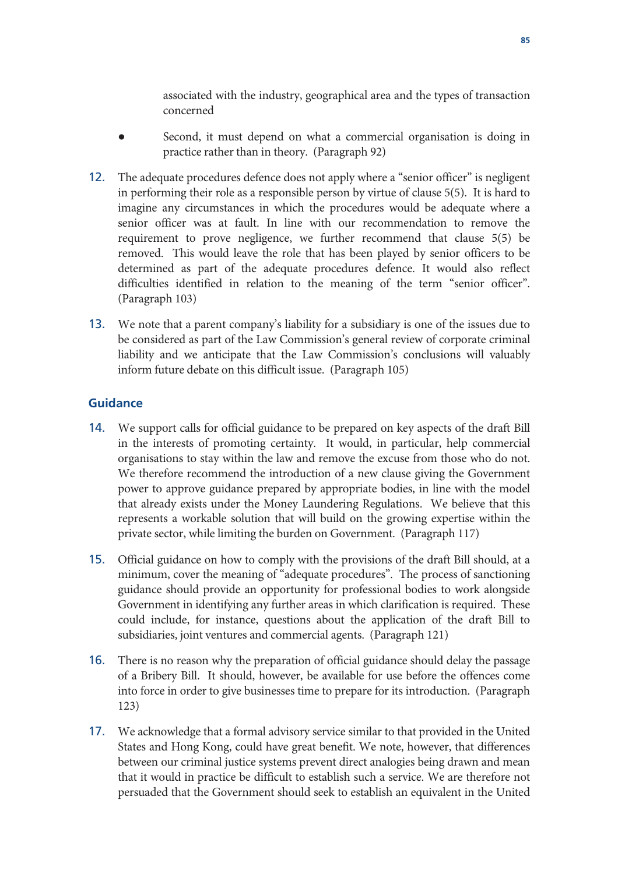associated with the industry, geographical area and the types of transaction concerned

- Second, it must depend on what a commercial organisation is doing in practice rather than in theory. (Paragraph 92)
- 12. The adequate procedures defence does not apply where a "senior officer" is negligent in performing their role as a responsible person by virtue of clause 5(5). It is hard to imagine any circumstances in which the procedures would be adequate where a senior officer was at fault. In line with our recommendation to remove the requirement to prove negligence, we further recommend that clause 5(5) be removed. This would leave the role that has been played by senior officers to be determined as part of the adequate procedures defence. It would also reflect difficulties identified in relation to the meaning of the term "senior officer". (Paragraph 103)
- 13. We note that a parent company's liability for a subsidiary is one of the issues due to be considered as part of the Law Commission's general review of corporate criminal liability and we anticipate that the Law Commission's conclusions will valuably inform future debate on this difficult issue. (Paragraph 105)

### **Guidance**

- 14. We support calls for official guidance to be prepared on key aspects of the draft Bill in the interests of promoting certainty. It would, in particular, help commercial organisations to stay within the law and remove the excuse from those who do not. We therefore recommend the introduction of a new clause giving the Government power to approve guidance prepared by appropriate bodies, in line with the model that already exists under the Money Laundering Regulations. We believe that this represents a workable solution that will build on the growing expertise within the private sector, while limiting the burden on Government. (Paragraph 117)
- 15. Official guidance on how to comply with the provisions of the draft Bill should, at a minimum, cover the meaning of "adequate procedures". The process of sanctioning guidance should provide an opportunity for professional bodies to work alongside Government in identifying any further areas in which clarification is required. These could include, for instance, questions about the application of the draft Bill to subsidiaries, joint ventures and commercial agents. (Paragraph 121)
- 16. There is no reason why the preparation of official guidance should delay the passage of a Bribery Bill. It should, however, be available for use before the offences come into force in order to give businesses time to prepare for its introduction. (Paragraph 123)
- 17. We acknowledge that a formal advisory service similar to that provided in the United States and Hong Kong, could have great benefit. We note, however, that differences between our criminal justice systems prevent direct analogies being drawn and mean that it would in practice be difficult to establish such a service. We are therefore not persuaded that the Government should seek to establish an equivalent in the United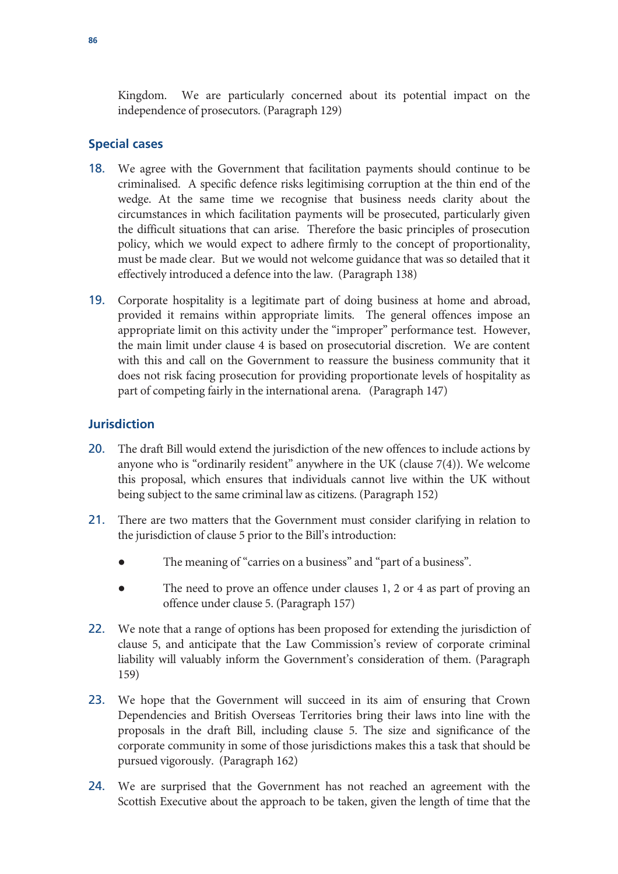Kingdom. We are particularly concerned about its potential impact on the independence of prosecutors. (Paragraph 129)

#### **Special cases**

- 18. We agree with the Government that facilitation payments should continue to be criminalised. A specific defence risks legitimising corruption at the thin end of the wedge. At the same time we recognise that business needs clarity about the circumstances in which facilitation payments will be prosecuted, particularly given the difficult situations that can arise. Therefore the basic principles of prosecution policy, which we would expect to adhere firmly to the concept of proportionality, must be made clear. But we would not welcome guidance that was so detailed that it effectively introduced a defence into the law. (Paragraph 138)
- 19. Corporate hospitality is a legitimate part of doing business at home and abroad, provided it remains within appropriate limits. The general offences impose an appropriate limit on this activity under the "improper" performance test. However, the main limit under clause 4 is based on prosecutorial discretion. We are content with this and call on the Government to reassure the business community that it does not risk facing prosecution for providing proportionate levels of hospitality as part of competing fairly in the international arena. (Paragraph 147)

### **Jurisdiction**

- 20. The draft Bill would extend the jurisdiction of the new offences to include actions by anyone who is "ordinarily resident" anywhere in the UK (clause 7(4)). We welcome this proposal, which ensures that individuals cannot live within the UK without being subject to the same criminal law as citizens. (Paragraph 152)
- 21. There are two matters that the Government must consider clarifying in relation to the jurisdiction of clause 5 prior to the Bill's introduction:
	- The meaning of "carries on a business" and "part of a business".
	- The need to prove an offence under clauses  $1, 2$  or  $4$  as part of proving an offence under clause 5. (Paragraph 157)
- 22. We note that a range of options has been proposed for extending the jurisdiction of clause 5, and anticipate that the Law Commission's review of corporate criminal liability will valuably inform the Government's consideration of them. (Paragraph 159)
- 23. We hope that the Government will succeed in its aim of ensuring that Crown Dependencies and British Overseas Territories bring their laws into line with the proposals in the draft Bill, including clause 5. The size and significance of the corporate community in some of those jurisdictions makes this a task that should be pursued vigorously. (Paragraph 162)
- 24. We are surprised that the Government has not reached an agreement with the Scottish Executive about the approach to be taken, given the length of time that the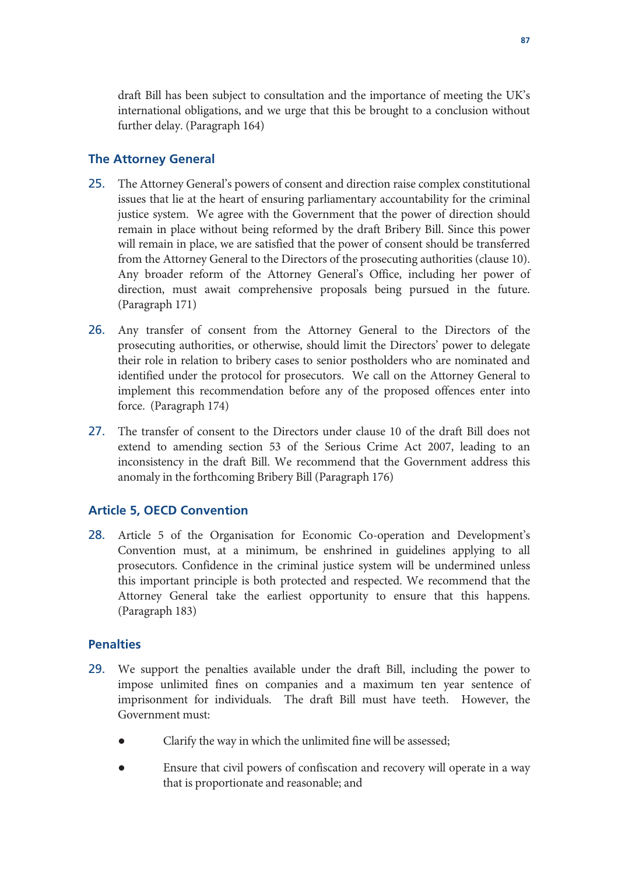draft Bill has been subject to consultation and the importance of meeting the UK's international obligations, and we urge that this be brought to a conclusion without further delay. (Paragraph 164)

#### **The Attorney General**

- 25. The Attorney General's powers of consent and direction raise complex constitutional issues that lie at the heart of ensuring parliamentary accountability for the criminal justice system. We agree with the Government that the power of direction should remain in place without being reformed by the draft Bribery Bill. Since this power will remain in place, we are satisfied that the power of consent should be transferred from the Attorney General to the Directors of the prosecuting authorities (clause 10). Any broader reform of the Attorney General's Office, including her power of direction, must await comprehensive proposals being pursued in the future. (Paragraph 171)
- 26. Any transfer of consent from the Attorney General to the Directors of the prosecuting authorities, or otherwise, should limit the Directors' power to delegate their role in relation to bribery cases to senior postholders who are nominated and identified under the protocol for prosecutors. We call on the Attorney General to implement this recommendation before any of the proposed offences enter into force. (Paragraph 174)
- 27. The transfer of consent to the Directors under clause 10 of the draft Bill does not extend to amending section 53 of the Serious Crime Act 2007, leading to an inconsistency in the draft Bill. We recommend that the Government address this anomaly in the forthcoming Bribery Bill (Paragraph 176)

## **Article 5, OECD Convention**

28. Article 5 of the Organisation for Economic Co-operation and Development's Convention must, at a minimum, be enshrined in guidelines applying to all prosecutors. Confidence in the criminal justice system will be undermined unless this important principle is both protected and respected. We recommend that the Attorney General take the earliest opportunity to ensure that this happens. (Paragraph 183)

#### **Penalties**

- 29. We support the penalties available under the draft Bill, including the power to impose unlimited fines on companies and a maximum ten year sentence of imprisonment for individuals. The draft Bill must have teeth. However, the Government must:
	- Clarify the way in which the unlimited fine will be assessed;
	- Ensure that civil powers of confiscation and recovery will operate in a way that is proportionate and reasonable; and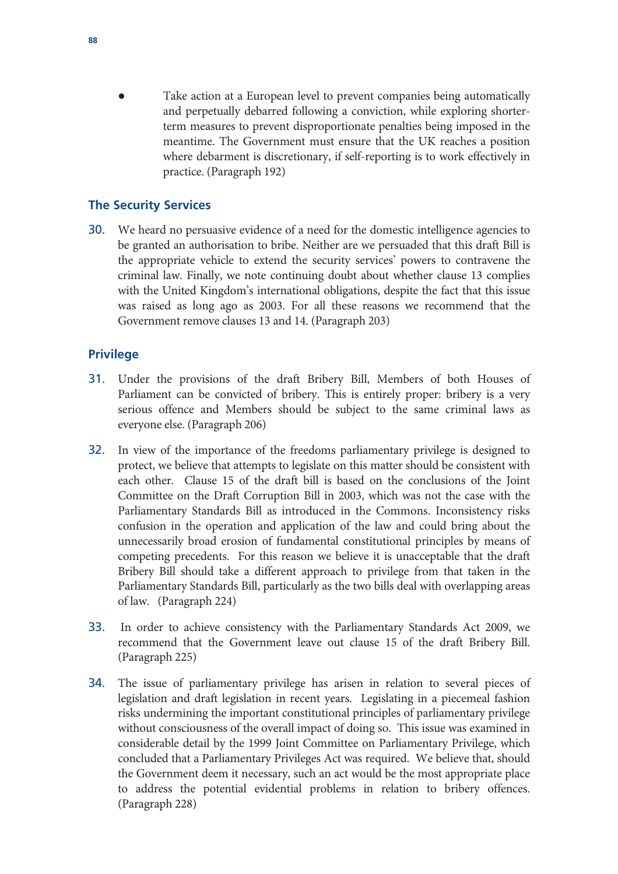Take action at a European level to prevent companies being automatically and perpetually debarred following a conviction, while exploring shorterterm measures to prevent disproportionate penalties being imposed in the meantime. The Government must ensure that the UK reaches a position where debarment is discretionary, if self-reporting is to work effectively in practice. (Paragraph 192)

#### **The Security Services**

30. We heard no persuasive evidence of a need for the domestic intelligence agencies to be granted an authorisation to bribe. Neither are we persuaded that this draft Bill is the appropriate vehicle to extend the security services' powers to contravene the criminal law. Finally, we note continuing doubt about whether clause 13 complies with the United Kingdom's international obligations, despite the fact that this issue was raised as long ago as 2003. For all these reasons we recommend that the Government remove clauses 13 and 14. (Paragraph 203)

#### **Privilege**

- 31. Under the provisions of the draft Bribery Bill, Members of both Houses of Parliament can be convicted of bribery. This is entirely proper: bribery is a very serious offence and Members should be subject to the same criminal laws as everyone else. (Paragraph 206)
- 32. In view of the importance of the freedoms parliamentary privilege is designed to protect, we believe that attempts to legislate on this matter should be consistent with each other. Clause 15 of the draft bill is based on the conclusions of the Joint Committee on the Draft Corruption Bill in 2003, which was not the case with the Parliamentary Standards Bill as introduced in the Commons. Inconsistency risks confusion in the operation and application of the law and could bring about the unnecessarily broad erosion of fundamental constitutional principles by means of competing precedents. For this reason we believe it is unacceptable that the draft Bribery Bill should take a different approach to privilege from that taken in the Parliamentary Standards Bill, particularly as the two bills deal with overlapping areas of law. (Paragraph 224)
- 33. In order to achieve consistency with the Parliamentary Standards Act 2009, we recommend that the Government leave out clause 15 of the draft Bribery Bill. (Paragraph 225)
- 34. The issue of parliamentary privilege has arisen in relation to several pieces of legislation and draft legislation in recent years. Legislating in a piecemeal fashion risks undermining the important constitutional principles of parliamentary privilege without consciousness of the overall impact of doing so. This issue was examined in considerable detail by the 1999 Joint Committee on Parliamentary Privilege, which concluded that a Parliamentary Privileges Act was required. We believe that, should the Government deem it necessary, such an act would be the most appropriate place to address the potential evidential problems in relation to bribery offences. (Paragraph 228)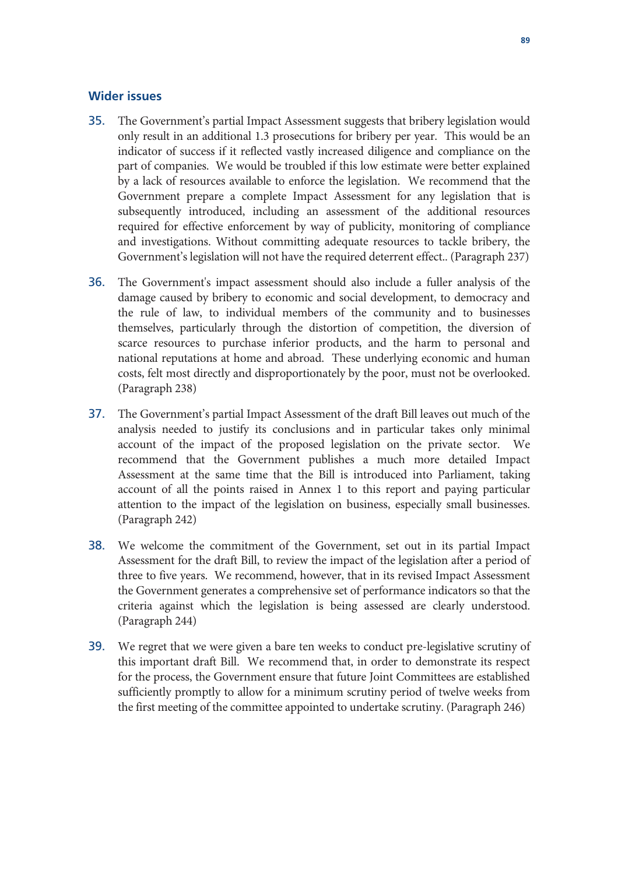#### **Wider issues**

- 35. The Government's partial Impact Assessment suggests that bribery legislation would only result in an additional 1.3 prosecutions for bribery per year. This would be an indicator of success if it reflected vastly increased diligence and compliance on the part of companies. We would be troubled if this low estimate were better explained by a lack of resources available to enforce the legislation. We recommend that the Government prepare a complete Impact Assessment for any legislation that is subsequently introduced, including an assessment of the additional resources required for effective enforcement by way of publicity, monitoring of compliance and investigations. Without committing adequate resources to tackle bribery, the Government's legislation will not have the required deterrent effect.. (Paragraph 237)
- 36. The Government's impact assessment should also include a fuller analysis of the damage caused by bribery to economic and social development, to democracy and the rule of law, to individual members of the community and to businesses themselves, particularly through the distortion of competition, the diversion of scarce resources to purchase inferior products, and the harm to personal and national reputations at home and abroad. These underlying economic and human costs, felt most directly and disproportionately by the poor, must not be overlooked. (Paragraph 238)
- 37. The Government's partial Impact Assessment of the draft Bill leaves out much of the analysis needed to justify its conclusions and in particular takes only minimal account of the impact of the proposed legislation on the private sector. We recommend that the Government publishes a much more detailed Impact Assessment at the same time that the Bill is introduced into Parliament, taking account of all the points raised in Annex 1 to this report and paying particular attention to the impact of the legislation on business, especially small businesses. (Paragraph 242)
- 38. We welcome the commitment of the Government, set out in its partial Impact Assessment for the draft Bill, to review the impact of the legislation after a period of three to five years. We recommend, however, that in its revised Impact Assessment the Government generates a comprehensive set of performance indicators so that the criteria against which the legislation is being assessed are clearly understood. (Paragraph 244)
- 39. We regret that we were given a bare ten weeks to conduct pre-legislative scrutiny of this important draft Bill. We recommend that, in order to demonstrate its respect for the process, the Government ensure that future Joint Committees are established sufficiently promptly to allow for a minimum scrutiny period of twelve weeks from the first meeting of the committee appointed to undertake scrutiny. (Paragraph 246)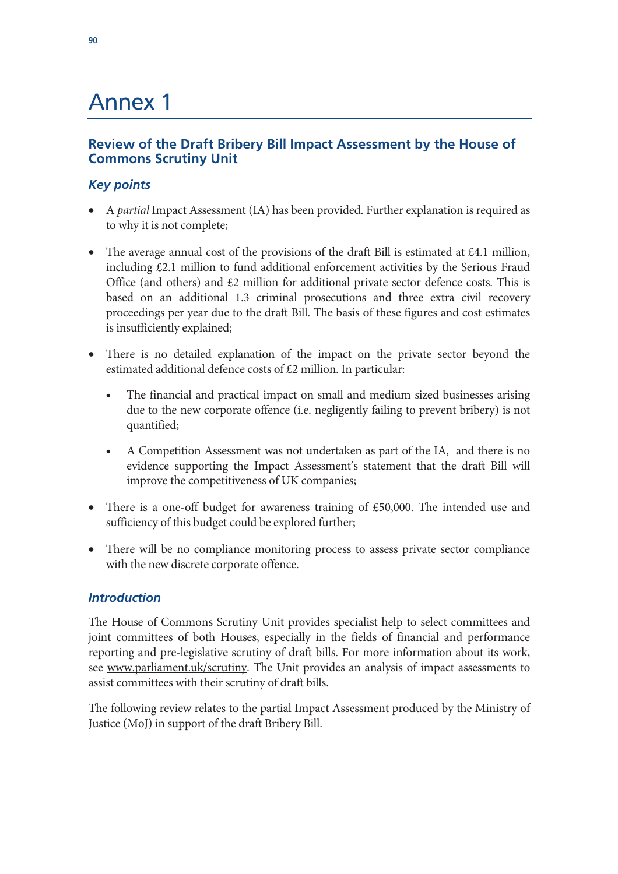# Annex 1

## **Review of the Draft Bribery Bill Impact Assessment by the House of Commons Scrutiny Unit**

## *Key points*

- A *partial* Impact Assessment (IA) has been provided. Further explanation is required as to why it is not complete;
- The average annual cost of the provisions of the draft Bill is estimated at  $\text{\pounds}4.1$  million, including £2.1 million to fund additional enforcement activities by the Serious Fraud Office (and others) and  $\pounds$ 2 million for additional private sector defence costs. This is based on an additional 1.3 criminal prosecutions and three extra civil recovery proceedings per year due to the draft Bill. The basis of these figures and cost estimates is insufficiently explained;
- There is no detailed explanation of the impact on the private sector beyond the estimated additional defence costs of £2 million. In particular:
	- The financial and practical impact on small and medium sized businesses arising due to the new corporate offence (i.e. negligently failing to prevent bribery) is not quantified;
	- A Competition Assessment was not undertaken as part of the IA, and there is no evidence supporting the Impact Assessment's statement that the draft Bill will improve the competitiveness of UK companies;
- There is a one-off budget for awareness training of £50,000. The intended use and sufficiency of this budget could be explored further;
- There will be no compliance monitoring process to assess private sector compliance with the new discrete corporate offence.

## *Introduction*

The House of Commons Scrutiny Unit provides specialist help to select committees and joint committees of both Houses, especially in the fields of financial and performance reporting and pre-legislative scrutiny of draft bills. For more information about its work, see www.parliament.uk/scrutiny. The Unit provides an analysis of impact assessments to assist committees with their scrutiny of draft bills.

The following review relates to the partial Impact Assessment produced by the Ministry of Justice (MoJ) in support of the draft Bribery Bill.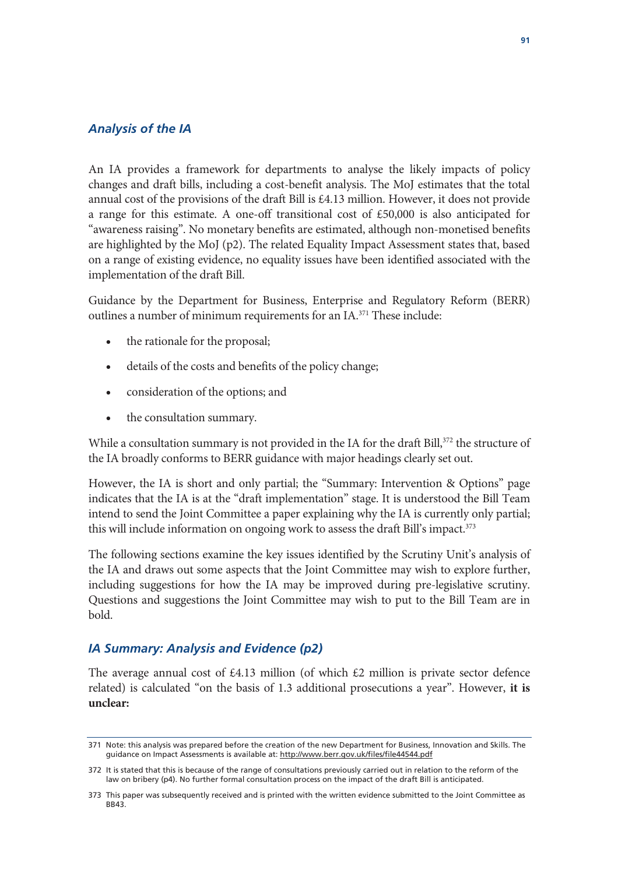#### *Analysis of the IA*

An IA provides a framework for departments to analyse the likely impacts of policy changes and draft bills, including a cost-benefit analysis. The MoJ estimates that the total annual cost of the provisions of the draft Bill is £4.13 million. However, it does not provide a range for this estimate. A one-off transitional cost of £50,000 is also anticipated for "awareness raising". No monetary benefits are estimated, although non-monetised benefits are highlighted by the MoJ ( $p2$ ). The related Equality Impact Assessment states that, based on a range of existing evidence, no equality issues have been identified associated with the implementation of the draft Bill.

Guidance by the Department for Business, Enterprise and Regulatory Reform (BERR) outlines a number of minimum requirements for an IA.<sup>371</sup> These include:

- the rationale for the proposal;
- details of the costs and benefits of the policy change;
- consideration of the options; and
- the consultation summary.

While a consultation summary is not provided in the IA for the draft Bill,<sup>372</sup> the structure of the IA broadly conforms to BERR guidance with major headings clearly set out.

However, the IA is short and only partial; the "Summary: Intervention & Options" page indicates that the IA is at the "draft implementation" stage. It is understood the Bill Team intend to send the Joint Committee a paper explaining why the IA is currently only partial; this will include information on ongoing work to assess the draft Bill's impact.<sup>373</sup>

The following sections examine the key issues identified by the Scrutiny Unit's analysis of the IA and draws out some aspects that the Joint Committee may wish to explore further, including suggestions for how the IA may be improved during pre-legislative scrutiny. Questions and suggestions the Joint Committee may wish to put to the Bill Team are in bold.

#### *IA Summary: Analysis and Evidence (p2)*

The average annual cost of  $\text{\pounds}4.13$  million (of which  $\text{\pounds}2$  million is private sector defence related) is calculated "on the basis of 1.3 additional prosecutions a year". However, **it is unclear:**

<sup>371</sup> Note: this analysis was prepared before the creation of the new Department for Business, Innovation and Skills. The guidance on Impact Assessments is available at: http://www.berr.gov.uk/files/file44544.pdf

<sup>372</sup> It is stated that this is because of the range of consultations previously carried out in relation to the reform of the law on bribery (p4). No further formal consultation process on the impact of the draft Bill is anticipated.

<sup>373</sup> This paper was subsequently received and is printed with the written evidence submitted to the Joint Committee as BB43.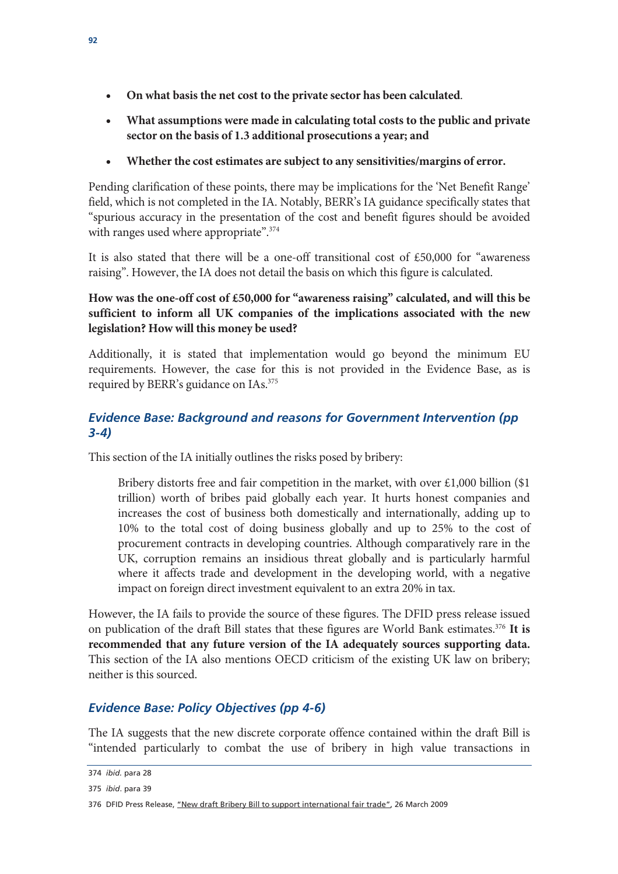- **On what basis the net cost to the private sector has been calculated**.
- **What assumptions were made in calculating total costs to the public and private sector on the basis of 1.3 additional prosecutions a year; and**
- **Whether the cost estimates are subject to any sensitivities/margins of error.**

Pending clarification of these points, there may be implications for the 'Net Benefit Range' field, which is not completed in the IA. Notably, BERR's IA guidance specifically states that "spurious accuracy in the presentation of the cost and benefit figures should be avoided with ranges used where appropriate".<sup>374</sup>

It is also stated that there will be a one-off transitional cost of £50,000 for "awareness raising". However, the IA does not detail the basis on which this figure is calculated.

**How was the one-off cost of £50,000 for "awareness raising" calculated, and will this be sufficient to inform all UK companies of the implications associated with the new legislation? How will this money be used?** 

Additionally, it is stated that implementation would go beyond the minimum EU requirements. However, the case for this is not provided in the Evidence Base, as is required by BERR's guidance on IAs.375

## *Evidence Base: Background and reasons for Government Intervention (pp 3-4)*

This section of the IA initially outlines the risks posed by bribery:

Bribery distorts free and fair competition in the market, with over £1,000 billion (\$1) trillion) worth of bribes paid globally each year. It hurts honest companies and increases the cost of business both domestically and internationally, adding up to 10% to the total cost of doing business globally and up to 25% to the cost of procurement contracts in developing countries. Although comparatively rare in the UK, corruption remains an insidious threat globally and is particularly harmful where it affects trade and development in the developing world, with a negative impact on foreign direct investment equivalent to an extra 20% in tax.

However, the IA fails to provide the source of these figures. The DFID press release issued on publication of the draft Bill states that these figures are World Bank estimates.376 **It is recommended that any future version of the IA adequately sources supporting data.** This section of the IA also mentions OECD criticism of the existing UK law on bribery; neither is this sourced.

## *Evidence Base: Policy Objectives (pp 4-6)*

The IA suggests that the new discrete corporate offence contained within the draft Bill is "intended particularly to combat the use of bribery in high value transactions in

<sup>374</sup> *ibid.* para 28

<sup>375</sup> *ibid*. para 39

<sup>376</sup> DFID Press Release, "New draft Bribery Bill to support international fair trade", 26 March 2009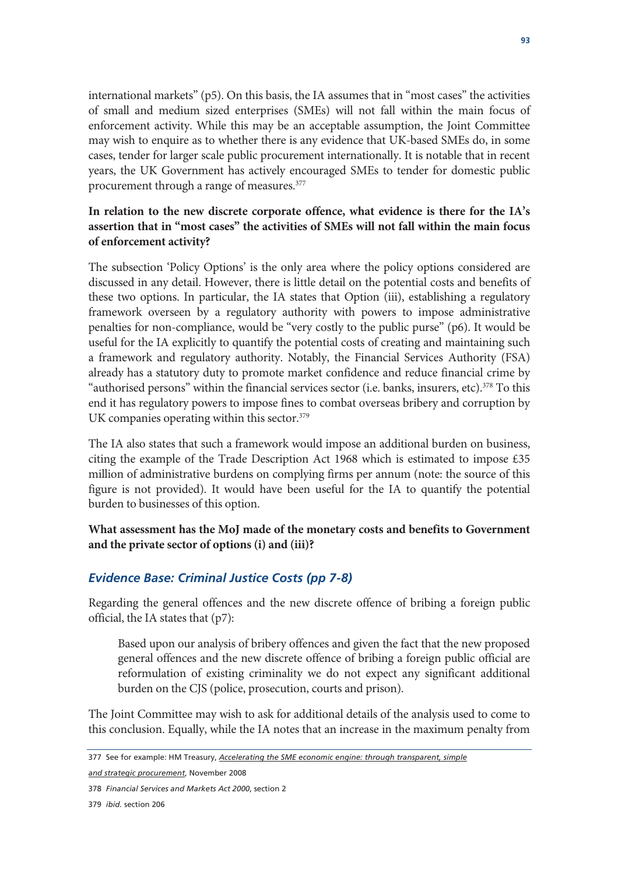international markets" (p5). On this basis, the IA assumes that in "most cases" the activities of small and medium sized enterprises (SMEs) will not fall within the main focus of enforcement activity. While this may be an acceptable assumption, the Joint Committee may wish to enquire as to whether there is any evidence that UK-based SMEs do, in some cases, tender for larger scale public procurement internationally. It is notable that in recent years, the UK Government has actively encouraged SMEs to tender for domestic public procurement through a range of measures.377

#### **In relation to the new discrete corporate offence, what evidence is there for the IA's assertion that in "most cases" the activities of SMEs will not fall within the main focus of enforcement activity?**

The subsection 'Policy Options' is the only area where the policy options considered are discussed in any detail. However, there is little detail on the potential costs and benefits of these two options. In particular, the IA states that Option (iii), establishing a regulatory framework overseen by a regulatory authority with powers to impose administrative penalties for non-compliance, would be "very costly to the public purse" (p6). It would be useful for the IA explicitly to quantify the potential costs of creating and maintaining such a framework and regulatory authority. Notably, the Financial Services Authority (FSA) already has a statutory duty to promote market confidence and reduce financial crime by "authorised persons" within the financial services sector (i.e. banks, insurers, etc).378 To this end it has regulatory powers to impose fines to combat overseas bribery and corruption by UK companies operating within this sector.<sup>379</sup>

The IA also states that such a framework would impose an additional burden on business, citing the example of the Trade Description Act 1968 which is estimated to impose £35 million of administrative burdens on complying firms per annum (note: the source of this figure is not provided). It would have been useful for the IA to quantify the potential burden to businesses of this option.

#### **What assessment has the MoJ made of the monetary costs and benefits to Government and the private sector of options (i) and (iii)?**

## *Evidence Base: Criminal Justice Costs (pp 7-8)*

Regarding the general offences and the new discrete offence of bribing a foreign public official, the IA states that (p7):

Based upon our analysis of bribery offences and given the fact that the new proposed general offences and the new discrete offence of bribing a foreign public official are reformulation of existing criminality we do not expect any significant additional burden on the CJS (police, prosecution, courts and prison).

The Joint Committee may wish to ask for additional details of the analysis used to come to this conclusion. Equally, while the IA notes that an increase in the maximum penalty from

*and strategic procurement*, November 2008

378 *Financial Services and Markets Act 2000*, section 2

379 *ibid.* section 206

<sup>377</sup> See for example: HM Treasury, *Accelerating the SME economic engine: through transparent, simple*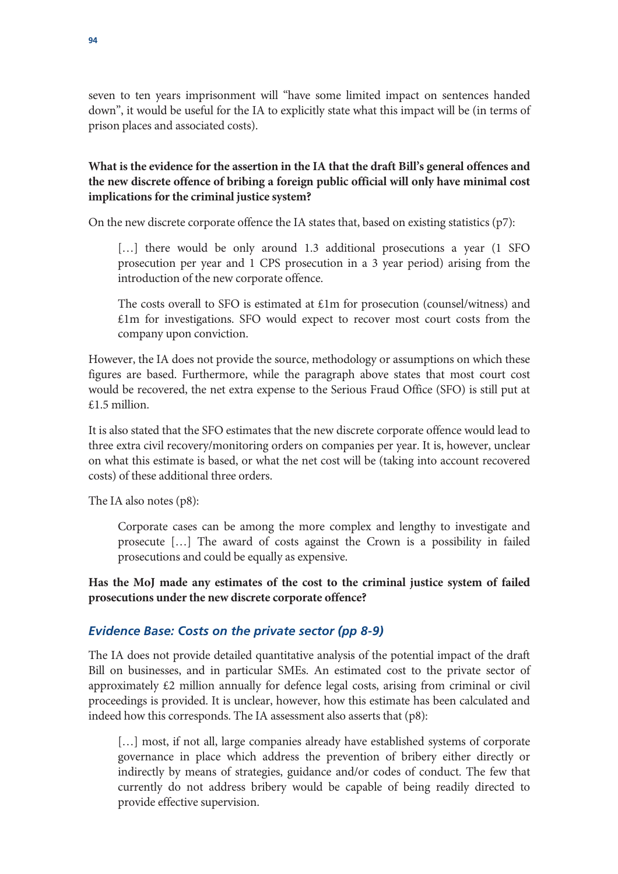seven to ten years imprisonment will "have some limited impact on sentences handed down", it would be useful for the IA to explicitly state what this impact will be (in terms of prison places and associated costs).

### **What is the evidence for the assertion in the IA that the draft Bill's general offences and the new discrete offence of bribing a foreign public official will only have minimal cost implications for the criminal justice system?**

On the new discrete corporate offence the IA states that, based on existing statistics  $(p7)$ :

[…] there would be only around 1.3 additional prosecutions a year (1 SFO prosecution per year and 1 CPS prosecution in a 3 year period) arising from the introduction of the new corporate offence.

The costs overall to SFO is estimated at £1m for prosecution (counsel/witness) and £1m for investigations. SFO would expect to recover most court costs from the company upon conviction.

However, the IA does not provide the source, methodology or assumptions on which these figures are based. Furthermore, while the paragraph above states that most court cost would be recovered, the net extra expense to the Serious Fraud Office (SFO) is still put at £1.5 million.

It is also stated that the SFO estimates that the new discrete corporate offence would lead to three extra civil recovery/monitoring orders on companies per year. It is, however, unclear on what this estimate is based, or what the net cost will be (taking into account recovered costs) of these additional three orders.

The IA also notes (p8):

Corporate cases can be among the more complex and lengthy to investigate and prosecute […] The award of costs against the Crown is a possibility in failed prosecutions and could be equally as expensive.

### **Has the MoJ made any estimates of the cost to the criminal justice system of failed prosecutions under the new discrete corporate offence?**

## *Evidence Base: Costs on the private sector (pp 8-9)*

The IA does not provide detailed quantitative analysis of the potential impact of the draft Bill on businesses, and in particular SMEs. An estimated cost to the private sector of approximately £2 million annually for defence legal costs, arising from criminal or civil proceedings is provided. It is unclear, however, how this estimate has been calculated and indeed how this corresponds. The IA assessment also asserts that (p8):

[...] most, if not all, large companies already have established systems of corporate governance in place which address the prevention of bribery either directly or indirectly by means of strategies, guidance and/or codes of conduct. The few that currently do not address bribery would be capable of being readily directed to provide effective supervision.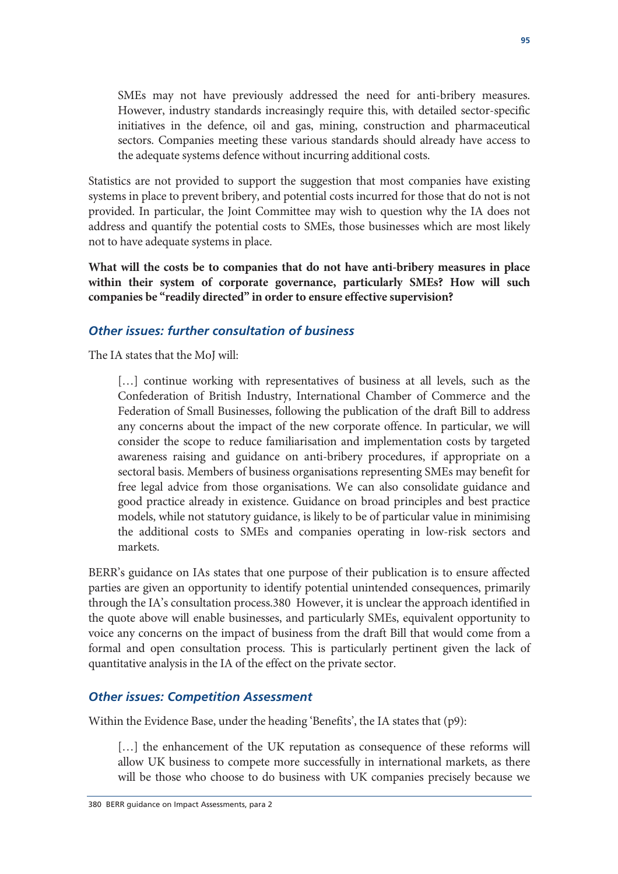SMEs may not have previously addressed the need for anti-bribery measures. However, industry standards increasingly require this, with detailed sector-specific initiatives in the defence, oil and gas, mining, construction and pharmaceutical sectors. Companies meeting these various standards should already have access to the adequate systems defence without incurring additional costs.

Statistics are not provided to support the suggestion that most companies have existing systems in place to prevent bribery, and potential costs incurred for those that do not is not provided. In particular, the Joint Committee may wish to question why the IA does not address and quantify the potential costs to SMEs, those businesses which are most likely not to have adequate systems in place.

**What will the costs be to companies that do not have anti-bribery measures in place within their system of corporate governance, particularly SMEs? How will such companies be "readily directed" in order to ensure effective supervision?** 

## *Other issues: further consultation of business*

The IA states that the MoJ will:

[...] continue working with representatives of business at all levels, such as the Confederation of British Industry, International Chamber of Commerce and the Federation of Small Businesses, following the publication of the draft Bill to address any concerns about the impact of the new corporate offence. In particular, we will consider the scope to reduce familiarisation and implementation costs by targeted awareness raising and guidance on anti-bribery procedures, if appropriate on a sectoral basis. Members of business organisations representing SMEs may benefit for free legal advice from those organisations. We can also consolidate guidance and good practice already in existence. Guidance on broad principles and best practice models, while not statutory guidance, is likely to be of particular value in minimising the additional costs to SMEs and companies operating in low-risk sectors and markets.

BERR's guidance on IAs states that one purpose of their publication is to ensure affected parties are given an opportunity to identify potential unintended consequences, primarily through the IA's consultation process.380 However, it is unclear the approach identified in the quote above will enable businesses, and particularly SMEs, equivalent opportunity to voice any concerns on the impact of business from the draft Bill that would come from a formal and open consultation process. This is particularly pertinent given the lack of quantitative analysis in the IA of the effect on the private sector.

#### *Other issues: Competition Assessment*

Within the Evidence Base, under the heading 'Benefits', the IA states that (p9):

[...] the enhancement of the UK reputation as consequence of these reforms will allow UK business to compete more successfully in international markets, as there will be those who choose to do business with UK companies precisely because we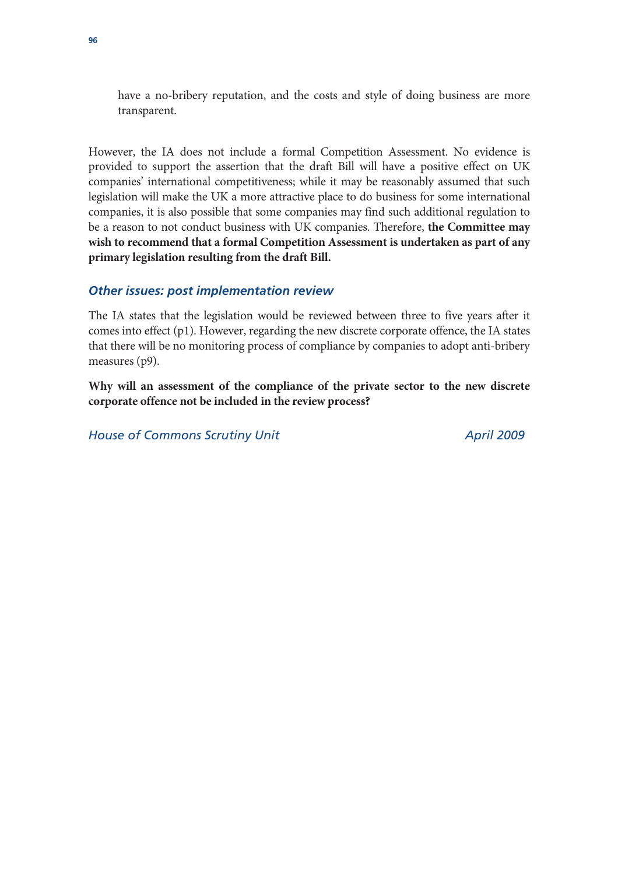have a no-bribery reputation, and the costs and style of doing business are more transparent.

However, the IA does not include a formal Competition Assessment. No evidence is provided to support the assertion that the draft Bill will have a positive effect on UK companies' international competitiveness; while it may be reasonably assumed that such legislation will make the UK a more attractive place to do business for some international companies, it is also possible that some companies may find such additional regulation to be a reason to not conduct business with UK companies. Therefore, **the Committee may wish to recommend that a formal Competition Assessment is undertaken as part of any primary legislation resulting from the draft Bill.**

#### *Other issues: post implementation review*

The IA states that the legislation would be reviewed between three to five years after it comes into effect (p1). However, regarding the new discrete corporate offence, the IA states that there will be no monitoring process of compliance by companies to adopt anti-bribery measures (p9).

**Why will an assessment of the compliance of the private sector to the new discrete corporate offence not be included in the review process?** 

*House of Commons Scrutiny Unit* April 2009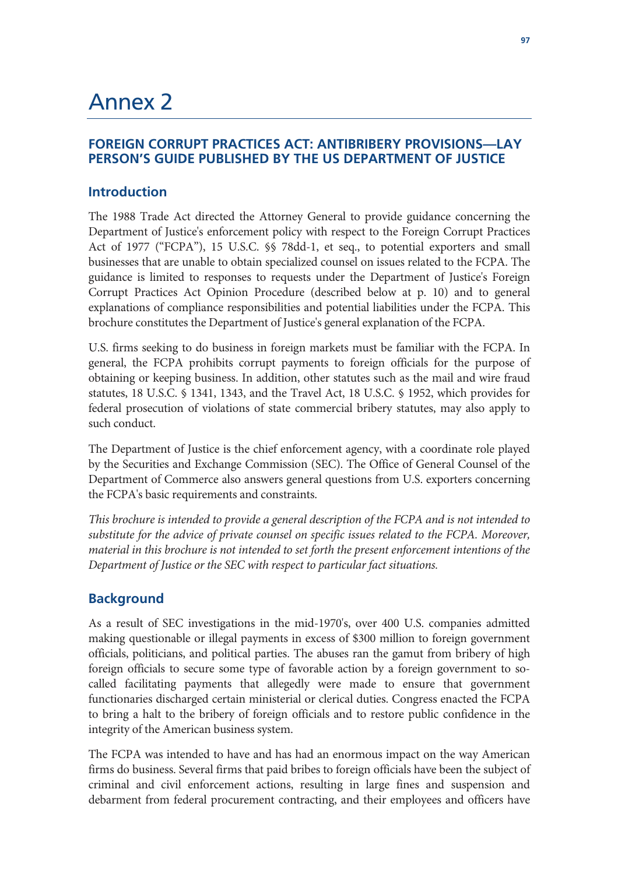## Annex 2

### **FOREIGN CORRUPT PRACTICES ACT: ANTIBRIBERY PROVISIONS—LAY PERSON'S GUIDE PUBLISHED BY THE US DEPARTMENT OF JUSTICE**

## **Introduction**

The 1988 Trade Act directed the Attorney General to provide guidance concerning the Department of Justice's enforcement policy with respect to the Foreign Corrupt Practices Act of 1977 ("FCPA"), 15 U.S.C. §§ 78dd-1, et seq., to potential exporters and small businesses that are unable to obtain specialized counsel on issues related to the FCPA. The guidance is limited to responses to requests under the Department of Justice's Foreign Corrupt Practices Act Opinion Procedure (described below at p. 10) and to general explanations of compliance responsibilities and potential liabilities under the FCPA. This brochure constitutes the Department of Justice's general explanation of the FCPA.

U.S. firms seeking to do business in foreign markets must be familiar with the FCPA. In general, the FCPA prohibits corrupt payments to foreign officials for the purpose of obtaining or keeping business. In addition, other statutes such as the mail and wire fraud statutes, 18 U.S.C. § 1341, 1343, and the Travel Act, 18 U.S.C. § 1952, which provides for federal prosecution of violations of state commercial bribery statutes, may also apply to such conduct.

The Department of Justice is the chief enforcement agency, with a coordinate role played by the Securities and Exchange Commission (SEC). The Office of General Counsel of the Department of Commerce also answers general questions from U.S. exporters concerning the FCPA's basic requirements and constraints.

*This brochure is intended to provide a general description of the FCPA and is not intended to substitute for the advice of private counsel on specific issues related to the FCPA. Moreover, material in this brochure is not intended to set forth the present enforcement intentions of the Department of Justice or the SEC with respect to particular fact situations.* 

## **Background**

As a result of SEC investigations in the mid-1970's, over 400 U.S. companies admitted making questionable or illegal payments in excess of \$300 million to foreign government officials, politicians, and political parties. The abuses ran the gamut from bribery of high foreign officials to secure some type of favorable action by a foreign government to socalled facilitating payments that allegedly were made to ensure that government functionaries discharged certain ministerial or clerical duties. Congress enacted the FCPA to bring a halt to the bribery of foreign officials and to restore public confidence in the integrity of the American business system.

The FCPA was intended to have and has had an enormous impact on the way American firms do business. Several firms that paid bribes to foreign officials have been the subject of criminal and civil enforcement actions, resulting in large fines and suspension and debarment from federal procurement contracting, and their employees and officers have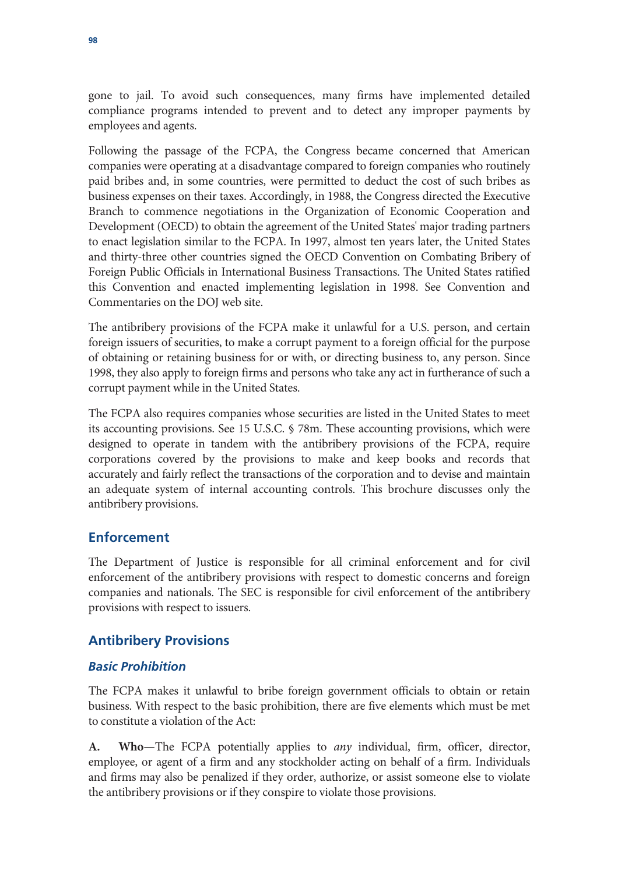gone to jail. To avoid such consequences, many firms have implemented detailed compliance programs intended to prevent and to detect any improper payments by employees and agents.

Following the passage of the FCPA, the Congress became concerned that American companies were operating at a disadvantage compared to foreign companies who routinely paid bribes and, in some countries, were permitted to deduct the cost of such bribes as business expenses on their taxes. Accordingly, in 1988, the Congress directed the Executive Branch to commence negotiations in the Organization of Economic Cooperation and Development (OECD) to obtain the agreement of the United States' major trading partners to enact legislation similar to the FCPA. In 1997, almost ten years later, the United States and thirty-three other countries signed the OECD Convention on Combating Bribery of Foreign Public Officials in International Business Transactions. The United States ratified this Convention and enacted implementing legislation in 1998. See Convention and Commentaries on the DOJ web site.

The antibribery provisions of the FCPA make it unlawful for a U.S. person, and certain foreign issuers of securities, to make a corrupt payment to a foreign official for the purpose of obtaining or retaining business for or with, or directing business to, any person. Since 1998, they also apply to foreign firms and persons who take any act in furtherance of such a corrupt payment while in the United States.

The FCPA also requires companies whose securities are listed in the United States to meet its accounting provisions. See 15 U.S.C. § 78m. These accounting provisions, which were designed to operate in tandem with the antibribery provisions of the FCPA, require corporations covered by the provisions to make and keep books and records that accurately and fairly reflect the transactions of the corporation and to devise and maintain an adequate system of internal accounting controls. This brochure discusses only the antibribery provisions.

## **Enforcement**

The Department of Justice is responsible for all criminal enforcement and for civil enforcement of the antibribery provisions with respect to domestic concerns and foreign companies and nationals. The SEC is responsible for civil enforcement of the antibribery provisions with respect to issuers.

## **Antibribery Provisions**

## *Basic Prohibition*

The FCPA makes it unlawful to bribe foreign government officials to obtain or retain business. With respect to the basic prohibition, there are five elements which must be met to constitute a violation of the Act:

**A. Who—**The FCPA potentially applies to *any* individual, firm, officer, director, employee, or agent of a firm and any stockholder acting on behalf of a firm. Individuals and firms may also be penalized if they order, authorize, or assist someone else to violate the antibribery provisions or if they conspire to violate those provisions.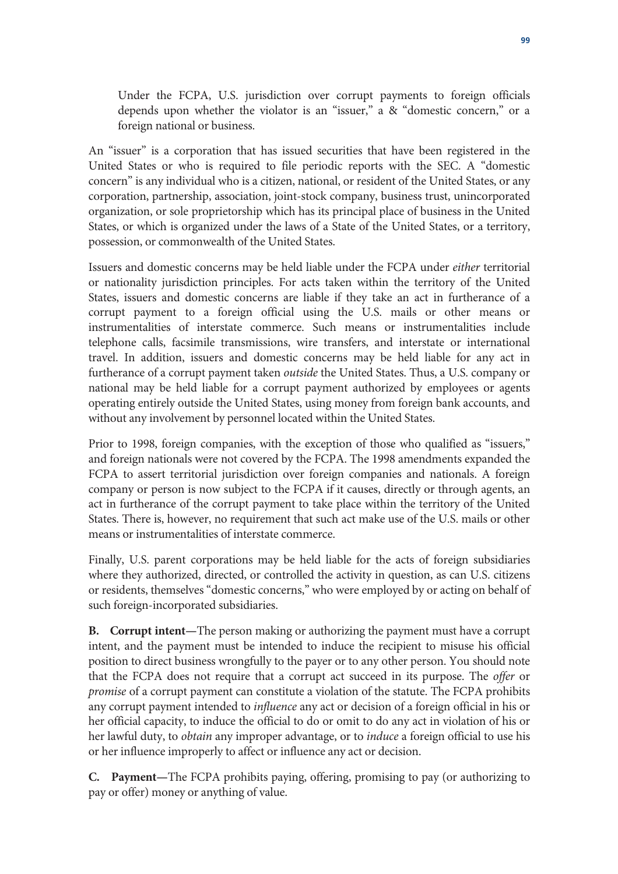Under the FCPA, U.S. jurisdiction over corrupt payments to foreign officials depends upon whether the violator is an "issuer," a & "domestic concern," or a foreign national or business.

An "issuer" is a corporation that has issued securities that have been registered in the United States or who is required to file periodic reports with the SEC. A "domestic concern" is any individual who is a citizen, national, or resident of the United States, or any corporation, partnership, association, joint-stock company, business trust, unincorporated organization, or sole proprietorship which has its principal place of business in the United States, or which is organized under the laws of a State of the United States, or a territory, possession, or commonwealth of the United States.

Issuers and domestic concerns may be held liable under the FCPA under *either* territorial or nationality jurisdiction principles. For acts taken within the territory of the United States, issuers and domestic concerns are liable if they take an act in furtherance of a corrupt payment to a foreign official using the U.S. mails or other means or instrumentalities of interstate commerce. Such means or instrumentalities include telephone calls, facsimile transmissions, wire transfers, and interstate or international travel. In addition, issuers and domestic concerns may be held liable for any act in furtherance of a corrupt payment taken *outside* the United States. Thus, a U.S. company or national may be held liable for a corrupt payment authorized by employees or agents operating entirely outside the United States, using money from foreign bank accounts, and without any involvement by personnel located within the United States.

Prior to 1998, foreign companies, with the exception of those who qualified as "issuers," and foreign nationals were not covered by the FCPA. The 1998 amendments expanded the FCPA to assert territorial jurisdiction over foreign companies and nationals. A foreign company or person is now subject to the FCPA if it causes, directly or through agents, an act in furtherance of the corrupt payment to take place within the territory of the United States. There is, however, no requirement that such act make use of the U.S. mails or other means or instrumentalities of interstate commerce.

Finally, U.S. parent corporations may be held liable for the acts of foreign subsidiaries where they authorized, directed, or controlled the activity in question, as can U.S. citizens or residents, themselves "domestic concerns," who were employed by or acting on behalf of such foreign-incorporated subsidiaries.

**B. Corrupt intent—**The person making or authorizing the payment must have a corrupt intent, and the payment must be intended to induce the recipient to misuse his official position to direct business wrongfully to the payer or to any other person. You should note that the FCPA does not require that a corrupt act succeed in its purpose. The *offer* or *promise* of a corrupt payment can constitute a violation of the statute. The FCPA prohibits any corrupt payment intended to *influence* any act or decision of a foreign official in his or her official capacity, to induce the official to do or omit to do any act in violation of his or her lawful duty, to *obtain* any improper advantage, or to *induce* a foreign official to use his or her influence improperly to affect or influence any act or decision.

**C. Payment—**The FCPA prohibits paying, offering, promising to pay (or authorizing to pay or offer) money or anything of value.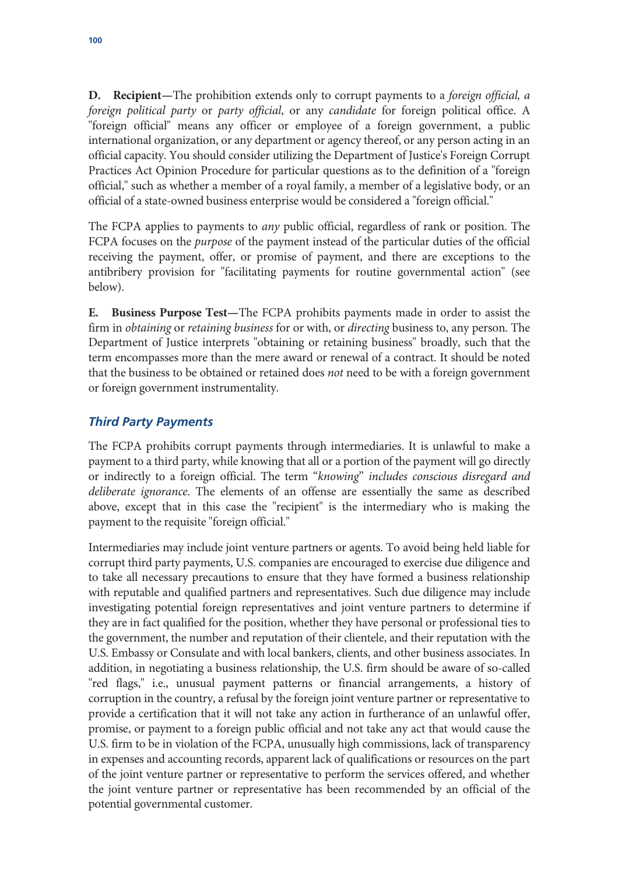**D. Recipient—**The prohibition extends only to corrupt payments to a *foreign official, a foreign political party* or *party official*, or any *candidate* for foreign political office. A "foreign official" means any officer or employee of a foreign government, a public international organization, or any department or agency thereof, or any person acting in an official capacity. You should consider utilizing the Department of Justice's Foreign Corrupt Practices Act Opinion Procedure for particular questions as to the definition of a "foreign official," such as whether a member of a royal family, a member of a legislative body, or an official of a state-owned business enterprise would be considered a "foreign official."

The FCPA applies to payments to *any* public official, regardless of rank or position. The FCPA focuses on the *purpose* of the payment instead of the particular duties of the official receiving the payment, offer, or promise of payment, and there are exceptions to the antibribery provision for "facilitating payments for routine governmental action" (see below).

**E. Business Purpose Test—**The FCPA prohibits payments made in order to assist the firm in *obtaining* or *retaining business* for or with, or *directing* business to, any person. The Department of Justice interprets "obtaining or retaining business" broadly, such that the term encompasses more than the mere award or renewal of a contract. It should be noted that the business to be obtained or retained does *not* need to be with a foreign government or foreign government instrumentality.

## *Third Party Payments*

The FCPA prohibits corrupt payments through intermediaries. It is unlawful to make a payment to a third party, while knowing that all or a portion of the payment will go directly or indirectly to a foreign official. The term "*knowing*" *includes conscious disregard and deliberate ignorance*. The elements of an offense are essentially the same as described above, except that in this case the "recipient" is the intermediary who is making the payment to the requisite "foreign official."

Intermediaries may include joint venture partners or agents. To avoid being held liable for corrupt third party payments, U.S. companies are encouraged to exercise due diligence and to take all necessary precautions to ensure that they have formed a business relationship with reputable and qualified partners and representatives. Such due diligence may include investigating potential foreign representatives and joint venture partners to determine if they are in fact qualified for the position, whether they have personal or professional ties to the government, the number and reputation of their clientele, and their reputation with the U.S. Embassy or Consulate and with local bankers, clients, and other business associates. In addition, in negotiating a business relationship, the U.S. firm should be aware of so-called "red flags," i.e., unusual payment patterns or financial arrangements, a history of corruption in the country, a refusal by the foreign joint venture partner or representative to provide a certification that it will not take any action in furtherance of an unlawful offer, promise, or payment to a foreign public official and not take any act that would cause the U.S. firm to be in violation of the FCPA, unusually high commissions, lack of transparency in expenses and accounting records, apparent lack of qualifications or resources on the part of the joint venture partner or representative to perform the services offered, and whether the joint venture partner or representative has been recommended by an official of the potential governmental customer.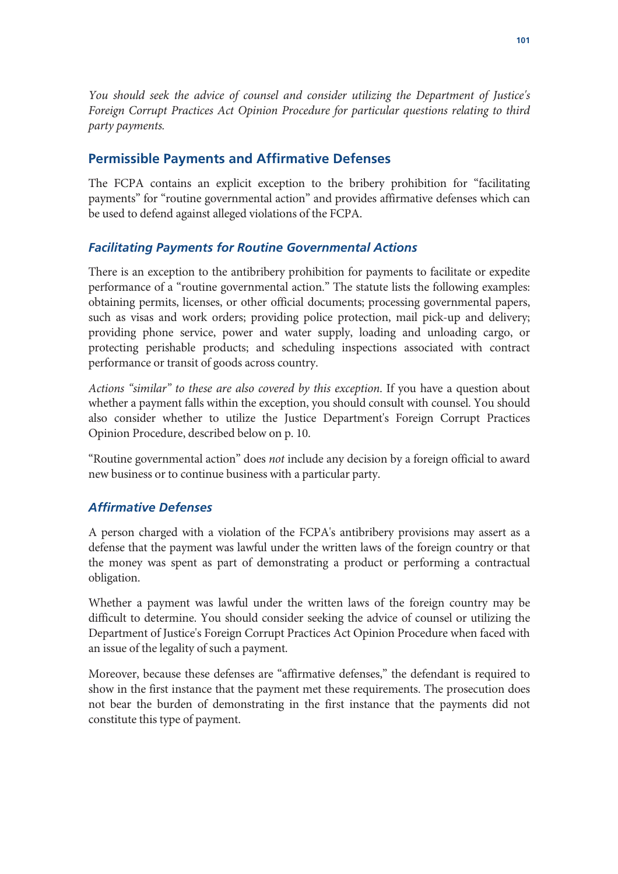*You should seek the advice of counsel and consider utilizing the Department of Justice's Foreign Corrupt Practices Act Opinion Procedure for particular questions relating to third party payments.* 

## **Permissible Payments and Affirmative Defenses**

The FCPA contains an explicit exception to the bribery prohibition for "facilitating payments" for "routine governmental action" and provides affirmative defenses which can be used to defend against alleged violations of the FCPA.

## *Facilitating Payments for Routine Governmental Actions*

There is an exception to the antibribery prohibition for payments to facilitate or expedite performance of a "routine governmental action." The statute lists the following examples: obtaining permits, licenses, or other official documents; processing governmental papers, such as visas and work orders; providing police protection, mail pick-up and delivery; providing phone service, power and water supply, loading and unloading cargo, or protecting perishable products; and scheduling inspections associated with contract performance or transit of goods across country.

*Actions "similar" to these are also covered by this exception*. If you have a question about whether a payment falls within the exception, you should consult with counsel. You should also consider whether to utilize the Justice Department's Foreign Corrupt Practices Opinion Procedure, described below on p. 10.

"Routine governmental action" does *not* include any decision by a foreign official to award new business or to continue business with a particular party.

## *Affirmative Defenses*

A person charged with a violation of the FCPA's antibribery provisions may assert as a defense that the payment was lawful under the written laws of the foreign country or that the money was spent as part of demonstrating a product or performing a contractual obligation.

Whether a payment was lawful under the written laws of the foreign country may be difficult to determine. You should consider seeking the advice of counsel or utilizing the Department of Justice's Foreign Corrupt Practices Act Opinion Procedure when faced with an issue of the legality of such a payment.

Moreover, because these defenses are "affirmative defenses," the defendant is required to show in the first instance that the payment met these requirements. The prosecution does not bear the burden of demonstrating in the first instance that the payments did not constitute this type of payment.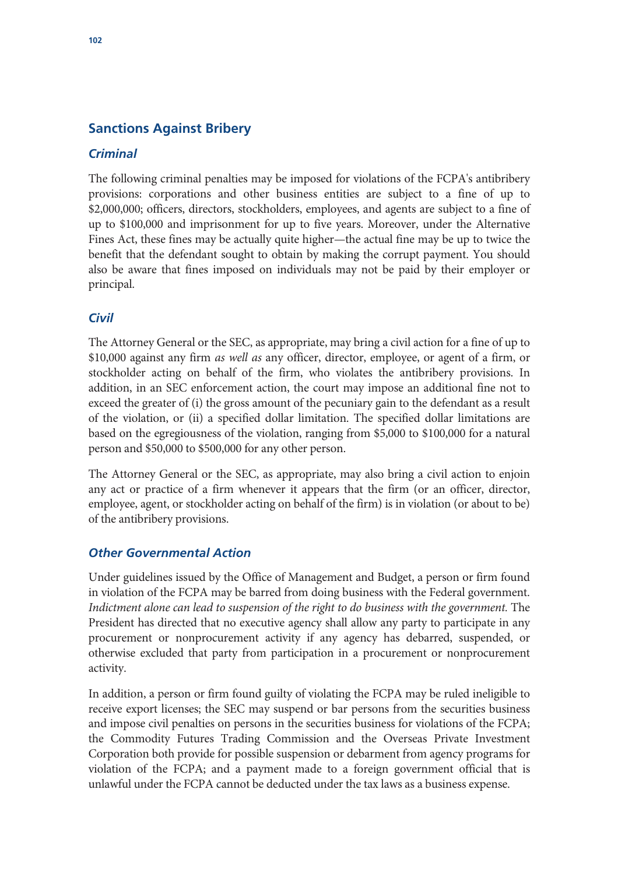## **Sanctions Against Bribery**

#### *Criminal*

The following criminal penalties may be imposed for violations of the FCPA's antibribery provisions: corporations and other business entities are subject to a fine of up to \$2,000,000; officers, directors, stockholders, employees, and agents are subject to a fine of up to \$100,000 and imprisonment for up to five years. Moreover, under the Alternative Fines Act, these fines may be actually quite higher—the actual fine may be up to twice the benefit that the defendant sought to obtain by making the corrupt payment. You should also be aware that fines imposed on individuals may not be paid by their employer or principal.

#### *Civil*

The Attorney General or the SEC, as appropriate, may bring a civil action for a fine of up to \$10,000 against any firm *as well as* any officer, director, employee, or agent of a firm, or stockholder acting on behalf of the firm, who violates the antibribery provisions. In addition, in an SEC enforcement action, the court may impose an additional fine not to exceed the greater of (i) the gross amount of the pecuniary gain to the defendant as a result of the violation, or (ii) a specified dollar limitation. The specified dollar limitations are based on the egregiousness of the violation, ranging from \$5,000 to \$100,000 for a natural person and \$50,000 to \$500,000 for any other person.

The Attorney General or the SEC, as appropriate, may also bring a civil action to enjoin any act or practice of a firm whenever it appears that the firm (or an officer, director, employee, agent, or stockholder acting on behalf of the firm) is in violation (or about to be) of the antibribery provisions.

#### *Other Governmental Action*

Under guidelines issued by the Office of Management and Budget, a person or firm found in violation of the FCPA may be barred from doing business with the Federal government. *Indictment alone can lead to suspension of the right to do business with the government.* The President has directed that no executive agency shall allow any party to participate in any procurement or nonprocurement activity if any agency has debarred, suspended, or otherwise excluded that party from participation in a procurement or nonprocurement activity.

In addition, a person or firm found guilty of violating the FCPA may be ruled ineligible to receive export licenses; the SEC may suspend or bar persons from the securities business and impose civil penalties on persons in the securities business for violations of the FCPA; the Commodity Futures Trading Commission and the Overseas Private Investment Corporation both provide for possible suspension or debarment from agency programs for violation of the FCPA; and a payment made to a foreign government official that is unlawful under the FCPA cannot be deducted under the tax laws as a business expense.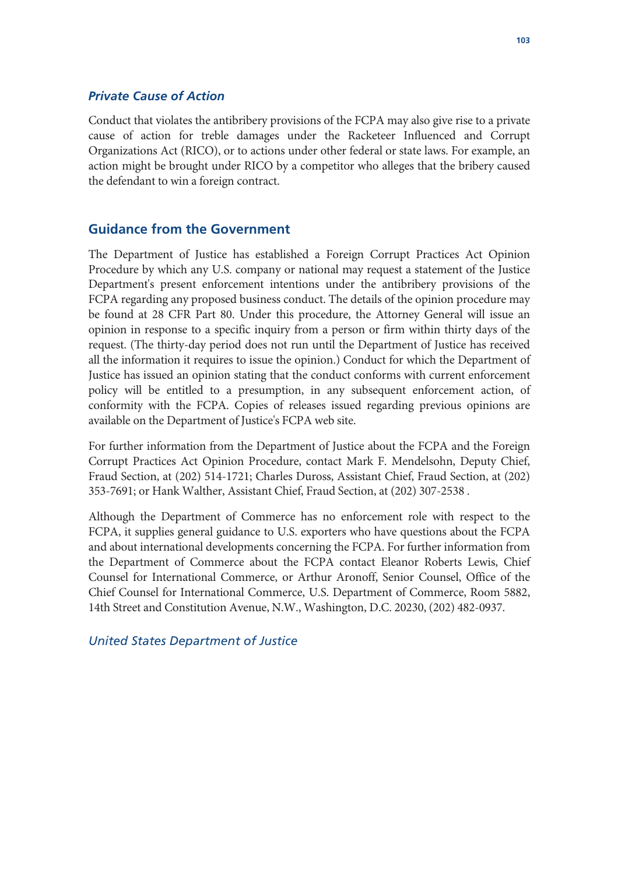#### *Private Cause of Action*

Conduct that violates the antibribery provisions of the FCPA may also give rise to a private cause of action for treble damages under the Racketeer Influenced and Corrupt Organizations Act (RICO), or to actions under other federal or state laws. For example, an action might be brought under RICO by a competitor who alleges that the bribery caused the defendant to win a foreign contract.

#### **Guidance from the Government**

The Department of Justice has established a Foreign Corrupt Practices Act Opinion Procedure by which any U.S. company or national may request a statement of the Justice Department's present enforcement intentions under the antibribery provisions of the FCPA regarding any proposed business conduct. The details of the opinion procedure may be found at 28 CFR Part 80. Under this procedure, the Attorney General will issue an opinion in response to a specific inquiry from a person or firm within thirty days of the request. (The thirty-day period does not run until the Department of Justice has received all the information it requires to issue the opinion.) Conduct for which the Department of Justice has issued an opinion stating that the conduct conforms with current enforcement policy will be entitled to a presumption, in any subsequent enforcement action, of conformity with the FCPA. Copies of releases issued regarding previous opinions are available on the Department of Justice's FCPA web site.

For further information from the Department of Justice about the FCPA and the Foreign Corrupt Practices Act Opinion Procedure, contact Mark F. Mendelsohn, Deputy Chief, Fraud Section, at (202) 514-1721; Charles Duross, Assistant Chief, Fraud Section, at (202) 353-7691; or Hank Walther, Assistant Chief, Fraud Section, at (202) 307-2538 .

Although the Department of Commerce has no enforcement role with respect to the FCPA, it supplies general guidance to U.S. exporters who have questions about the FCPA and about international developments concerning the FCPA. For further information from the Department of Commerce about the FCPA contact Eleanor Roberts Lewis, Chief Counsel for International Commerce, or Arthur Aronoff, Senior Counsel, Office of the Chief Counsel for International Commerce, U.S. Department of Commerce, Room 5882, 14th Street and Constitution Avenue, N.W., Washington, D.C. 20230, (202) 482-0937.

#### *United States Department of Justice*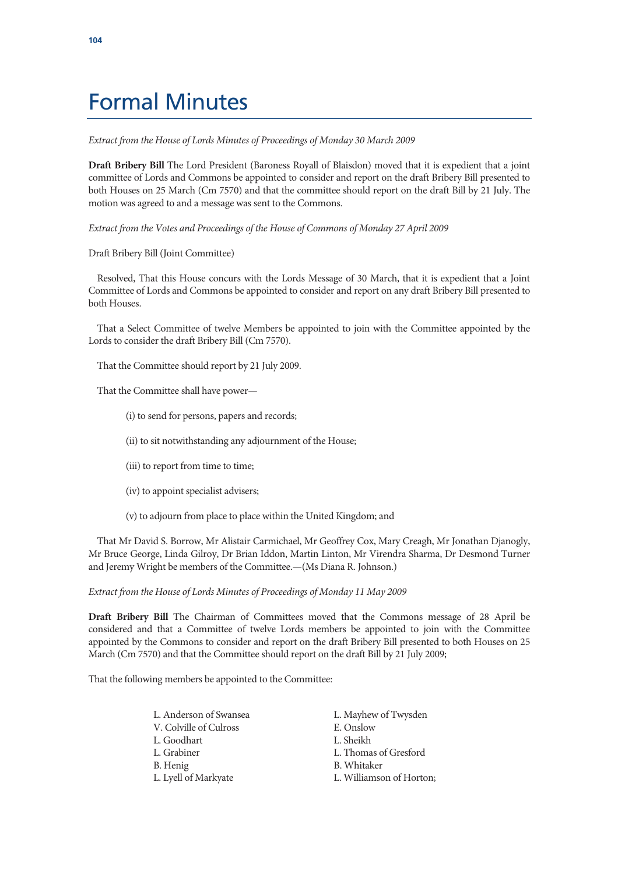# Formal Minutes

#### *Extract from the House of Lords Minutes of Proceedings of Monday 30 March 2009*

**Draft Bribery Bill** The Lord President (Baroness Royall of Blaisdon) moved that it is expedient that a joint committee of Lords and Commons be appointed to consider and report on the draft Bribery Bill presented to both Houses on 25 March (Cm 7570) and that the committee should report on the draft Bill by 21 July. The motion was agreed to and a message was sent to the Commons.

*Extract from the Votes and Proceedings of the House of Commons of Monday 27 April 2009* 

Draft Bribery Bill (Joint Committee)

 Resolved, That this House concurs with the Lords Message of 30 March, that it is expedient that a Joint Committee of Lords and Commons be appointed to consider and report on any draft Bribery Bill presented to both Houses.

 That a Select Committee of twelve Members be appointed to join with the Committee appointed by the Lords to consider the draft Bribery Bill (Cm 7570).

That the Committee should report by 21 July 2009.

That the Committee shall have power—

- (i) to send for persons, papers and records;
- (ii) to sit notwithstanding any adjournment of the House;
- (iii) to report from time to time;
- (iv) to appoint specialist advisers;
- (v) to adjourn from place to place within the United Kingdom; and

 That Mr David S. Borrow, Mr Alistair Carmichael, Mr Geoffrey Cox, Mary Creagh, Mr Jonathan Djanogly, Mr Bruce George, Linda Gilroy, Dr Brian Iddon, Martin Linton, Mr Virendra Sharma, Dr Desmond Turner and Jeremy Wright be members of the Committee.—(Ms Diana R. Johnson.)

#### *Extract from the House of Lords Minutes of Proceedings of Monday 11 May 2009*

**Draft Bribery Bill** The Chairman of Committees moved that the Commons message of 28 April be considered and that a Committee of twelve Lords members be appointed to join with the Committee appointed by the Commons to consider and report on the draft Bribery Bill presented to both Houses on 25 March (Cm 7570) and that the Committee should report on the draft Bill by 21 July 2009;

That the following members be appointed to the Committee:

| L. Anderson of Swansea | L. Mayhew of Twysden     |
|------------------------|--------------------------|
| V. Colville of Culross | E. Onslow                |
| L. Goodhart            | L. Sheikh                |
| L. Grabiner            | L. Thomas of Gresford    |
| B. Henig               | B. Whitaker              |
| L. Lyell of Markyate   | L. Williamson of Horton; |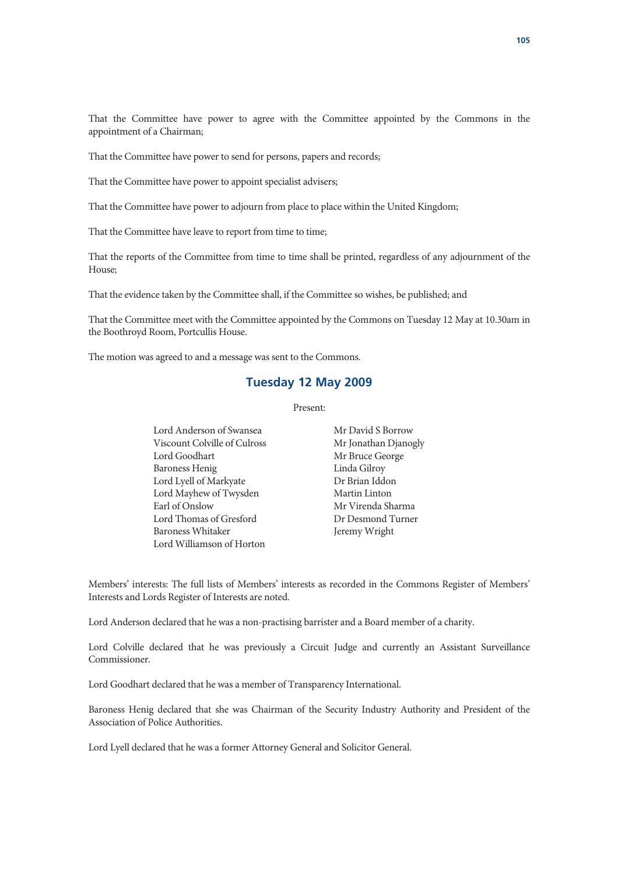That the Committee have power to agree with the Committee appointed by the Commons in the appointment of a Chairman;

That the Committee have power to send for persons, papers and records;

That the Committee have power to appoint specialist advisers;

That the Committee have power to adjourn from place to place within the United Kingdom;

That the Committee have leave to report from time to time;

That the reports of the Committee from time to time shall be printed, regardless of any adjournment of the House;

That the evidence taken by the Committee shall, if the Committee so wishes, be published; and

That the Committee meet with the Committee appointed by the Commons on Tuesday 12 May at 10.30am in the Boothroyd Room, Portcullis House.

The motion was agreed to and a message was sent to the Commons.

## **Tuesday 12 May 2009**

Present:

- Lord Anderson of Swansea Viscount Colville of Culross Lord Goodhart Baroness Henig Lord Lyell of Markyate Lord Mayhew of Twysden Earl of Onslow Lord Thomas of Gresford Baroness Whitaker Lord Williamson of Horton
- Mr David S Borrow Mr Jonathan Djanogly Mr Bruce George Linda Gilroy Dr Brian Iddon Martin Linton Mr Virenda Sharma Dr Desmond Turner Jeremy Wright

Members' interests: The full lists of Members' interests as recorded in the Commons Register of Members' Interests and Lords Register of Interests are noted.

Lord Anderson declared that he was a non-practising barrister and a Board member of a charity.

Lord Colville declared that he was previously a Circuit Judge and currently an Assistant Surveillance Commissioner.

Lord Goodhart declared that he was a member of Transparency International.

Baroness Henig declared that she was Chairman of the Security Industry Authority and President of the Association of Police Authorities.

Lord Lyell declared that he was a former Attorney General and Solicitor General.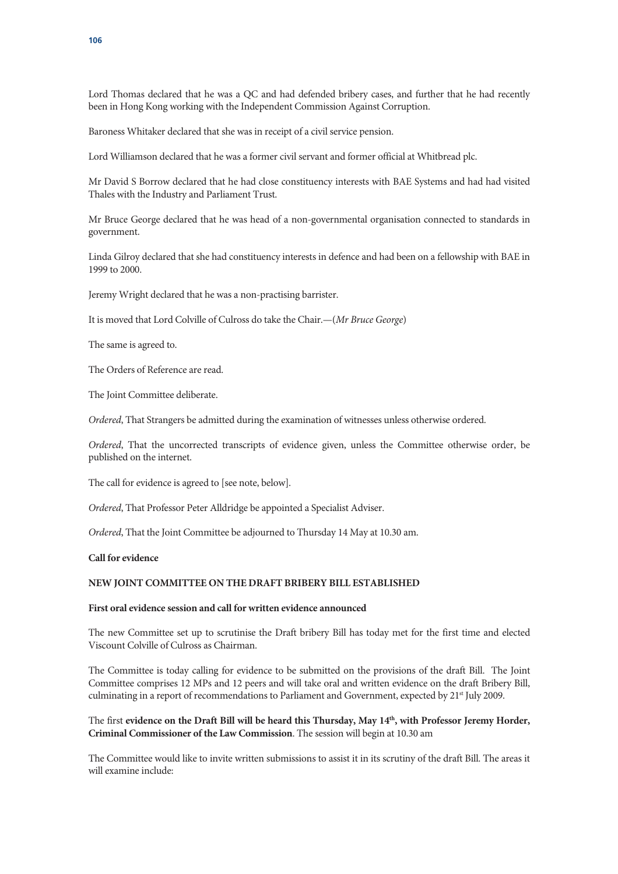Lord Thomas declared that he was a QC and had defended bribery cases, and further that he had recently been in Hong Kong working with the Independent Commission Against Corruption.

Baroness Whitaker declared that she was in receipt of a civil service pension.

Lord Williamson declared that he was a former civil servant and former official at Whitbread plc.

Mr David S Borrow declared that he had close constituency interests with BAE Systems and had had visited Thales with the Industry and Parliament Trust.

Mr Bruce George declared that he was head of a non-governmental organisation connected to standards in government.

Linda Gilroy declared that she had constituency interests in defence and had been on a fellowship with BAE in 1999 to 2000.

Jeremy Wright declared that he was a non-practising barrister.

It is moved that Lord Colville of Culross do take the Chair.—(*Mr Bruce George*)

The same is agreed to.

The Orders of Reference are read.

The Joint Committee deliberate.

*Ordered*, That Strangers be admitted during the examination of witnesses unless otherwise ordered.

*Ordered*, That the uncorrected transcripts of evidence given, unless the Committee otherwise order, be published on the internet.

The call for evidence is agreed to [see note, below].

*Ordered*, That Professor Peter Alldridge be appointed a Specialist Adviser.

*Ordered*, That the Joint Committee be adjourned to Thursday 14 May at 10.30 am.

#### **Call for evidence**

#### **NEW JOINT COMMITTEE ON THE DRAFT BRIBERY BILL ESTABLISHED**

#### **First oral evidence session and call for written evidence announced**

The new Committee set up to scrutinise the Draft bribery Bill has today met for the first time and elected Viscount Colville of Culross as Chairman.

The Committee is today calling for evidence to be submitted on the provisions of the draft Bill. The Joint Committee comprises 12 MPs and 12 peers and will take oral and written evidence on the draft Bribery Bill, culminating in a report of recommendations to Parliament and Government, expected by 21<sup>st</sup> July 2009.

The first evidence on the Draft Bill will be heard this Thursday, May 14<sup>th</sup>, with Professor Jeremy Horder, **Criminal Commissioner of the Law Commission**. The session will begin at 10.30 am

The Committee would like to invite written submissions to assist it in its scrutiny of the draft Bill. The areas it will examine include: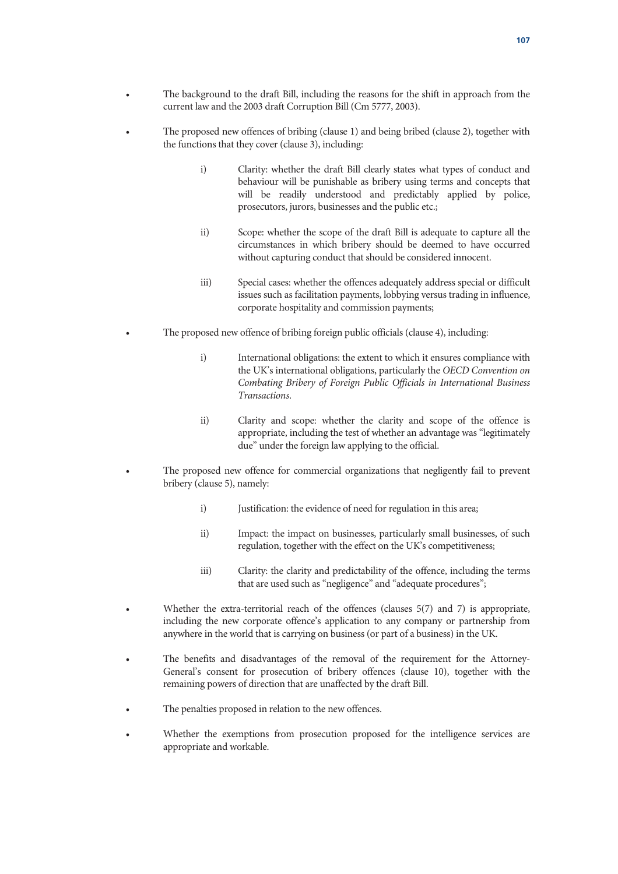- The background to the draft Bill, including the reasons for the shift in approach from the current law and the 2003 draft Corruption Bill (Cm 5777, 2003).
- The proposed new offences of bribing (clause 1) and being bribed (clause 2), together with the functions that they cover (clause 3), including:
	- i) Clarity: whether the draft Bill clearly states what types of conduct and behaviour will be punishable as bribery using terms and concepts that will be readily understood and predictably applied by police, prosecutors, jurors, businesses and the public etc.;
	- ii) Scope: whether the scope of the draft Bill is adequate to capture all the circumstances in which bribery should be deemed to have occurred without capturing conduct that should be considered innocent.
	- iii) Special cases: whether the offences adequately address special or difficult issues such as facilitation payments, lobbying versus trading in influence, corporate hospitality and commission payments;
	- The proposed new offence of bribing foreign public officials (clause 4), including:
		- i) International obligations: the extent to which it ensures compliance with the UK's international obligations, particularly the *OECD Convention on Combating Bribery of Foreign Public Officials in International Business Transactions*.
		- ii) Clarity and scope: whether the clarity and scope of the offence is appropriate, including the test of whether an advantage was "legitimately due" under the foreign law applying to the official.
		- The proposed new offence for commercial organizations that negligently fail to prevent bribery (clause 5), namely:
			- i) Justification: the evidence of need for regulation in this area;
			- ii) Impact: the impact on businesses, particularly small businesses, of such regulation, together with the effect on the UK's competitiveness;
			- iii) Clarity: the clarity and predictability of the offence, including the terms that are used such as "negligence" and "adequate procedures";
- Whether the extra-territorial reach of the offences (clauses 5(7) and 7) is appropriate, including the new corporate offence's application to any company or partnership from anywhere in the world that is carrying on business (or part of a business) in the UK.
- The benefits and disadvantages of the removal of the requirement for the Attorney-General's consent for prosecution of bribery offences (clause 10), together with the remaining powers of direction that are unaffected by the draft Bill.
- The penalties proposed in relation to the new offences.
- Whether the exemptions from prosecution proposed for the intelligence services are appropriate and workable.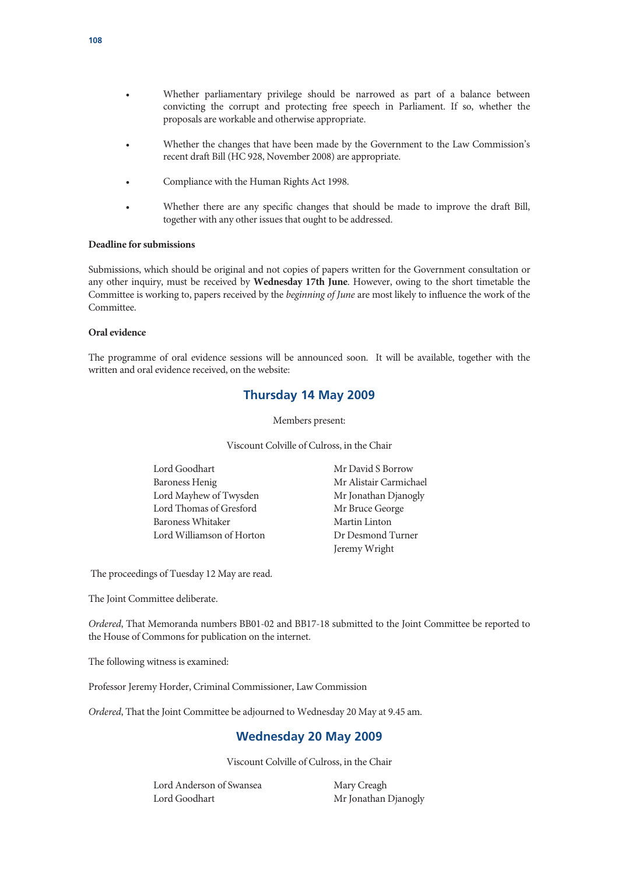- Whether the changes that have been made by the Government to the Law Commission's recent draft Bill (HC 928, November 2008) are appropriate.
- Compliance with the Human Rights Act 1998.
- Whether there are any specific changes that should be made to improve the draft Bill, together with any other issues that ought to be addressed.

#### **Deadline for submissions**

Submissions, which should be original and not copies of papers written for the Government consultation or any other inquiry, must be received by **Wednesday 17th June**. However, owing to the short timetable the Committee is working to, papers received by the *beginning of June* are most likely to influence the work of the Committee.

#### **Oral evidence**

The programme of oral evidence sessions will be announced soon. It will be available, together with the written and oral evidence received, on the website:

## **Thursday 14 May 2009**

Members present:

Viscount Colville of Culross, in the Chair

| Lord Goodhart             | Mr David S Borrow      |
|---------------------------|------------------------|
| Baroness Henig            | Mr Alistair Carmichael |
| Lord Mayhew of Twysden    | Mr Jonathan Djanogly   |
| Lord Thomas of Gresford   | Mr Bruce George        |
| Baroness Whitaker         | Martin Linton          |
| Lord Williamson of Horton | Dr Desmond Turner      |
|                           | Jeremy Wright          |

The proceedings of Tuesday 12 May are read.

The Joint Committee deliberate.

*Ordered*, That Memoranda numbers BB01-02 and BB17-18 submitted to the Joint Committee be reported to the House of Commons for publication on the internet.

The following witness is examined:

Professor Jeremy Horder, Criminal Commissioner, Law Commission

*Ordered*, That the Joint Committee be adjourned to Wednesday 20 May at 9.45 am.

## **Wednesday 20 May 2009**

Viscount Colville of Culross, in the Chair

Lord Anderson of Swansea Lord Goodhart

 Mary Creagh Mr Jonathan Djanogly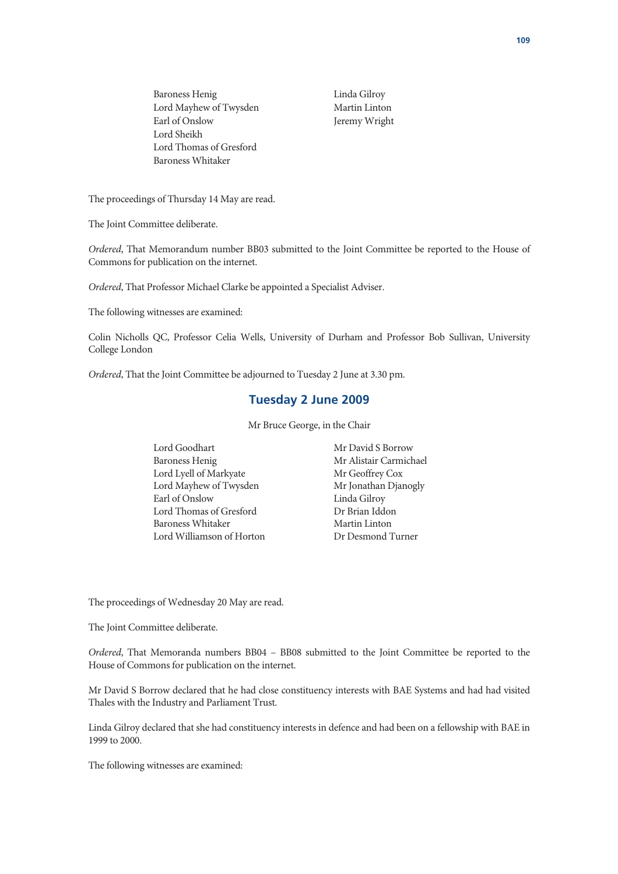Baroness Henig Lord Mayhew of Twysden Earl of Onslow Lord Sheikh Lord Thomas of Gresford Baroness Whitaker

Linda Gilroy Martin Linton Jeremy Wright

The proceedings of Thursday 14 May are read.

The Joint Committee deliberate.

*Ordered*, That Memorandum number BB03 submitted to the Joint Committee be reported to the House of Commons for publication on the internet.

*Ordered*, That Professor Michael Clarke be appointed a Specialist Adviser.

The following witnesses are examined:

Colin Nicholls QC, Professor Celia Wells, University of Durham and Professor Bob Sullivan, University College London

*Ordered*, That the Joint Committee be adjourned to Tuesday 2 June at 3.30 pm.

#### **Tuesday 2 June 2009**

Mr Bruce George, in the Chair

Lord Goodhart Baroness Henig Lord Lyell of Markyate Lord Mayhew of Twysden Earl of Onslow Lord Thomas of Gresford Baroness Whitaker Lord Williamson of Horton Mr David S Borrow Mr Alistair Carmichael Mr Geoffrey Cox Mr Jonathan Djanogly Linda Gilroy Dr Brian Iddon Martin Linton Dr Desmond Turner

The proceedings of Wednesday 20 May are read.

The Joint Committee deliberate.

*Ordered*, That Memoranda numbers BB04 – BB08 submitted to the Joint Committee be reported to the House of Commons for publication on the internet.

Mr David S Borrow declared that he had close constituency interests with BAE Systems and had had visited Thales with the Industry and Parliament Trust.

Linda Gilroy declared that she had constituency interests in defence and had been on a fellowship with BAE in 1999 to 2000.

The following witnesses are examined: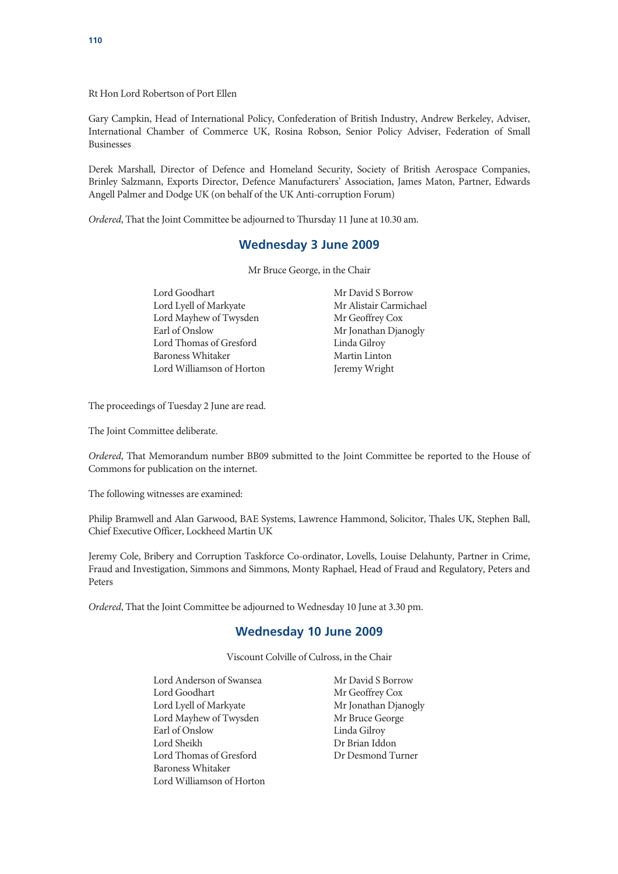Rt Hon Lord Robertson of Port Ellen

Gary Campkin, Head of International Policy, Confederation of British Industry, Andrew Berkeley, Adviser, International Chamber of Commerce UK, Rosina Robson, Senior Policy Adviser, Federation of Small Businesses

Derek Marshall, Director of Defence and Homeland Security, Society of British Aerospace Companies, Brinley Salzmann, Exports Director, Defence Manufacturers' Association, James Maton, Partner, Edwards Angell Palmer and Dodge UK (on behalf of the UK Anti-corruption Forum)

*Ordered*, That the Joint Committee be adjourned to Thursday 11 June at 10.30 am.

## **Wednesday 3 June 2009**

Mr Bruce George, in the Chair

- Lord Goodhart Lord Lyell of Markyate Lord Mayhew of Twysden Earl of Onslow Lord Thomas of Gresford Baroness Whitaker Lord Williamson of Horton
- Mr David S Borrow Mr Alistair Carmichael Mr Geoffrey Cox Mr Jonathan Djanogly Linda Gilroy Martin Linton Jeremy Wright

The proceedings of Tuesday 2 June are read.

The Joint Committee deliberate.

*Ordered*, That Memorandum number BB09 submitted to the Joint Committee be reported to the House of Commons for publication on the internet.

The following witnesses are examined:

Philip Bramwell and Alan Garwood, BAE Systems, Lawrence Hammond, Solicitor, Thales UK, Stephen Ball, Chief Executive Officer, Lockheed Martin UK

Jeremy Cole, Bribery and Corruption Taskforce Co-ordinator, Lovells, Louise Delahunty, Partner in Crime, Fraud and Investigation, Simmons and Simmons, Monty Raphael, Head of Fraud and Regulatory, Peters and Peters

*Ordered*, That the Joint Committee be adjourned to Wednesday 10 June at 3.30 pm.

## **Wednesday 10 June 2009**

Viscount Colville of Culross, in the Chair

- Lord Anderson of Swansea Lord Goodhart Lord Lyell of Markyate Lord Mayhew of Twysden Earl of Onslow Lord Sheikh Lord Thomas of Gresford Baroness Whitaker Lord Williamson of Horton
- Mr David S Borrow Mr Geoffrey Cox Mr Jonathan Djanogly Mr Bruce George Linda Gilroy Dr Brian Iddon Dr Desmond Turner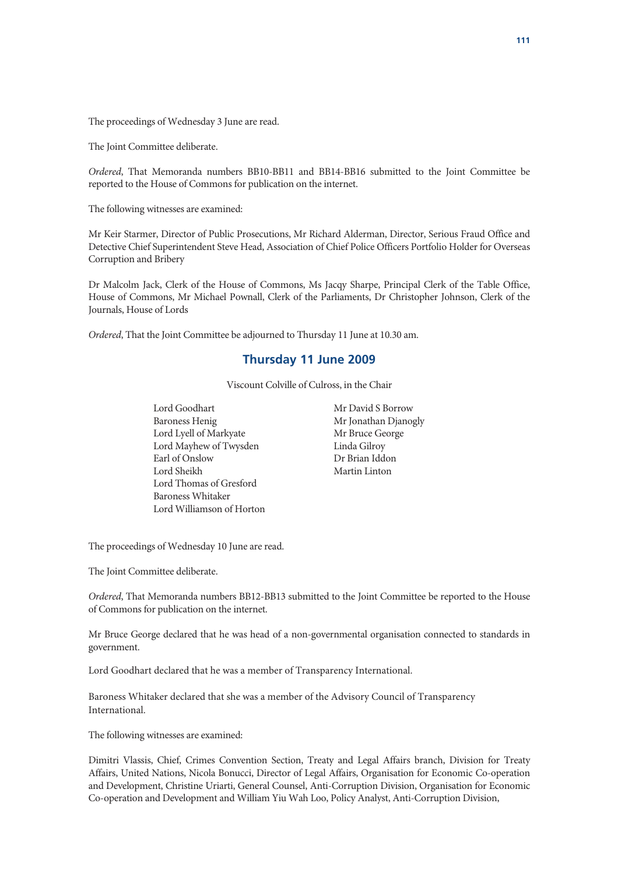The proceedings of Wednesday 3 June are read.

The Joint Committee deliberate.

*Ordered*, That Memoranda numbers BB10-BB11 and BB14-BB16 submitted to the Joint Committee be reported to the House of Commons for publication on the internet.

The following witnesses are examined:

Mr Keir Starmer, Director of Public Prosecutions, Mr Richard Alderman, Director, Serious Fraud Office and Detective Chief Superintendent Steve Head, Association of Chief Police Officers Portfolio Holder for Overseas Corruption and Bribery

Dr Malcolm Jack, Clerk of the House of Commons, Ms Jacqy Sharpe, Principal Clerk of the Table Office, House of Commons, Mr Michael Pownall, Clerk of the Parliaments, Dr Christopher Johnson, Clerk of the Journals, House of Lords

*Ordered*, That the Joint Committee be adjourned to Thursday 11 June at 10.30 am.

#### **Thursday 11 June 2009**

Viscount Colville of Culross, in the Chair

Lord Goodhart Baroness Henig Lord Lyell of Markyate Lord Mayhew of Twysden Earl of Onslow Lord Sheikh Lord Thomas of Gresford Baroness Whitaker Lord Williamson of Horton

 Mr David S Borrow Mr Jonathan Djanogly Mr Bruce George Linda Gilroy Dr Brian Iddon Martin Linton

The proceedings of Wednesday 10 June are read.

The Joint Committee deliberate.

*Ordered*, That Memoranda numbers BB12-BB13 submitted to the Joint Committee be reported to the House of Commons for publication on the internet.

Mr Bruce George declared that he was head of a non-governmental organisation connected to standards in government.

Lord Goodhart declared that he was a member of Transparency International.

Baroness Whitaker declared that she was a member of the Advisory Council of Transparency International.

The following witnesses are examined:

Dimitri Vlassis, Chief, Crimes Convention Section, Treaty and Legal Affairs branch, Division for Treaty Affairs, United Nations, Nicola Bonucci, Director of Legal Affairs, Organisation for Economic Co-operation and Development, Christine Uriarti, General Counsel, Anti-Corruption Division, Organisation for Economic Co-operation and Development and William Yiu Wah Loo, Policy Analyst, Anti-Corruption Division,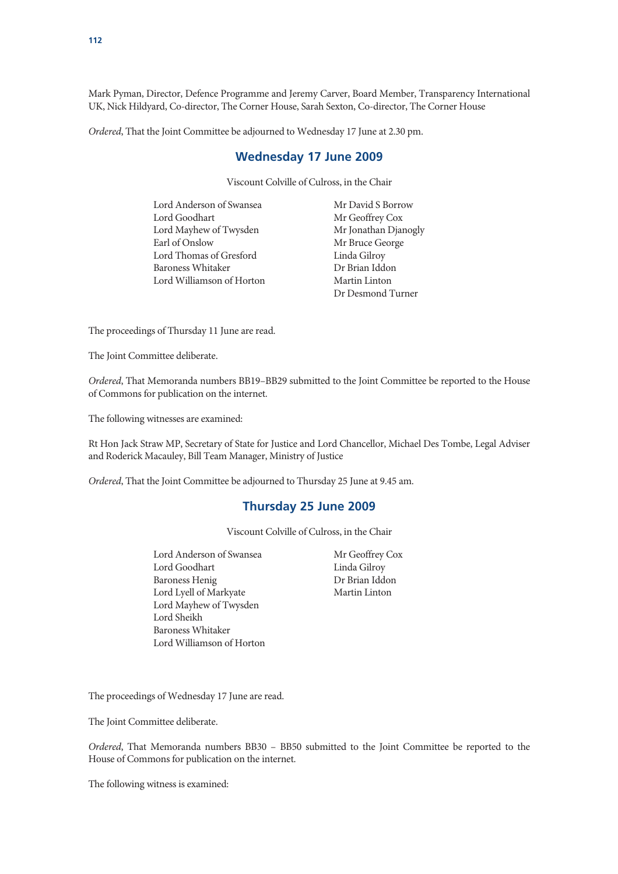Mark Pyman, Director, Defence Programme and Jeremy Carver, Board Member, Transparency International UK, Nick Hildyard, Co-director, The Corner House, Sarah Sexton, Co-director, The Corner House

*Ordered*, That the Joint Committee be adjourned to Wednesday 17 June at 2.30 pm.

## **Wednesday 17 June 2009**

Viscount Colville of Culross, in the Chair

Lord Anderson of Swansea Lord Goodhart Lord Mayhew of Twysden Earl of Onslow Lord Thomas of Gresford Baroness Whitaker Lord Williamson of Horton  Mr David S Borrow Mr Geoffrey Cox Mr Jonathan Djanogly Mr Bruce George Linda Gilroy Dr Brian Iddon Martin Linton Dr Desmond Turner

The proceedings of Thursday 11 June are read.

The Joint Committee deliberate.

*Ordered*, That Memoranda numbers BB19–BB29 submitted to the Joint Committee be reported to the House of Commons for publication on the internet.

The following witnesses are examined:

Rt Hon Jack Straw MP, Secretary of State for Justice and Lord Chancellor, Michael Des Tombe, Legal Adviser and Roderick Macauley, Bill Team Manager, Ministry of Justice

*Ordered*, That the Joint Committee be adjourned to Thursday 25 June at 9.45 am.

## **Thursday 25 June 2009**

Viscount Colville of Culross, in the Chair

Lord Anderson of Swansea Lord Goodhart Baroness Henig Lord Lyell of Markyate Lord Mayhew of Twysden Lord Sheikh Baroness Whitaker Lord Williamson of Horton  Mr Geoffrey Cox Linda Gilroy Dr Brian Iddon Martin Linton

The proceedings of Wednesday 17 June are read.

The Joint Committee deliberate.

*Ordered*, That Memoranda numbers BB30 – BB50 submitted to the Joint Committee be reported to the House of Commons for publication on the internet.

The following witness is examined: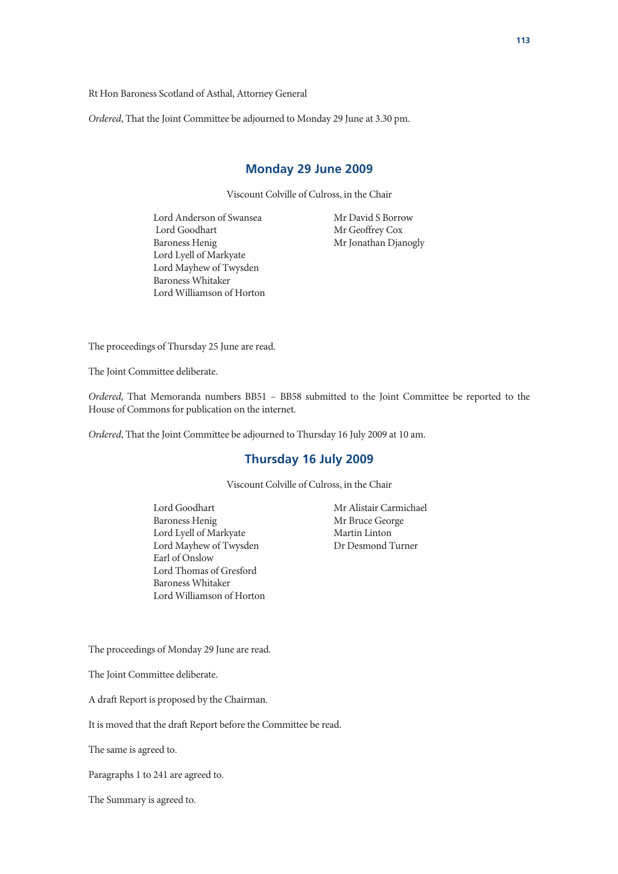Rt Hon Baroness Scotland of Asthal, Attorney General

*Ordered*, That the Joint Committee be adjourned to Monday 29 June at 3.30 pm.

## **Monday 29 June 2009**

Viscount Colville of Culross, in the Chair

Lord Anderson of Swansea Lord Goodhart Baroness Henig Lord Lyell of Markyate Lord Mayhew of Twysden Baroness Whitaker Lord Williamson of Horton  Mr David S Borrow Mr Geoffrey Cox Mr Jonathan Djanogly

The proceedings of Thursday 25 June are read.

The Joint Committee deliberate.

*Ordered*, That Memoranda numbers BB51 – BB58 submitted to the Joint Committee be reported to the House of Commons for publication on the internet.

*Ordered*, That the Joint Committee be adjourned to Thursday 16 July 2009 at 10 am.

## **Thursday 16 July 2009**

Viscount Colville of Culross, in the Chair

Lord Goodhart Baroness Henig Lord Lyell of Markyate Lord Mayhew of Twysden Earl of Onslow Lord Thomas of Gresford Baroness Whitaker Lord Williamson of Horton  Mr Alistair Carmichael Mr Bruce George Martin Linton Dr Desmond Turner

The proceedings of Monday 29 June are read.

The Joint Committee deliberate.

A draft Report is proposed by the Chairman.

It is moved that the draft Report before the Committee be read.

The same is agreed to.

Paragraphs 1 to 241 are agreed to.

The Summary is agreed to.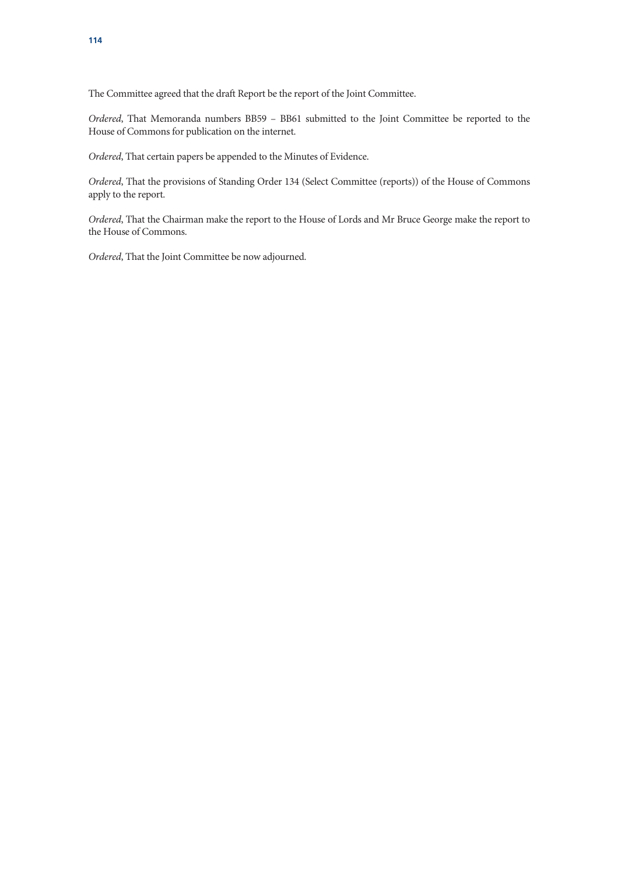The Committee agreed that the draft Report be the report of the Joint Committee.

*Ordered*, That Memoranda numbers BB59 – BB61 submitted to the Joint Committee be reported to the House of Commons for publication on the internet.

*Ordered*, That certain papers be appended to the Minutes of Evidence.

*Ordered*, That the provisions of Standing Order 134 (Select Committee (reports)) of the House of Commons apply to the report.

*Ordered*, That the Chairman make the report to the House of Lords and Mr Bruce George make the report to the House of Commons.

*Ordered*, That the Joint Committee be now adjourned.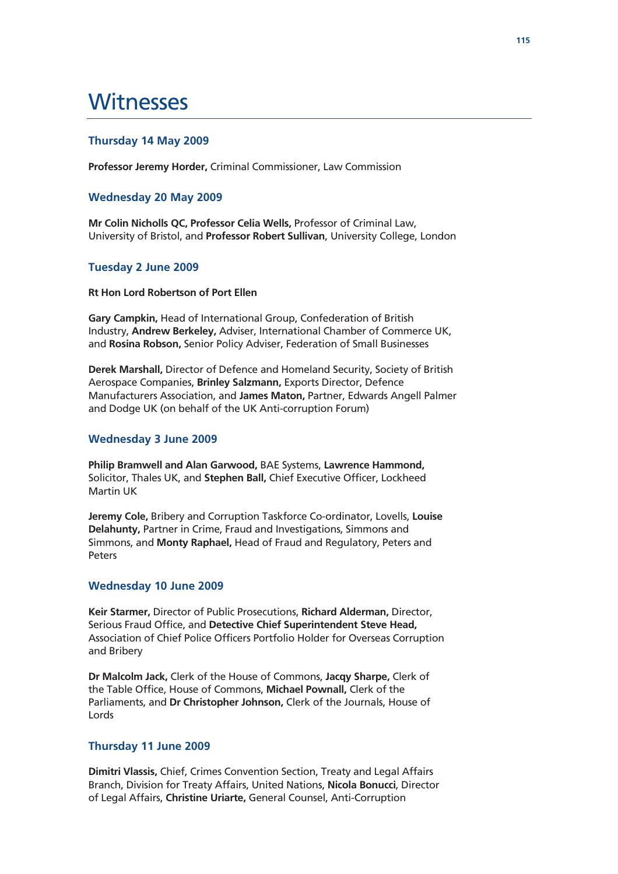## **Witnesses**

#### **Thursday 14 May 2009**

**Professor Jeremy Horder,** Criminal Commissioner, Law Commission

#### **Wednesday 20 May 2009**

**Mr Colin Nicholls QC, Professor Celia Wells,** Professor of Criminal Law, University of Bristol, and **Professor Robert Sullivan**, University College, London

#### **Tuesday 2 June 2009**

#### **Rt Hon Lord Robertson of Port Ellen**

**Gary Campkin,** Head of International Group, Confederation of British Industry, **Andrew Berkeley,** Adviser, International Chamber of Commerce UK, and **Rosina Robson,** Senior Policy Adviser, Federation of Small Businesses

**Derek Marshall,** Director of Defence and Homeland Security, Society of British Aerospace Companies, **Brinley Salzmann,** Exports Director, Defence Manufacturers Association, and **James Maton,** Partner, Edwards Angell Palmer and Dodge UK (on behalf of the UK Anti-corruption Forum)

#### **Wednesday 3 June 2009**

**Philip Bramwell and Alan Garwood,** BAE Systems, **Lawrence Hammond,**  Solicitor, Thales UK, and **Stephen Ball,** Chief Executive Officer, Lockheed Martin UK

**Jeremy Cole,** Bribery and Corruption Taskforce Co-ordinator, Lovells, **Louise Delahunty,** Partner in Crime, Fraud and Investigations, Simmons and Simmons, and **Monty Raphael,** Head of Fraud and Regulatory, Peters and **Peters** 

#### **Wednesday 10 June 2009**

**Keir Starmer,** Director of Public Prosecutions, **Richard Alderman,** Director, Serious Fraud Office, and **Detective Chief Superintendent Steve Head,**  Association of Chief Police Officers Portfolio Holder for Overseas Corruption and Bribery

**Dr Malcolm Jack,** Clerk of the House of Commons, **Jacqy Sharpe,** Clerk of the Table Office, House of Commons, **Michael Pownall,** Clerk of the Parliaments, and **Dr Christopher Johnson,** Clerk of the Journals, House of Lords

## **Thursday 11 June 2009**

**Dimitri Vlassis,** Chief, Crimes Convention Section, Treaty and Legal Affairs Branch, Division for Treaty Affairs, United Nations, **Nicola Bonucci**, Director of Legal Affairs, **Christine Uriarte,** General Counsel, Anti-Corruption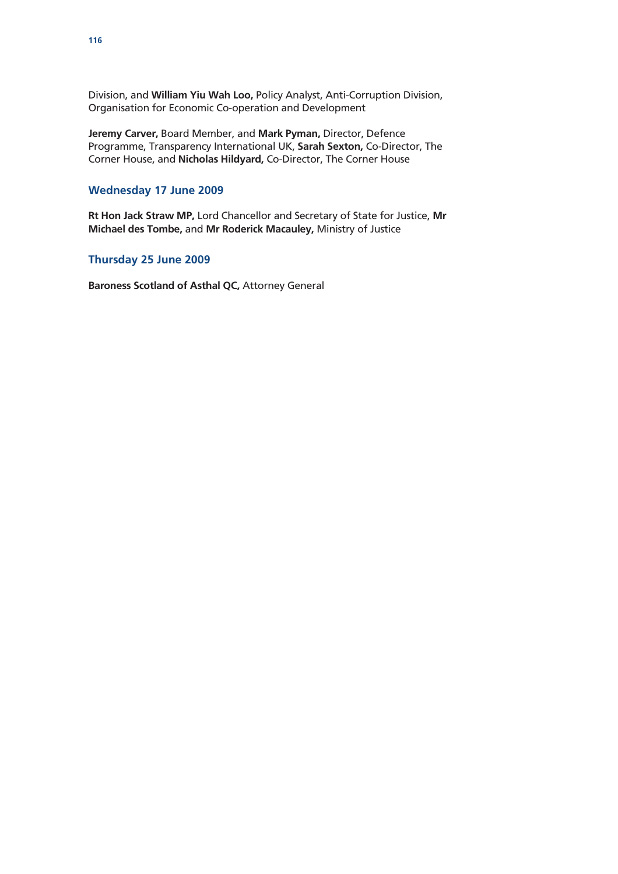Division, and **William Yiu Wah Loo,** Policy Analyst, Anti-Corruption Division, Organisation for Economic Co-operation and Development

**Jeremy Carver,** Board Member, and **Mark Pyman,** Director, Defence Programme, Transparency International UK, **Sarah Sexton,** Co-Director, The Corner House, and **Nicholas Hildyard,** Co-Director, The Corner House

## **Wednesday 17 June 2009**

**Rt Hon Jack Straw MP,** Lord Chancellor and Secretary of State for Justice, **Mr Michael des Tombe,** and **Mr Roderick Macauley,** Ministry of Justice

## **Thursday 25 June 2009**

**Baroness Scotland of Asthal QC,** Attorney General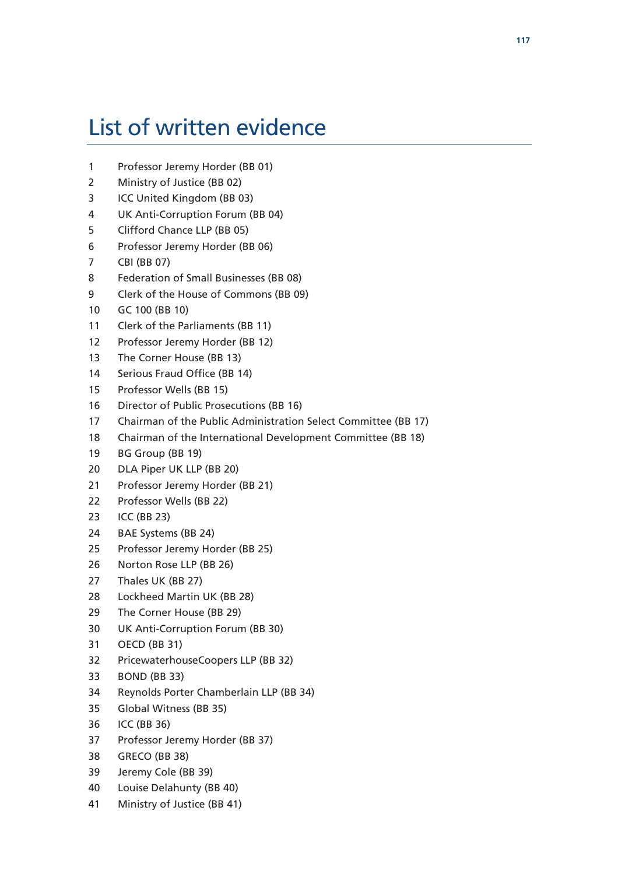# List of written evidence

- Professor Jeremy Horder (BB 01)
- Ministry of Justice (BB 02)
- ICC United Kingdom (BB 03)
- UK Anti-Corruption Forum (BB 04)
- Clifford Chance LLP (BB 05)
- Professor Jeremy Horder (BB 06)
- CBI (BB 07)
- Federation of Small Businesses (BB 08)
- Clerk of the House of Commons (BB 09)
- GC 100 (BB 10)
- Clerk of the Parliaments (BB 11)
- Professor Jeremy Horder (BB 12)
- The Corner House (BB 13)
- Serious Fraud Office (BB 14)
- Professor Wells (BB 15)
- Director of Public Prosecutions (BB 16)
- Chairman of the Public Administration Select Committee (BB 17)
- Chairman of the International Development Committee (BB 18)
- BG Group (BB 19)
- DLA Piper UK LLP (BB 20)
- Professor Jeremy Horder (BB 21)
- Professor Wells (BB 22)
- ICC (BB 23)
- BAE Systems (BB 24)
- Professor Jeremy Horder (BB 25)
- Norton Rose LLP (BB 26)
- Thales UK (BB 27)
- Lockheed Martin UK (BB 28)
- The Corner House (BB 29)
- UK Anti-Corruption Forum (BB 30)
- OECD (BB 31)
- PricewaterhouseCoopers LLP (BB 32)
- BOND (BB 33)
- Reynolds Porter Chamberlain LLP (BB 34)
- Global Witness (BB 35)
- ICC (BB 36)
- Professor Jeremy Horder (BB 37)
- GRECO (BB 38)
- Jeremy Cole (BB 39)
- Louise Delahunty (BB 40)
- Ministry of Justice (BB 41)